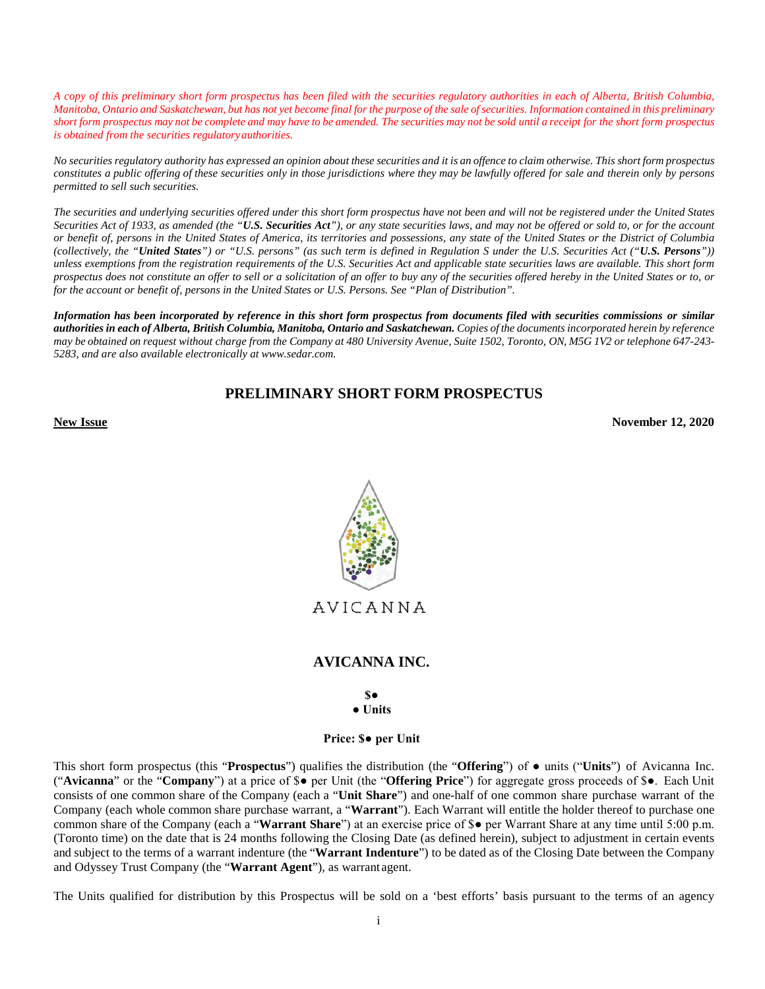*A copy of this preliminary short form prospectus has been filed with the securities regulatory authorities in each of Alberta, British Columbia, Manitoba, Ontario and Saskatchewan, but has not yet become final for the purpose of the sale of securities. Information contained in this preliminary short form prospectus may not be complete and may have to be amended. The securities may not be sold until a receipt for the short form prospectus is obtained from the securities regulatory authorities.*

*No securities regulatory authority has expressed an opinion about these securities and it is an offence to claim otherwise. This short form prospectus constitutes a public offering of these securities only in those jurisdictions where they may be lawfully offered for sale and therein only by persons permitted to sell such securities.* 

*The securities and underlying securities offered under this short form prospectus have not been and will not be registered under the United States Securities Act of 1933, as amended (the "U.S. Securities Act"), or any state securities laws, and may not be offered or sold to, or for the account or benefit of, persons in the United States of America, its territories and possessions, any state of the United States or the District of Columbia (collectively, the "United States") or "U.S. persons" (as such term is defined in Regulation S under the U.S. Securities Act ("U.S. Persons")) unless exemptions from the registration requirements of the U.S. Securities Act and applicable state securities laws are available. This short form prospectus does not constitute an offer to sell or a solicitation of an offer to buy any of the securities offered hereby in the United States or to, or for the account or benefit of, persons in the United States or U.S. Persons. See "Plan of Distribution".* 

*Information has been incorporated by reference in this short form prospectus from documents filed with securities commissions or similar authorities in each of Alberta, British Columbia, Manitoba, Ontario and Saskatchewan. Copies of the documents incorporated herein by reference may be obtained on request without charge from the Company at 480 University Avenue, Suite 1502, Toronto, ON, M5G 1V2 or telephone 647-243- 5283, and are also available electronically at www.sedar.com.* 

# **PRELIMINARY SHORT FORM PROSPECTUS**

**November 12, 2020 November 12, 2020** 



AVICANNA

# **AVICANNA INC.**

**\$● ● Units**

**Price: \$● per Unit**

This short form prospectus (this "**Prospectus**") qualifies the distribution (the "**Offering**") of ● units ("**Units**") of Avicanna Inc. ("**Avicanna**" or the "**Company**") at a price of \$● per Unit (the "**Offering Price**") for aggregate gross proceeds of \$●. Each Unit consists of one common share of the Company (each a "**Unit Share**") and one-half of one common share purchase warrant of the Company (each whole common share purchase warrant, a "**Warrant**"). Each Warrant will entitle the holder thereof to purchase one common share of the Company (each a "**Warrant Share**") at an exercise price of \$● per Warrant Share at any time until 5:00 p.m. (Toronto time) on the date that is 24 months following the Closing Date (as defined herein), subject to adjustment in certain events and subject to the terms of a warrant indenture (the "**Warrant Indenture**") to be dated as of the Closing Date between the Company and Odyssey Trust Company (the "**Warrant Agent**"), as warrant agent.

The Units qualified for distribution by this Prospectus will be sold on a 'best efforts' basis pursuant to the terms of an agency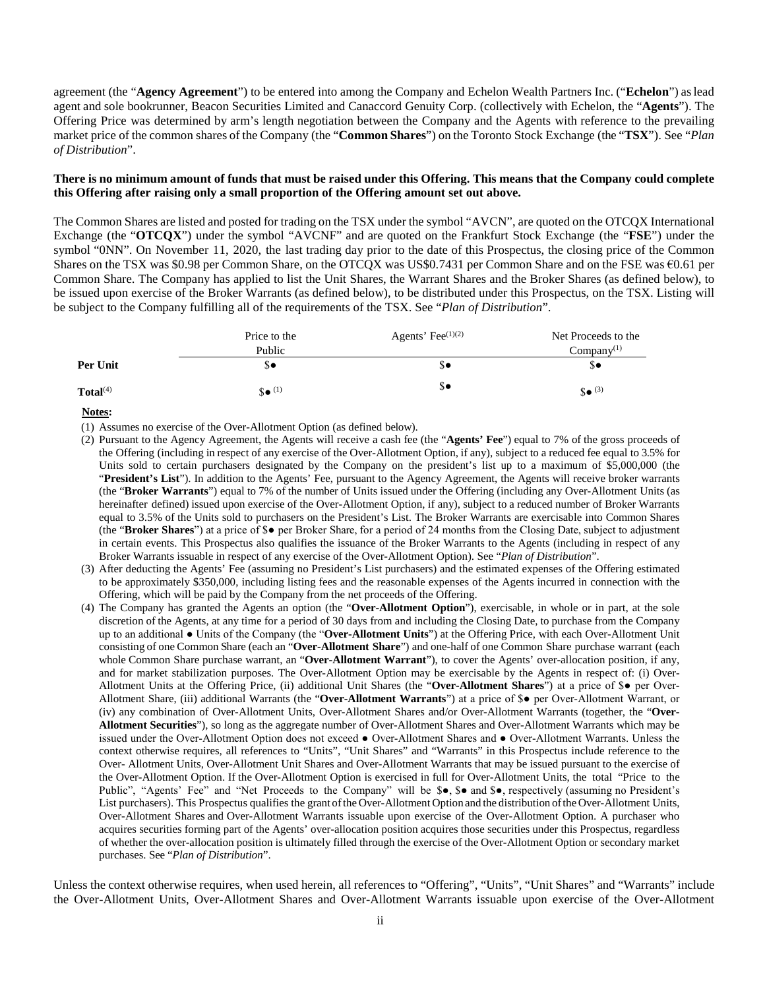agreement (the "**Agency Agreement**") to be entered into among the Company and Echelon Wealth Partners Inc. ("**Echelon**") as lead agent and sole bookrunner, Beacon Securities Limited and Canaccord Genuity Corp. (collectively with Echelon, the "**Agents**"). The Offering Price was determined by arm's length negotiation between the Company and the Agents with reference to the prevailing market price of the common shares of the Company (the "**Common Shares**") on the Toronto Stock Exchange (the "**TSX**"). See "*Plan of Distribution*".

#### **There is no minimum amount of funds that must be raised under this Offering. This means that the Company could complete this Offering after raising only a small proportion of the Offering amount set out above.**

The Common Shares are listed and posted for trading on the TSX under the symbol "AVCN", are quoted on the OTCQX International Exchange (the "**OTCQX**") under the symbol "AVCNF" and are quoted on the Frankfurt Stock Exchange (the "**FSE**") under the symbol "0NN". On November 11, 2020, the last trading day prior to the date of this Prospectus, the closing price of the Common Shares on the TSX was \$0.98 per Common Share, on the OTCQX was US\$0.7431 per Common Share and on the FSE was €0.61 per Common Share. The Company has applied to list the Unit Shares, the Warrant Shares and the Broker Shares (as defined below), to be issued upon exercise of the Broker Warrants (as defined below), to be distributed under this Prospectus, on the TSX. Listing will be subject to the Company fulfilling all of the requirements of the TSX. See "*Plan of Distribution*".

|                      | Price to the                        | Agents' Fee $(1)(2)$ | Net Proceeds to the         |
|----------------------|-------------------------------------|----------------------|-----------------------------|
|                      | Public                              |                      | Company <sup>(1)</sup>      |
| Per Unit             | ა∙                                  | \$∙                  | ა∙                          |
| Total <sup>(4)</sup> | $\mathbf{S} \bullet$ <sup>(1)</sup> | \$€                  | $\mathbf{\$}$ $\bullet$ (3) |

#### **Notes:**

(1) Assumes no exercise of the Over-Allotment Option (as defined below).

- (2) Pursuant to the Agency Agreement, the Agents will receive a cash fee (the "**Agents' Fee**") equal to 7% of the gross proceeds of the Offering (including in respect of any exercise of the Over-Allotment Option, if any), subject to a reduced fee equal to 3.5% for Units sold to certain purchasers designated by the Company on the president's list up to a maximum of \$5,000,000 (the "President's List"). In addition to the Agents' Fee, pursuant to the Agency Agreement, the Agents will receive broker warrants (the "**Broker Warrants**") equal to 7% of the number of Units issued under the Offering (including any Over-Allotment Units (as hereinafter defined) issued upon exercise of the Over-Allotment Option, if any), subject to a reduced number of Broker Warrants equal to 3.5% of the Units sold to purchasers on the President's List. The Broker Warrants are exercisable into Common Shares (the "**Broker Shares**") at a price of \$● per Broker Share, for a period of 24 months from the Closing Date, subject to adjustment in certain events. This Prospectus also qualifies the issuance of the Broker Warrants to the Agents (including in respect of any Broker Warrants issuable in respect of any exercise of the Over-Allotment Option). See "*Plan of Distribution*".
- (3) After deducting the Agents' Fee (assuming no President's List purchasers) and the estimated expenses of the Offering estimated to be approximately \$350,000, including listing fees and the reasonable expenses of the Agents incurred in connection with the Offering, which will be paid by the Company from the net proceeds of the Offering.
- (4) The Company has granted the Agents an option (the "**Over-Allotment Option**"), exercisable, in whole or in part, at the sole discretion of the Agents, at any time for a period of 30 days from and including the Closing Date, to purchase from the Company up to an additional ● Units of the Company (the "**Over-Allotment Units**") at the Offering Price, with each Over-Allotment Unit consisting of one Common Share (each an "**Over-Allotment Share**") and one-half of one Common Share purchase warrant (each whole Common Share purchase warrant, an "**Over-Allotment Warrant**"), to cover the Agents' over-allocation position, if any, and for market stabilization purposes. The Over-Allotment Option may be exercisable by the Agents in respect of: (i) Over-Allotment Units at the Offering Price, (ii) additional Unit Shares (the "**Over-Allotment Shares**") at a price of \$● per Over-Allotment Share, (iii) additional Warrants (the "**Over-Allotment Warrants**") at a price of \$● per Over-Allotment Warrant, or (iv) any combination of Over-Allotment Units, Over-Allotment Shares and/or Over-Allotment Warrants (together, the "**Over-Allotment Securities**"), so long as the aggregate number of Over-Allotment Shares and Over-Allotment Warrants which may be issued under the Over-Allotment Option does not exceed ● Over-Allotment Shares and ● Over-Allotment Warrants. Unless the context otherwise requires, all references to "Units", "Unit Shares" and "Warrants" in this Prospectus include reference to the Over- Allotment Units, Over-Allotment Unit Shares and Over-Allotment Warrants that may be issued pursuant to the exercise of the Over-Allotment Option. If the Over-Allotment Option is exercised in full for Over-Allotment Units, the total "Price to the Public", "Agents' Fee" and "Net Proceeds to the Company" will be \$•, \$• and \$•, respectively (assuming no President's List purchasers). This Prospectus qualifies the grant of the Over-Allotment Option and the distribution of the Over-Allotment Units, Over-Allotment Shares and Over-Allotment Warrants issuable upon exercise of the Over-Allotment Option. A purchaser who acquires securities forming part of the Agents' over-allocation position acquires those securities under this Prospectus, regardless of whether the over-allocation position is ultimately filled through the exercise of the Over-Allotment Option or secondary market purchases. See "*Plan of Distribution*".

Unless the context otherwise requires, when used herein, all references to "Offering", "Units", "Unit Shares" and "Warrants" include the Over-Allotment Units, Over-Allotment Shares and Over-Allotment Warrants issuable upon exercise of the Over-Allotment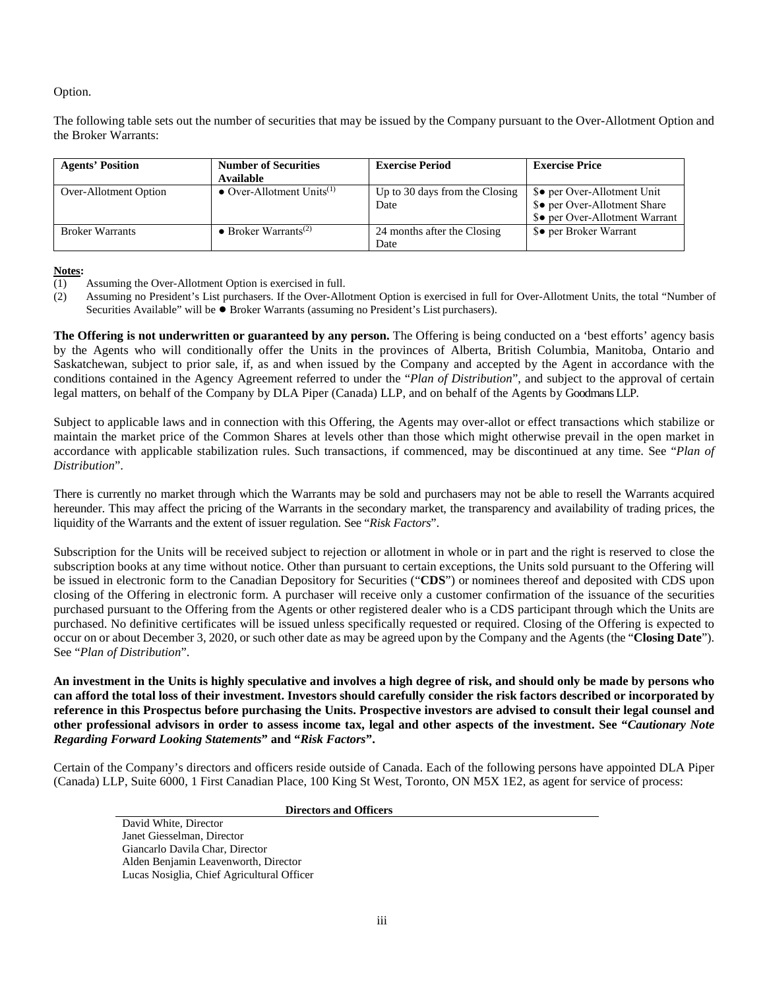## Option.

The following table sets out the number of securities that may be issued by the Company pursuant to the Over-Allotment Option and the Broker Warrants:

| <b>Agents' Position</b> | <b>Number of Securities</b><br>Available | <b>Exercise Period</b>                 | <b>Exercise Price</b>                                                                         |
|-------------------------|------------------------------------------|----------------------------------------|-----------------------------------------------------------------------------------------------|
| Over-Allotment Option   | • Over-Allotment Units <sup>(1)</sup>    | Up to 30 days from the Closing<br>Date | \$● per Over-Allotment Unit<br>\$● per Over-Allotment Share<br>\$● per Over-Allotment Warrant |
| <b>Broker Warrants</b>  | $\bullet$ Broker Warrants <sup>(2)</sup> | 24 months after the Closing<br>Date    | \$● per Broker Warrant                                                                        |

#### **Notes:**

- (1) Assuming the Over-Allotment Option is exercised in full.
- (2) Assuming no President's List purchasers. If the Over-Allotment Option is exercised in full for Over-Allotment Units, the total "Number of Securities Available" will be ● Broker Warrants (assuming no President's List purchasers).

**The Offering is not underwritten or guaranteed by any person.** The Offering is being conducted on a 'best efforts' agency basis by the Agents who will conditionally offer the Units in the provinces of Alberta, British Columbia, Manitoba, Ontario and Saskatchewan, subject to prior sale, if, as and when issued by the Company and accepted by the Agent in accordance with the conditions contained in the Agency Agreement referred to under the "*Plan of Distribution*", and subject to the approval of certain legal matters, on behalf of the Company by DLA Piper (Canada) LLP, and on behalf of the Agents by Goodmans LLP.

Subject to applicable laws and in connection with this Offering, the Agents may over-allot or effect transactions which stabilize or maintain the market price of the Common Shares at levels other than those which might otherwise prevail in the open market in accordance with applicable stabilization rules. Such transactions, if commenced, may be discontinued at any time. See "*Plan of Distribution*".

There is currently no market through which the Warrants may be sold and purchasers may not be able to resell the Warrants acquired hereunder. This may affect the pricing of the Warrants in the secondary market, the transparency and availability of trading prices, the liquidity of the Warrants and the extent of issuer regulation. See "*Risk Factors*".

Subscription for the Units will be received subject to rejection or allotment in whole or in part and the right is reserved to close the subscription books at any time without notice. Other than pursuant to certain exceptions, the Units sold pursuant to the Offering will be issued in electronic form to the Canadian Depository for Securities ("**CDS**") or nominees thereof and deposited with CDS upon closing of the Offering in electronic form. A purchaser will receive only a customer confirmation of the issuance of the securities purchased pursuant to the Offering from the Agents or other registered dealer who is a CDS participant through which the Units are purchased. No definitive certificates will be issued unless specifically requested or required. Closing of the Offering is expected to occur on or about December 3, 2020, or such other date as may be agreed upon by the Company and the Agents (the "**Closing Date**"). See "*Plan of Distribution*".

**An investment in the Units is highly speculative and involves a high degree of risk, and should only be made by persons who can afford the total loss of their investment. Investors should carefully consider the risk factors described or incorporated by reference in this Prospectus before purchasing the Units. Prospective investors are advised to consult their legal counsel and other professional advisors in order to assess income tax, legal and other aspects of the investment. See "***Cautionary Note Regarding Forward Looking Statements***" and "***Risk Factors***".**

Certain of the Company's directors and officers reside outside of Canada. Each of the following persons have appointed DLA Piper (Canada) LLP, Suite 6000, 1 First Canadian Place, 100 King St West, Toronto, ON M5X 1E2, as agent for service of process:

**Directors and Officers** 

David White, Director Janet Giesselman, Director Giancarlo Davila Char, Director Alden Benjamin Leavenworth, Director Lucas Nosiglia, Chief Agricultural Officer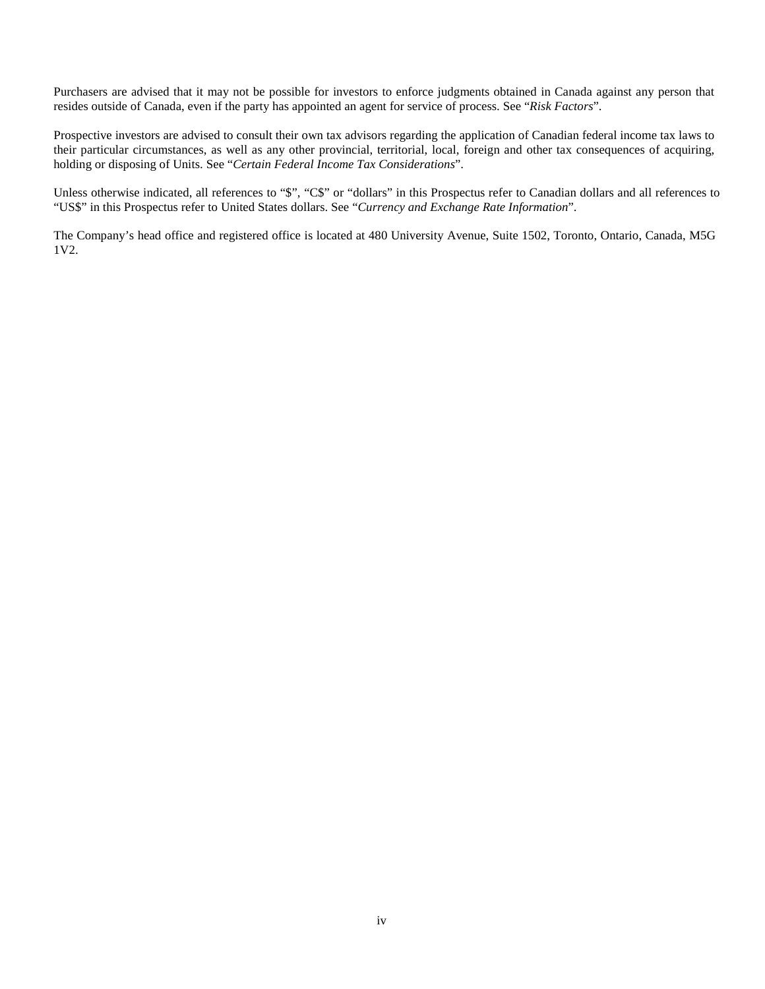Purchasers are advised that it may not be possible for investors to enforce judgments obtained in Canada against any person that resides outside of Canada, even if the party has appointed an agent for service of process. See "*Risk Factors*".

Prospective investors are advised to consult their own tax advisors regarding the application of Canadian federal income tax laws to their particular circumstances, as well as any other provincial, territorial, local, foreign and other tax consequences of acquiring, holding or disposing of Units. See "*Certain Federal Income Tax Considerations*".

Unless otherwise indicated, all references to "\$", "C\$" or "dollars" in this Prospectus refer to Canadian dollars and all references to "US\$" in this Prospectus refer to United States dollars. See "*Currency and Exchange Rate Information*".

The Company's head office and registered office is located at 480 University Avenue, Suite 1502, Toronto, Ontario, Canada, M5G 1V2.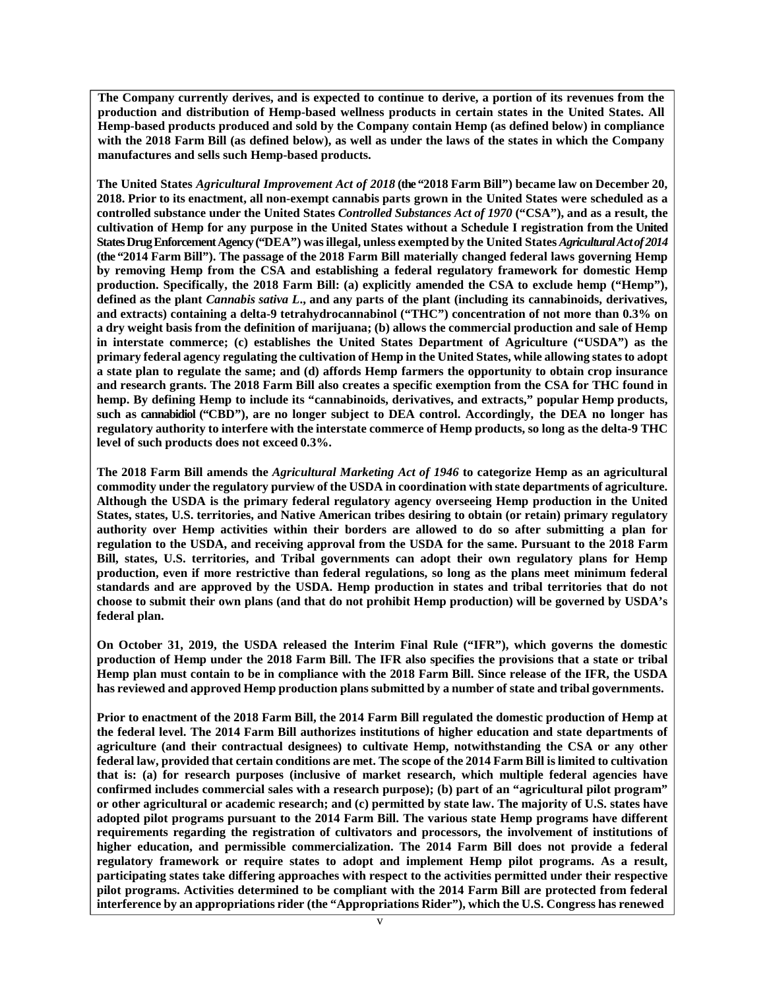**The Company currently derives, and is expected to continue to derive, a portion of its revenues from the production and distribution of Hemp-based wellness products in certain states in the United States. All Hemp-based products produced and sold by the Company contain Hemp (as defined below) in compliance with the 2018 Farm Bill (as defined below), as well as under the laws of the states in which the Company manufactures and sells such Hemp-based products.** 

**The United States** *Agricultural Improvement Act of 2018* **(the "2018 Farm Bill") became law on December 20, 2018. Prior to its enactment, all non-exempt cannabis parts grown in the United States were scheduled as a controlled substance under the United States** *Controlled Substances Act of 1970* **("CSA"), and as a result, the cultivation of Hemp for any purpose in the United States without a Schedule I registration from the United States Drug Enforcement Agency ("DEA") was illegal, unless exempted by the United States** *Agricultural Act of 2014* **(the "2014 Farm Bill"). The passage of the 2018 Farm Bill materially changed federal laws governing Hemp by removing Hemp from the CSA and establishing a federal regulatory framework for domestic Hemp production. Specifically, the 2018 Farm Bill: (a) explicitly amended the CSA to exclude hemp ("Hemp"), defined as the plant** *Cannabis sativa L***., and any parts of the plant (including its cannabinoids, derivatives, and extracts) containing a delta-9 tetrahydrocannabinol ("THC") concentration of not more than 0.3% on a dry weight basis from the definition of marijuana; (b) allows the commercial production and sale of Hemp in interstate commerce; (c) establishes the United States Department of Agriculture ("USDA") as the primary federal agency regulating the cultivation of Hemp in the United States, while allowing states to adopt a state plan to regulate the same; and (d) affords Hemp farmers the opportunity to obtain crop insurance and research grants. The 2018 Farm Bill also creates a specific exemption from the CSA for THC found in hemp. By defining Hemp to include its "cannabinoids, derivatives, and extracts," popular Hemp products, such as cannabidiol ("CBD"), are no longer subject to DEA control. Accordingly, the DEA no longer has regulatory authority to interfere with the interstate commerce of Hemp products, so long as the delta-9 THC level of such products does not exceed 0.3%.** 

**The 2018 Farm Bill amends the** *Agricultural Marketing Act of 1946* **to categorize Hemp as an agricultural commodity under the regulatory purview of the USDA in coordination with state departments of agriculture. Although the USDA is the primary federal regulatory agency overseeing Hemp production in the United States, states, U.S. territories, and Native American tribes desiring to obtain (or retain) primary regulatory authority over Hemp activities within their borders are allowed to do so after submitting a plan for regulation to the USDA, and receiving approval from the USDA for the same. Pursuant to the 2018 Farm Bill, states, U.S. territories, and Tribal governments can adopt their own regulatory plans for Hemp production, even if more restrictive than federal regulations, so long as the plans meet minimum federal standards and are approved by the USDA. Hemp production in states and tribal territories that do not choose to submit their own plans (and that do not prohibit Hemp production) will be governed by USDA's federal plan.** 

**On October 31, 2019, the USDA released the Interim Final Rule ("IFR"), which governs the domestic production of Hemp under the 2018 Farm Bill. The IFR also specifies the provisions that a state or tribal Hemp plan must contain to be in compliance with the 2018 Farm Bill. Since release of the IFR, the USDA has reviewed and approved Hemp production plans submitted by a number of state and tribal governments.** 

**Prior to enactment of the 2018 Farm Bill, the 2014 Farm Bill regulated the domestic production of Hemp at the federal level. The 2014 Farm Bill authorizes institutions of higher education and state departments of agriculture (and their contractual designees) to cultivate Hemp, notwithstanding the CSA or any other federal law, provided that certain conditions are met. The scope of the 2014 Farm Bill is limited to cultivation that is: (a) for research purposes (inclusive of market research, which multiple federal agencies have confirmed includes commercial sales with a research purpose); (b) part of an "agricultural pilot program" or other agricultural or academic research; and (c) permitted by state law. The majority of U.S. states have adopted pilot programs pursuant to the 2014 Farm Bill. The various state Hemp programs have different requirements regarding the registration of cultivators and processors, the involvement of institutions of higher education, and permissible commercialization. The 2014 Farm Bill does not provide a federal regulatory framework or require states to adopt and implement Hemp pilot programs. As a result, participating states take differing approaches with respect to the activities permitted under their respective pilot programs. Activities determined to be compliant with the 2014 Farm Bill are protected from federal interference by an appropriations rider (the "Appropriations Rider"), which the U.S. Congress has renewed**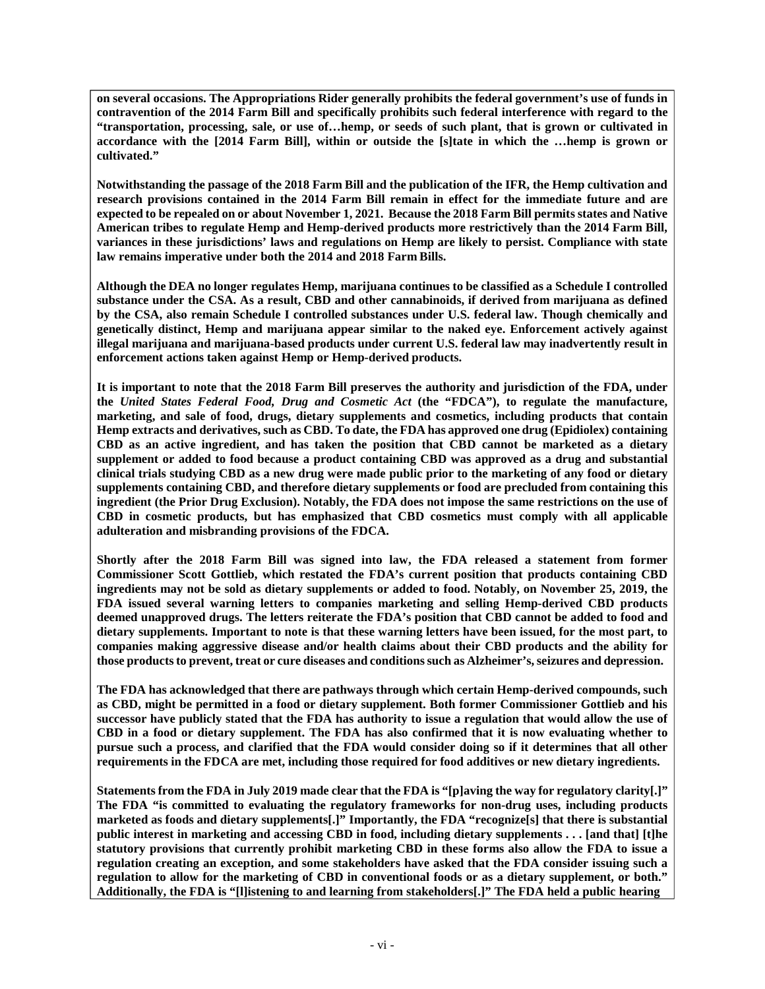**on several occasions. The Appropriations Rider generally prohibits the federal government's use of funds in contravention of the 2014 Farm Bill and specifically prohibits such federal interference with regard to the "transportation, processing, sale, or use of…hemp, or seeds of such plant, that is grown or cultivated in accordance with the [2014 Farm Bill], within or outside the [s]tate in which the …hemp is grown or cultivated."** 

**Notwithstanding the passage of the 2018 Farm Bill and the publication of the IFR, the Hemp cultivation and research provisions contained in the 2014 Farm Bill remain in effect for the immediate future and are expected to be repealed on or about November 1, 2021. Because the 2018 Farm Bill permits states and Native American tribes to regulate Hemp and Hemp-derived products more restrictively than the 2014 Farm Bill, variances in these jurisdictions' laws and regulations on Hemp are likely to persist. Compliance with state law remains imperative under both the 2014 and 2018 Farm Bills.** 

**Although the DEA no longer regulates Hemp, marijuana continues to be classified as a Schedule I controlled substance under the CSA. As a result, CBD and other cannabinoids, if derived from marijuana as defined by the CSA, also remain Schedule I controlled substances under U.S. federal law. Though chemically and genetically distinct, Hemp and marijuana appear similar to the naked eye. Enforcement actively against illegal marijuana and marijuana-based products under current U.S. federal law may inadvertently result in enforcement actions taken against Hemp or Hemp-derived products.** 

**It is important to note that the 2018 Farm Bill preserves the authority and jurisdiction of the FDA, under the** *United States Federal Food, Drug and Cosmetic Act* **(the "FDCA"), to regulate the manufacture, marketing, and sale of food, drugs, dietary supplements and cosmetics, including products that contain Hemp extracts and derivatives, such as CBD. To date, the FDA has approved one drug (Epidiolex) containing CBD as an active ingredient, and has taken the position that CBD cannot be marketed as a dietary supplement or added to food because a product containing CBD was approved as a drug and substantial clinical trials studying CBD as a new drug were made public prior to the marketing of any food or dietary supplements containing CBD, and therefore dietary supplements or food are precluded from containing this ingredient (the Prior Drug Exclusion). Notably, the FDA does not impose the same restrictions on the use of CBD in cosmetic products, but has emphasized that CBD cosmetics must comply with all applicable adulteration and misbranding provisions of the FDCA.** 

**Shortly after the 2018 Farm Bill was signed into law, the FDA released a statement from former Commissioner Scott Gottlieb, which restated the FDA's current position that products containing CBD ingredients may not be sold as dietary supplements or added to food. Notably, on November 25, 2019, the FDA issued several warning letters to companies marketing and selling Hemp-derived CBD products deemed unapproved drugs. The letters reiterate the FDA's position that CBD cannot be added to food and dietary supplements. Important to note is that these warning letters have been issued, for the most part, to companies making aggressive disease and/or health claims about their CBD products and the ability for those products to prevent, treat or cure diseases and conditions such as Alzheimer's, seizures and depression.** 

**The FDA has acknowledged that there are pathways through which certain Hemp-derived compounds, such as CBD, might be permitted in a food or dietary supplement. Both former Commissioner Gottlieb and his successor have publicly stated that the FDA has authority to issue a regulation that would allow the use of CBD in a food or dietary supplement. The FDA has also confirmed that it is now evaluating whether to pursue such a process, and clarified that the FDA would consider doing so if it determines that all other requirements in the FDCA are met, including those required for food additives or new dietary ingredients.** 

**Statements from the FDA in July 2019 made clear that the FDA is "[p]aving the way for regulatory clarity[.]" The FDA "is committed to evaluating the regulatory frameworks for non-drug uses, including products marketed as foods and dietary supplements[.]" Importantly, the FDA "recognize[s] that there is substantial public interest in marketing and accessing CBD in food, including dietary supplements . . . [and that] [t]he statutory provisions that currently prohibit marketing CBD in these forms also allow the FDA to issue a regulation creating an exception, and some stakeholders have asked that the FDA consider issuing such a regulation to allow for the marketing of CBD in conventional foods or as a dietary supplement, or both." Additionally, the FDA is "[l]istening to and learning from stakeholders[.]" The FDA held a public hearing**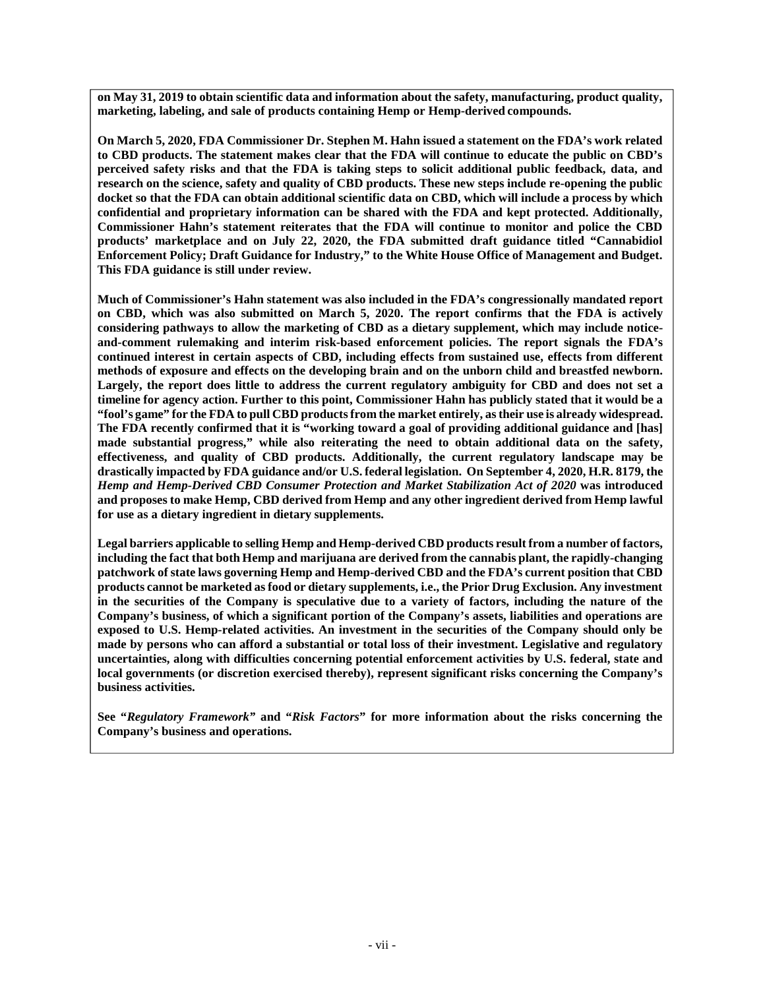**on May 31, 2019 to obtain scientific data and information about the safety, manufacturing, product quality, marketing, labeling, and sale of products containing Hemp or Hemp-derived compounds.** 

**On March 5, 2020, FDA Commissioner Dr. Stephen M. Hahn issued a statement on the FDA's work related to CBD products. The statement makes clear that the FDA will continue to educate the public on CBD's perceived safety risks and that the FDA is taking steps to solicit additional public feedback, data, and research on the science, safety and quality of CBD products. These new steps include re-opening the public docket so that the FDA can obtain additional scientific data on CBD, which will include a process by which confidential and proprietary information can be shared with the FDA and kept protected. Additionally, Commissioner Hahn's statement reiterates that the FDA will continue to monitor and police the CBD products' marketplace and on July 22, 2020, the FDA submitted draft guidance titled "Cannabidiol Enforcement Policy; Draft Guidance for Industry," to the White House Office of Management and Budget. This FDA guidance is still under review.** 

**Much of Commissioner's Hahn statement was also included in the FDA's congressionally mandated report on CBD, which was also submitted on March 5, 2020. The report confirms that the FDA is actively considering pathways to allow the marketing of CBD as a dietary supplement, which may include noticeand-comment rulemaking and interim risk-based enforcement policies. The report signals the FDA's continued interest in certain aspects of CBD, including effects from sustained use, effects from different methods of exposure and effects on the developing brain and on the unborn child and breastfed newborn. Largely, the report does little to address the current regulatory ambiguity for CBD and does not set a timeline for agency action. Further to this point, Commissioner Hahn has publicly stated that it would be a "fool's game" for the FDA to pull CBD products from the market entirely, as their use is already widespread. The FDA recently confirmed that it is "working toward a goal of providing additional guidance and [has] made substantial progress," while also reiterating the need to obtain additional data on the safety, effectiveness, and quality of CBD products. Additionally, the current regulatory landscape may be drastically impacted by FDA guidance and/or U.S. federal legislation. On September 4, 2020, H.R. 8179, the**  *Hemp and Hemp-Derived CBD Consumer Protection and Market Stabilization Act of 2020* **was introduced and proposes to make Hemp, CBD derived from Hemp and any other ingredient derived from Hemp lawful for use as a dietary ingredient in dietary supplements.** 

**Legal barriers applicable to selling Hemp and Hemp-derived CBD products result from a number of factors, including the fact that both Hemp and marijuana are derived from the cannabis plant, the rapidly-changing patchwork of state laws governing Hemp and Hemp-derived CBD and the FDA's current position that CBD products cannot be marketed as food or dietary supplements, i.e., the Prior Drug Exclusion. Any investment in the securities of the Company is speculative due to a variety of factors, including the nature of the Company's business, of which a significant portion of the Company's assets, liabilities and operations are exposed to U.S. Hemp-related activities. An investment in the securities of the Company should only be made by persons who can afford a substantial or total loss of their investment. Legislative and regulatory uncertainties, along with difficulties concerning potential enforcement activities by U.S. federal, state and local governments (or discretion exercised thereby), represent significant risks concerning the Company's business activities.** 

**See "***Regulatory Framework"* **and "***Risk Factors***" for more information about the risks concerning the Company's business and operations.**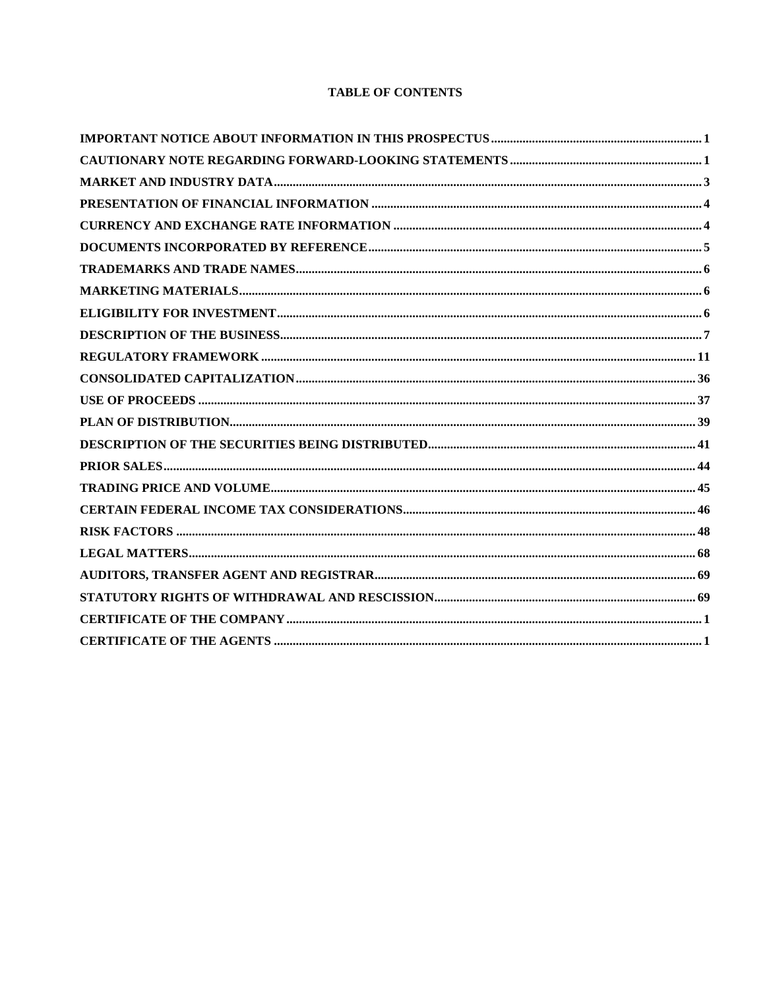# **TABLE OF CONTENTS**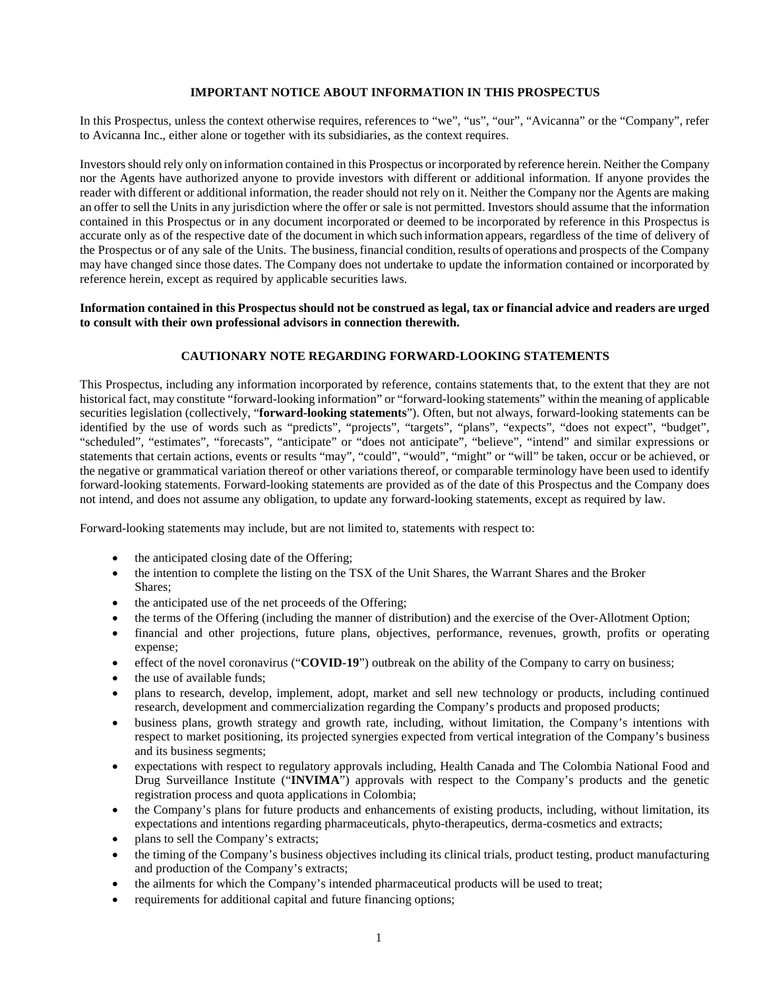## **IMPORTANT NOTICE ABOUT INFORMATION IN THIS PROSPECTUS**

In this Prospectus, unless the context otherwise requires, references to "we", "us", "our", "Avicanna" or the "Company", refer to Avicanna Inc., either alone or together with its subsidiaries, as the context requires.

Investors should rely only on information contained in this Prospectus or incorporated by reference herein. Neither the Company nor the Agents have authorized anyone to provide investors with different or additional information. If anyone provides the reader with different or additional information, the reader should not rely on it. Neither the Company nor the Agents are making an offer to sell the Units in any jurisdiction where the offer or sale is not permitted. Investors should assume that the information contained in this Prospectus or in any document incorporated or deemed to be incorporated by reference in this Prospectus is accurate only as of the respective date of the document in which such information appears, regardless of the time of delivery of the Prospectus or of any sale of the Units. The business, financial condition, results of operations and prospects of the Company may have changed since those dates. The Company does not undertake to update the information contained or incorporated by reference herein, except as required by applicable securities laws.

#### **Information contained in this Prospectus should not be construed as legal, tax or financial advice and readers are urged to consult with their own professional advisors in connection therewith.**

### **CAUTIONARY NOTE REGARDING FORWARD-LOOKING STATEMENTS**

This Prospectus, including any information incorporated by reference, contains statements that, to the extent that they are not historical fact, may constitute "forward-looking information" or "forward-looking statements" within the meaning of applicable securities legislation (collectively, "**forward-looking statements**"). Often, but not always, forward-looking statements can be identified by the use of words such as "predicts", "projects", "targets", "plans", "expects", "does not expect", "budget", "scheduled", "estimates", "forecasts", "anticipate" or "does not anticipate", "believe", "intend" and similar expressions or statements that certain actions, events or results "may", "could", "would", "might" or "will" be taken, occur or be achieved, or the negative or grammatical variation thereof or other variations thereof, or comparable terminology have been used to identify forward-looking statements. Forward-looking statements are provided as of the date of this Prospectus and the Company does not intend, and does not assume any obligation, to update any forward-looking statements, except as required by law.

Forward-looking statements may include, but are not limited to, statements with respect to:

- the anticipated closing date of the Offering;
- the intention to complete the listing on the TSX of the Unit Shares, the Warrant Shares and the Broker Shares;
- the anticipated use of the net proceeds of the Offering;
- the terms of the Offering (including the manner of distribution) and the exercise of the Over-Allotment Option;
- financial and other projections, future plans, objectives, performance, revenues, growth, profits or operating expense;
- effect of the novel coronavirus ("**COVID-19**") outbreak on the ability of the Company to carry on business;
- the use of available funds;
- plans to research, develop, implement, adopt, market and sell new technology or products, including continued research, development and commercialization regarding the Company's products and proposed products;
- business plans, growth strategy and growth rate, including, without limitation, the Company's intentions with respect to market positioning, its projected synergies expected from vertical integration of the Company's business and its business segments;
- expectations with respect to regulatory approvals including, Health Canada and The Colombia National Food and Drug Surveillance Institute ("**INVIMA**") approvals with respect to the Company's products and the genetic registration process and quota applications in Colombia;
- the Company's plans for future products and enhancements of existing products, including, without limitation, its expectations and intentions regarding pharmaceuticals, phyto-therapeutics, derma-cosmetics and extracts;
- plans to sell the Company's extracts;
- the timing of the Company's business objectives including its clinical trials, product testing, product manufacturing and production of the Company's extracts;
- the ailments for which the Company's intended pharmaceutical products will be used to treat;
- requirements for additional capital and future financing options;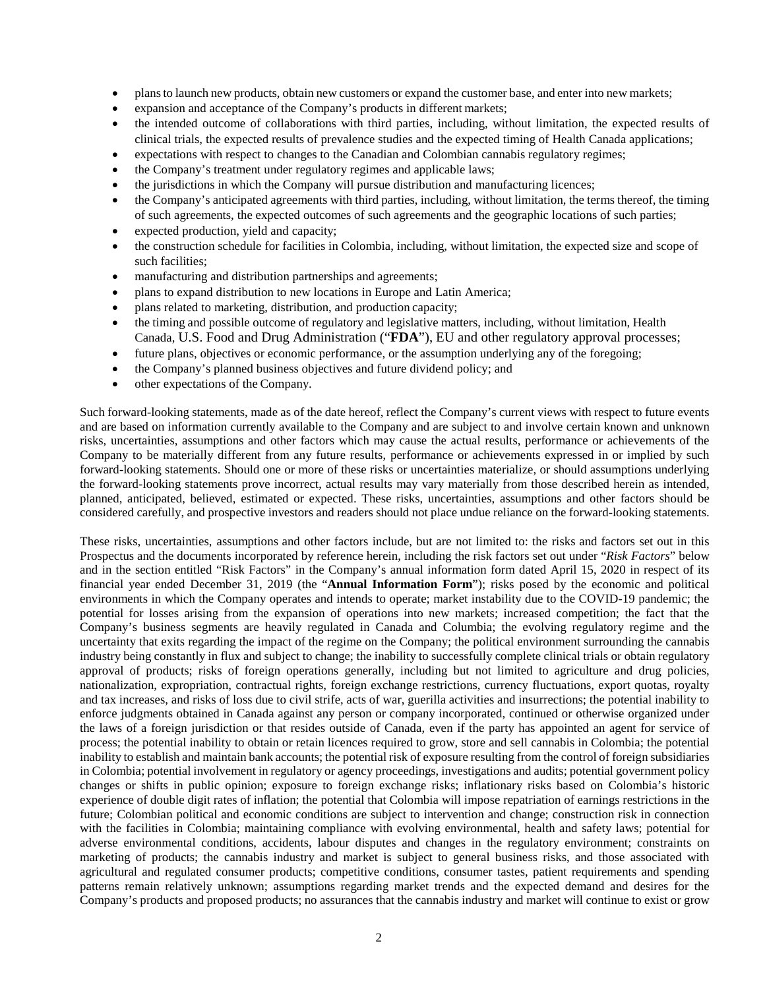- plans to launch new products, obtain new customers or expand the customer base, and enter into new markets;
- expansion and acceptance of the Company's products in different markets;
- the intended outcome of collaborations with third parties, including, without limitation, the expected results of clinical trials, the expected results of prevalence studies and the expected timing of Health Canada applications;
- expectations with respect to changes to the Canadian and Colombian cannabis regulatory regimes;
- the Company's treatment under regulatory regimes and applicable laws;
- the jurisdictions in which the Company will pursue distribution and manufacturing licences;
- the Company's anticipated agreements with third parties, including, without limitation, the terms thereof, the timing of such agreements, the expected outcomes of such agreements and the geographic locations of such parties;
- expected production, yield and capacity;
- the construction schedule for facilities in Colombia, including, without limitation, the expected size and scope of such facilities;
- manufacturing and distribution partnerships and agreements;
- plans to expand distribution to new locations in Europe and Latin America;
- plans related to marketing, distribution, and production capacity;
- the timing and possible outcome of regulatory and legislative matters, including, without limitation, Health Canada, U.S. Food and Drug Administration ("**FDA**"), EU and other regulatory approval processes;
- future plans, objectives or economic performance, or the assumption underlying any of the foregoing;
- the Company's planned business objectives and future dividend policy; and
- other expectations of the Company.

Such forward-looking statements, made as of the date hereof, reflect the Company's current views with respect to future events and are based on information currently available to the Company and are subject to and involve certain known and unknown risks, uncertainties, assumptions and other factors which may cause the actual results, performance or achievements of the Company to be materially different from any future results, performance or achievements expressed in or implied by such forward-looking statements. Should one or more of these risks or uncertainties materialize, or should assumptions underlying the forward-looking statements prove incorrect, actual results may vary materially from those described herein as intended, planned, anticipated, believed, estimated or expected. These risks, uncertainties, assumptions and other factors should be considered carefully, and prospective investors and readers should not place undue reliance on the forward-looking statements.

These risks, uncertainties, assumptions and other factors include, but are not limited to: the risks and factors set out in this Prospectus and the documents incorporated by reference herein, including the risk factors set out under "*Risk Factors*" below and in the section entitled "Risk Factors" in the Company's annual information form dated April 15, 2020 in respect of its financial year ended December 31, 2019 (the "**Annual Information Form**"); risks posed by the economic and political environments in which the Company operates and intends to operate; market instability due to the COVID-19 pandemic; the potential for losses arising from the expansion of operations into new markets; increased competition; the fact that the Company's business segments are heavily regulated in Canada and Columbia; the evolving regulatory regime and the uncertainty that exits regarding the impact of the regime on the Company; the political environment surrounding the cannabis industry being constantly in flux and subject to change; the inability to successfully complete clinical trials or obtain regulatory approval of products; risks of foreign operations generally, including but not limited to agriculture and drug policies, nationalization, expropriation, contractual rights, foreign exchange restrictions, currency fluctuations, export quotas, royalty and tax increases, and risks of loss due to civil strife, acts of war, guerilla activities and insurrections; the potential inability to enforce judgments obtained in Canada against any person or company incorporated, continued or otherwise organized under the laws of a foreign jurisdiction or that resides outside of Canada, even if the party has appointed an agent for service of process; the potential inability to obtain or retain licences required to grow, store and sell cannabis in Colombia; the potential inability to establish and maintain bank accounts; the potential risk of exposure resulting from the control of foreign subsidiaries in Colombia; potential involvement in regulatory or agency proceedings, investigations and audits; potential government policy changes or shifts in public opinion; exposure to foreign exchange risks; inflationary risks based on Colombia's historic experience of double digit rates of inflation; the potential that Colombia will impose repatriation of earnings restrictions in the future; Colombian political and economic conditions are subject to intervention and change; construction risk in connection with the facilities in Colombia; maintaining compliance with evolving environmental, health and safety laws; potential for adverse environmental conditions, accidents, labour disputes and changes in the regulatory environment; constraints on marketing of products; the cannabis industry and market is subject to general business risks, and those associated with agricultural and regulated consumer products; competitive conditions, consumer tastes, patient requirements and spending patterns remain relatively unknown; assumptions regarding market trends and the expected demand and desires for the Company's products and proposed products; no assurances that the cannabis industry and market will continue to exist or grow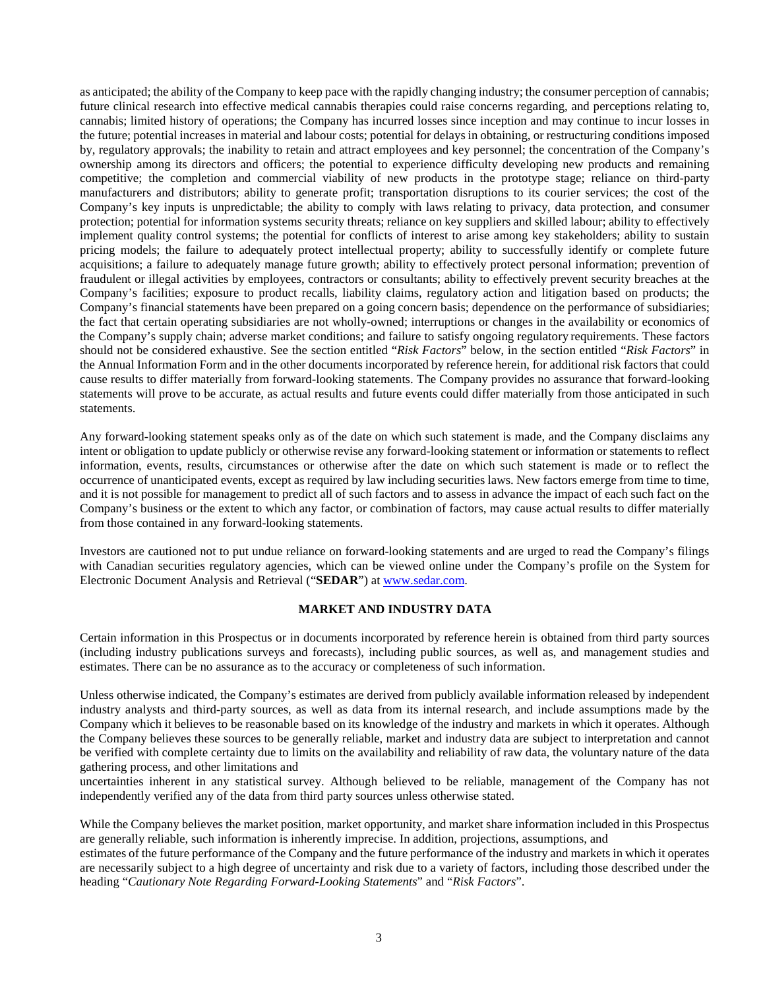as anticipated; the ability of the Company to keep pace with the rapidly changing industry; the consumer perception of cannabis; future clinical research into effective medical cannabis therapies could raise concerns regarding, and perceptions relating to, cannabis; limited history of operations; the Company has incurred losses since inception and may continue to incur losses in the future; potential increases in material and labour costs; potential for delays in obtaining, or restructuring conditions imposed by, regulatory approvals; the inability to retain and attract employees and key personnel; the concentration of the Company's ownership among its directors and officers; the potential to experience difficulty developing new products and remaining competitive; the completion and commercial viability of new products in the prototype stage; reliance on third-party manufacturers and distributors; ability to generate profit; transportation disruptions to its courier services; the cost of the Company's key inputs is unpredictable; the ability to comply with laws relating to privacy, data protection, and consumer protection; potential for information systems security threats; reliance on key suppliers and skilled labour; ability to effectively implement quality control systems; the potential for conflicts of interest to arise among key stakeholders; ability to sustain pricing models; the failure to adequately protect intellectual property; ability to successfully identify or complete future acquisitions; a failure to adequately manage future growth; ability to effectively protect personal information; prevention of fraudulent or illegal activities by employees, contractors or consultants; ability to effectively prevent security breaches at the Company's facilities; exposure to product recalls, liability claims, regulatory action and litigation based on products; the Company's financial statements have been prepared on a going concern basis; dependence on the performance of subsidiaries; the fact that certain operating subsidiaries are not wholly-owned; interruptions or changes in the availability or economics of the Company's supply chain; adverse market conditions; and failure to satisfy ongoing regulatory requirements. These factors should not be considered exhaustive. See the section entitled "*Risk Factors*" below, in the section entitled "*Risk Factors*" in the Annual Information Form and in the other documents incorporated by reference herein, for additional risk factors that could cause results to differ materially from forward-looking statements. The Company provides no assurance that forward-looking statements will prove to be accurate, as actual results and future events could differ materially from those anticipated in such statements.

Any forward-looking statement speaks only as of the date on which such statement is made, and the Company disclaims any intent or obligation to update publicly or otherwise revise any forward-looking statement or information or statements to reflect information, events, results, circumstances or otherwise after the date on which such statement is made or to reflect the occurrence of unanticipated events, except as required by law including securities laws. New factors emerge from time to time, and it is not possible for management to predict all of such factors and to assess in advance the impact of each such fact on the Company's business or the extent to which any factor, or combination of factors, may cause actual results to differ materially from those contained in any forward-looking statements.

Investors are cautioned not to put undue reliance on forward-looking statements and are urged to read the Company's filings with Canadian securities regulatory agencies, which can be viewed online under the Company's profile on the System for Electronic Document Analysis and Retrieval ("**SEDAR**") at www.sedar.com.

#### **MARKET AND INDUSTRY DATA**

Certain information in this Prospectus or in documents incorporated by reference herein is obtained from third party sources (including industry publications surveys and forecasts), including public sources, as well as, and management studies and estimates. There can be no assurance as to the accuracy or completeness of such information.

Unless otherwise indicated, the Company's estimates are derived from publicly available information released by independent industry analysts and third-party sources, as well as data from its internal research, and include assumptions made by the Company which it believes to be reasonable based on its knowledge of the industry and markets in which it operates. Although the Company believes these sources to be generally reliable, market and industry data are subject to interpretation and cannot be verified with complete certainty due to limits on the availability and reliability of raw data, the voluntary nature of the data gathering process, and other limitations and

uncertainties inherent in any statistical survey. Although believed to be reliable, management of the Company has not independently verified any of the data from third party sources unless otherwise stated.

While the Company believes the market position, market opportunity, and market share information included in this Prospectus are generally reliable, such information is inherently imprecise. In addition, projections, assumptions, and

estimates of the future performance of the Company and the future performance of the industry and markets in which it operates are necessarily subject to a high degree of uncertainty and risk due to a variety of factors, including those described under the heading "*Cautionary Note Regarding Forward-Looking Statements*" and "*Risk Factors*".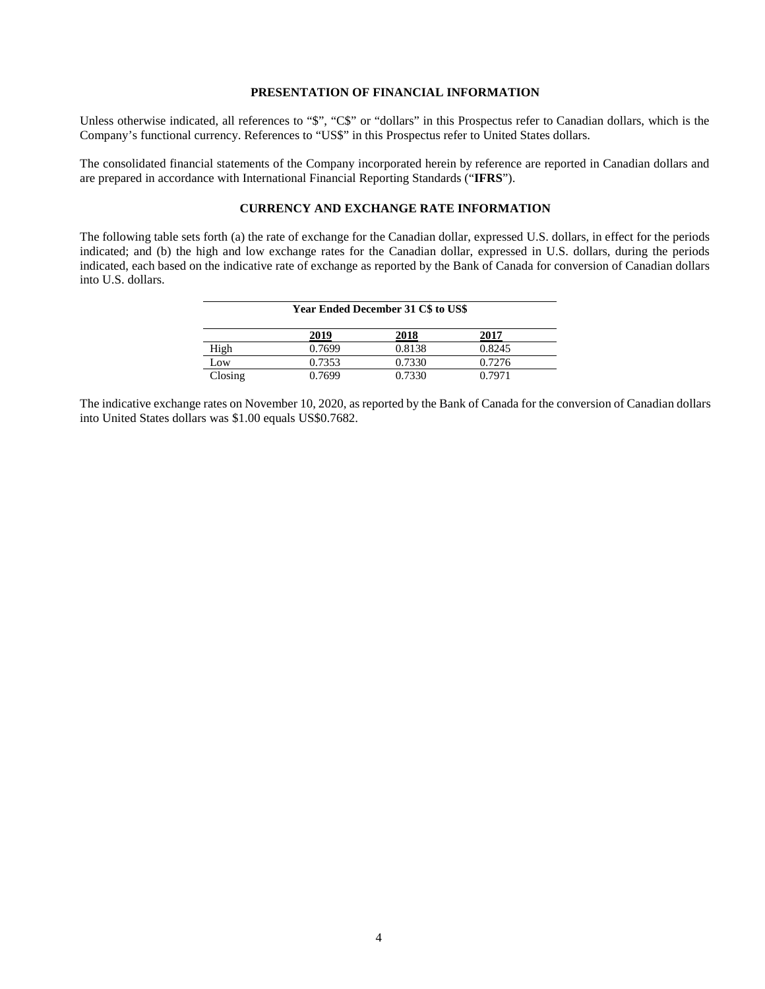#### **PRESENTATION OF FINANCIAL INFORMATION**

Unless otherwise indicated, all references to "\$", "C\$" or "dollars" in this Prospectus refer to Canadian dollars, which is the Company's functional currency. References to "US\$" in this Prospectus refer to United States dollars.

The consolidated financial statements of the Company incorporated herein by reference are reported in Canadian dollars and are prepared in accordance with International Financial Reporting Standards ("**IFRS**").

#### **CURRENCY AND EXCHANGE RATE INFORMATION**

The following table sets forth (a) the rate of exchange for the Canadian dollar, expressed U.S. dollars, in effect for the periods indicated; and (b) the high and low exchange rates for the Canadian dollar, expressed in U.S. dollars, during the periods indicated, each based on the indicative rate of exchange as reported by the Bank of Canada for conversion of Canadian dollars into U.S. dollars.

| <b>Year Ended December 31 C\$ to US\$</b> |        |        |        |
|-------------------------------------------|--------|--------|--------|
|                                           | 2019   | 2018   | 2017   |
| High                                      | 0.7699 | 0.8138 | 0.8245 |
| Low                                       | 0.7353 | 0.7330 | 0.7276 |
| Closing                                   | 0.7699 | 0.7330 | 0.7971 |

The indicative exchange rates on November 10, 2020, as reported by the Bank of Canada for the conversion of Canadian dollars into United States dollars was \$1.00 equals US\$0.7682.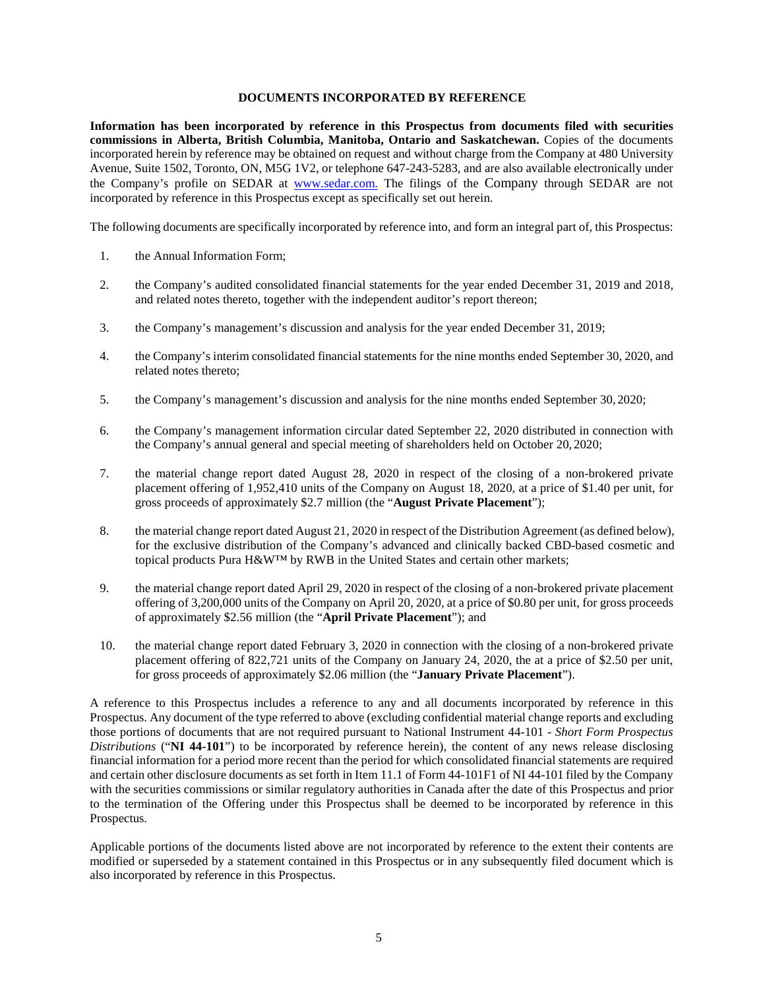### **DOCUMENTS INCORPORATED BY REFERENCE**

**Information has been incorporated by reference in this Prospectus from documents filed with securities commissions in Alberta, British Columbia, Manitoba, Ontario and Saskatchewan.** Copies of the documents incorporated herein by reference may be obtained on request and without charge from the Company at 480 University Avenue, Suite 1502, Toronto, ON, M5G 1V2, or telephone 647-243-5283, and are also available electronically under the Company's profile on SEDAR at www.sedar.com. The filings of the Company through SEDAR are not incorporated by reference in this Prospectus except as specifically set out herein.

The following documents are specifically incorporated by reference into, and form an integral part of, this Prospectus:

- 1. the Annual Information Form;
- 2. the Company's audited consolidated financial statements for the year ended December 31, 2019 and 2018, and related notes thereto, together with the independent auditor's report thereon;
- 3. the Company's management's discussion and analysis for the year ended December 31, 2019;
- 4. the Company's interim consolidated financial statements for the nine months ended September 30, 2020, and related notes thereto;
- 5. the Company's management's discussion and analysis for the nine months ended September 30, 2020;
- 6. the Company's management information circular dated September 22, 2020 distributed in connection with the Company's annual general and special meeting of shareholders held on October 20, 2020;
- 7. the material change report dated August 28, 2020 in respect of the closing of a non-brokered private placement offering of 1,952,410 units of the Company on August 18, 2020, at a price of \$1.40 per unit, for gross proceeds of approximately \$2.7 million (the "**August Private Placement**");
- 8. the material change report dated August 21, 2020 in respect of the Distribution Agreement (as defined below), for the exclusive distribution of the Company's advanced and clinically backed CBD-based cosmetic and topical products Pura H&W™ by RWB in the United States and certain other markets;
- 9. the material change report dated April 29, 2020 in respect of the closing of a non-brokered private placement offering of 3,200,000 units of the Company on April 20, 2020, at a price of \$0.80 per unit, for gross proceeds of approximately \$2.56 million (the "**April Private Placement**"); and
- 10. the material change report dated February 3, 2020 in connection with the closing of a non-brokered private placement offering of 822,721 units of the Company on January 24, 2020, the at a price of \$2.50 per unit, for gross proceeds of approximately \$2.06 million (the "**January Private Placement**").

A reference to this Prospectus includes a reference to any and all documents incorporated by reference in this Prospectus. Any document of the type referred to above (excluding confidential material change reports and excluding those portions of documents that are not required pursuant to National Instrument 44-101 - *Short Form Prospectus Distributions* ("**NI 44-101**") to be incorporated by reference herein), the content of any news release disclosing financial information for a period more recent than the period for which consolidated financial statements are required and certain other disclosure documents as set forth in Item 11.1 of Form 44-101F1 of NI 44-101 filed by the Company with the securities commissions or similar regulatory authorities in Canada after the date of this Prospectus and prior to the termination of the Offering under this Prospectus shall be deemed to be incorporated by reference in this Prospectus.

Applicable portions of the documents listed above are not incorporated by reference to the extent their contents are modified or superseded by a statement contained in this Prospectus or in any subsequently filed document which is also incorporated by reference in this Prospectus.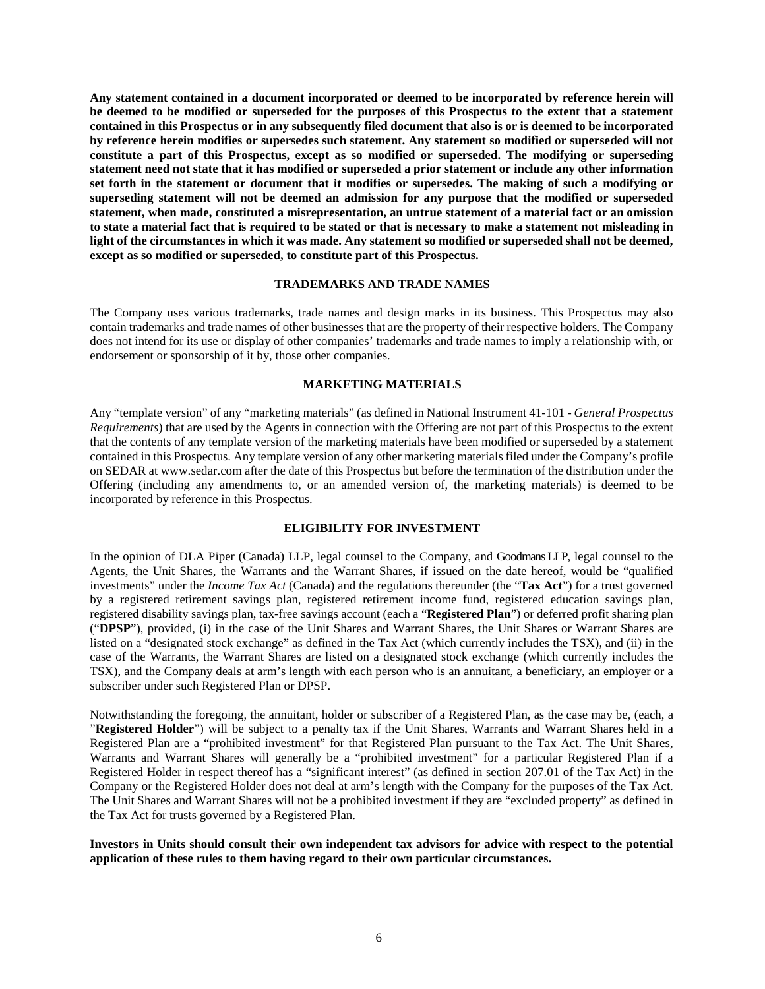**Any statement contained in a document incorporated or deemed to be incorporated by reference herein will be deemed to be modified or superseded for the purposes of this Prospectus to the extent that a statement contained in this Prospectus or in any subsequently filed document that also is or is deemed to be incorporated by reference herein modifies or supersedes such statement. Any statement so modified or superseded will not constitute a part of this Prospectus, except as so modified or superseded. The modifying or superseding statement need not state that it has modified or superseded a prior statement or include any other information set forth in the statement or document that it modifies or supersedes. The making of such a modifying or superseding statement will not be deemed an admission for any purpose that the modified or superseded statement, when made, constituted a misrepresentation, an untrue statement of a material fact or an omission to state a material fact that is required to be stated or that is necessary to make a statement not misleading in light of the circumstances in which it was made. Any statement so modified or superseded shall not be deemed, except as so modified or superseded, to constitute part of this Prospectus.** 

#### **TRADEMARKS AND TRADE NAMES**

The Company uses various trademarks, trade names and design marks in its business. This Prospectus may also contain trademarks and trade names of other businesses that are the property of their respective holders. The Company does not intend for its use or display of other companies' trademarks and trade names to imply a relationship with, or endorsement or sponsorship of it by, those other companies.

### **MARKETING MATERIALS**

Any "template version" of any "marketing materials" (as defined in National Instrument 41-101 - *General Prospectus Requirements*) that are used by the Agents in connection with the Offering are not part of this Prospectus to the extent that the contents of any template version of the marketing materials have been modified or superseded by a statement contained in this Prospectus. Any template version of any other marketing materials filed under the Company's profile on SEDAR at www.sedar.com after the date of this Prospectus but before the termination of the distribution under the Offering (including any amendments to, or an amended version of, the marketing materials) is deemed to be incorporated by reference in this Prospectus.

#### **ELIGIBILITY FOR INVESTMENT**

In the opinion of DLA Piper (Canada) LLP, legal counsel to the Company, and Goodmans LLP, legal counsel to the Agents, the Unit Shares, the Warrants and the Warrant Shares, if issued on the date hereof, would be "qualified investments" under the *Income Tax Act* (Canada) and the regulations thereunder (the "**Tax Act**") for a trust governed by a registered retirement savings plan, registered retirement income fund, registered education savings plan, registered disability savings plan, tax-free savings account (each a "**Registered Plan**") or deferred profit sharing plan ("**DPSP**"), provided, (i) in the case of the Unit Shares and Warrant Shares, the Unit Shares or Warrant Shares are listed on a "designated stock exchange" as defined in the Tax Act (which currently includes the TSX), and (ii) in the case of the Warrants, the Warrant Shares are listed on a designated stock exchange (which currently includes the TSX), and the Company deals at arm's length with each person who is an annuitant, a beneficiary, an employer or a subscriber under such Registered Plan or DPSP.

Notwithstanding the foregoing, the annuitant, holder or subscriber of a Registered Plan, as the case may be, (each, a "**Registered Holder**") will be subject to a penalty tax if the Unit Shares, Warrants and Warrant Shares held in a Registered Plan are a "prohibited investment" for that Registered Plan pursuant to the Tax Act. The Unit Shares, Warrants and Warrant Shares will generally be a "prohibited investment" for a particular Registered Plan if a Registered Holder in respect thereof has a "significant interest" (as defined in section 207.01 of the Tax Act) in the Company or the Registered Holder does not deal at arm's length with the Company for the purposes of the Tax Act. The Unit Shares and Warrant Shares will not be a prohibited investment if they are "excluded property" as defined in the Tax Act for trusts governed by a Registered Plan.

#### **Investors in Units should consult their own independent tax advisors for advice with respect to the potential application of these rules to them having regard to their own particular circumstances.**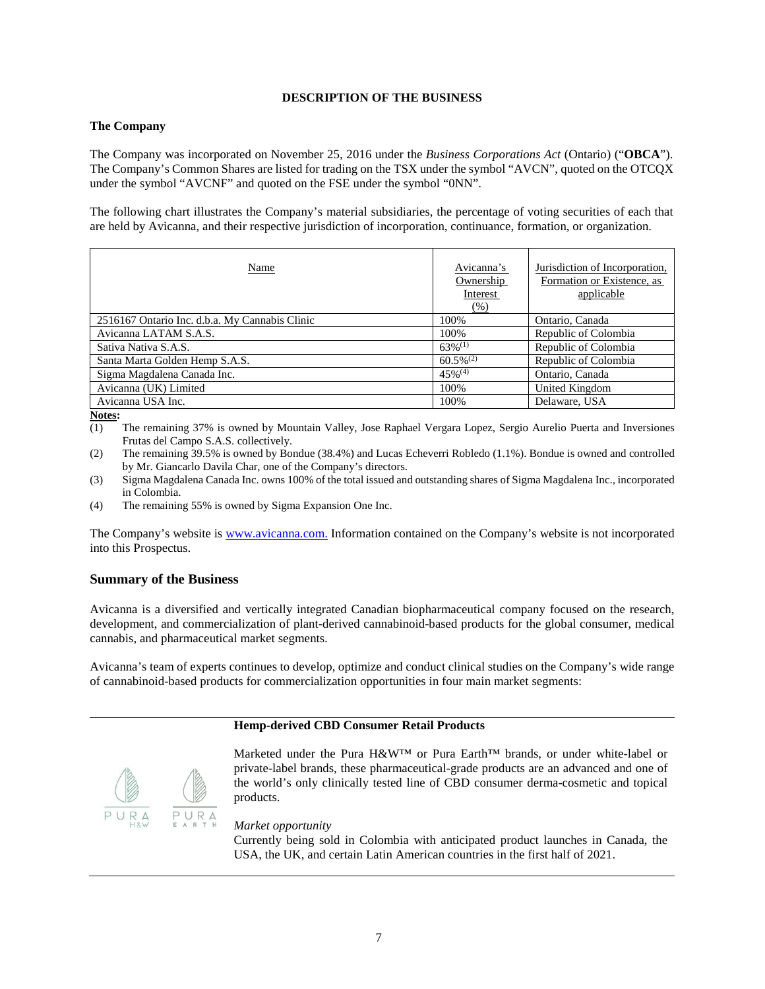## **DESCRIPTION OF THE BUSINESS**

### **The Company**

The Company was incorporated on November 25, 2016 under the *Business Corporations Act* (Ontario) ("**OBCA**"). The Company's Common Shares are listed for trading on the TSX under the symbol "AVCN", quoted on the OTCQX under the symbol "AVCNF" and quoted on the FSE under the symbol "0NN".

The following chart illustrates the Company's material subsidiaries, the percentage of voting securities of each that are held by Avicanna, and their respective jurisdiction of incorporation, continuance, formation, or organization.

| Name                                           | Avicanna's<br>Ownership<br>Interest<br>(% ) | Jurisdiction of Incorporation,<br>Formation or Existence, as<br>applicable |
|------------------------------------------------|---------------------------------------------|----------------------------------------------------------------------------|
| 2516167 Ontario Inc. d.b.a. My Cannabis Clinic | 100%                                        | Ontario, Canada                                                            |
| Avicanna LATAM S.A.S.                          | 100%                                        | Republic of Colombia                                                       |
| Sativa Nativa S.A.S.                           | $63\%^{(1)}$                                | Republic of Colombia                                                       |
| Santa Marta Golden Hemp S.A.S.                 | $60.5\%^{(2)}$                              | Republic of Colombia                                                       |
| Sigma Magdalena Canada Inc.                    | $45\%$ <sup>(4)</sup>                       | Ontario, Canada                                                            |
| Avicanna (UK) Limited                          | 100%                                        | United Kingdom                                                             |
| Avicanna USA Inc.                              | 100%                                        | Delaware, USA                                                              |

**Notes:** 

- (3) Sigma Magdalena Canada Inc. owns 100% of the total issued and outstanding shares of Sigma Magdalena Inc., incorporated in Colombia.
- (4) The remaining 55% is owned by Sigma Expansion One Inc.

The Company's website is www.avicanna.com. Information contained on the Company's website is not incorporated into this Prospectus.

## **Summary of the Business**

Avicanna is a diversified and vertically integrated Canadian biopharmaceutical company focused on the research, development, and commercialization of plant-derived cannabinoid-based products for the global consumer, medical cannabis, and pharmaceutical market segments.

Avicanna's team of experts continues to develop, optimize and conduct clinical studies on the Company's wide range of cannabinoid-based products for commercialization opportunities in four main market segments:

### **Hemp-derived CBD Consumer Retail Products**



Marketed under the Pura H&W™ or Pura Earth™ brands, or under white-label or private-label brands, these pharmaceutical-grade products are an advanced and one of the world's only clinically tested line of CBD consumer derma-cosmetic and topical products.

*Market opportunity* 

Currently being sold in Colombia with anticipated product launches in Canada, the USA, the UK, and certain Latin American countries in the first half of 2021.

<sup>(1)</sup> The remaining 37% is owned by Mountain Valley, Jose Raphael Vergara Lopez, Sergio Aurelio Puerta and Inversiones Frutas del Campo S.A.S. collectively.

<sup>(2)</sup> The remaining 39.5% is owned by Bondue (38.4%) and Lucas Echeverri Robledo (1.1%). Bondue is owned and controlled by Mr. Giancarlo Davila Char, one of the Company's directors.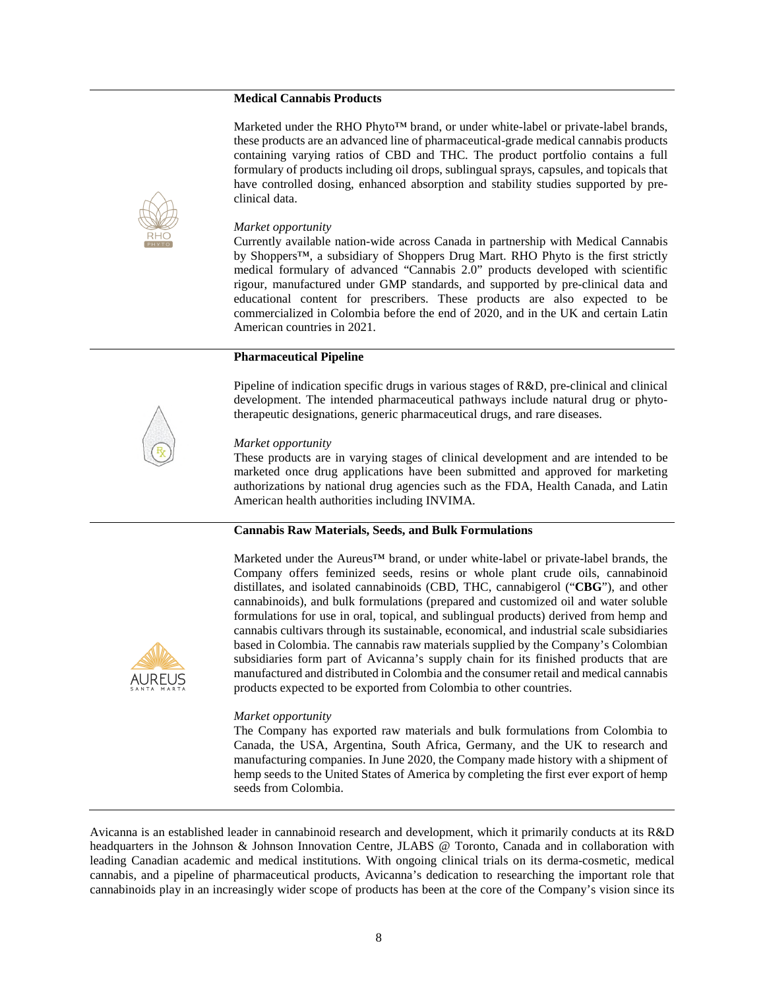#### **Medical Cannabis Products**

Marketed under the RHO Phyto<sup>TM</sup> brand, or under white-label or private-label brands, these products are an advanced line of pharmaceutical-grade medical cannabis products containing varying ratios of CBD and THC. The product portfolio contains a full formulary of products including oil drops, sublingual sprays, capsules, and topicals that have controlled dosing, enhanced absorption and stability studies supported by preclinical data.



#### *Market opportunity*

Currently available nation-wide across Canada in partnership with Medical Cannabis by Shoppers™, a subsidiary of Shoppers Drug Mart. RHO Phyto is the first strictly medical formulary of advanced "Cannabis 2.0" products developed with scientific rigour, manufactured under GMP standards, and supported by pre-clinical data and educational content for prescribers. These products are also expected to be commercialized in Colombia before the end of 2020, and in the UK and certain Latin American countries in 2021.

### **Pharmaceutical Pipeline**

Pipeline of indication specific drugs in various stages of R&D, pre-clinical and clinical development. The intended pharmaceutical pathways include natural drug or phytotherapeutic designations, generic pharmaceutical drugs, and rare diseases.

#### *Market opportunity*

These products are in varying stages of clinical development and are intended to be marketed once drug applications have been submitted and approved for marketing authorizations by national drug agencies such as the FDA, Health Canada, and Latin American health authorities including INVIMA.

### **Cannabis Raw Materials, Seeds, and Bulk Formulations**

Marketed under the Aureus™ brand, or under white-label or private-label brands, the Company offers feminized seeds, resins or whole plant crude oils, cannabinoid distillates, and isolated cannabinoids (CBD, THC, cannabigerol ("**CBG**"), and other cannabinoids), and bulk formulations (prepared and customized oil and water soluble formulations for use in oral, topical, and sublingual products) derived from hemp and cannabis cultivars through its sustainable, economical, and industrial scale subsidiaries based in Colombia. The cannabis raw materials supplied by the Company's Colombian subsidiaries form part of Avicanna's supply chain for its finished products that are manufactured and distributed in Colombia and the consumer retail and medical cannabis products expected to be exported from Colombia to other countries.

#### *Market opportunity*

The Company has exported raw materials and bulk formulations from Colombia to Canada, the USA, Argentina, South Africa, Germany, and the UK to research and manufacturing companies. In June 2020, the Company made history with a shipment of hemp seeds to the United States of America by completing the first ever export of hemp seeds from Colombia.

Avicanna is an established leader in cannabinoid research and development, which it primarily conducts at its R&D headquarters in the Johnson & Johnson Innovation Centre, JLABS @ Toronto, Canada and in collaboration with leading Canadian academic and medical institutions. With ongoing clinical trials on its derma-cosmetic, medical cannabis, and a pipeline of pharmaceutical products, Avicanna's dedication to researching the important role that cannabinoids play in an increasingly wider scope of products has been at the core of the Company's vision since its

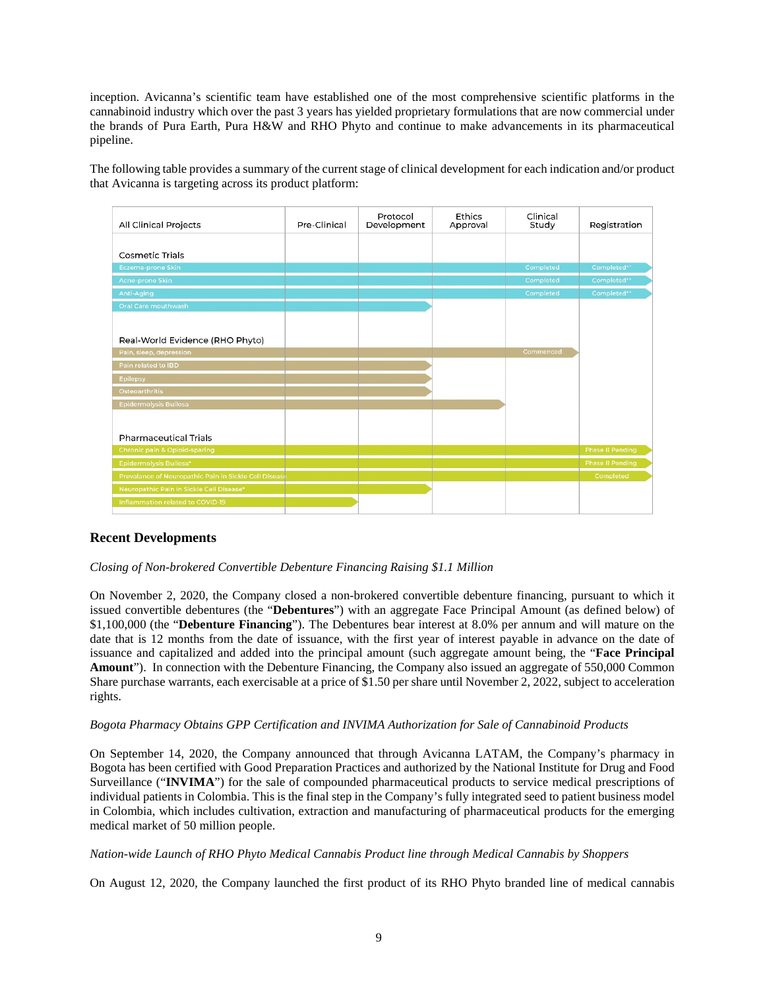inception. Avicanna's scientific team have established one of the most comprehensive scientific platforms in the cannabinoid industry which over the past 3 years has yielded proprietary formulations that are now commercial under the brands of Pura Earth, Pura H&W and RHO Phyto and continue to make advancements in its pharmaceutical pipeline.

The following table provides a summary of the current stage of clinical development for each indication and/or product that Avicanna is targeting across its product platform:



# **Recent Developments**

## *Closing of Non-brokered Convertible Debenture Financing Raising \$1.1 Million*

On November 2, 2020, the Company closed a non-brokered convertible debenture financing, pursuant to which it issued convertible debentures (the "**Debentures**") with an aggregate Face Principal Amount (as defined below) of \$1,100,000 (the "**Debenture Financing**"). The Debentures bear interest at 8.0% per annum and will mature on the date that is 12 months from the date of issuance, with the first year of interest payable in advance on the date of issuance and capitalized and added into the principal amount (such aggregate amount being, the "**Face Principal Amount**"). In connection with the Debenture Financing, the Company also issued an aggregate of 550,000 Common Share purchase warrants, each exercisable at a price of \$1.50 per share until November 2, 2022, subject to acceleration rights.

#### *Bogota Pharmacy Obtains GPP Certification and INVIMA Authorization for Sale of Cannabinoid Products*

On September 14, 2020, the Company announced that through Avicanna LATAM, the Company's pharmacy in Bogota has been certified with Good Preparation Practices and authorized by the National Institute for Drug and Food Surveillance ("**INVIMA**") for the sale of compounded pharmaceutical products to service medical prescriptions of individual patients in Colombia. This is the final step in the Company's fully integrated seed to patient business model in Colombia, which includes cultivation, extraction and manufacturing of pharmaceutical products for the emerging medical market of 50 million people.

#### *Nation-wide Launch of RHO Phyto Medical Cannabis Product line through Medical Cannabis by Shoppers*

On August 12, 2020, the Company launched the first product of its RHO Phyto branded line of medical cannabis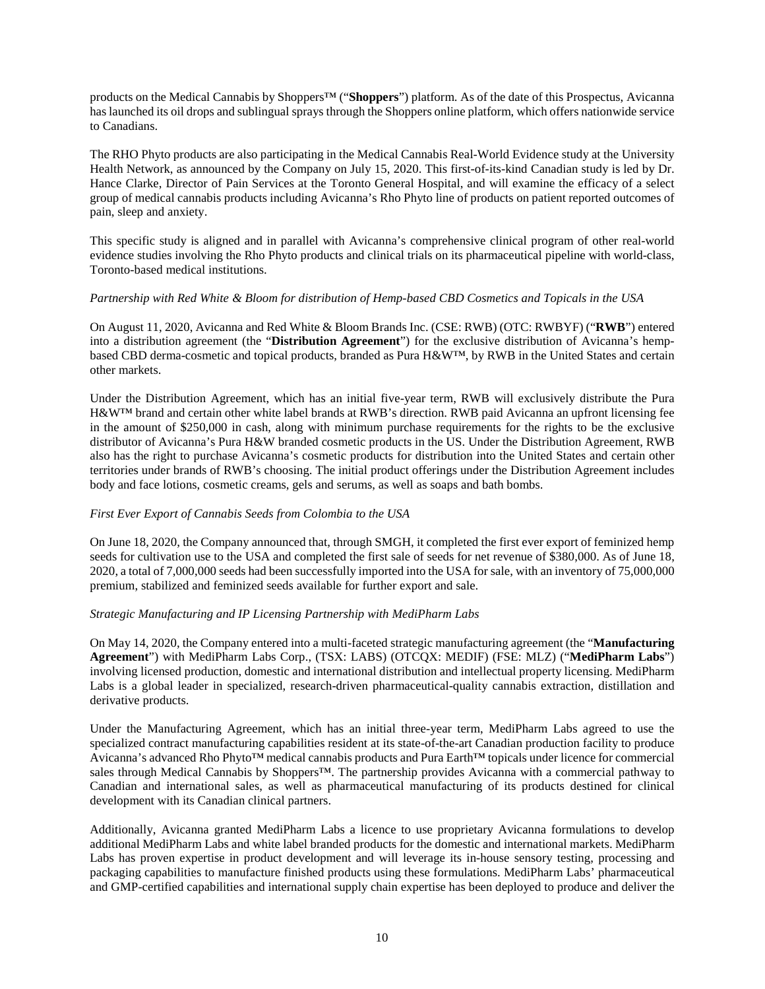products on the Medical Cannabis by Shoppers™ ("**Shoppers**") platform. As of the date of this Prospectus, Avicanna has launched its oil drops and sublingual sprays through the Shoppers online platform, which offers nationwide service to Canadians.

The RHO Phyto products are also participating in the Medical Cannabis Real-World Evidence study at the University Health Network, as announced by the Company on July 15, 2020. This first-of-its-kind Canadian study is led by Dr. Hance Clarke, Director of Pain Services at the Toronto General Hospital, and will examine the efficacy of a select group of medical cannabis products including Avicanna's Rho Phyto line of products on patient reported outcomes of pain, sleep and anxiety.

This specific study is aligned and in parallel with Avicanna's comprehensive clinical program of other real-world evidence studies involving the Rho Phyto products and clinical trials on its pharmaceutical pipeline with world-class, Toronto-based medical institutions.

### *Partnership with Red White & Bloom for distribution of Hemp-based CBD Cosmetics and Topicals in the USA*

On August 11, 2020, Avicanna and Red White & Bloom Brands Inc. (CSE: RWB) (OTC: RWBYF) ("**RWB**") entered into a distribution agreement (the "**Distribution Agreement**") for the exclusive distribution of Avicanna's hempbased CBD derma-cosmetic and topical products, branded as Pura H&W™, by RWB in the United States and certain other markets.

Under the Distribution Agreement, which has an initial five-year term, RWB will exclusively distribute the Pura H&W™ brand and certain other white label brands at RWB's direction. RWB paid Avicanna an upfront licensing fee in the amount of \$250,000 in cash, along with minimum purchase requirements for the rights to be the exclusive distributor of Avicanna's Pura H&W branded cosmetic products in the US. Under the Distribution Agreement, RWB also has the right to purchase Avicanna's cosmetic products for distribution into the United States and certain other territories under brands of RWB's choosing. The initial product offerings under the Distribution Agreement includes body and face lotions, cosmetic creams, gels and serums, as well as soaps and bath bombs.

## *First Ever Export of Cannabis Seeds from Colombia to the USA*

On June 18, 2020, the Company announced that, through SMGH, it completed the first ever export of feminized hemp seeds for cultivation use to the USA and completed the first sale of seeds for net revenue of \$380,000. As of June 18, 2020, a total of 7,000,000 seeds had been successfully imported into the USA for sale, with an inventory of 75,000,000 premium, stabilized and feminized seeds available for further export and sale.

## *Strategic Manufacturing and IP Licensing Partnership with MediPharm Labs*

On May 14, 2020, the Company entered into a multi-faceted strategic manufacturing agreement (the "**Manufacturing Agreement**") with MediPharm Labs Corp., (TSX: LABS) (OTCQX: MEDIF) (FSE: MLZ) ("**MediPharm Labs**") involving licensed production, domestic and international distribution and intellectual property licensing. MediPharm Labs is a global leader in specialized, research-driven pharmaceutical-quality cannabis extraction, distillation and derivative products.

Under the Manufacturing Agreement, which has an initial three-year term, MediPharm Labs agreed to use the specialized contract manufacturing capabilities resident at its state-of-the-art Canadian production facility to produce Avicanna's advanced Rho Phyto™ medical cannabis products and Pura Earth™ topicals under licence for commercial sales through Medical Cannabis by Shoppers™. The partnership provides Avicanna with a commercial pathway to Canadian and international sales, as well as pharmaceutical manufacturing of its products destined for clinical development with its Canadian clinical partners.

Additionally, Avicanna granted MediPharm Labs a licence to use proprietary Avicanna formulations to develop additional MediPharm Labs and white label branded products for the domestic and international markets. MediPharm Labs has proven expertise in product development and will leverage its in-house sensory testing, processing and packaging capabilities to manufacture finished products using these formulations. MediPharm Labs' pharmaceutical and GMP-certified capabilities and international supply chain expertise has been deployed to produce and deliver the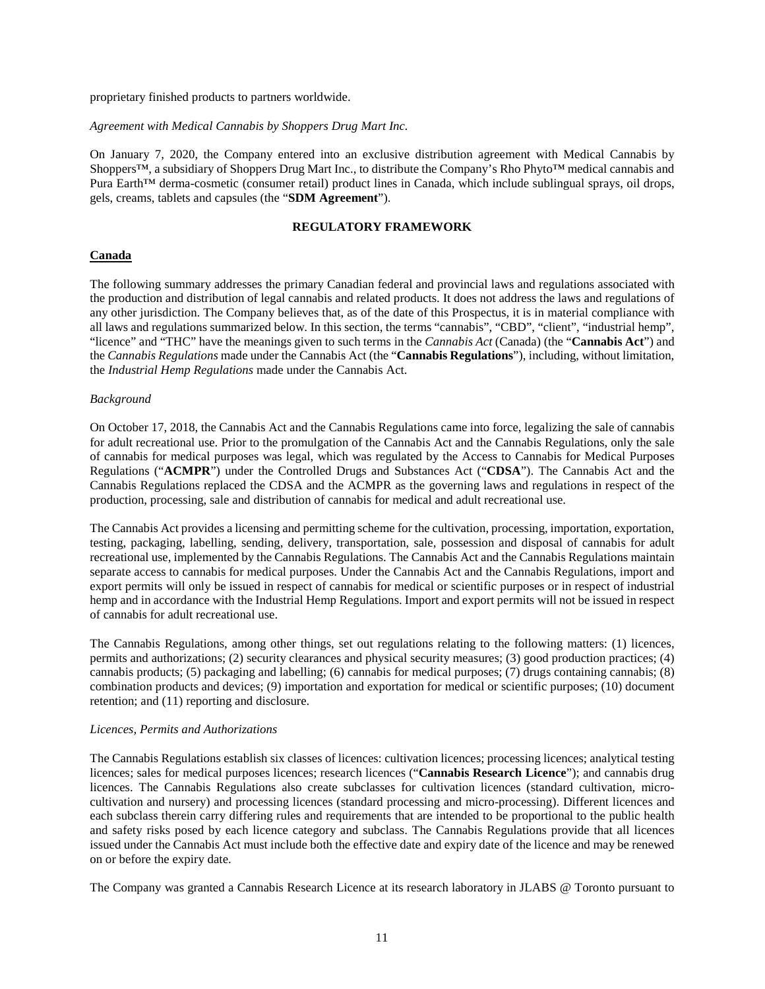proprietary finished products to partners worldwide.

#### *Agreement with Medical Cannabis by Shoppers Drug Mart Inc.*

On January 7, 2020, the Company entered into an exclusive distribution agreement with Medical Cannabis by Shoppers™, a subsidiary of Shoppers Drug Mart Inc., to distribute the Company's Rho Phyto™ medical cannabis and Pura Earth™ derma-cosmetic (consumer retail) product lines in Canada, which include sublingual sprays, oil drops, gels, creams, tablets and capsules (the "**SDM Agreement**").

#### **REGULATORY FRAMEWORK**

## **Canada**

The following summary addresses the primary Canadian federal and provincial laws and regulations associated with the production and distribution of legal cannabis and related products. It does not address the laws and regulations of any other jurisdiction. The Company believes that, as of the date of this Prospectus, it is in material compliance with all laws and regulations summarized below. In this section, the terms "cannabis", "CBD", "client", "industrial hemp", "licence" and "THC" have the meanings given to such terms in the *Cannabis Act* (Canada) (the "**Cannabis Act**") and the *Cannabis Regulations* made under the Cannabis Act (the "**Cannabis Regulations**"), including, without limitation, the *Industrial Hemp Regulations* made under the Cannabis Act.

#### *Background*

On October 17, 2018, the Cannabis Act and the Cannabis Regulations came into force, legalizing the sale of cannabis for adult recreational use. Prior to the promulgation of the Cannabis Act and the Cannabis Regulations, only the sale of cannabis for medical purposes was legal, which was regulated by the Access to Cannabis for Medical Purposes Regulations ("**ACMPR**") under the Controlled Drugs and Substances Act ("**CDSA**"). The Cannabis Act and the Cannabis Regulations replaced the CDSA and the ACMPR as the governing laws and regulations in respect of the production, processing, sale and distribution of cannabis for medical and adult recreational use.

The Cannabis Act provides a licensing and permitting scheme for the cultivation, processing, importation, exportation, testing, packaging, labelling, sending, delivery, transportation, sale, possession and disposal of cannabis for adult recreational use, implemented by the Cannabis Regulations. The Cannabis Act and the Cannabis Regulations maintain separate access to cannabis for medical purposes. Under the Cannabis Act and the Cannabis Regulations, import and export permits will only be issued in respect of cannabis for medical or scientific purposes or in respect of industrial hemp and in accordance with the Industrial Hemp Regulations. Import and export permits will not be issued in respect of cannabis for adult recreational use.

The Cannabis Regulations, among other things, set out regulations relating to the following matters: (1) licences, permits and authorizations; (2) security clearances and physical security measures; (3) good production practices; (4) cannabis products; (5) packaging and labelling; (6) cannabis for medical purposes; (7) drugs containing cannabis; (8) combination products and devices; (9) importation and exportation for medical or scientific purposes; (10) document retention; and (11) reporting and disclosure.

#### *Licences, Permits and Authorizations*

The Cannabis Regulations establish six classes of licences: cultivation licences; processing licences; analytical testing licences; sales for medical purposes licences; research licences ("**Cannabis Research Licence**"); and cannabis drug licences. The Cannabis Regulations also create subclasses for cultivation licences (standard cultivation, microcultivation and nursery) and processing licences (standard processing and micro-processing). Different licences and each subclass therein carry differing rules and requirements that are intended to be proportional to the public health and safety risks posed by each licence category and subclass. The Cannabis Regulations provide that all licences issued under the Cannabis Act must include both the effective date and expiry date of the licence and may be renewed on or before the expiry date.

The Company was granted a Cannabis Research Licence at its research laboratory in JLABS @ Toronto pursuant to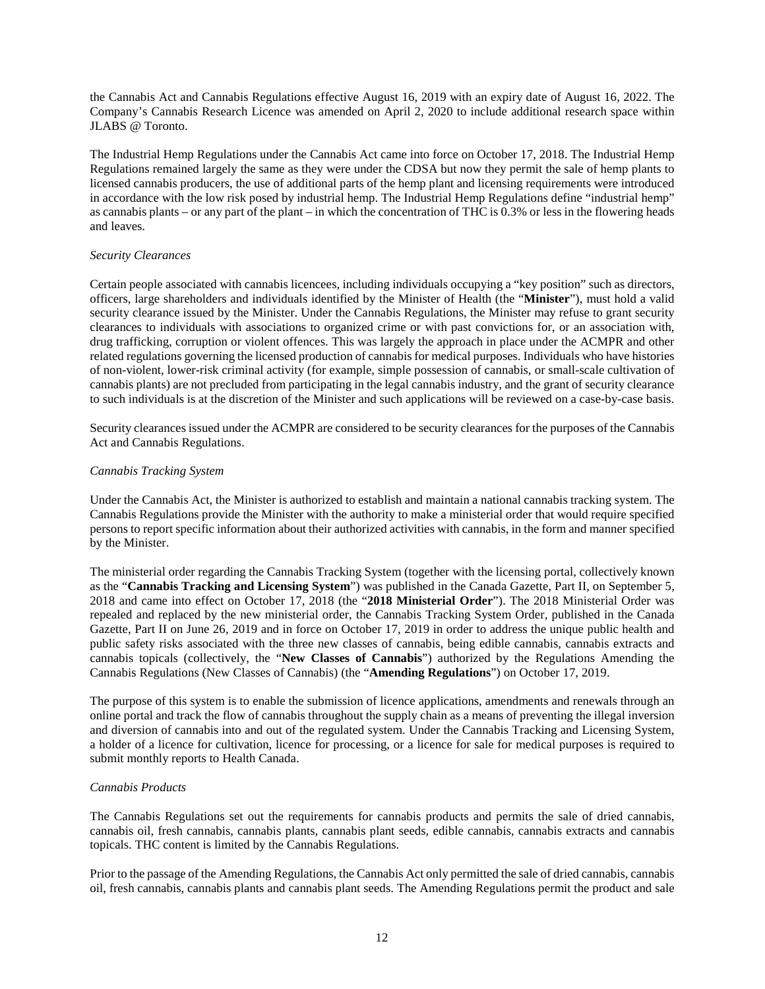the Cannabis Act and Cannabis Regulations effective August 16, 2019 with an expiry date of August 16, 2022. The Company's Cannabis Research Licence was amended on April 2, 2020 to include additional research space within JLABS @ Toronto.

The Industrial Hemp Regulations under the Cannabis Act came into force on October 17, 2018. The Industrial Hemp Regulations remained largely the same as they were under the CDSA but now they permit the sale of hemp plants to licensed cannabis producers, the use of additional parts of the hemp plant and licensing requirements were introduced in accordance with the low risk posed by industrial hemp. The Industrial Hemp Regulations define "industrial hemp" as cannabis plants – or any part of the plant – in which the concentration of THC is 0.3% or less in the flowering heads and leaves.

### *Security Clearances*

Certain people associated with cannabis licencees, including individuals occupying a "key position" such as directors, officers, large shareholders and individuals identified by the Minister of Health (the "**Minister**"), must hold a valid security clearance issued by the Minister. Under the Cannabis Regulations, the Minister may refuse to grant security clearances to individuals with associations to organized crime or with past convictions for, or an association with, drug trafficking, corruption or violent offences. This was largely the approach in place under the ACMPR and other related regulations governing the licensed production of cannabis for medical purposes. Individuals who have histories of non-violent, lower-risk criminal activity (for example, simple possession of cannabis, or small-scale cultivation of cannabis plants) are not precluded from participating in the legal cannabis industry, and the grant of security clearance to such individuals is at the discretion of the Minister and such applications will be reviewed on a case-by-case basis.

Security clearances issued under the ACMPR are considered to be security clearances for the purposes of the Cannabis Act and Cannabis Regulations.

### *Cannabis Tracking System*

Under the Cannabis Act, the Minister is authorized to establish and maintain a national cannabis tracking system. The Cannabis Regulations provide the Minister with the authority to make a ministerial order that would require specified persons to report specific information about their authorized activities with cannabis, in the form and manner specified by the Minister.

The ministerial order regarding the Cannabis Tracking System (together with the licensing portal, collectively known as the "**Cannabis Tracking and Licensing System**") was published in the Canada Gazette, Part II, on September 5, 2018 and came into effect on October 17, 2018 (the "**2018 Ministerial Order**"). The 2018 Ministerial Order was repealed and replaced by the new ministerial order, the Cannabis Tracking System Order, published in the Canada Gazette, Part II on June 26, 2019 and in force on October 17, 2019 in order to address the unique public health and public safety risks associated with the three new classes of cannabis, being edible cannabis, cannabis extracts and cannabis topicals (collectively, the "**New Classes of Cannabis**") authorized by the Regulations Amending the Cannabis Regulations (New Classes of Cannabis) (the "**Amending Regulations**") on October 17, 2019.

The purpose of this system is to enable the submission of licence applications, amendments and renewals through an online portal and track the flow of cannabis throughout the supply chain as a means of preventing the illegal inversion and diversion of cannabis into and out of the regulated system. Under the Cannabis Tracking and Licensing System, a holder of a licence for cultivation, licence for processing, or a licence for sale for medical purposes is required to submit monthly reports to Health Canada.

#### *Cannabis Products*

The Cannabis Regulations set out the requirements for cannabis products and permits the sale of dried cannabis, cannabis oil, fresh cannabis, cannabis plants, cannabis plant seeds, edible cannabis, cannabis extracts and cannabis topicals. THC content is limited by the Cannabis Regulations.

Prior to the passage of the Amending Regulations, the Cannabis Act only permitted the sale of dried cannabis, cannabis oil, fresh cannabis, cannabis plants and cannabis plant seeds. The Amending Regulations permit the product and sale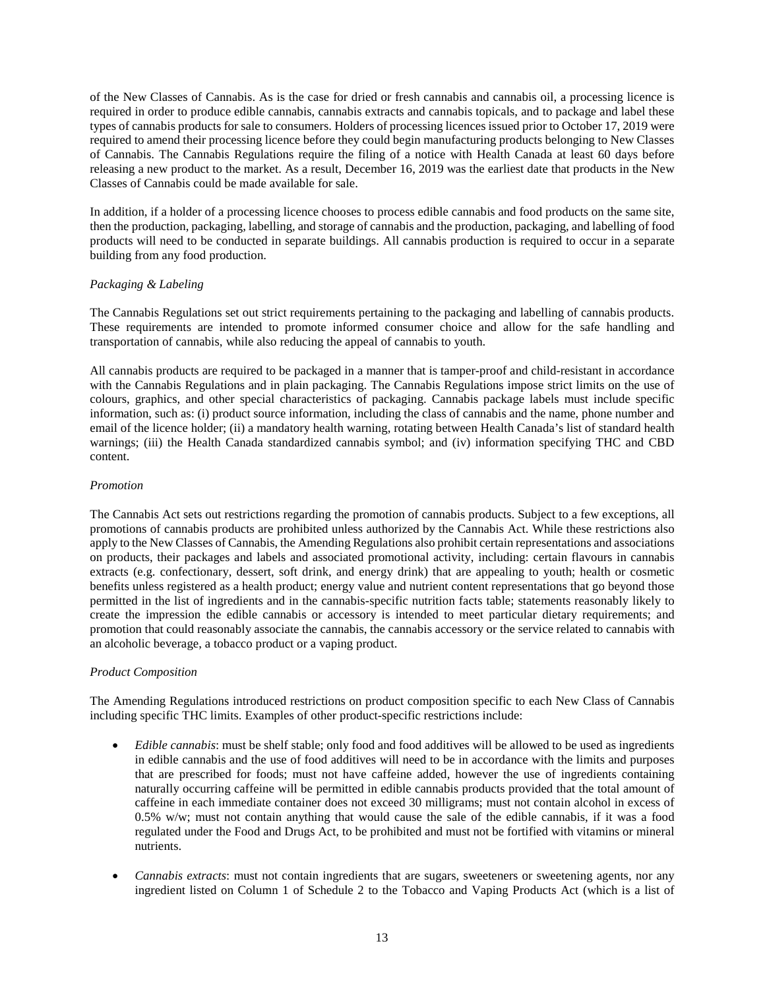of the New Classes of Cannabis. As is the case for dried or fresh cannabis and cannabis oil, a processing licence is required in order to produce edible cannabis, cannabis extracts and cannabis topicals, and to package and label these types of cannabis products for sale to consumers. Holders of processing licences issued prior to October 17, 2019 were required to amend their processing licence before they could begin manufacturing products belonging to New Classes of Cannabis. The Cannabis Regulations require the filing of a notice with Health Canada at least 60 days before releasing a new product to the market. As a result, December 16, 2019 was the earliest date that products in the New Classes of Cannabis could be made available for sale.

In addition, if a holder of a processing licence chooses to process edible cannabis and food products on the same site, then the production, packaging, labelling, and storage of cannabis and the production, packaging, and labelling of food products will need to be conducted in separate buildings. All cannabis production is required to occur in a separate building from any food production.

## *Packaging & Labeling*

The Cannabis Regulations set out strict requirements pertaining to the packaging and labelling of cannabis products. These requirements are intended to promote informed consumer choice and allow for the safe handling and transportation of cannabis, while also reducing the appeal of cannabis to youth.

All cannabis products are required to be packaged in a manner that is tamper-proof and child-resistant in accordance with the Cannabis Regulations and in plain packaging. The Cannabis Regulations impose strict limits on the use of colours, graphics, and other special characteristics of packaging. Cannabis package labels must include specific information, such as: (i) product source information, including the class of cannabis and the name, phone number and email of the licence holder; (ii) a mandatory health warning, rotating between Health Canada's list of standard health warnings; (iii) the Health Canada standardized cannabis symbol; and (iv) information specifying THC and CBD content.

## *Promotion*

The Cannabis Act sets out restrictions regarding the promotion of cannabis products. Subject to a few exceptions, all promotions of cannabis products are prohibited unless authorized by the Cannabis Act. While these restrictions also apply to the New Classes of Cannabis, the Amending Regulations also prohibit certain representations and associations on products, their packages and labels and associated promotional activity, including: certain flavours in cannabis extracts (e.g. confectionary, dessert, soft drink, and energy drink) that are appealing to youth; health or cosmetic benefits unless registered as a health product; energy value and nutrient content representations that go beyond those permitted in the list of ingredients and in the cannabis-specific nutrition facts table; statements reasonably likely to create the impression the edible cannabis or accessory is intended to meet particular dietary requirements; and promotion that could reasonably associate the cannabis, the cannabis accessory or the service related to cannabis with an alcoholic beverage, a tobacco product or a vaping product.

## *Product Composition*

The Amending Regulations introduced restrictions on product composition specific to each New Class of Cannabis including specific THC limits. Examples of other product-specific restrictions include:

- *Edible cannabis*: must be shelf stable; only food and food additives will be allowed to be used as ingredients in edible cannabis and the use of food additives will need to be in accordance with the limits and purposes that are prescribed for foods; must not have caffeine added, however the use of ingredients containing naturally occurring caffeine will be permitted in edible cannabis products provided that the total amount of caffeine in each immediate container does not exceed 30 milligrams; must not contain alcohol in excess of 0.5% w/w; must not contain anything that would cause the sale of the edible cannabis, if it was a food regulated under the Food and Drugs Act, to be prohibited and must not be fortified with vitamins or mineral nutrients.
- *Cannabis extracts*: must not contain ingredients that are sugars, sweeteners or sweetening agents, nor any ingredient listed on Column 1 of Schedule 2 to the Tobacco and Vaping Products Act (which is a list of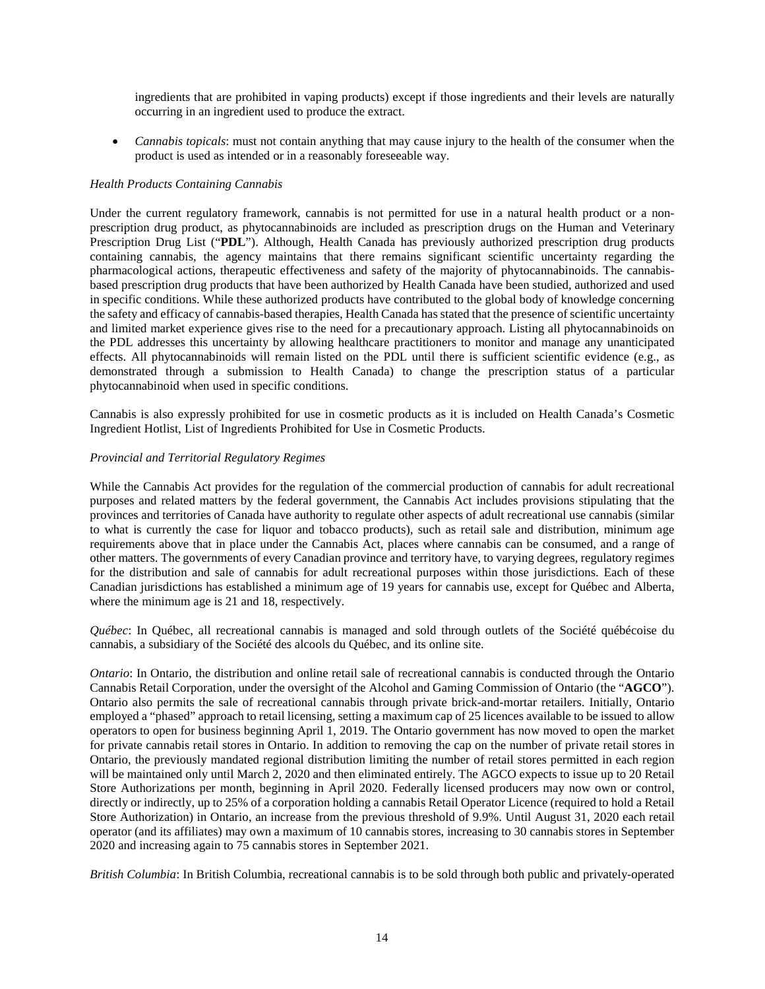ingredients that are prohibited in vaping products) except if those ingredients and their levels are naturally occurring in an ingredient used to produce the extract.

• *Cannabis topicals*: must not contain anything that may cause injury to the health of the consumer when the product is used as intended or in a reasonably foreseeable way.

### *Health Products Containing Cannabis*

Under the current regulatory framework, cannabis is not permitted for use in a natural health product or a nonprescription drug product, as phytocannabinoids are included as prescription drugs on the Human and Veterinary Prescription Drug List ("**PDL**"). Although, Health Canada has previously authorized prescription drug products containing cannabis, the agency maintains that there remains significant scientific uncertainty regarding the pharmacological actions, therapeutic effectiveness and safety of the majority of phytocannabinoids. The cannabisbased prescription drug products that have been authorized by Health Canada have been studied, authorized and used in specific conditions. While these authorized products have contributed to the global body of knowledge concerning the safety and efficacy of cannabis-based therapies, Health Canada has stated that the presence of scientific uncertainty and limited market experience gives rise to the need for a precautionary approach. Listing all phytocannabinoids on the PDL addresses this uncertainty by allowing healthcare practitioners to monitor and manage any unanticipated effects. All phytocannabinoids will remain listed on the PDL until there is sufficient scientific evidence (e.g., as demonstrated through a submission to Health Canada) to change the prescription status of a particular phytocannabinoid when used in specific conditions.

Cannabis is also expressly prohibited for use in cosmetic products as it is included on Health Canada's Cosmetic Ingredient Hotlist, List of Ingredients Prohibited for Use in Cosmetic Products.

### *Provincial and Territorial Regulatory Regimes*

While the Cannabis Act provides for the regulation of the commercial production of cannabis for adult recreational purposes and related matters by the federal government, the Cannabis Act includes provisions stipulating that the provinces and territories of Canada have authority to regulate other aspects of adult recreational use cannabis (similar to what is currently the case for liquor and tobacco products), such as retail sale and distribution, minimum age requirements above that in place under the Cannabis Act, places where cannabis can be consumed, and a range of other matters. The governments of every Canadian province and territory have, to varying degrees, regulatory regimes for the distribution and sale of cannabis for adult recreational purposes within those jurisdictions. Each of these Canadian jurisdictions has established a minimum age of 19 years for cannabis use, except for Québec and Alberta, where the minimum age is 21 and 18, respectively.

*Québec*: In Québec, all recreational cannabis is managed and sold through outlets of the Société québécoise du cannabis, a subsidiary of the Société des alcools du Québec, and its online site.

*Ontario*: In Ontario, the distribution and online retail sale of recreational cannabis is conducted through the Ontario Cannabis Retail Corporation, under the oversight of the Alcohol and Gaming Commission of Ontario (the "**AGCO**"). Ontario also permits the sale of recreational cannabis through private brick-and-mortar retailers. Initially, Ontario employed a "phased" approach to retail licensing, setting a maximum cap of 25 licences available to be issued to allow operators to open for business beginning April 1, 2019. The Ontario government has now moved to open the market for private cannabis retail stores in Ontario. In addition to removing the cap on the number of private retail stores in Ontario, the previously mandated regional distribution limiting the number of retail stores permitted in each region will be maintained only until March 2, 2020 and then eliminated entirely. The AGCO expects to issue up to 20 Retail Store Authorizations per month, beginning in April 2020. Federally licensed producers may now own or control, directly or indirectly, up to 25% of a corporation holding a cannabis Retail Operator Licence (required to hold a Retail Store Authorization) in Ontario, an increase from the previous threshold of 9.9%. Until August 31, 2020 each retail operator (and its affiliates) may own a maximum of 10 cannabis stores, increasing to 30 cannabis stores in September 2020 and increasing again to 75 cannabis stores in September 2021.

*British Columbia*: In British Columbia, recreational cannabis is to be sold through both public and privately-operated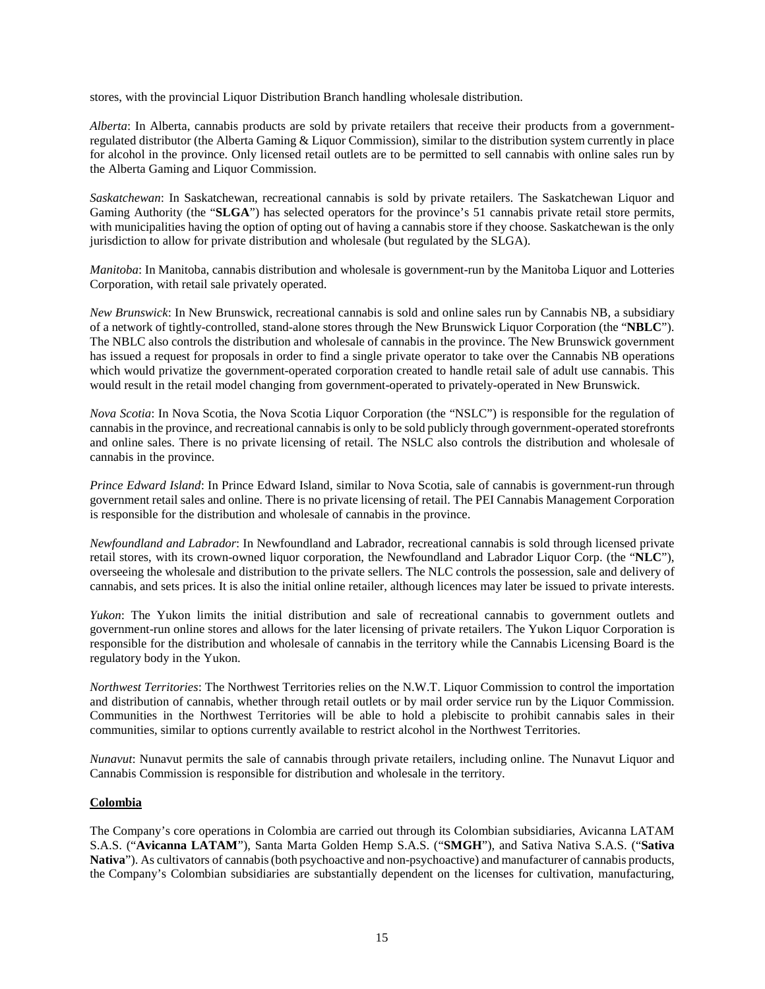stores, with the provincial Liquor Distribution Branch handling wholesale distribution.

*Alberta*: In Alberta, cannabis products are sold by private retailers that receive their products from a governmentregulated distributor (the Alberta Gaming & Liquor Commission), similar to the distribution system currently in place for alcohol in the province. Only licensed retail outlets are to be permitted to sell cannabis with online sales run by the Alberta Gaming and Liquor Commission.

*Saskatchewan*: In Saskatchewan, recreational cannabis is sold by private retailers. The Saskatchewan Liquor and Gaming Authority (the "SLGA") has selected operators for the province's 51 cannabis private retail store permits, with municipalities having the option of opting out of having a cannabis store if they choose. Saskatchewan is the only jurisdiction to allow for private distribution and wholesale (but regulated by the SLGA).

*Manitoba*: In Manitoba, cannabis distribution and wholesale is government-run by the Manitoba Liquor and Lotteries Corporation, with retail sale privately operated.

*New Brunswick*: In New Brunswick, recreational cannabis is sold and online sales run by Cannabis NB, a subsidiary of a network of tightly-controlled, stand-alone stores through the New Brunswick Liquor Corporation (the "**NBLC**"). The NBLC also controls the distribution and wholesale of cannabis in the province. The New Brunswick government has issued a request for proposals in order to find a single private operator to take over the Cannabis NB operations which would privatize the government-operated corporation created to handle retail sale of adult use cannabis. This would result in the retail model changing from government-operated to privately-operated in New Brunswick.

*Nova Scotia*: In Nova Scotia, the Nova Scotia Liquor Corporation (the "NSLC") is responsible for the regulation of cannabis in the province, and recreational cannabis is only to be sold publicly through government-operated storefronts and online sales. There is no private licensing of retail. The NSLC also controls the distribution and wholesale of cannabis in the province.

*Prince Edward Island*: In Prince Edward Island, similar to Nova Scotia, sale of cannabis is government-run through government retail sales and online. There is no private licensing of retail. The PEI Cannabis Management Corporation is responsible for the distribution and wholesale of cannabis in the province.

*Newfoundland and Labrador*: In Newfoundland and Labrador, recreational cannabis is sold through licensed private retail stores, with its crown-owned liquor corporation, the Newfoundland and Labrador Liquor Corp. (the "**NLC**"), overseeing the wholesale and distribution to the private sellers. The NLC controls the possession, sale and delivery of cannabis, and sets prices. It is also the initial online retailer, although licences may later be issued to private interests.

*Yukon*: The Yukon limits the initial distribution and sale of recreational cannabis to government outlets and government-run online stores and allows for the later licensing of private retailers. The Yukon Liquor Corporation is responsible for the distribution and wholesale of cannabis in the territory while the Cannabis Licensing Board is the regulatory body in the Yukon.

*Northwest Territories*: The Northwest Territories relies on the N.W.T. Liquor Commission to control the importation and distribution of cannabis, whether through retail outlets or by mail order service run by the Liquor Commission. Communities in the Northwest Territories will be able to hold a plebiscite to prohibit cannabis sales in their communities, similar to options currently available to restrict alcohol in the Northwest Territories.

*Nunavut*: Nunavut permits the sale of cannabis through private retailers, including online. The Nunavut Liquor and Cannabis Commission is responsible for distribution and wholesale in the territory.

## **Colombia**

The Company's core operations in Colombia are carried out through its Colombian subsidiaries, Avicanna LATAM S.A.S. ("**Avicanna LATAM**"), Santa Marta Golden Hemp S.A.S. ("**SMGH**"), and Sativa Nativa S.A.S. ("**Sativa**  Nativa"). As cultivators of cannabis (both psychoactive and non-psychoactive) and manufacturer of cannabis products, the Company's Colombian subsidiaries are substantially dependent on the licenses for cultivation, manufacturing,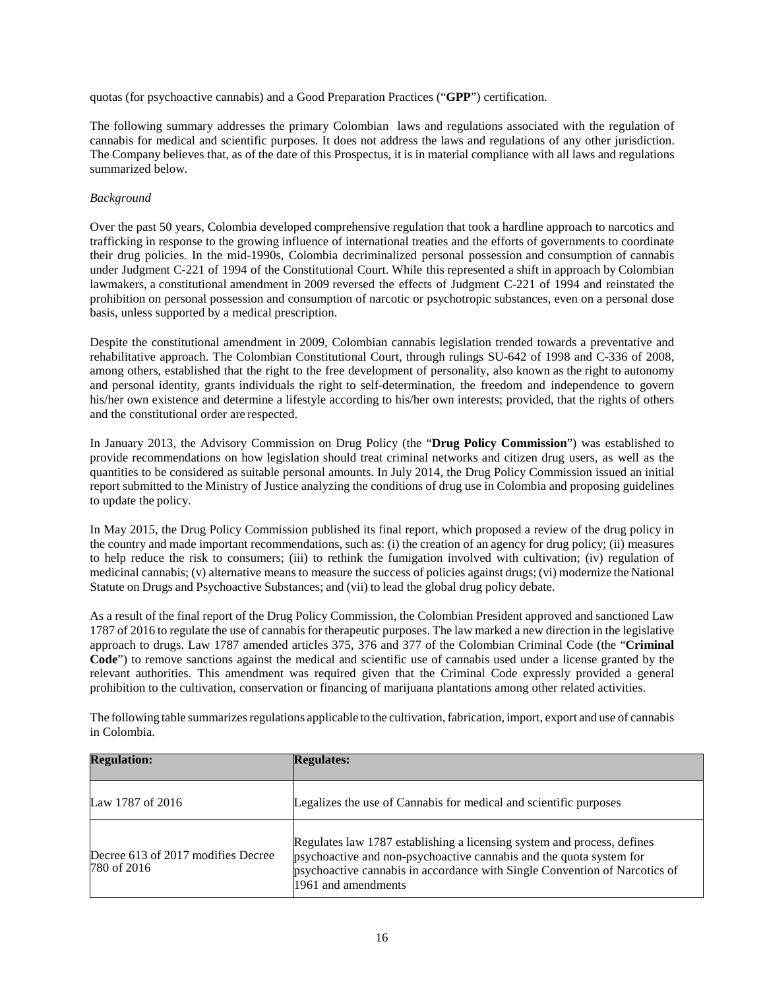quotas (for psychoactive cannabis) and a Good Preparation Practices ("**GPP**") certification.

The following summary addresses the primary Colombian laws and regulations associated with the regulation of cannabis for medical and scientific purposes. It does not address the laws and regulations of any other jurisdiction. The Company believes that, as of the date of this Prospectus, it is in material compliance with all laws and regulations summarized below.

### *Background*

Over the past 50 years, Colombia developed comprehensive regulation that took a hardline approach to narcotics and trafficking in response to the growing influence of international treaties and the efforts of governments to coordinate their drug policies. In the mid-1990s, Colombia decriminalized personal possession and consumption of cannabis under Judgment C-221 of 1994 of the Constitutional Court. While this represented a shift in approach by Colombian lawmakers, a constitutional amendment in 2009 reversed the effects of Judgment C-221 of 1994 and reinstated the prohibition on personal possession and consumption of narcotic or psychotropic substances, even on a personal dose basis, unless supported by a medical prescription.

Despite the constitutional amendment in 2009, Colombian cannabis legislation trended towards a preventative and rehabilitative approach. The Colombian Constitutional Court, through rulings SU-642 of 1998 and C-336 of 2008, among others, established that the right to the free development of personality, also known as the right to autonomy and personal identity, grants individuals the right to self-determination, the freedom and independence to govern his/her own existence and determine a lifestyle according to his/her own interests; provided, that the rights of others and the constitutional order are respected.

In January 2013, the Advisory Commission on Drug Policy (the "**Drug Policy Commission**") was established to provide recommendations on how legislation should treat criminal networks and citizen drug users, as well as the quantities to be considered as suitable personal amounts. In July 2014, the Drug Policy Commission issued an initial report submitted to the Ministry of Justice analyzing the conditions of drug use in Colombia and proposing guidelines to update the policy.

In May 2015, the Drug Policy Commission published its final report, which proposed a review of the drug policy in the country and made important recommendations, such as: (i) the creation of an agency for drug policy; (ii) measures to help reduce the risk to consumers; (iii) to rethink the fumigation involved with cultivation; (iv) regulation of medicinal cannabis; (v) alternative means to measure the success of policies against drugs; (vi) modernize the National Statute on Drugs and Psychoactive Substances; and (vii) to lead the global drug policy debate.

As a result of the final report of the Drug Policy Commission, the Colombian President approved and sanctioned Law 1787 of 2016 to regulate the use of cannabis for therapeutic purposes. The law marked a new direction in the legislative approach to drugs. Law 1787 amended articles 375, 376 and 377 of the Colombian Criminal Code (the "**Criminal Code**") to remove sanctions against the medical and scientific use of cannabis used under a license granted by the relevant authorities. This amendment was required given that the Criminal Code expressly provided a general prohibition to the cultivation, conservation or financing of marijuana plantations among other related activities.

The following table summarizes regulations applicable to the cultivation, fabrication, import, export and use of cannabis in Colombia.

| <b>Regulation:</b>                                | <b>Regulates:</b>                                                                                                                                                                                                                                   |
|---------------------------------------------------|-----------------------------------------------------------------------------------------------------------------------------------------------------------------------------------------------------------------------------------------------------|
| Law 1787 of 2016                                  | Legalizes the use of Cannabis for medical and scientific purposes                                                                                                                                                                                   |
| Decree 613 of 2017 modifies Decree<br>780 of 2016 | Regulates law 1787 establishing a licensing system and process, defines<br>psychoactive and non-psychoactive cannabis and the quota system for<br>psychoactive cannabis in accordance with Single Convention of Narcotics of<br>1961 and amendments |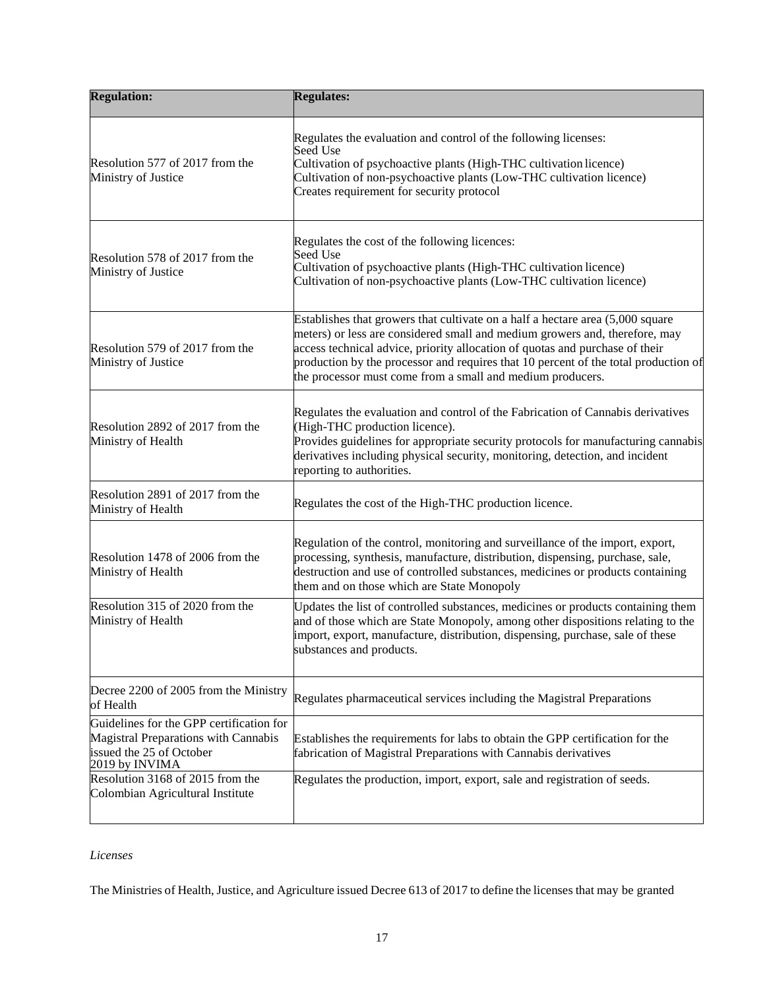| <b>Regulation:</b>                                                                                                             | <b>Regulates:</b>                                                                                                                                                                                                                                                                                                                                                                                     |
|--------------------------------------------------------------------------------------------------------------------------------|-------------------------------------------------------------------------------------------------------------------------------------------------------------------------------------------------------------------------------------------------------------------------------------------------------------------------------------------------------------------------------------------------------|
| Resolution 577 of 2017 from the<br>Ministry of Justice                                                                         | Regulates the evaluation and control of the following licenses:<br><b>Seed Use</b><br>Cultivation of psychoactive plants (High-THC cultivation licence)<br>Cultivation of non-psychoactive plants (Low-THC cultivation licence)<br>Creates requirement for security protocol                                                                                                                          |
| Resolution 578 of 2017 from the<br>Ministry of Justice                                                                         | Regulates the cost of the following licences:<br>Seed Use<br>Cultivation of psychoactive plants (High-THC cultivation licence)<br>Cultivation of non-psychoactive plants (Low-THC cultivation licence)                                                                                                                                                                                                |
| Resolution 579 of 2017 from the<br>Ministry of Justice                                                                         | Establishes that growers that cultivate on a half a hectare area $(5,000)$ square<br>meters) or less are considered small and medium growers and, therefore, may<br>access technical advice, priority allocation of quotas and purchase of their<br>production by the processor and requires that 10 percent of the total production of<br>the processor must come from a small and medium producers. |
| Resolution 2892 of 2017 from the<br>Ministry of Health                                                                         | Regulates the evaluation and control of the Fabrication of Cannabis derivatives<br>(High-THC production licence).<br>Provides guidelines for appropriate security protocols for manufacturing cannabis<br>derivatives including physical security, monitoring, detection, and incident<br>reporting to authorities.                                                                                   |
| Resolution 2891 of 2017 from the<br>Ministry of Health                                                                         | Regulates the cost of the High-THC production licence.                                                                                                                                                                                                                                                                                                                                                |
| Resolution 1478 of 2006 from the<br>Ministry of Health                                                                         | Regulation of the control, monitoring and surveillance of the import, export,<br>processing, synthesis, manufacture, distribution, dispensing, purchase, sale,<br>destruction and use of controlled substances, medicines or products containing<br>them and on those which are State Monopoly                                                                                                        |
| Resolution 315 of 2020 from the<br>Ministry of Health                                                                          | Updates the list of controlled substances, medicines or products containing them<br>and of those which are State Monopoly, among other dispositions relating to the<br>import, export, manufacture, distribution, dispensing, purchase, sale of these<br>substances and products.                                                                                                                     |
| Decree 2200 of 2005 from the Ministry<br>of Health                                                                             | Regulates pharmaceutical services including the Magistral Preparations                                                                                                                                                                                                                                                                                                                                |
| Guidelines for the GPP certification for<br>Magistral Preparations with Cannabis<br>issued the 25 of October<br>2019 by INVIMA | Establishes the requirements for labs to obtain the GPP certification for the<br>fabrication of Magistral Preparations with Cannabis derivatives                                                                                                                                                                                                                                                      |
| Resolution 3168 of 2015 from the<br>Colombian Agricultural Institute                                                           | Regulates the production, import, export, sale and registration of seeds.                                                                                                                                                                                                                                                                                                                             |

# *Licenses*

The Ministries of Health, Justice, and Agriculture issued Decree 613 of 2017 to define the licenses that may be granted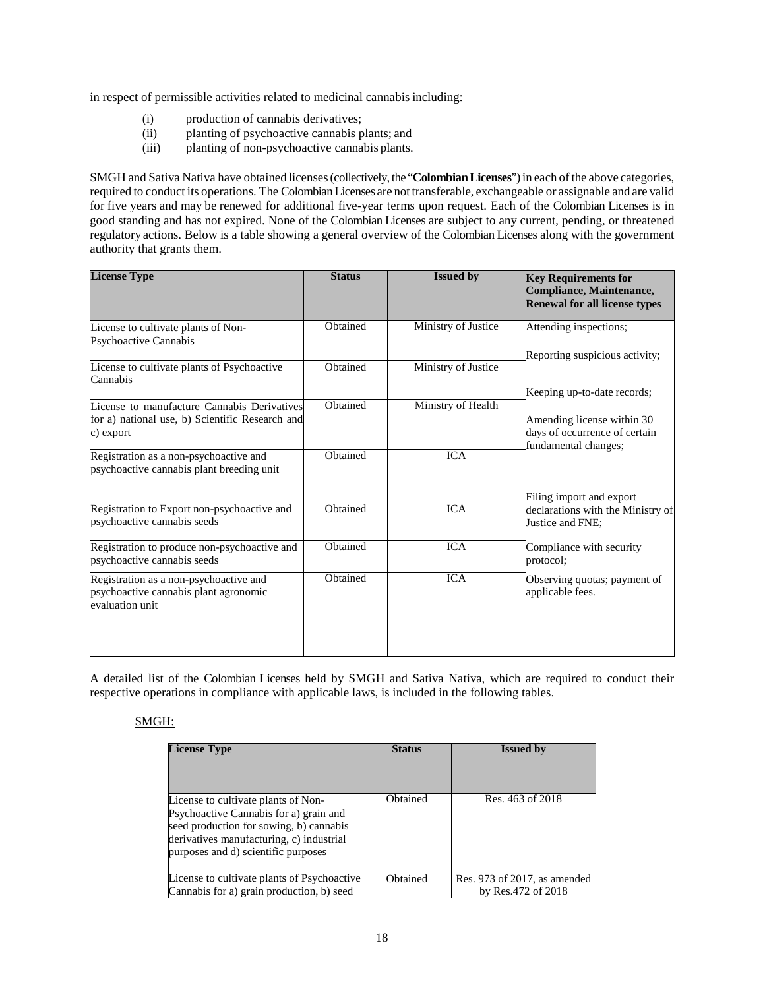in respect of permissible activities related to medicinal cannabis including:

- (i) production of cannabis derivatives;
- (ii) planting of psychoactive cannabis plants; and
- (iii) planting of non-psychoactive cannabis plants.

SMGH and Sativa Nativa have obtained licenses (collectively, the "**Colombian Licenses**") in each of the above categories, required to conduct its operations. The Colombian Licenses are not transferable, exchangeable or assignable and are valid for five years and may be renewed for additional five-year terms upon request. Each of the Colombian Licenses is in good standing and has not expired. None of the Colombian Licenses are subject to any current, pending, or threatened regulatory actions. Below is a table showing a general overview of the Colombian Licenses along with the government authority that grants them.

| <b>License Type</b>                                                                                         | <b>Status</b> | <b>Issued by</b>    | <b>Key Requirements for</b><br>Compliance, Maintenance,<br><b>Renewal for all license types</b>                    |
|-------------------------------------------------------------------------------------------------------------|---------------|---------------------|--------------------------------------------------------------------------------------------------------------------|
| License to cultivate plants of Non-<br>Psychoactive Cannabis                                                | Obtained      | Ministry of Justice | Attending inspections;                                                                                             |
| License to cultivate plants of Psychoactive<br>Cannabis                                                     | Obtained      | Ministry of Justice | Reporting suspicious activity;                                                                                     |
| License to manufacture Cannabis Derivatives<br>for a) national use, b) Scientific Research and<br>c) export | Obtained      | Ministry of Health  | Keeping up-to-date records;<br>Amending license within 30<br>days of occurrence of certain<br>fundamental changes; |
| Registration as a non-psychoactive and<br>psychoactive cannabis plant breeding unit                         | Obtained      | <b>ICA</b>          |                                                                                                                    |
| Registration to Export non-psychoactive and<br>psychoactive cannabis seeds                                  | Obtained      | <b>ICA</b>          | Filing import and export<br>declarations with the Ministry of<br>Justice and FNE;                                  |
| Registration to produce non-psychoactive and<br>psychoactive cannabis seeds                                 | Obtained      | <b>ICA</b>          | Compliance with security<br>protocol:                                                                              |
| Registration as a non-psychoactive and<br>psychoactive cannabis plant agronomic<br>evaluation unit          | Obtained      | <b>ICA</b>          | Observing quotas; payment of<br>applicable fees.                                                                   |

A detailed list of the Colombian Licenses held by SMGH and Sativa Nativa, which are required to conduct their respective operations in compliance with applicable laws, is included in the following tables.

## SMGH:

| <b>License Type</b>                                                                                                                                                                                         | <b>Status</b> | <b>Issued by</b>                                   |
|-------------------------------------------------------------------------------------------------------------------------------------------------------------------------------------------------------------|---------------|----------------------------------------------------|
| License to cultivate plants of Non-<br>Psychoactive Cannabis for a) grain and<br>seed production for sowing, b) cannabis<br>derivatives manufacturing, c) industrial<br>purposes and d) scientific purposes | Obtained      | Res. 463 of 2018                                   |
| License to cultivate plants of Psychoactive<br>Cannabis for a) grain production, b) seed                                                                                                                    | Obtained      | Res. 973 of 2017, as amended<br>by Res.472 of 2018 |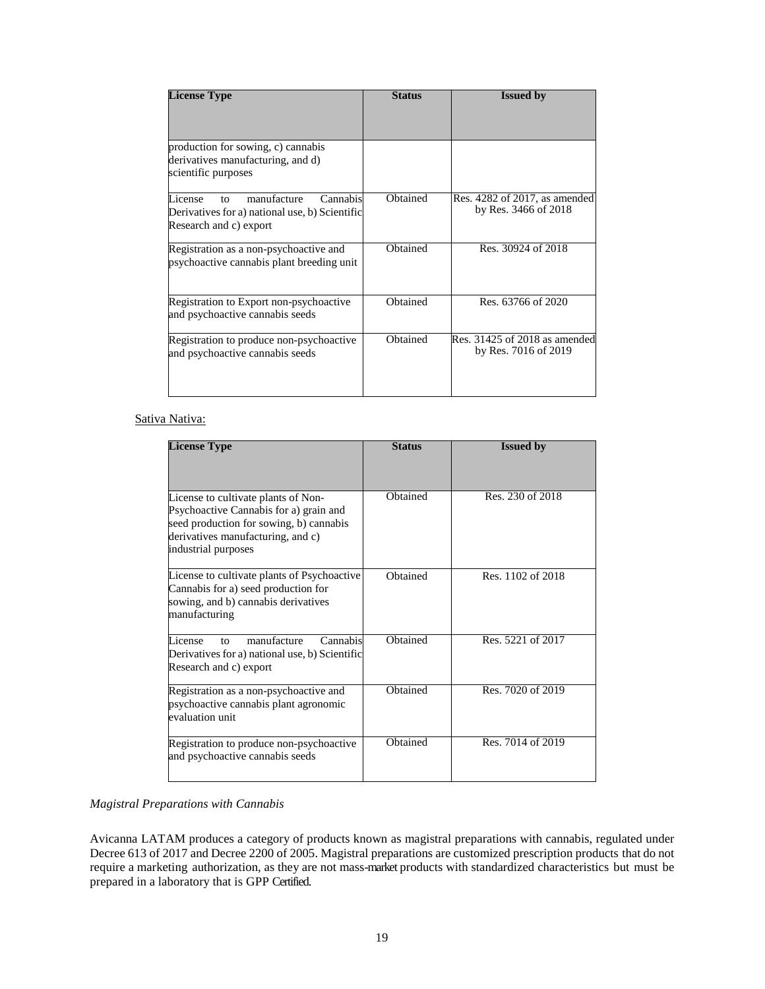| <b>License Type</b>                                                                                                            | <b>Status</b> | <b>Issued by</b>                                      |
|--------------------------------------------------------------------------------------------------------------------------------|---------------|-------------------------------------------------------|
|                                                                                                                                |               |                                                       |
| production for sowing, c) cannabis<br>derivatives manufacturing, and d)<br>scientific purposes                                 |               |                                                       |
| manufacture<br>Cannabis<br>License<br>$f_{\Omega}$<br>Derivatives for a) national use, b) Scientific<br>Research and c) export | Obtained      | Res. 4282 of 2017, as amended<br>by Res. 3466 of 2018 |
| Registration as a non-psychoactive and<br>psychoactive cannabis plant breeding unit                                            | Obtained      | Res. 30924 of 2018                                    |
| Registration to Export non-psychoactive<br>and psychoactive cannabis seeds                                                     | Obtained      | Res. 63766 of 2020                                    |
| Registration to produce non-psychoactive<br>and psychoactive cannabis seeds                                                    | Obtained      | Res. 31425 of 2018 as amended<br>by Res. 7016 of 2019 |

# Sativa Nativa:

| <b>License Type</b>                                                                                                                                                                  | <b>Status</b> | <b>Issued by</b>  |
|--------------------------------------------------------------------------------------------------------------------------------------------------------------------------------------|---------------|-------------------|
| License to cultivate plants of Non-<br>Psychoactive Cannabis for a) grain and<br>seed production for sowing, b) cannabis<br>derivatives manufacturing, and c)<br>industrial purposes | Obtained      | Res. 230 of 2018  |
| License to cultivate plants of Psychoactive<br>Cannabis for a) seed production for<br>sowing, and b) cannabis derivatives<br>manufacturing                                           | Obtained      | Res. 1102 of 2018 |
| manufacture<br>License<br>Cannabis<br>to<br>Derivatives for a) national use, b) Scientific<br>Research and c) export                                                                 | Obtained      | Res. 5221 of 2017 |
| Registration as a non-psychoactive and<br>psychoactive cannabis plant agronomic<br>evaluation unit                                                                                   | Obtained      | Res. 7020 of 2019 |
| Registration to produce non-psychoactive<br>and psychoactive cannabis seeds                                                                                                          | Obtained      | Res. 7014 of 2019 |

## *Magistral Preparations with Cannabis*

Avicanna LATAM produces a category of products known as magistral preparations with cannabis, regulated under Decree 613 of 2017 and Decree 2200 of 2005. Magistral preparations are customized prescription products that do not require a marketing authorization, as they are not mass-market products with standardized characteristics but must be prepared in a laboratory that is GPP Certified.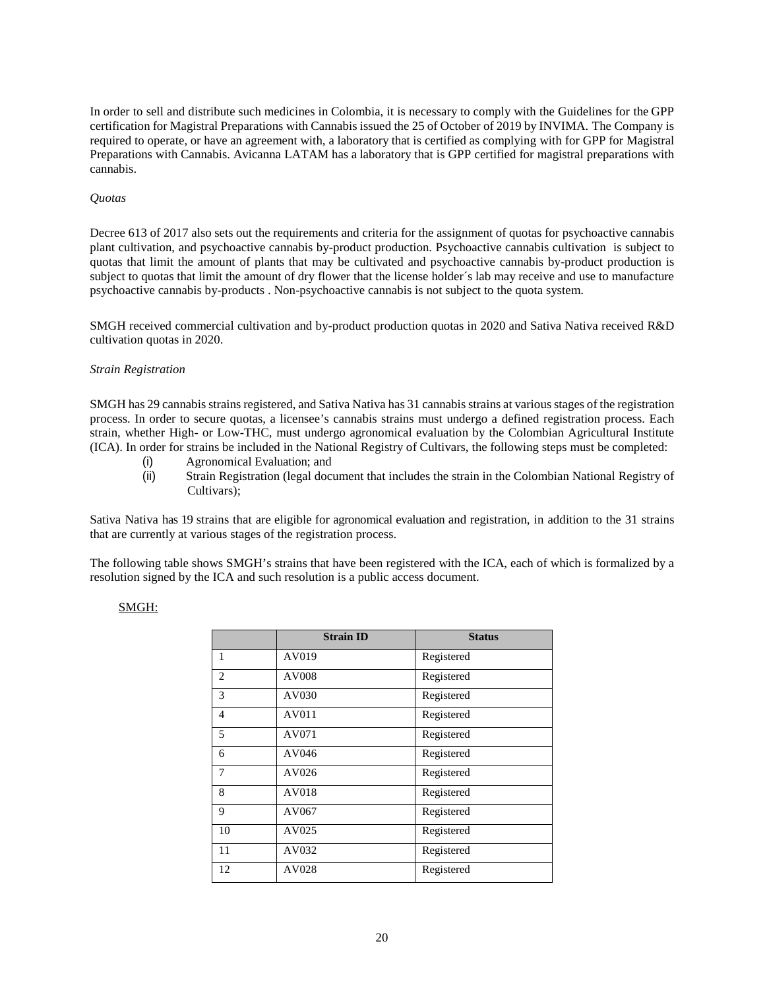In order to sell and distribute such medicines in Colombia, it is necessary to comply with the Guidelines for the GPP certification for Magistral Preparations with Cannabis issued the 25 of October of 2019 by INVIMA. The Company is required to operate, or have an agreement with, a laboratory that is certified as complying with for GPP for Magistral Preparations with Cannabis. Avicanna LATAM has a laboratory that is GPP certified for magistral preparations with cannabis.

### *Quotas*

Decree 613 of 2017 also sets out the requirements and criteria for the assignment of quotas for psychoactive cannabis plant cultivation, and psychoactive cannabis by-product production. Psychoactive cannabis cultivation is subject to quotas that limit the amount of plants that may be cultivated and psychoactive cannabis by-product production is subject to quotas that limit the amount of dry flower that the license holder´s lab may receive and use to manufacture psychoactive cannabis by-products . Non-psychoactive cannabis is not subject to the quota system.

SMGH received commercial cultivation and by-product production quotas in 2020 and Sativa Nativa received R&D cultivation quotas in 2020.

#### *Strain Registration*

SMGH has 29 cannabis strains registered, and Sativa Nativa has 31 cannabis strains at various stages of the registration process. In order to secure quotas, a licensee's cannabis strains must undergo a defined registration process. Each strain, whether High- or Low-THC, must undergo agronomical evaluation by the Colombian Agricultural Institute (ICA). In order for strains be included in the National Registry of Cultivars, the following steps must be completed:

- (i) Agronomical Evaluation; and
- (ii) Strain Registration (legal document that includes the strain in the Colombian National Registry of Cultivars):

Sativa Nativa has 19 strains that are eligible for agronomical evaluation and registration, in addition to the 31 strains that are currently at various stages of the registration process.

The following table shows SMGH's strains that have been registered with the ICA, each of which is formalized by a resolution signed by the ICA and such resolution is a public access document.

#### SMGH:

|                | <b>Strain ID</b> | <b>Status</b> |
|----------------|------------------|---------------|
| 1              | AV019            | Registered    |
| 2              | AV008            | Registered    |
| 3              | AV030            | Registered    |
| $\overline{4}$ | AV011            | Registered    |
| 5              | AV071            | Registered    |
| 6              | AV046            | Registered    |
| $\tau$         | AV026            | Registered    |
| 8              | AV018            | Registered    |
| 9              | AV067            | Registered    |
| 10             | AV025            | Registered    |
| 11             | AV032            | Registered    |
| 12             | AV028            | Registered    |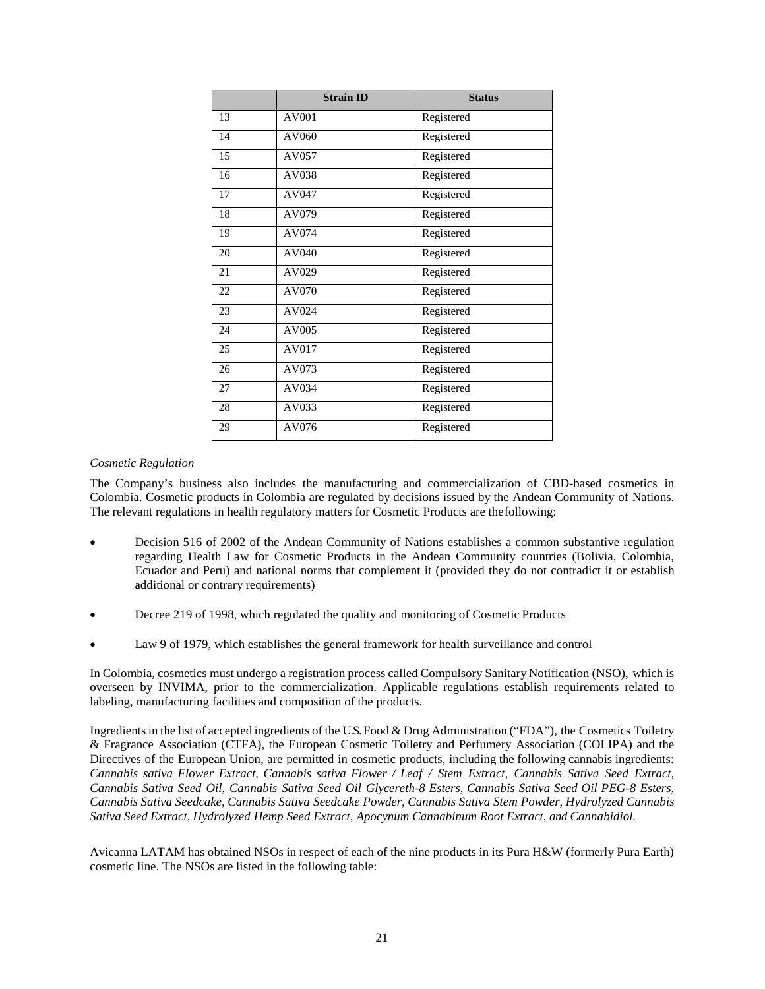|    | <b>Strain ID</b> | <b>Status</b> |
|----|------------------|---------------|
| 13 | AV001            | Registered    |
| 14 | AV060            | Registered    |
| 15 | AV057            | Registered    |
| 16 | AV038            | Registered    |
| 17 | AV047            | Registered    |
| 18 | AV079            | Registered    |
| 19 | AV074            | Registered    |
| 20 | AV040            | Registered    |
| 21 | AV029            | Registered    |
| 22 | AV070            | Registered    |
| 23 | AV024            | Registered    |
| 24 | AV005            | Registered    |
| 25 | AV017            | Registered    |
| 26 | AV073            | Registered    |
| 27 | AV034            | Registered    |
| 28 | AV033            | Registered    |
| 29 | AV076            | Registered    |

### *Cosmetic Regulation*

The Company's business also includes the manufacturing and commercialization of CBD-based cosmetics in Colombia. Cosmetic products in Colombia are regulated by decisions issued by the Andean Community of Nations. The relevant regulations in health regulatory matters for Cosmetic Products are the following:

- Decision 516 of 2002 of the Andean Community of Nations establishes a common substantive regulation regarding Health Law for Cosmetic Products in the Andean Community countries (Bolivia, Colombia, Ecuador and Peru) and national norms that complement it (provided they do not contradict it or establish additional or contrary requirements)
- Decree 219 of 1998, which regulated the quality and monitoring of Cosmetic Products
- Law 9 of 1979, which establishes the general framework for health surveillance and control

In Colombia, cosmetics must undergo a registration process called Compulsory Sanitary Notification (NSO), which is overseen by INVIMA, prior to the commercialization. Applicable regulations establish requirements related to labeling, manufacturing facilities and composition of the products.

Ingredients in the list of accepted ingredients of the U.S. Food & Drug Administration ("FDA"), the Cosmetics Toiletry & Fragrance Association (CTFA), the European Cosmetic Toiletry and Perfumery Association (COLIPA) and the Directives of the European Union, are permitted in cosmetic products, including the following cannabis ingredients: *Cannabis sativa Flower Extract, Cannabis sativa Flower / Leaf / Stem Extract, Cannabis Sativa Seed Extract, Cannabis Sativa Seed Oil, Cannabis Sativa Seed Oil Glycereth-8 Esters, Cannabis Sativa Seed Oil PEG-8 Esters, Cannabis Sativa Seedcake, Cannabis Sativa Seedcake Powder, Cannabis Sativa Stem Powder, Hydrolyzed Cannabis Sativa Seed Extract, Hydrolyzed Hemp Seed Extract, Apocynum Cannabinum Root Extract, and Cannabidiol.* 

Avicanna LATAM has obtained NSOs in respect of each of the nine products in its Pura H&W (formerly Pura Earth) cosmetic line. The NSOs are listed in the following table: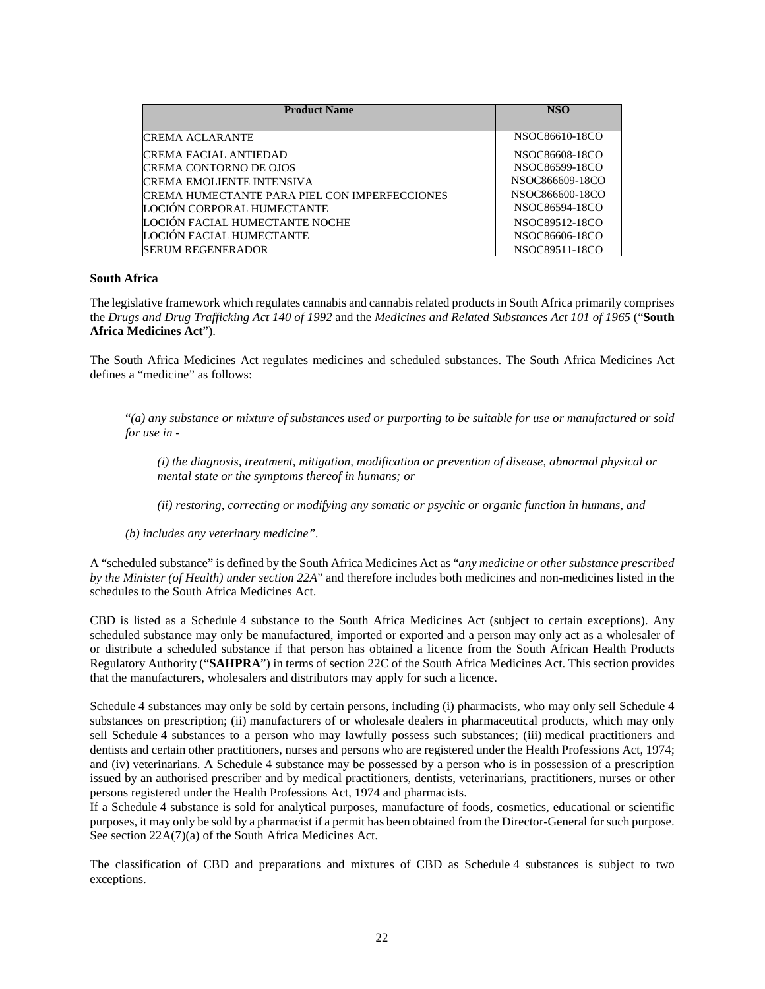| <b>Product Name</b>                           | <b>NSO</b>      |
|-----------------------------------------------|-----------------|
|                                               |                 |
| <b>CREMA ACLARANTE</b>                        | NSOC86610-18CO  |
| CREMA FACIAL ANTIEDAD                         | NSOC86608-18CO  |
| CREMA CONTORNO DE OJOS                        | NSOC86599-18CO  |
| CREMA EMOLIENTE INTENSIVA                     | NSOC866609-18CO |
| CREMA HUMECTANTE PARA PIEL CON IMPERFECCIONES | NSOC866600-18CO |
| LOCIÓN CORPORAL HUMECTANTE                    | NSOC86594-18CO  |
| LOCIÓN FACIAL HUMECTANTE NOCHE                | NSOC89512-18CO  |
| LOCIÓN FACIAL HUMECTANTE                      | NSOC86606-18CO  |
| SERUM REGENERADOR                             | NSOC89511-18CO  |

#### **South Africa**

The legislative framework which regulates cannabis and cannabis related products in South Africa primarily comprises the *Drugs and Drug Trafficking Act 140 of 1992* and the *Medicines and Related Substances Act 101 of 1965* ("**South Africa Medicines Act**").

The South Africa Medicines Act regulates medicines and scheduled substances. The South Africa Medicines Act defines a "medicine" as follows:

"*(a) any substance or mixture of substances used or purporting to be suitable for use or manufactured or sold for use in -* 

*(i) the diagnosis, treatment, mitigation, modification or prevention of disease, abnormal physical or mental state or the symptoms thereof in humans; or* 

*(ii) restoring, correcting or modifying any somatic or psychic or organic function in humans, and* 

*(b) includes any veterinary medicine".*

A "scheduled substance" is defined by the South Africa Medicines Act as "*any medicine or other substance prescribed by the Minister (of Health) under section 22A*" and therefore includes both medicines and non-medicines listed in the schedules to the South Africa Medicines Act.

CBD is listed as a Schedule 4 substance to the South Africa Medicines Act (subject to certain exceptions). Any scheduled substance may only be manufactured, imported or exported and a person may only act as a wholesaler of or distribute a scheduled substance if that person has obtained a licence from the South African Health Products Regulatory Authority ("**SAHPRA**") in terms of section 22C of the South Africa Medicines Act. This section provides that the manufacturers, wholesalers and distributors may apply for such a licence.

Schedule 4 substances may only be sold by certain persons, including (i) pharmacists, who may only sell Schedule 4 substances on prescription; (ii) manufacturers of or wholesale dealers in pharmaceutical products, which may only sell Schedule 4 substances to a person who may lawfully possess such substances; (iii) medical practitioners and dentists and certain other practitioners, nurses and persons who are registered under the Health Professions Act, 1974; and (iv) veterinarians. A Schedule 4 substance may be possessed by a person who is in possession of a prescription issued by an authorised prescriber and by medical practitioners, dentists, veterinarians, practitioners, nurses or other persons registered under the Health Professions Act, 1974 and pharmacists.

If a Schedule 4 substance is sold for analytical purposes, manufacture of foods, cosmetics, educational or scientific purposes, it may only be sold by a pharmacist if a permit has been obtained from the Director-General for such purpose. See section 22A(7)(a) of the South Africa Medicines Act.

The classification of CBD and preparations and mixtures of CBD as Schedule 4 substances is subject to two exceptions.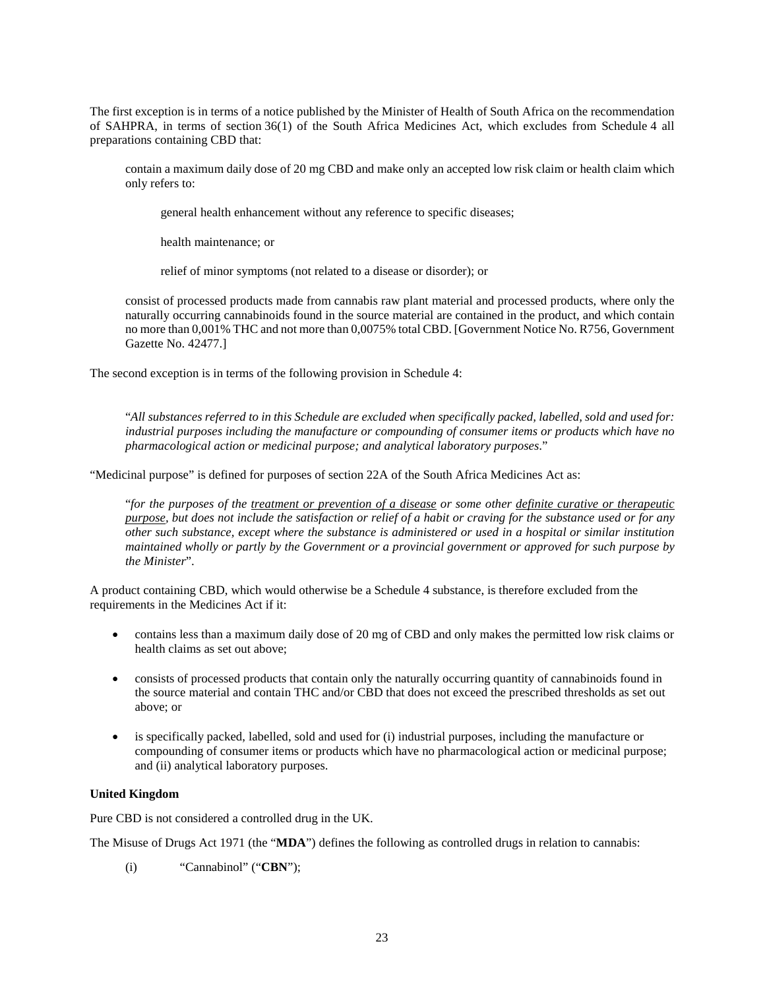The first exception is in terms of a notice published by the Minister of Health of South Africa on the recommendation of SAHPRA, in terms of section 36(1) of the South Africa Medicines Act, which excludes from Schedule 4 all preparations containing CBD that:

contain a maximum daily dose of 20 mg CBD and make only an accepted low risk claim or health claim which only refers to:

general health enhancement without any reference to specific diseases;

health maintenance; or

relief of minor symptoms (not related to a disease or disorder); or

consist of processed products made from cannabis raw plant material and processed products, where only the naturally occurring cannabinoids found in the source material are contained in the product, and which contain no more than 0,001% THC and not more than 0,0075% total CBD. [Government Notice No. R756, Government Gazette No. 42477.]

The second exception is in terms of the following provision in Schedule 4:

"*All substances referred to in this Schedule are excluded when specifically packed, labelled, sold and used for: industrial purposes including the manufacture or compounding of consumer items or products which have no pharmacological action or medicinal purpose; and analytical laboratory purposes*."

"Medicinal purpose" is defined for purposes of section 22A of the South Africa Medicines Act as:

"*for the purposes of the treatment or prevention of a disease or some other definite curative or therapeutic purpose, but does not include the satisfaction or relief of a habit or craving for the substance used or for any other such substance, except where the substance is administered or used in a hospital or similar institution maintained wholly or partly by the Government or a provincial government or approved for such purpose by the Minister*".

A product containing CBD, which would otherwise be a Schedule 4 substance, is therefore excluded from the requirements in the Medicines Act if it:

- contains less than a maximum daily dose of 20 mg of CBD and only makes the permitted low risk claims or health claims as set out above;
- consists of processed products that contain only the naturally occurring quantity of cannabinoids found in the source material and contain THC and/or CBD that does not exceed the prescribed thresholds as set out above; or
- is specifically packed, labelled, sold and used for (i) industrial purposes, including the manufacture or compounding of consumer items or products which have no pharmacological action or medicinal purpose; and (ii) analytical laboratory purposes.

## **United Kingdom**

Pure CBD is not considered a controlled drug in the UK.

The Misuse of Drugs Act 1971 (the "**MDA**") defines the following as controlled drugs in relation to cannabis:

(i) "Cannabinol" ("**CBN**");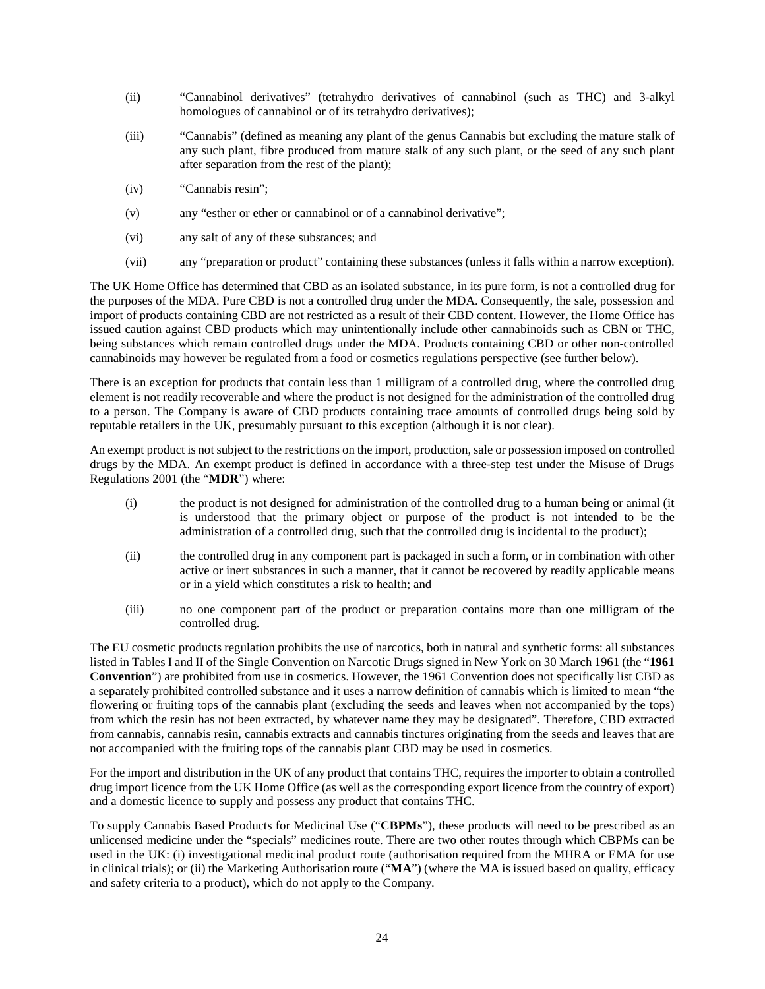- (ii) "Cannabinol derivatives" (tetrahydro derivatives of cannabinol (such as THC) and 3-alkyl homologues of cannabinol or of its tetrahydro derivatives);
- (iii) "Cannabis" (defined as meaning any plant of the genus Cannabis but excluding the mature stalk of any such plant, fibre produced from mature stalk of any such plant, or the seed of any such plant after separation from the rest of the plant);
- (iv) "Cannabis resin";
- (v) any "esther or ether or cannabinol or of a cannabinol derivative";
- (vi) any salt of any of these substances; and
- (vii) any "preparation or product" containing these substances (unless it falls within a narrow exception).

The UK Home Office has determined that CBD as an isolated substance, in its pure form, is not a controlled drug for the purposes of the MDA. Pure CBD is not a controlled drug under the MDA. Consequently, the sale, possession and import of products containing CBD are not restricted as a result of their CBD content. However, the Home Office has issued caution against CBD products which may unintentionally include other cannabinoids such as CBN or THC, being substances which remain controlled drugs under the MDA. Products containing CBD or other non-controlled cannabinoids may however be regulated from a food or cosmetics regulations perspective (see further below).

There is an exception for products that contain less than 1 milligram of a controlled drug, where the controlled drug element is not readily recoverable and where the product is not designed for the administration of the controlled drug to a person. The Company is aware of CBD products containing trace amounts of controlled drugs being sold by reputable retailers in the UK, presumably pursuant to this exception (although it is not clear).

An exempt product is not subject to the restrictions on the import, production, sale or possession imposed on controlled drugs by the MDA. An exempt product is defined in accordance with a three-step test under the Misuse of Drugs Regulations 2001 (the "**MDR**") where:

- (i) the product is not designed for administration of the controlled drug to a human being or animal (it is understood that the primary object or purpose of the product is not intended to be the administration of a controlled drug, such that the controlled drug is incidental to the product);
- (ii) the controlled drug in any component part is packaged in such a form, or in combination with other active or inert substances in such a manner, that it cannot be recovered by readily applicable means or in a yield which constitutes a risk to health; and
- (iii) no one component part of the product or preparation contains more than one milligram of the controlled drug.

The EU cosmetic products regulation prohibits the use of narcotics, both in natural and synthetic forms: all substances listed in Tables I and II of the Single Convention on Narcotic Drugs signed in New York on 30 March 1961 (the "**1961 Convention**") are prohibited from use in cosmetics. However, the 1961 Convention does not specifically list CBD as a separately prohibited controlled substance and it uses a narrow definition of cannabis which is limited to mean "the flowering or fruiting tops of the cannabis plant (excluding the seeds and leaves when not accompanied by the tops) from which the resin has not been extracted, by whatever name they may be designated". Therefore, CBD extracted from cannabis, cannabis resin, cannabis extracts and cannabis tinctures originating from the seeds and leaves that are not accompanied with the fruiting tops of the cannabis plant CBD may be used in cosmetics.

For the import and distribution in the UK of any product that contains THC, requires the importer to obtain a controlled drug import licence from the UK Home Office (as well as the corresponding export licence from the country of export) and a domestic licence to supply and possess any product that contains THC.

To supply Cannabis Based Products for Medicinal Use ("**CBPMs**"), these products will need to be prescribed as an unlicensed medicine under the "specials" medicines route. There are two other routes through which CBPMs can be used in the UK: (i) investigational medicinal product route (authorisation required from the MHRA or EMA for use in clinical trials); or (ii) the Marketing Authorisation route ("**MA**") (where the MA is issued based on quality, efficacy and safety criteria to a product), which do not apply to the Company.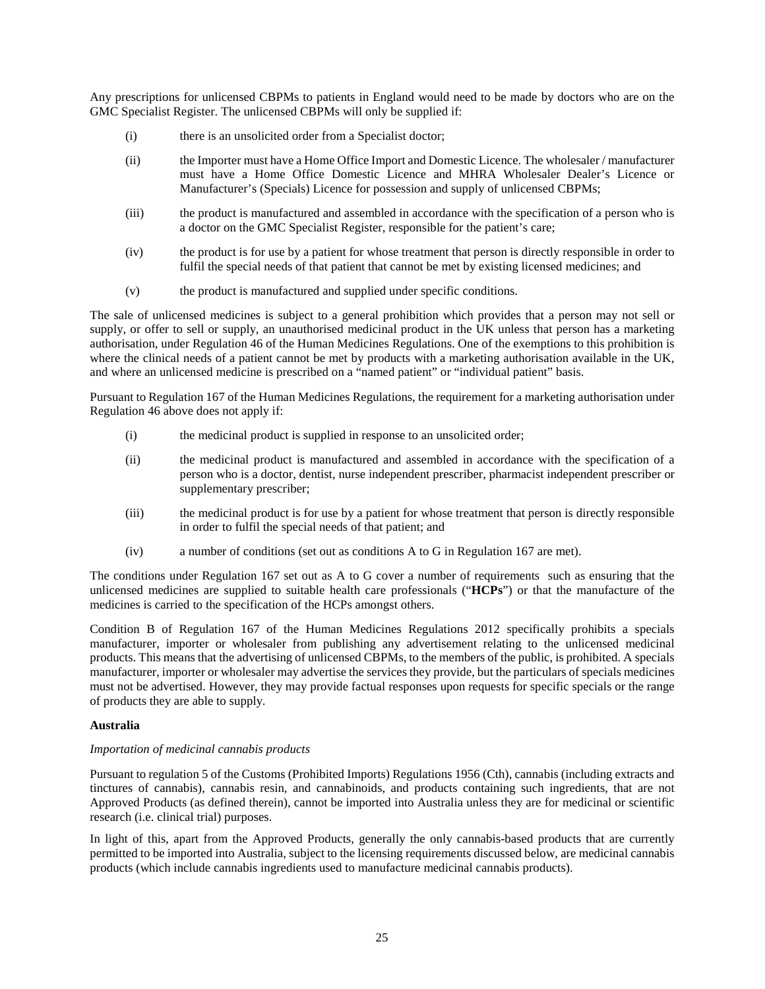Any prescriptions for unlicensed CBPMs to patients in England would need to be made by doctors who are on the GMC Specialist Register. The unlicensed CBPMs will only be supplied if:

- (i) there is an unsolicited order from a Specialist doctor;
- (ii) the Importer must have a Home Office Import and Domestic Licence. The wholesaler / manufacturer must have a Home Office Domestic Licence and MHRA Wholesaler Dealer's Licence or Manufacturer's (Specials) Licence for possession and supply of unlicensed CBPMs;
- (iii) the product is manufactured and assembled in accordance with the specification of a person who is a doctor on the GMC Specialist Register, responsible for the patient's care;
- (iv) the product is for use by a patient for whose treatment that person is directly responsible in order to fulfil the special needs of that patient that cannot be met by existing licensed medicines; and
- (v) the product is manufactured and supplied under specific conditions.

The sale of unlicensed medicines is subject to a general prohibition which provides that a person may not sell or supply, or offer to sell or supply, an unauthorised medicinal product in the UK unless that person has a marketing authorisation, under Regulation 46 of the Human Medicines Regulations. One of the exemptions to this prohibition is where the clinical needs of a patient cannot be met by products with a marketing authorisation available in the UK, and where an unlicensed medicine is prescribed on a "named patient" or "individual patient" basis.

Pursuant to Regulation 167 of the Human Medicines Regulations, the requirement for a marketing authorisation under Regulation 46 above does not apply if:

- (i) the medicinal product is supplied in response to an unsolicited order;
- (ii) the medicinal product is manufactured and assembled in accordance with the specification of a person who is a doctor, dentist, nurse independent prescriber, pharmacist independent prescriber or supplementary prescriber;
- (iii) the medicinal product is for use by a patient for whose treatment that person is directly responsible in order to fulfil the special needs of that patient; and
- (iv) a number of conditions (set out as conditions A to G in Regulation 167 are met).

The conditions under Regulation 167 set out as A to G cover a number of requirements such as ensuring that the unlicensed medicines are supplied to suitable health care professionals ("**HCPs**") or that the manufacture of the medicines is carried to the specification of the HCPs amongst others.

Condition B of Regulation 167 of the Human Medicines Regulations 2012 specifically prohibits a specials manufacturer, importer or wholesaler from publishing any advertisement relating to the unlicensed medicinal products. This means that the advertising of unlicensed CBPMs, to the members of the public, is prohibited. A specials manufacturer, importer or wholesaler may advertise the services they provide, but the particulars of specials medicines must not be advertised. However, they may provide factual responses upon requests for specific specials or the range of products they are able to supply.

#### **Australia**

#### *Importation of medicinal cannabis products*

Pursuant to regulation 5 of the Customs (Prohibited Imports) Regulations 1956 (Cth), cannabis (including extracts and tinctures of cannabis), cannabis resin, and cannabinoids, and products containing such ingredients, that are not Approved Products (as defined therein), cannot be imported into Australia unless they are for medicinal or scientific research (i.e. clinical trial) purposes.

In light of this, apart from the Approved Products, generally the only cannabis-based products that are currently permitted to be imported into Australia, subject to the licensing requirements discussed below, are medicinal cannabis products (which include cannabis ingredients used to manufacture medicinal cannabis products).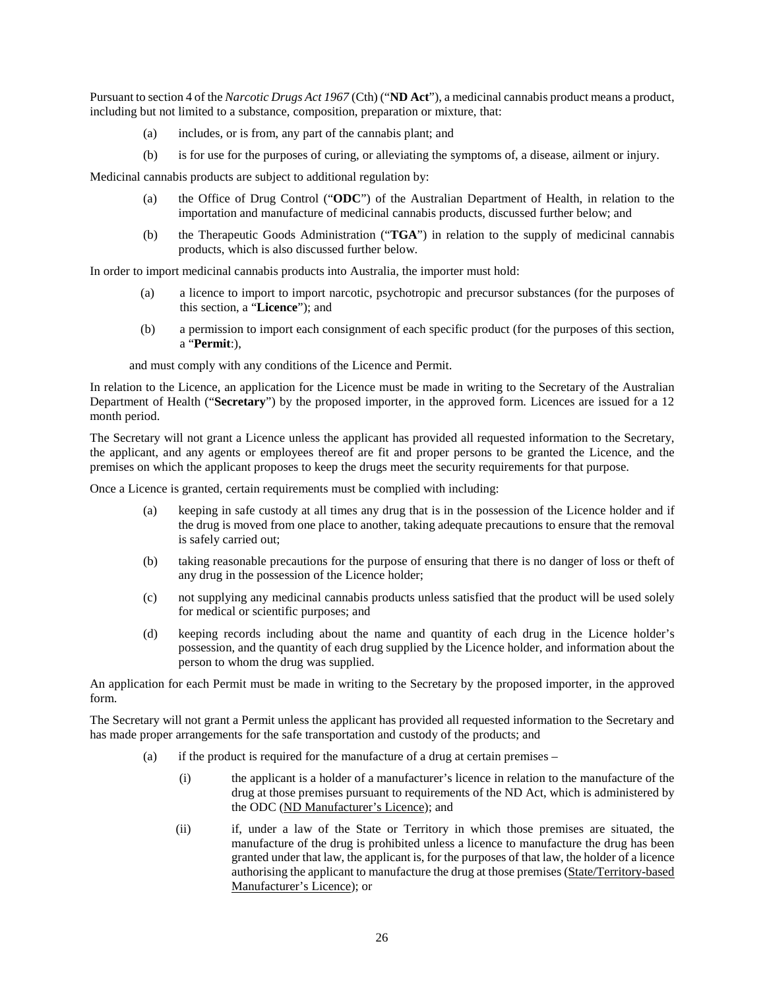Pursuant to section 4 of the *Narcotic Drugs Act 1967* (Cth) ("**ND Act**"), a medicinal cannabis product means a product, including but not limited to a substance, composition, preparation or mixture, that:

- (a) includes, or is from, any part of the cannabis plant; and
- (b) is for use for the purposes of curing, or alleviating the symptoms of, a disease, ailment or injury.

Medicinal cannabis products are subject to additional regulation by:

- (a) the Office of Drug Control ("**ODC**") of the Australian Department of Health, in relation to the importation and manufacture of medicinal cannabis products, discussed further below; and
- (b) the Therapeutic Goods Administration ("**TGA**") in relation to the supply of medicinal cannabis products, which is also discussed further below.

In order to import medicinal cannabis products into Australia, the importer must hold:

- (a) a licence to import to import narcotic, psychotropic and precursor substances (for the purposes of this section, a "**Licence**"); and
- (b) a permission to import each consignment of each specific product (for the purposes of this section, a "**Permit**:),

and must comply with any conditions of the Licence and Permit.

In relation to the Licence, an application for the Licence must be made in writing to the Secretary of the Australian Department of Health ("**Secretary**") by the proposed importer, in the approved form. Licences are issued for a 12 month period.

The Secretary will not grant a Licence unless the applicant has provided all requested information to the Secretary, the applicant, and any agents or employees thereof are fit and proper persons to be granted the Licence, and the premises on which the applicant proposes to keep the drugs meet the security requirements for that purpose.

Once a Licence is granted, certain requirements must be complied with including:

- (a) keeping in safe custody at all times any drug that is in the possession of the Licence holder and if the drug is moved from one place to another, taking adequate precautions to ensure that the removal is safely carried out;
- (b) taking reasonable precautions for the purpose of ensuring that there is no danger of loss or theft of any drug in the possession of the Licence holder;
- (c) not supplying any medicinal cannabis products unless satisfied that the product will be used solely for medical or scientific purposes; and
- (d) keeping records including about the name and quantity of each drug in the Licence holder's possession, and the quantity of each drug supplied by the Licence holder, and information about the person to whom the drug was supplied.

An application for each Permit must be made in writing to the Secretary by the proposed importer, in the approved form.

The Secretary will not grant a Permit unless the applicant has provided all requested information to the Secretary and has made proper arrangements for the safe transportation and custody of the products; and

- (a) if the product is required for the manufacture of a drug at certain premises
	- (i) the applicant is a holder of a manufacturer's licence in relation to the manufacture of the drug at those premises pursuant to requirements of the ND Act, which is administered by the ODC (ND Manufacturer's Licence); and
	- (ii) if, under a law of the State or Territory in which those premises are situated, the manufacture of the drug is prohibited unless a licence to manufacture the drug has been granted under that law, the applicant is, for the purposes of that law, the holder of a licence authorising the applicant to manufacture the drug at those premises (State/Territory-based Manufacturer's Licence); or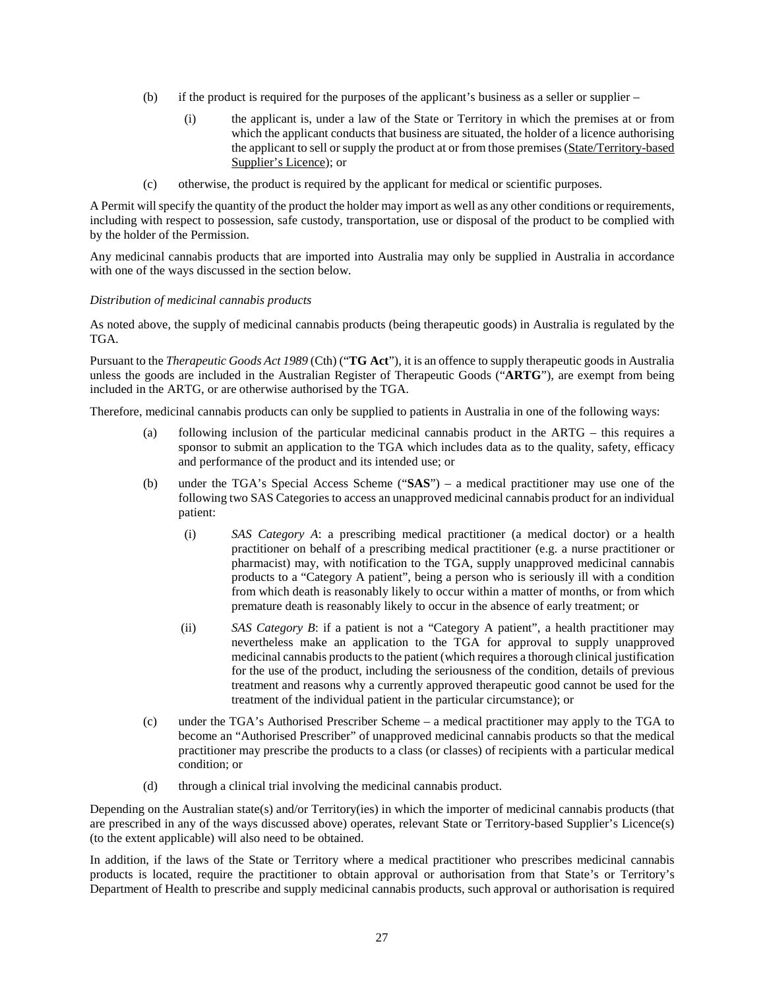- (b) if the product is required for the purposes of the applicant's business as a seller or supplier
	- (i) the applicant is, under a law of the State or Territory in which the premises at or from which the applicant conducts that business are situated, the holder of a licence authorising the applicant to sell or supply the product at or from those premises (State/Territory-based Supplier's Licence); or
- (c) otherwise, the product is required by the applicant for medical or scientific purposes.

A Permit will specify the quantity of the product the holder may import as well as any other conditions or requirements, including with respect to possession, safe custody, transportation, use or disposal of the product to be complied with by the holder of the Permission.

Any medicinal cannabis products that are imported into Australia may only be supplied in Australia in accordance with one of the ways discussed in the section below.

## *Distribution of medicinal cannabis products*

As noted above, the supply of medicinal cannabis products (being therapeutic goods) in Australia is regulated by the TGA.

Pursuant to the *Therapeutic Goods Act 1989* (Cth) ("**TG Act**"), it is an offence to supply therapeutic goods in Australia unless the goods are included in the Australian Register of Therapeutic Goods ("**ARTG**"), are exempt from being included in the ARTG, or are otherwise authorised by the TGA.

Therefore, medicinal cannabis products can only be supplied to patients in Australia in one of the following ways:

- (a) following inclusion of the particular medicinal cannabis product in the ARTG this requires a sponsor to submit an application to the TGA which includes data as to the quality, safety, efficacy and performance of the product and its intended use; or
- (b) under the TGA's Special Access Scheme ("**SAS**") a medical practitioner may use one of the following two SAS Categories to access an unapproved medicinal cannabis product for an individual patient:
	- (i) *SAS Category A*: a prescribing medical practitioner (a medical doctor) or a health practitioner on behalf of a prescribing medical practitioner (e.g. a nurse practitioner or pharmacist) may, with notification to the TGA, supply unapproved medicinal cannabis products to a "Category A patient", being a person who is seriously ill with a condition from which death is reasonably likely to occur within a matter of months, or from which premature death is reasonably likely to occur in the absence of early treatment; or
	- (ii) *SAS Category B*: if a patient is not a "Category A patient", a health practitioner may nevertheless make an application to the TGA for approval to supply unapproved medicinal cannabis products to the patient (which requires a thorough clinical justification for the use of the product, including the seriousness of the condition, details of previous treatment and reasons why a currently approved therapeutic good cannot be used for the treatment of the individual patient in the particular circumstance); or
- (c) under the TGA's Authorised Prescriber Scheme a medical practitioner may apply to the TGA to become an "Authorised Prescriber" of unapproved medicinal cannabis products so that the medical practitioner may prescribe the products to a class (or classes) of recipients with a particular medical condition; or
- (d) through a clinical trial involving the medicinal cannabis product.

Depending on the Australian state(s) and/or Territory(ies) in which the importer of medicinal cannabis products (that are prescribed in any of the ways discussed above) operates, relevant State or Territory-based Supplier's Licence(s) (to the extent applicable) will also need to be obtained.

In addition, if the laws of the State or Territory where a medical practitioner who prescribes medicinal cannabis products is located, require the practitioner to obtain approval or authorisation from that State's or Territory's Department of Health to prescribe and supply medicinal cannabis products, such approval or authorisation is required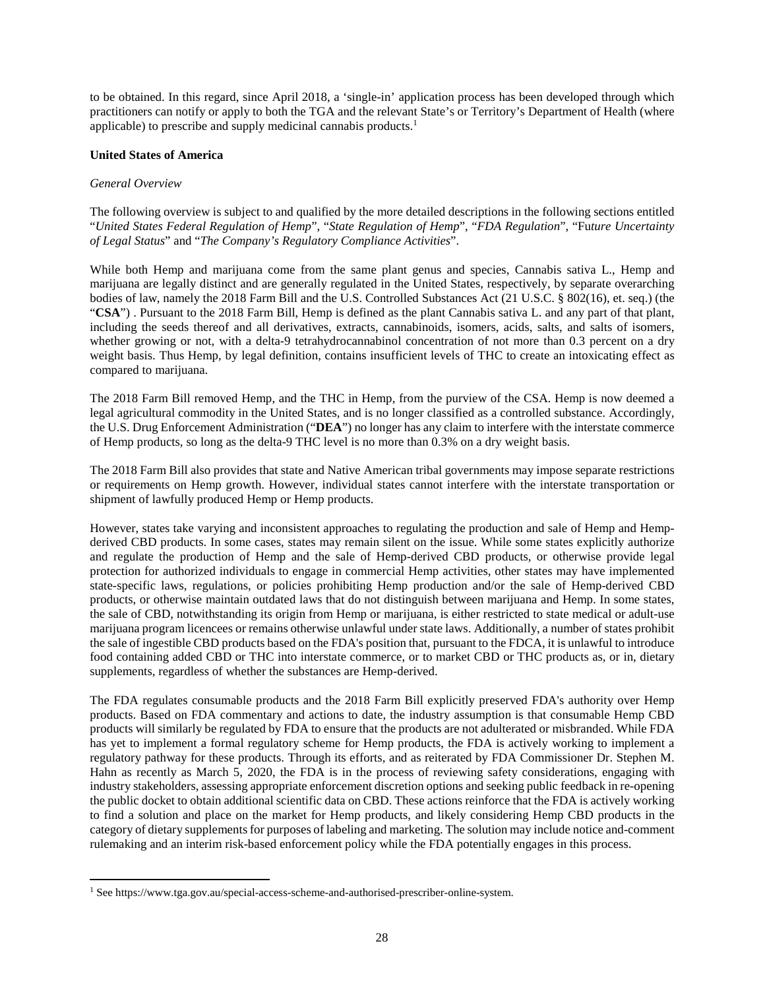to be obtained. In this regard, since April 2018, a 'single-in' application process has been developed through which practitioners can notify or apply to both the TGA and the relevant State's or Territory's Department of Health (where applicable) to prescribe and supply medicinal cannabis products.<sup>1</sup>

### **United States of America**

#### *General Overview*

The following overview is subject to and qualified by the more detailed descriptions in the following sections entitled "*United States Federal Regulation of Hemp*", "*State Regulation of Hemp*", "*FDA Regulation*", "Fu*ture Uncertainty of Legal Status*" and "*The Company's Regulatory Compliance Activities*".

While both Hemp and marijuana come from the same plant genus and species, Cannabis sativa L., Hemp and marijuana are legally distinct and are generally regulated in the United States, respectively, by separate overarching bodies of law, namely the 2018 Farm Bill and the U.S. Controlled Substances Act (21 U.S.C. § 802(16), et. seq.) (the "**CSA**") . Pursuant to the 2018 Farm Bill, Hemp is defined as the plant Cannabis sativa L. and any part of that plant, including the seeds thereof and all derivatives, extracts, cannabinoids, isomers, acids, salts, and salts of isomers, whether growing or not, with a delta-9 tetrahydrocannabinol concentration of not more than 0.3 percent on a dry weight basis. Thus Hemp, by legal definition, contains insufficient levels of THC to create an intoxicating effect as compared to marijuana.

The 2018 Farm Bill removed Hemp, and the THC in Hemp, from the purview of the CSA. Hemp is now deemed a legal agricultural commodity in the United States, and is no longer classified as a controlled substance. Accordingly, the U.S. Drug Enforcement Administration ("**DEA**") no longer has any claim to interfere with the interstate commerce of Hemp products, so long as the delta-9 THC level is no more than 0.3% on a dry weight basis.

The 2018 Farm Bill also provides that state and Native American tribal governments may impose separate restrictions or requirements on Hemp growth. However, individual states cannot interfere with the interstate transportation or shipment of lawfully produced Hemp or Hemp products.

However, states take varying and inconsistent approaches to regulating the production and sale of Hemp and Hempderived CBD products. In some cases, states may remain silent on the issue. While some states explicitly authorize and regulate the production of Hemp and the sale of Hemp-derived CBD products, or otherwise provide legal protection for authorized individuals to engage in commercial Hemp activities, other states may have implemented state-specific laws, regulations, or policies prohibiting Hemp production and/or the sale of Hemp-derived CBD products, or otherwise maintain outdated laws that do not distinguish between marijuana and Hemp. In some states, the sale of CBD, notwithstanding its origin from Hemp or marijuana, is either restricted to state medical or adult-use marijuana program licencees or remains otherwise unlawful under state laws. Additionally, a number of states prohibit the sale of ingestible CBD products based on the FDA's position that, pursuant to the FDCA, it is unlawful to introduce food containing added CBD or THC into interstate commerce, or to market CBD or THC products as, or in, dietary supplements, regardless of whether the substances are Hemp-derived.

The FDA regulates consumable products and the 2018 Farm Bill explicitly preserved FDA's authority over Hemp products. Based on FDA commentary and actions to date, the industry assumption is that consumable Hemp CBD products will similarly be regulated by FDA to ensure that the products are not adulterated or misbranded. While FDA has yet to implement a formal regulatory scheme for Hemp products, the FDA is actively working to implement a regulatory pathway for these products. Through its efforts, and as reiterated by FDA Commissioner Dr. Stephen M. Hahn as recently as March 5, 2020, the FDA is in the process of reviewing safety considerations, engaging with industry stakeholders, assessing appropriate enforcement discretion options and seeking public feedback in re-opening the public docket to obtain additional scientific data on CBD. These actions reinforce that the FDA is actively working to find a solution and place on the market for Hemp products, and likely considering Hemp CBD products in the category of dietary supplements for purposes of labeling and marketing. The solution may include notice and-comment rulemaking and an interim risk-based enforcement policy while the FDA potentially engages in this process.

<sup>1</sup> See https://www.tga.gov.au/special-access-scheme-and-authorised-prescriber-online-system.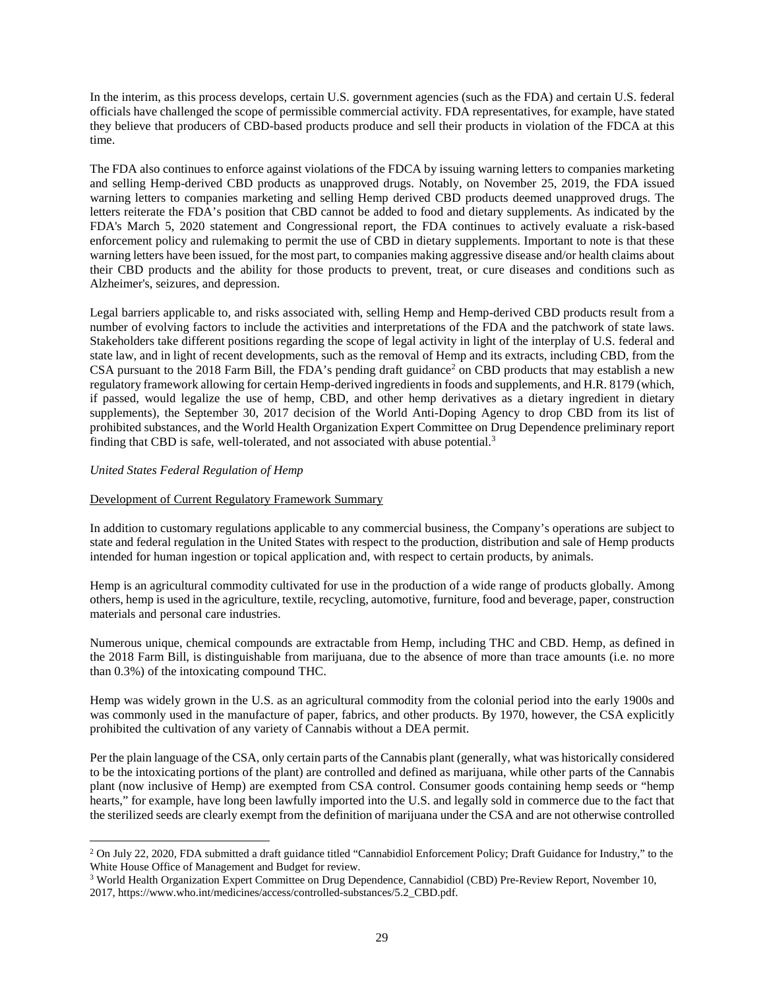In the interim, as this process develops, certain U.S. government agencies (such as the FDA) and certain U.S. federal officials have challenged the scope of permissible commercial activity. FDA representatives, for example, have stated they believe that producers of CBD-based products produce and sell their products in violation of the FDCA at this time.

The FDA also continues to enforce against violations of the FDCA by issuing warning letters to companies marketing and selling Hemp-derived CBD products as unapproved drugs. Notably, on November 25, 2019, the FDA issued warning letters to companies marketing and selling Hemp derived CBD products deemed unapproved drugs. The letters reiterate the FDA's position that CBD cannot be added to food and dietary supplements. As indicated by the FDA's March 5, 2020 statement and Congressional report, the FDA continues to actively evaluate a risk-based enforcement policy and rulemaking to permit the use of CBD in dietary supplements. Important to note is that these warning letters have been issued, for the most part, to companies making aggressive disease and/or health claims about their CBD products and the ability for those products to prevent, treat, or cure diseases and conditions such as Alzheimer's, seizures, and depression.

Legal barriers applicable to, and risks associated with, selling Hemp and Hemp-derived CBD products result from a number of evolving factors to include the activities and interpretations of the FDA and the patchwork of state laws. Stakeholders take different positions regarding the scope of legal activity in light of the interplay of U.S. federal and state law, and in light of recent developments, such as the removal of Hemp and its extracts, including CBD, from the CSA pursuant to the 2018 Farm Bill, the FDA's pending draft guidance<sup>2</sup> on CBD products that may establish a new regulatory framework allowing for certain Hemp-derived ingredients in foods and supplements, and H.R. 8179 (which, if passed, would legalize the use of hemp, CBD, and other hemp derivatives as a dietary ingredient in dietary supplements), the September 30, 2017 decision of the World Anti-Doping Agency to drop CBD from its list of prohibited substances, and the World Health Organization Expert Committee on Drug Dependence preliminary report finding that CBD is safe, well-tolerated, and not associated with abuse potential.<sup>3</sup>

# *United States Federal Regulation of Hemp*

# Development of Current Regulatory Framework Summary

In addition to customary regulations applicable to any commercial business, the Company's operations are subject to state and federal regulation in the United States with respect to the production, distribution and sale of Hemp products intended for human ingestion or topical application and, with respect to certain products, by animals.

Hemp is an agricultural commodity cultivated for use in the production of a wide range of products globally. Among others, hemp is used in the agriculture, textile, recycling, automotive, furniture, food and beverage, paper, construction materials and personal care industries.

Numerous unique, chemical compounds are extractable from Hemp, including THC and CBD. Hemp, as defined in the 2018 Farm Bill, is distinguishable from marijuana, due to the absence of more than trace amounts (i.e. no more than 0.3%) of the intoxicating compound THC.

Hemp was widely grown in the U.S. as an agricultural commodity from the colonial period into the early 1900s and was commonly used in the manufacture of paper, fabrics, and other products. By 1970, however, the CSA explicitly prohibited the cultivation of any variety of Cannabis without a DEA permit.

Per the plain language of the CSA, only certain parts of the Cannabis plant (generally, what was historically considered to be the intoxicating portions of the plant) are controlled and defined as marijuana, while other parts of the Cannabis plant (now inclusive of Hemp) are exempted from CSA control. Consumer goods containing hemp seeds or "hemp hearts," for example, have long been lawfully imported into the U.S. and legally sold in commerce due to the fact that the sterilized seeds are clearly exempt from the definition of marijuana under the CSA and are not otherwise controlled

<sup>&</sup>lt;sup>2</sup> On July 22, 2020, FDA submitted a draft guidance titled "Cannabidiol Enforcement Policy; Draft Guidance for Industry," to the White House Office of Management and Budget for review.

<sup>&</sup>lt;sup>3</sup> World Health Organization Expert Committee on Drug Dependence, Cannabidiol (CBD) Pre-Review Report, November 10, 2017, https://www.who.int/medicines/access/controlled-substances/5.2\_CBD.pdf.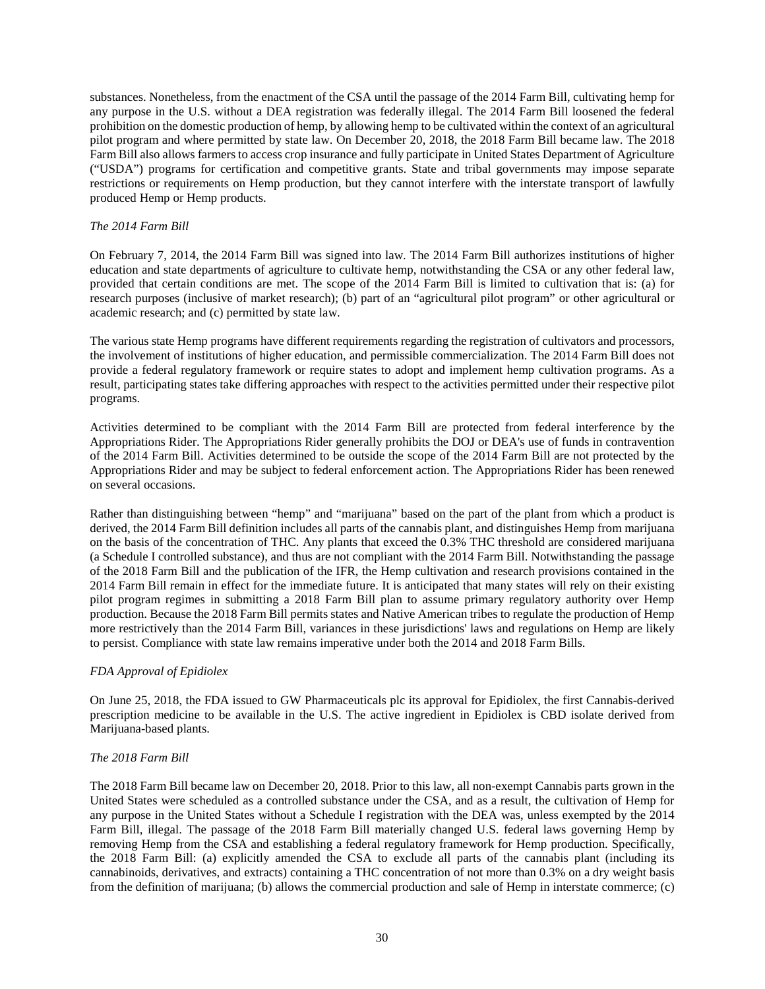substances. Nonetheless, from the enactment of the CSA until the passage of the 2014 Farm Bill, cultivating hemp for any purpose in the U.S. without a DEA registration was federally illegal. The 2014 Farm Bill loosened the federal prohibition on the domestic production of hemp, by allowing hemp to be cultivated within the context of an agricultural pilot program and where permitted by state law. On December 20, 2018, the 2018 Farm Bill became law. The 2018 Farm Bill also allows farmers to access crop insurance and fully participate in United States Department of Agriculture ("USDA") programs for certification and competitive grants. State and tribal governments may impose separate restrictions or requirements on Hemp production, but they cannot interfere with the interstate transport of lawfully produced Hemp or Hemp products.

# *The 2014 Farm Bill*

On February 7, 2014, the 2014 Farm Bill was signed into law. The 2014 Farm Bill authorizes institutions of higher education and state departments of agriculture to cultivate hemp, notwithstanding the CSA or any other federal law, provided that certain conditions are met. The scope of the 2014 Farm Bill is limited to cultivation that is: (a) for research purposes (inclusive of market research); (b) part of an "agricultural pilot program" or other agricultural or academic research; and (c) permitted by state law.

The various state Hemp programs have different requirements regarding the registration of cultivators and processors, the involvement of institutions of higher education, and permissible commercialization. The 2014 Farm Bill does not provide a federal regulatory framework or require states to adopt and implement hemp cultivation programs. As a result, participating states take differing approaches with respect to the activities permitted under their respective pilot programs.

Activities determined to be compliant with the 2014 Farm Bill are protected from federal interference by the Appropriations Rider. The Appropriations Rider generally prohibits the DOJ or DEA's use of funds in contravention of the 2014 Farm Bill. Activities determined to be outside the scope of the 2014 Farm Bill are not protected by the Appropriations Rider and may be subject to federal enforcement action. The Appropriations Rider has been renewed on several occasions.

Rather than distinguishing between "hemp" and "marijuana" based on the part of the plant from which a product is derived, the 2014 Farm Bill definition includes all parts of the cannabis plant, and distinguishes Hemp from marijuana on the basis of the concentration of THC. Any plants that exceed the 0.3% THC threshold are considered marijuana (a Schedule I controlled substance), and thus are not compliant with the 2014 Farm Bill. Notwithstanding the passage of the 2018 Farm Bill and the publication of the IFR, the Hemp cultivation and research provisions contained in the 2014 Farm Bill remain in effect for the immediate future. It is anticipated that many states will rely on their existing pilot program regimes in submitting a 2018 Farm Bill plan to assume primary regulatory authority over Hemp production. Because the 2018 Farm Bill permits states and Native American tribes to regulate the production of Hemp more restrictively than the 2014 Farm Bill, variances in these jurisdictions' laws and regulations on Hemp are likely to persist. Compliance with state law remains imperative under both the 2014 and 2018 Farm Bills.

# *FDA Approval of Epidiolex*

On June 25, 2018, the FDA issued to GW Pharmaceuticals plc its approval for Epidiolex, the first Cannabis-derived prescription medicine to be available in the U.S. The active ingredient in Epidiolex is CBD isolate derived from Marijuana-based plants.

# *The 2018 Farm Bill*

The 2018 Farm Bill became law on December 20, 2018. Prior to this law, all non-exempt Cannabis parts grown in the United States were scheduled as a controlled substance under the CSA, and as a result, the cultivation of Hemp for any purpose in the United States without a Schedule I registration with the DEA was, unless exempted by the 2014 Farm Bill, illegal. The passage of the 2018 Farm Bill materially changed U.S. federal laws governing Hemp by removing Hemp from the CSA and establishing a federal regulatory framework for Hemp production. Specifically, the 2018 Farm Bill: (a) explicitly amended the CSA to exclude all parts of the cannabis plant (including its cannabinoids, derivatives, and extracts) containing a THC concentration of not more than 0.3% on a dry weight basis from the definition of marijuana; (b) allows the commercial production and sale of Hemp in interstate commerce; (c)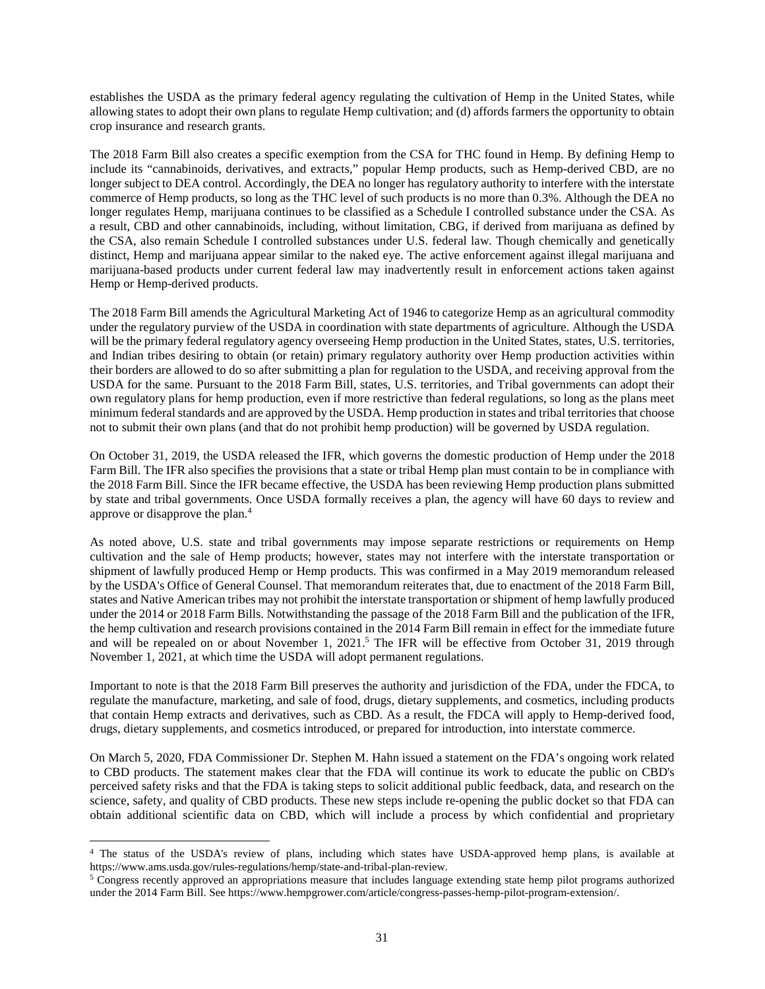establishes the USDA as the primary federal agency regulating the cultivation of Hemp in the United States, while allowing states to adopt their own plans to regulate Hemp cultivation; and (d) affords farmers the opportunity to obtain crop insurance and research grants.

The 2018 Farm Bill also creates a specific exemption from the CSA for THC found in Hemp. By defining Hemp to include its "cannabinoids, derivatives, and extracts," popular Hemp products, such as Hemp-derived CBD, are no longer subject to DEA control. Accordingly, the DEA no longer has regulatory authority to interfere with the interstate commerce of Hemp products, so long as the THC level of such products is no more than 0.3%. Although the DEA no longer regulates Hemp, marijuana continues to be classified as a Schedule I controlled substance under the CSA. As a result, CBD and other cannabinoids, including, without limitation, CBG, if derived from marijuana as defined by the CSA, also remain Schedule I controlled substances under U.S. federal law. Though chemically and genetically distinct, Hemp and marijuana appear similar to the naked eye. The active enforcement against illegal marijuana and marijuana-based products under current federal law may inadvertently result in enforcement actions taken against Hemp or Hemp-derived products.

The 2018 Farm Bill amends the Agricultural Marketing Act of 1946 to categorize Hemp as an agricultural commodity under the regulatory purview of the USDA in coordination with state departments of agriculture. Although the USDA will be the primary federal regulatory agency overseeing Hemp production in the United States, states, U.S. territories, and Indian tribes desiring to obtain (or retain) primary regulatory authority over Hemp production activities within their borders are allowed to do so after submitting a plan for regulation to the USDA, and receiving approval from the USDA for the same. Pursuant to the 2018 Farm Bill, states, U.S. territories, and Tribal governments can adopt their own regulatory plans for hemp production, even if more restrictive than federal regulations, so long as the plans meet minimum federal standards and are approved by the USDA. Hemp production in states and tribal territories that choose not to submit their own plans (and that do not prohibit hemp production) will be governed by USDA regulation.

On October 31, 2019, the USDA released the IFR, which governs the domestic production of Hemp under the 2018 Farm Bill. The IFR also specifies the provisions that a state or tribal Hemp plan must contain to be in compliance with the 2018 Farm Bill. Since the IFR became effective, the USDA has been reviewing Hemp production plans submitted by state and tribal governments. Once USDA formally receives a plan, the agency will have 60 days to review and approve or disapprove the plan.<sup>4</sup>

As noted above, U.S. state and tribal governments may impose separate restrictions or requirements on Hemp cultivation and the sale of Hemp products; however, states may not interfere with the interstate transportation or shipment of lawfully produced Hemp or Hemp products. This was confirmed in a May 2019 memorandum released by the USDA's Office of General Counsel. That memorandum reiterates that, due to enactment of the 2018 Farm Bill, states and Native American tribes may not prohibit the interstate transportation or shipment of hemp lawfully produced under the 2014 or 2018 Farm Bills. Notwithstanding the passage of the 2018 Farm Bill and the publication of the IFR, the hemp cultivation and research provisions contained in the 2014 Farm Bill remain in effect for the immediate future and will be repealed on or about November 1,  $2021$ .<sup>5</sup> The IFR will be effective from October 31,  $2019$  through November 1, 2021, at which time the USDA will adopt permanent regulations.

Important to note is that the 2018 Farm Bill preserves the authority and jurisdiction of the FDA, under the FDCA, to regulate the manufacture, marketing, and sale of food, drugs, dietary supplements, and cosmetics, including products that contain Hemp extracts and derivatives, such as CBD. As a result, the FDCA will apply to Hemp-derived food, drugs, dietary supplements, and cosmetics introduced, or prepared for introduction, into interstate commerce.

On March 5, 2020, FDA Commissioner Dr. Stephen M. Hahn issued a statement on the FDA's ongoing work related to CBD products. The statement makes clear that the FDA will continue its work to educate the public on CBD's perceived safety risks and that the FDA is taking steps to solicit additional public feedback, data, and research on the science, safety, and quality of CBD products. These new steps include re-opening the public docket so that FDA can obtain additional scientific data on CBD, which will include a process by which confidential and proprietary

<sup>4</sup> The status of the USDA's review of plans, including which states have USDA-approved hemp plans, is available at https://www.ams.usda.gov/rules-regulations/hemp/state-and-tribal-plan-review.

<sup>&</sup>lt;sup>5</sup> Congress recently approved an appropriations measure that includes language extending state hemp pilot programs authorized under the 2014 Farm Bill. See https://www.hempgrower.com/article/congress-passes-hemp-pilot-program-extension/.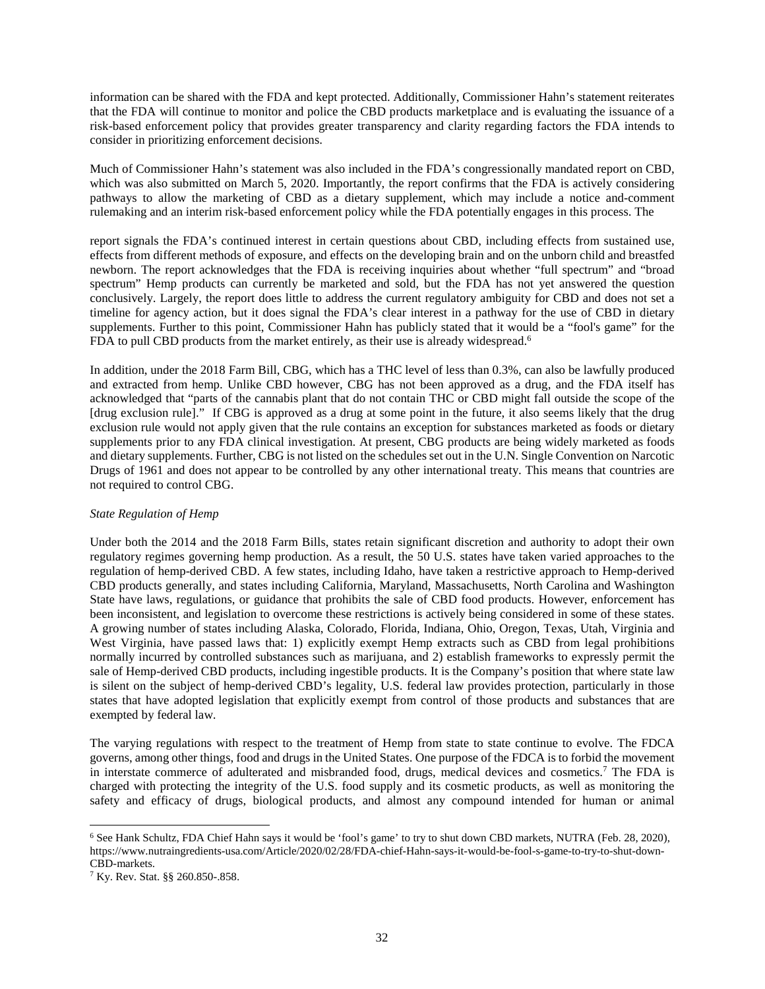information can be shared with the FDA and kept protected. Additionally, Commissioner Hahn's statement reiterates that the FDA will continue to monitor and police the CBD products marketplace and is evaluating the issuance of a risk-based enforcement policy that provides greater transparency and clarity regarding factors the FDA intends to consider in prioritizing enforcement decisions.

Much of Commissioner Hahn's statement was also included in the FDA's congressionally mandated report on CBD, which was also submitted on March 5, 2020. Importantly, the report confirms that the FDA is actively considering pathways to allow the marketing of CBD as a dietary supplement, which may include a notice and-comment rulemaking and an interim risk-based enforcement policy while the FDA potentially engages in this process. The

report signals the FDA's continued interest in certain questions about CBD, including effects from sustained use, effects from different methods of exposure, and effects on the developing brain and on the unborn child and breastfed newborn. The report acknowledges that the FDA is receiving inquiries about whether "full spectrum" and "broad spectrum" Hemp products can currently be marketed and sold, but the FDA has not yet answered the question conclusively. Largely, the report does little to address the current regulatory ambiguity for CBD and does not set a timeline for agency action, but it does signal the FDA's clear interest in a pathway for the use of CBD in dietary supplements. Further to this point, Commissioner Hahn has publicly stated that it would be a "fool's game" for the FDA to pull CBD products from the market entirely, as their use is already widespread.<sup>6</sup>

In addition, under the 2018 Farm Bill, CBG, which has a THC level of less than 0.3%, can also be lawfully produced and extracted from hemp. Unlike CBD however, CBG has not been approved as a drug, and the FDA itself has acknowledged that "parts of the cannabis plant that do not contain THC or CBD might fall outside the scope of the [drug exclusion rule]." If CBG is approved as a drug at some point in the future, it also seems likely that the drug exclusion rule would not apply given that the rule contains an exception for substances marketed as foods or dietary supplements prior to any FDA clinical investigation. At present, CBG products are being widely marketed as foods and dietary supplements. Further, CBG is not listed on the schedules set out in the U.N. Single Convention on Narcotic Drugs of 1961 and does not appear to be controlled by any other international treaty. This means that countries are not required to control CBG.

# *State Regulation of Hemp*

Under both the 2014 and the 2018 Farm Bills, states retain significant discretion and authority to adopt their own regulatory regimes governing hemp production. As a result, the 50 U.S. states have taken varied approaches to the regulation of hemp-derived CBD. A few states, including Idaho, have taken a restrictive approach to Hemp-derived CBD products generally, and states including California, Maryland, Massachusetts, North Carolina and Washington State have laws, regulations, or guidance that prohibits the sale of CBD food products. However, enforcement has been inconsistent, and legislation to overcome these restrictions is actively being considered in some of these states. A growing number of states including Alaska, Colorado, Florida, Indiana, Ohio, Oregon, Texas, Utah, Virginia and West Virginia, have passed laws that: 1) explicitly exempt Hemp extracts such as CBD from legal prohibitions normally incurred by controlled substances such as marijuana, and 2) establish frameworks to expressly permit the sale of Hemp-derived CBD products, including ingestible products. It is the Company's position that where state law is silent on the subject of hemp-derived CBD's legality, U.S. federal law provides protection, particularly in those states that have adopted legislation that explicitly exempt from control of those products and substances that are exempted by federal law.

The varying regulations with respect to the treatment of Hemp from state to state continue to evolve. The FDCA governs, among other things, food and drugs in the United States. One purpose of the FDCA is to forbid the movement in interstate commerce of adulterated and misbranded food, drugs, medical devices and cosmetics.<sup>7</sup> The FDA is charged with protecting the integrity of the U.S. food supply and its cosmetic products, as well as monitoring the safety and efficacy of drugs, biological products, and almost any compound intended for human or animal

<sup>6</sup> See Hank Schultz, FDA Chief Hahn says it would be 'fool's game' to try to shut down CBD markets, NUTRA (Feb. 28, 2020), https://www.nutraingredients-usa.com/Article/2020/02/28/FDA-chief-Hahn-says-it-would-be-fool-s-game-to-try-to-shut-down-CBD-markets.

<sup>7</sup> Ky. Rev. Stat. §§ 260.850-.858.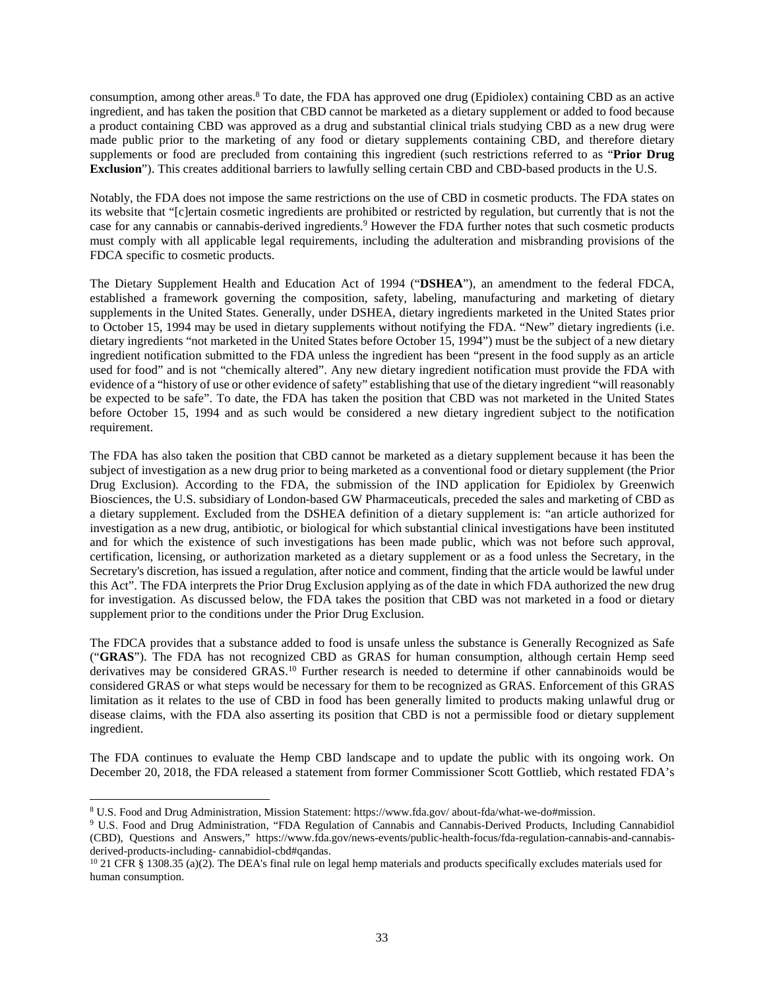consumption, among other areas.<sup>8</sup> To date, the FDA has approved one drug (Epidiolex) containing CBD as an active ingredient, and has taken the position that CBD cannot be marketed as a dietary supplement or added to food because a product containing CBD was approved as a drug and substantial clinical trials studying CBD as a new drug were made public prior to the marketing of any food or dietary supplements containing CBD, and therefore dietary supplements or food are precluded from containing this ingredient (such restrictions referred to as "**Prior Drug Exclusion**"). This creates additional barriers to lawfully selling certain CBD and CBD-based products in the U.S.

Notably, the FDA does not impose the same restrictions on the use of CBD in cosmetic products. The FDA states on its website that "[c]ertain cosmetic ingredients are prohibited or restricted by regulation, but currently that is not the case for any cannabis or cannabis-derived ingredients.<sup>9</sup> However the FDA further notes that such cosmetic products must comply with all applicable legal requirements, including the adulteration and misbranding provisions of the FDCA specific to cosmetic products.

The Dietary Supplement Health and Education Act of 1994 ("**DSHEA**"), an amendment to the federal FDCA, established a framework governing the composition, safety, labeling, manufacturing and marketing of dietary supplements in the United States. Generally, under DSHEA, dietary ingredients marketed in the United States prior to October 15, 1994 may be used in dietary supplements without notifying the FDA. "New" dietary ingredients (i.e. dietary ingredients "not marketed in the United States before October 15, 1994") must be the subject of a new dietary ingredient notification submitted to the FDA unless the ingredient has been "present in the food supply as an article used for food" and is not "chemically altered". Any new dietary ingredient notification must provide the FDA with evidence of a "history of use or other evidence of safety" establishing that use of the dietary ingredient "will reasonably be expected to be safe". To date, the FDA has taken the position that CBD was not marketed in the United States before October 15, 1994 and as such would be considered a new dietary ingredient subject to the notification requirement.

The FDA has also taken the position that CBD cannot be marketed as a dietary supplement because it has been the subject of investigation as a new drug prior to being marketed as a conventional food or dietary supplement (the Prior Drug Exclusion). According to the FDA, the submission of the IND application for Epidiolex by Greenwich Biosciences, the U.S. subsidiary of London-based GW Pharmaceuticals, preceded the sales and marketing of CBD as a dietary supplement. Excluded from the DSHEA definition of a dietary supplement is: "an article authorized for investigation as a new drug, antibiotic, or biological for which substantial clinical investigations have been instituted and for which the existence of such investigations has been made public, which was not before such approval, certification, licensing, or authorization marketed as a dietary supplement or as a food unless the Secretary, in the Secretary's discretion, has issued a regulation, after notice and comment, finding that the article would be lawful under this Act". The FDA interprets the Prior Drug Exclusion applying as of the date in which FDA authorized the new drug for investigation. As discussed below, the FDA takes the position that CBD was not marketed in a food or dietary supplement prior to the conditions under the Prior Drug Exclusion.

The FDCA provides that a substance added to food is unsafe unless the substance is Generally Recognized as Safe ("**GRAS**"). The FDA has not recognized CBD as GRAS for human consumption, although certain Hemp seed derivatives may be considered GRAS.<sup>10</sup> Further research is needed to determine if other cannabinoids would be considered GRAS or what steps would be necessary for them to be recognized as GRAS. Enforcement of this GRAS limitation as it relates to the use of CBD in food has been generally limited to products making unlawful drug or disease claims, with the FDA also asserting its position that CBD is not a permissible food or dietary supplement ingredient.

The FDA continues to evaluate the Hemp CBD landscape and to update the public with its ongoing work. On December 20, 2018, the FDA released a statement from former Commissioner Scott Gottlieb, which restated FDA's

<sup>8</sup> U.S. Food and Drug Administration, Mission Statement: https://www.fda.gov/ about-fda/what-we-do#mission.

<sup>&</sup>lt;sup>9</sup> U.S. Food and Drug Administration, "FDA Regulation of Cannabis and Cannabis-Derived Products, Including Cannabidiol (CBD), Questions and Answers," https://www.fda.gov/news-events/public-health-focus/fda-regulation-cannabis-and-cannabisderived-products-including- cannabidiol-cbd#qandas.

<sup>&</sup>lt;sup>10</sup> 21 CFR § 1308.35 (a)(2). The DEA's final rule on legal hemp materials and products specifically excludes materials used for human consumption.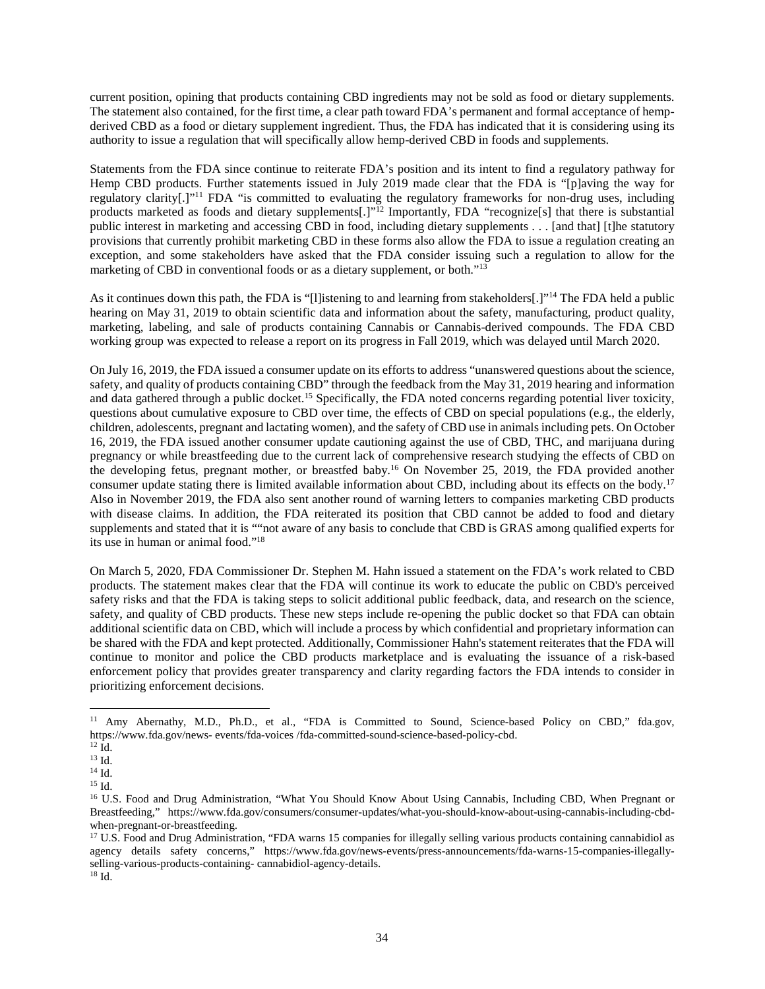current position, opining that products containing CBD ingredients may not be sold as food or dietary supplements. The statement also contained, for the first time, a clear path toward FDA's permanent and formal acceptance of hempderived CBD as a food or dietary supplement ingredient. Thus, the FDA has indicated that it is considering using its authority to issue a regulation that will specifically allow hemp-derived CBD in foods and supplements.

Statements from the FDA since continue to reiterate FDA's position and its intent to find a regulatory pathway for Hemp CBD products. Further statements issued in July 2019 made clear that the FDA is "[p]aving the way for regulatory clarity[.]"<sup>11</sup> FDA "is committed to evaluating the regulatory frameworks for non-drug uses, including products marketed as foods and dietary supplements[.]"<sup>12</sup> Importantly, FDA "recognize[s] that there is substantial public interest in marketing and accessing CBD in food, including dietary supplements . . . [and that] [t]he statutory provisions that currently prohibit marketing CBD in these forms also allow the FDA to issue a regulation creating an exception, and some stakeholders have asked that the FDA consider issuing such a regulation to allow for the marketing of CBD in conventional foods or as a dietary supplement, or both."<sup>13</sup>

As it continues down this path, the FDA is "[l]istening to and learning from stakeholders[.]"<sup>14</sup> The FDA held a public hearing on May 31, 2019 to obtain scientific data and information about the safety, manufacturing, product quality, marketing, labeling, and sale of products containing Cannabis or Cannabis-derived compounds. The FDA CBD working group was expected to release a report on its progress in Fall 2019, which was delayed until March 2020.

On July 16, 2019, the FDA issued a consumer update on its efforts to address "unanswered questions about the science, safety, and quality of products containing CBD" through the feedback from the May 31, 2019 hearing and information and data gathered through a public docket.<sup>15</sup> Specifically, the FDA noted concerns regarding potential liver toxicity, questions about cumulative exposure to CBD over time, the effects of CBD on special populations (e.g., the elderly, children, adolescents, pregnant and lactating women), and the safety of CBD use in animals including pets. On October 16, 2019, the FDA issued another consumer update cautioning against the use of CBD, THC, and marijuana during pregnancy or while breastfeeding due to the current lack of comprehensive research studying the effects of CBD on the developing fetus, pregnant mother, or breastfed baby.<sup>16</sup> On November 25, 2019, the FDA provided another consumer update stating there is limited available information about CBD, including about its effects on the body.<sup>17</sup> Also in November 2019, the FDA also sent another round of warning letters to companies marketing CBD products with disease claims. In addition, the FDA reiterated its position that CBD cannot be added to food and dietary supplements and stated that it is ""not aware of any basis to conclude that CBD is GRAS among qualified experts for its use in human or animal food."<sup>18</sup>

On March 5, 2020, FDA Commissioner Dr. Stephen M. Hahn issued a statement on the FDA's work related to CBD products. The statement makes clear that the FDA will continue its work to educate the public on CBD's perceived safety risks and that the FDA is taking steps to solicit additional public feedback, data, and research on the science, safety, and quality of CBD products. These new steps include re-opening the public docket so that FDA can obtain additional scientific data on CBD, which will include a process by which confidential and proprietary information can be shared with the FDA and kept protected. Additionally, Commissioner Hahn's statement reiterates that the FDA will continue to monitor and police the CBD products marketplace and is evaluating the issuance of a risk-based enforcement policy that provides greater transparency and clarity regarding factors the FDA intends to consider in prioritizing enforcement decisions.

<sup>&</sup>lt;sup>11</sup> Amy Abernathy, M.D., Ph.D., et al., "FDA is Committed to Sound, Science-based Policy on CBD," fda.gov, https://www.fda.gov/news- events/fda-voices /fda-committed-sound-science-based-policy-cbd.

 $^{12}$  Id.

<sup>13</sup> Id.

<sup>14</sup> Id.

<sup>15</sup> Id.

<sup>&</sup>lt;sup>16</sup> U.S. Food and Drug Administration, "What You Should Know About Using Cannabis, Including CBD, When Pregnant or Breastfeeding," https://www.fda.gov/consumers/consumer-updates/what-you-should-know-about-using-cannabis-including-cbdwhen-pregnant-or-breastfeeding.

 $17$  U.S. Food and Drug Administration, "FDA warns 15 companies for illegally selling various products containing cannabidiol as agency details safety concerns," https://www.fda.gov/news-events/press-announcements/fda-warns-15-companies-illegallyselling-various-products-containing- cannabidiol-agency-details.

 $^{18}$  Id.  $\,$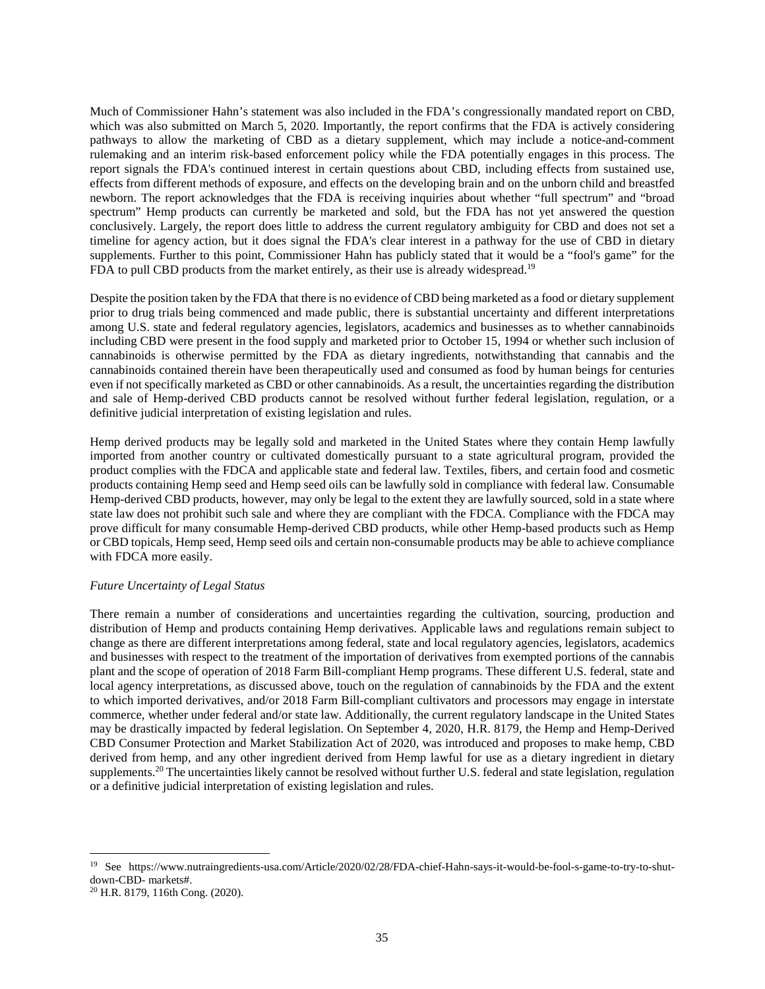Much of Commissioner Hahn's statement was also included in the FDA's congressionally mandated report on CBD, which was also submitted on March 5, 2020. Importantly, the report confirms that the FDA is actively considering pathways to allow the marketing of CBD as a dietary supplement, which may include a notice-and-comment rulemaking and an interim risk-based enforcement policy while the FDA potentially engages in this process. The report signals the FDA's continued interest in certain questions about CBD, including effects from sustained use, effects from different methods of exposure, and effects on the developing brain and on the unborn child and breastfed newborn. The report acknowledges that the FDA is receiving inquiries about whether "full spectrum" and "broad spectrum" Hemp products can currently be marketed and sold, but the FDA has not yet answered the question conclusively. Largely, the report does little to address the current regulatory ambiguity for CBD and does not set a timeline for agency action, but it does signal the FDA's clear interest in a pathway for the use of CBD in dietary supplements. Further to this point, Commissioner Hahn has publicly stated that it would be a "fool's game" for the FDA to pull CBD products from the market entirely, as their use is already widespread.<sup>19</sup>

Despite the position taken by the FDA that there is no evidence of CBD being marketed as a food or dietary supplement prior to drug trials being commenced and made public, there is substantial uncertainty and different interpretations among U.S. state and federal regulatory agencies, legislators, academics and businesses as to whether cannabinoids including CBD were present in the food supply and marketed prior to October 15, 1994 or whether such inclusion of cannabinoids is otherwise permitted by the FDA as dietary ingredients, notwithstanding that cannabis and the cannabinoids contained therein have been therapeutically used and consumed as food by human beings for centuries even if not specifically marketed as CBD or other cannabinoids. As a result, the uncertainties regarding the distribution and sale of Hemp-derived CBD products cannot be resolved without further federal legislation, regulation, or a definitive judicial interpretation of existing legislation and rules.

Hemp derived products may be legally sold and marketed in the United States where they contain Hemp lawfully imported from another country or cultivated domestically pursuant to a state agricultural program, provided the product complies with the FDCA and applicable state and federal law. Textiles, fibers, and certain food and cosmetic products containing Hemp seed and Hemp seed oils can be lawfully sold in compliance with federal law. Consumable Hemp-derived CBD products, however, may only be legal to the extent they are lawfully sourced, sold in a state where state law does not prohibit such sale and where they are compliant with the FDCA. Compliance with the FDCA may prove difficult for many consumable Hemp-derived CBD products, while other Hemp-based products such as Hemp or CBD topicals, Hemp seed, Hemp seed oils and certain non-consumable products may be able to achieve compliance with FDCA more easily.

### *Future Uncertainty of Legal Status*

There remain a number of considerations and uncertainties regarding the cultivation, sourcing, production and distribution of Hemp and products containing Hemp derivatives. Applicable laws and regulations remain subject to change as there are different interpretations among federal, state and local regulatory agencies, legislators, academics and businesses with respect to the treatment of the importation of derivatives from exempted portions of the cannabis plant and the scope of operation of 2018 Farm Bill-compliant Hemp programs. These different U.S. federal, state and local agency interpretations, as discussed above, touch on the regulation of cannabinoids by the FDA and the extent to which imported derivatives, and/or 2018 Farm Bill-compliant cultivators and processors may engage in interstate commerce, whether under federal and/or state law. Additionally, the current regulatory landscape in the United States may be drastically impacted by federal legislation. On September 4, 2020, H.R. 8179, the Hemp and Hemp-Derived CBD Consumer Protection and Market Stabilization Act of 2020, was introduced and proposes to make hemp, CBD derived from hemp, and any other ingredient derived from Hemp lawful for use as a dietary ingredient in dietary supplements.<sup>20</sup> The uncertainties likely cannot be resolved without further U.S. federal and state legislation, regulation or a definitive judicial interpretation of existing legislation and rules.

<sup>19</sup> See https://www.nutraingredients-usa.com/Article/2020/02/28/FDA-chief-Hahn-says-it-would-be-fool-s-game-to-try-to-shutdown-CBD- markets#.

<sup>20</sup> H.R. 8179, 116th Cong. (2020).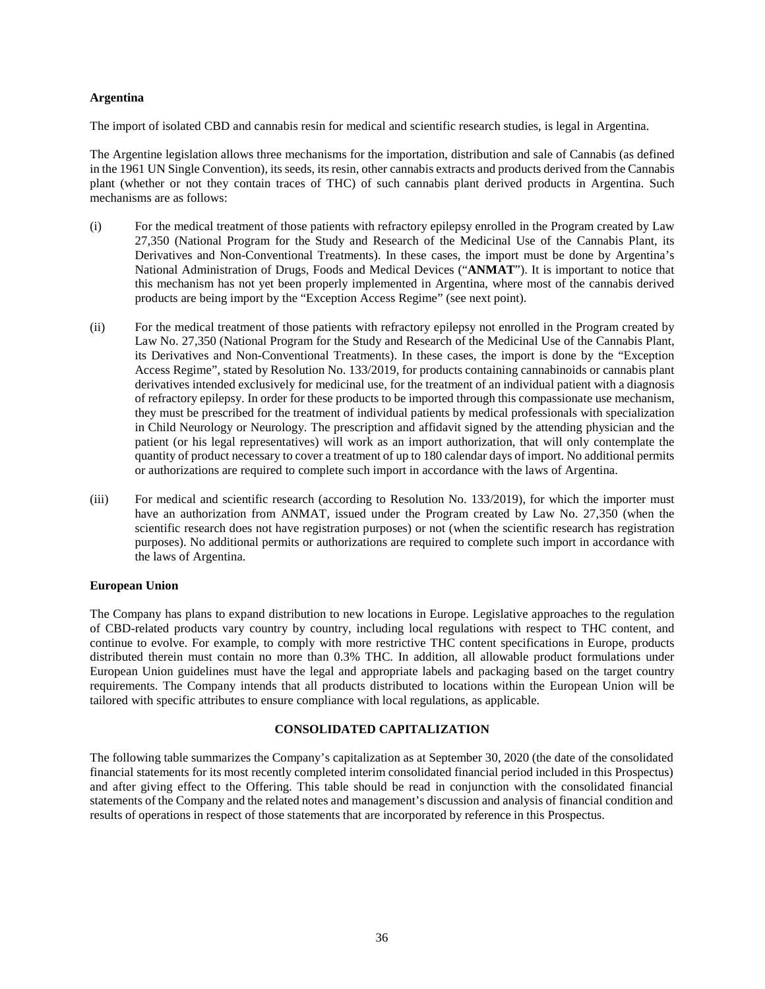### **Argentina**

The import of isolated CBD and cannabis resin for medical and scientific research studies, is legal in Argentina.

The Argentine legislation allows three mechanisms for the importation, distribution and sale of Cannabis (as defined in the 1961 UN Single Convention), its seeds, its resin, other cannabis extracts and products derived from the Cannabis plant (whether or not they contain traces of THC) of such cannabis plant derived products in Argentina. Such mechanisms are as follows:

- (i) For the medical treatment of those patients with refractory epilepsy enrolled in the Program created by Law 27,350 (National Program for the Study and Research of the Medicinal Use of the Cannabis Plant, its Derivatives and Non-Conventional Treatments). In these cases, the import must be done by Argentina's National Administration of Drugs, Foods and Medical Devices ("**ANMAT**"). It is important to notice that this mechanism has not yet been properly implemented in Argentina, where most of the cannabis derived products are being import by the "Exception Access Regime" (see next point).
- (ii) For the medical treatment of those patients with refractory epilepsy not enrolled in the Program created by Law No. 27,350 (National Program for the Study and Research of the Medicinal Use of the Cannabis Plant, its Derivatives and Non-Conventional Treatments). In these cases, the import is done by the "Exception Access Regime", stated by Resolution No. 133/2019, for products containing cannabinoids or cannabis plant derivatives intended exclusively for medicinal use, for the treatment of an individual patient with a diagnosis of refractory epilepsy. In order for these products to be imported through this compassionate use mechanism, they must be prescribed for the treatment of individual patients by medical professionals with specialization in Child Neurology or Neurology. The prescription and affidavit signed by the attending physician and the patient (or his legal representatives) will work as an import authorization, that will only contemplate the quantity of product necessary to cover a treatment of up to 180 calendar days of import. No additional permits or authorizations are required to complete such import in accordance with the laws of Argentina.
- (iii) For medical and scientific research (according to Resolution No. 133/2019), for which the importer must have an authorization from ANMAT, issued under the Program created by Law No. 27,350 (when the scientific research does not have registration purposes) or not (when the scientific research has registration purposes). No additional permits or authorizations are required to complete such import in accordance with the laws of Argentina.

# **European Union**

The Company has plans to expand distribution to new locations in Europe. Legislative approaches to the regulation of CBD-related products vary country by country, including local regulations with respect to THC content, and continue to evolve. For example, to comply with more restrictive THC content specifications in Europe, products distributed therein must contain no more than 0.3% THC. In addition, all allowable product formulations under European Union guidelines must have the legal and appropriate labels and packaging based on the target country requirements. The Company intends that all products distributed to locations within the European Union will be tailored with specific attributes to ensure compliance with local regulations, as applicable.

## **CONSOLIDATED CAPITALIZATION**

The following table summarizes the Company's capitalization as at September 30, 2020 (the date of the consolidated financial statements for its most recently completed interim consolidated financial period included in this Prospectus) and after giving effect to the Offering. This table should be read in conjunction with the consolidated financial statements of the Company and the related notes and management's discussion and analysis of financial condition and results of operations in respect of those statements that are incorporated by reference in this Prospectus.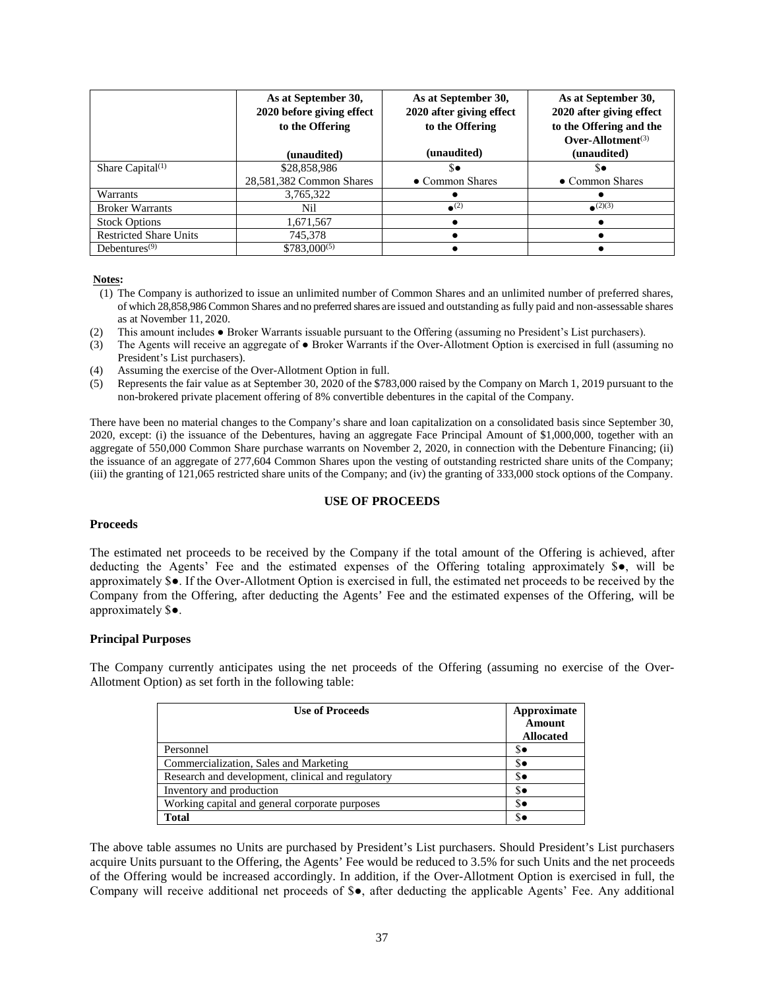|                               | As at September 30,<br>2020 before giving effect<br>to the Offering | As at September 30,<br>2020 after giving effect<br>to the Offering | As at September 30,<br>2020 after giving effect<br>to the Offering and the<br>Over-Allotment <sup><math>(3)</math></sup> |
|-------------------------------|---------------------------------------------------------------------|--------------------------------------------------------------------|--------------------------------------------------------------------------------------------------------------------------|
|                               | (unaudited)                                                         | (unaudited)                                                        | (unaudited)                                                                                                              |
| Share Capital $(1)$           | \$28,858,986                                                        | \$∙                                                                | s.                                                                                                                       |
|                               | 28,581,382 Common Shares                                            | • Common Shares                                                    | • Common Shares                                                                                                          |
| Warrants                      | 3,765,322                                                           |                                                                    |                                                                                                                          |
| <b>Broker Warrants</b>        | Nil                                                                 | $\bullet$ <sup>(2)</sup>                                           | $\bullet$ (2)(3)                                                                                                         |
| <b>Stock Options</b>          | 1,671,567                                                           |                                                                    |                                                                                                                          |
| <b>Restricted Share Units</b> | 745,378                                                             |                                                                    |                                                                                                                          |
| Debentures $(9)$              | $$783,000^{(5)}$                                                    |                                                                    |                                                                                                                          |

## **Notes:**

- (1) The Company is authorized to issue an unlimited number of Common Shares and an unlimited number of preferred shares, of which 28,858,986 Common Shares and no preferred shares are issued and outstanding as fully paid and non-assessable shares as at November 11, 2020.
- (2) This amount includes Broker Warrants issuable pursuant to the Offering (assuming no President's List purchasers).
- (3) The Agents will receive an aggregate of Broker Warrants if the Over-Allotment Option is exercised in full (assuming no President's List purchasers).
- (4) Assuming the exercise of the Over-Allotment Option in full.
- (5) Represents the fair value as at September 30, 2020 of the \$783,000 raised by the Company on March 1, 2019 pursuant to the non-brokered private placement offering of 8% convertible debentures in the capital of the Company.

There have been no material changes to the Company's share and loan capitalization on a consolidated basis since September 30, 2020, except: (i) the issuance of the Debentures, having an aggregate Face Principal Amount of \$1,000,000, together with an aggregate of 550,000 Common Share purchase warrants on November 2, 2020, in connection with the Debenture Financing; (ii) the issuance of an aggregate of 277,604 Common Shares upon the vesting of outstanding restricted share units of the Company; (iii) the granting of 121,065 restricted share units of the Company; and (iv) the granting of 333,000 stock options of the Company.

### **USE OF PROCEEDS**

### **Proceeds**

The estimated net proceeds to be received by the Company if the total amount of the Offering is achieved, after deducting the Agents' Fee and the estimated expenses of the Offering totaling approximately \$●, will be approximately \$●. If the Over-Allotment Option is exercised in full, the estimated net proceeds to be received by the Company from the Offering, after deducting the Agents' Fee and the estimated expenses of the Offering, will be approximately \$●.

### **Principal Purposes**

The Company currently anticipates using the net proceeds of the Offering (assuming no exercise of the Over-Allotment Option) as set forth in the following table:

| <b>Use of Proceeds</b>                            | Approximate<br>Amount<br><b>Allocated</b> |
|---------------------------------------------------|-------------------------------------------|
| Personnel                                         | \$∙                                       |
| Commercialization, Sales and Marketing            | \$.                                       |
| Research and development, clinical and regulatory | \$.                                       |
| Inventory and production                          | \$∙                                       |
| Working capital and general corporate purposes    | \$.                                       |
| Total                                             | \$e                                       |

The above table assumes no Units are purchased by President's List purchasers. Should President's List purchasers acquire Units pursuant to the Offering, the Agents' Fee would be reduced to 3.5% for such Units and the net proceeds of the Offering would be increased accordingly. In addition, if the Over-Allotment Option is exercised in full, the Company will receive additional net proceeds of \$●, after deducting the applicable Agents' Fee. Any additional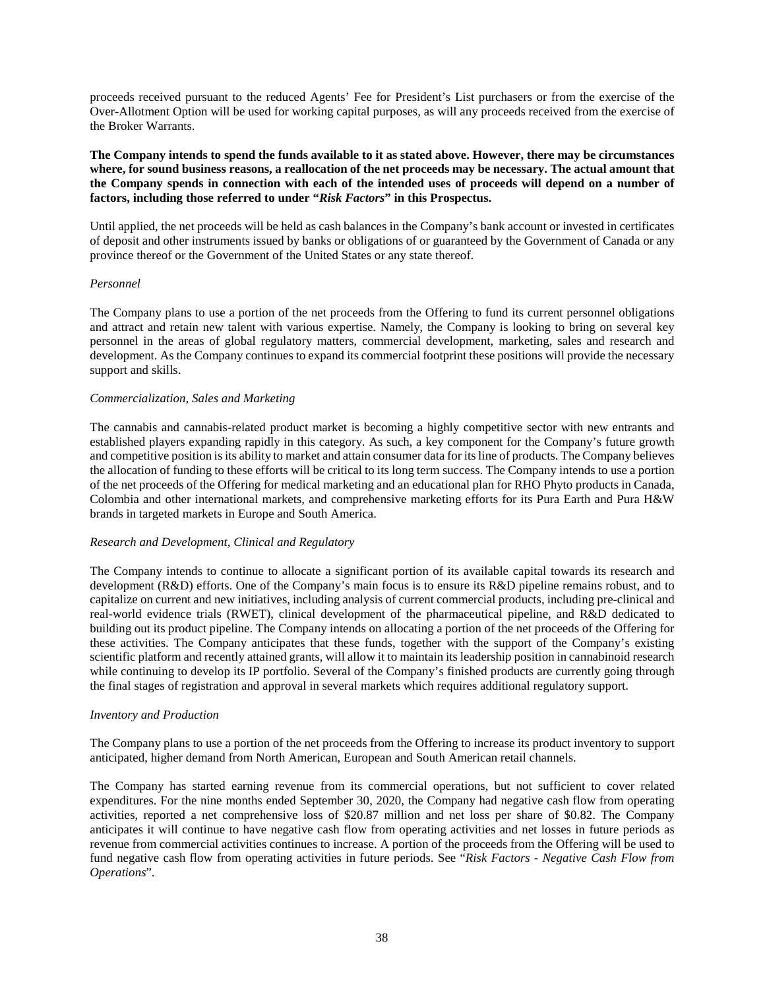proceeds received pursuant to the reduced Agents' Fee for President's List purchasers or from the exercise of the Over-Allotment Option will be used for working capital purposes, as will any proceeds received from the exercise of the Broker Warrants.

**The Company intends to spend the funds available to it as stated above. However, there may be circumstances where, for sound business reasons, a reallocation of the net proceeds may be necessary. The actual amount that the Company spends in connection with each of the intended uses of proceeds will depend on a number of factors, including those referred to under "***Risk Factors***" in this Prospectus.**

Until applied, the net proceeds will be held as cash balances in the Company's bank account or invested in certificates of deposit and other instruments issued by banks or obligations of or guaranteed by the Government of Canada or any province thereof or the Government of the United States or any state thereof.

## *Personnel*

The Company plans to use a portion of the net proceeds from the Offering to fund its current personnel obligations and attract and retain new talent with various expertise. Namely, the Company is looking to bring on several key personnel in the areas of global regulatory matters, commercial development, marketing, sales and research and development. As the Company continues to expand its commercial footprint these positions will provide the necessary support and skills.

## *Commercialization, Sales and Marketing*

The cannabis and cannabis-related product market is becoming a highly competitive sector with new entrants and established players expanding rapidly in this category. As such, a key component for the Company's future growth and competitive position is its ability to market and attain consumer data for its line of products. The Company believes the allocation of funding to these efforts will be critical to its long term success. The Company intends to use a portion of the net proceeds of the Offering for medical marketing and an educational plan for RHO Phyto products in Canada, Colombia and other international markets, and comprehensive marketing efforts for its Pura Earth and Pura H&W brands in targeted markets in Europe and South America.

### *Research and Development, Clinical and Regulatory*

The Company intends to continue to allocate a significant portion of its available capital towards its research and development (R&D) efforts. One of the Company's main focus is to ensure its R&D pipeline remains robust, and to capitalize on current and new initiatives, including analysis of current commercial products, including pre-clinical and real-world evidence trials (RWET), clinical development of the pharmaceutical pipeline, and R&D dedicated to building out its product pipeline. The Company intends on allocating a portion of the net proceeds of the Offering for these activities. The Company anticipates that these funds, together with the support of the Company's existing scientific platform and recently attained grants, will allow it to maintain its leadership position in cannabinoid research while continuing to develop its IP portfolio. Several of the Company's finished products are currently going through the final stages of registration and approval in several markets which requires additional regulatory support.

### *Inventory and Production*

The Company plans to use a portion of the net proceeds from the Offering to increase its product inventory to support anticipated, higher demand from North American, European and South American retail channels.

The Company has started earning revenue from its commercial operations, but not sufficient to cover related expenditures. For the nine months ended September 30, 2020, the Company had negative cash flow from operating activities, reported a net comprehensive loss of \$20.87 million and net loss per share of \$0.82. The Company anticipates it will continue to have negative cash flow from operating activities and net losses in future periods as revenue from commercial activities continues to increase. A portion of the proceeds from the Offering will be used to fund negative cash flow from operating activities in future periods. See "*Risk Factors - Negative Cash Flow from Operations*".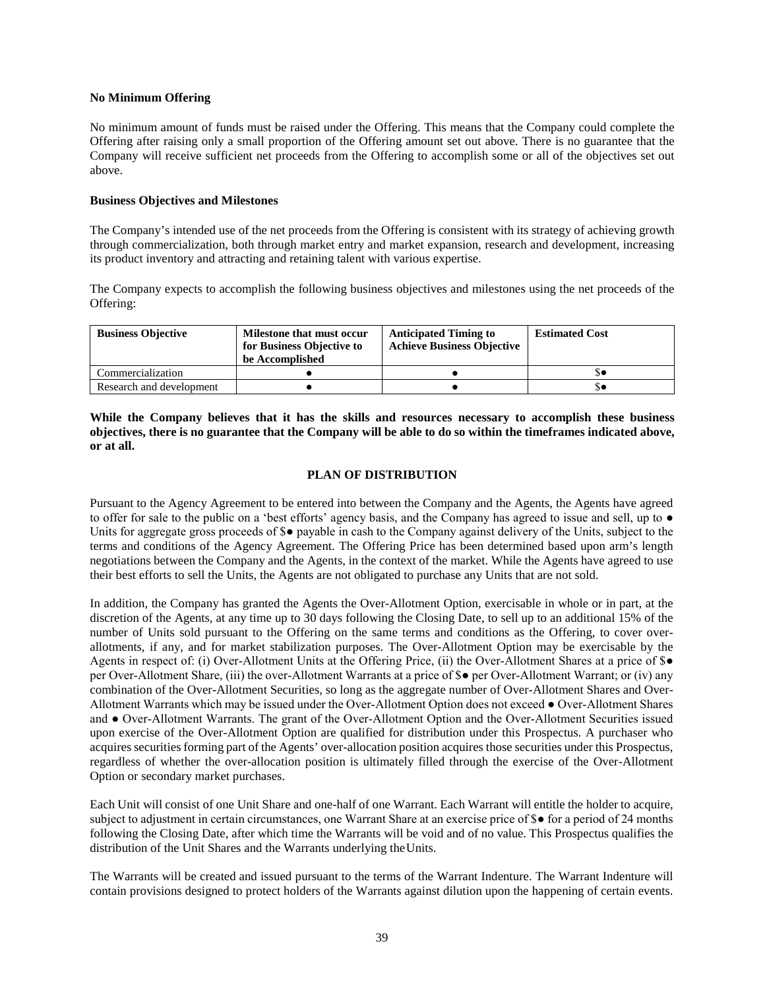## **No Minimum Offering**

No minimum amount of funds must be raised under the Offering. This means that the Company could complete the Offering after raising only a small proportion of the Offering amount set out above. There is no guarantee that the Company will receive sufficient net proceeds from the Offering to accomplish some or all of the objectives set out above.

## **Business Objectives and Milestones**

The Company's intended use of the net proceeds from the Offering is consistent with its strategy of achieving growth through commercialization, both through market entry and market expansion, research and development, increasing its product inventory and attracting and retaining talent with various expertise.

The Company expects to accomplish the following business objectives and milestones using the net proceeds of the Offering:

| <b>Business Objective</b> | Milestone that must occur<br>for Business Objective to<br>be Accomplished | <b>Anticipated Timing to</b><br><b>Achieve Business Objective</b> | <b>Estimated Cost</b> |
|---------------------------|---------------------------------------------------------------------------|-------------------------------------------------------------------|-----------------------|
| Commercialization         |                                                                           |                                                                   |                       |
| Research and development  |                                                                           |                                                                   |                       |

**While the Company believes that it has the skills and resources necessary to accomplish these business objectives, there is no guarantee that the Company will be able to do so within the timeframes indicated above, or at all.** 

# **PLAN OF DISTRIBUTION**

Pursuant to the Agency Agreement to be entered into between the Company and the Agents, the Agents have agreed to offer for sale to the public on a 'best efforts' agency basis, and the Company has agreed to issue and sell, up to ● Units for aggregate gross proceeds of \$● payable in cash to the Company against delivery of the Units, subject to the terms and conditions of the Agency Agreement. The Offering Price has been determined based upon arm's length negotiations between the Company and the Agents, in the context of the market. While the Agents have agreed to use their best efforts to sell the Units, the Agents are not obligated to purchase any Units that are not sold.

In addition, the Company has granted the Agents the Over-Allotment Option, exercisable in whole or in part, at the discretion of the Agents, at any time up to 30 days following the Closing Date, to sell up to an additional 15% of the number of Units sold pursuant to the Offering on the same terms and conditions as the Offering, to cover overallotments, if any, and for market stabilization purposes. The Over-Allotment Option may be exercisable by the Agents in respect of: (i) Over-Allotment Units at the Offering Price, (ii) the Over-Allotment Shares at a price of \$● per Over-Allotment Share, (iii) the over-Allotment Warrants at a price of \$● per Over-Allotment Warrant; or (iv) any combination of the Over-Allotment Securities, so long as the aggregate number of Over-Allotment Shares and Over-Allotment Warrants which may be issued under the Over-Allotment Option does not exceed ● Over-Allotment Shares and ● Over-Allotment Warrants. The grant of the Over-Allotment Option and the Over-Allotment Securities issued upon exercise of the Over-Allotment Option are qualified for distribution under this Prospectus. A purchaser who acquires securities forming part of the Agents' over-allocation position acquires those securities under this Prospectus, regardless of whether the over-allocation position is ultimately filled through the exercise of the Over-Allotment Option or secondary market purchases.

Each Unit will consist of one Unit Share and one-half of one Warrant. Each Warrant will entitle the holder to acquire, subject to adjustment in certain circumstances, one Warrant Share at an exercise price of \$● for a period of 24 months following the Closing Date, after which time the Warrants will be void and of no value. This Prospectus qualifies the distribution of the Unit Shares and the Warrants underlying the Units.

The Warrants will be created and issued pursuant to the terms of the Warrant Indenture. The Warrant Indenture will contain provisions designed to protect holders of the Warrants against dilution upon the happening of certain events.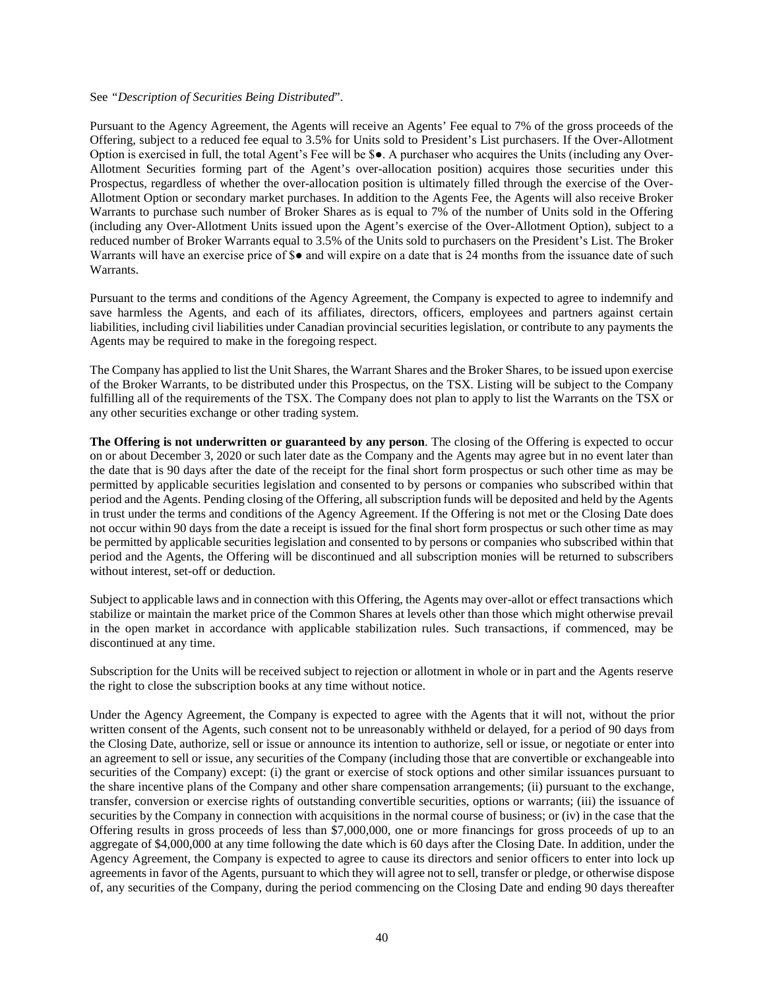#### See *"Description of Securities Being Distributed*".

Pursuant to the Agency Agreement, the Agents will receive an Agents' Fee equal to 7% of the gross proceeds of the Offering, subject to a reduced fee equal to 3.5% for Units sold to President's List purchasers. If the Over-Allotment Option is exercised in full, the total Agent's Fee will be \$●. A purchaser who acquires the Units (including any Over-Allotment Securities forming part of the Agent's over-allocation position) acquires those securities under this Prospectus, regardless of whether the over-allocation position is ultimately filled through the exercise of the Over-Allotment Option or secondary market purchases. In addition to the Agents Fee, the Agents will also receive Broker Warrants to purchase such number of Broker Shares as is equal to 7% of the number of Units sold in the Offering (including any Over-Allotment Units issued upon the Agent's exercise of the Over-Allotment Option), subject to a reduced number of Broker Warrants equal to 3.5% of the Units sold to purchasers on the President's List. The Broker Warrants will have an exercise price of \$● and will expire on a date that is 24 months from the issuance date of such Warrants.

Pursuant to the terms and conditions of the Agency Agreement, the Company is expected to agree to indemnify and save harmless the Agents, and each of its affiliates, directors, officers, employees and partners against certain liabilities, including civil liabilities under Canadian provincial securities legislation, or contribute to any payments the Agents may be required to make in the foregoing respect.

The Company has applied to list the Unit Shares, the Warrant Shares and the Broker Shares, to be issued upon exercise of the Broker Warrants, to be distributed under this Prospectus, on the TSX. Listing will be subject to the Company fulfilling all of the requirements of the TSX. The Company does not plan to apply to list the Warrants on the TSX or any other securities exchange or other trading system.

**The Offering is not underwritten or guaranteed by any person**. The closing of the Offering is expected to occur on or about December 3, 2020 or such later date as the Company and the Agents may agree but in no event later than the date that is 90 days after the date of the receipt for the final short form prospectus or such other time as may be permitted by applicable securities legislation and consented to by persons or companies who subscribed within that period and the Agents. Pending closing of the Offering, all subscription funds will be deposited and held by the Agents in trust under the terms and conditions of the Agency Agreement. If the Offering is not met or the Closing Date does not occur within 90 days from the date a receipt is issued for the final short form prospectus or such other time as may be permitted by applicable securities legislation and consented to by persons or companies who subscribed within that period and the Agents, the Offering will be discontinued and all subscription monies will be returned to subscribers without interest, set-off or deduction.

Subject to applicable laws and in connection with this Offering, the Agents may over-allot or effect transactions which stabilize or maintain the market price of the Common Shares at levels other than those which might otherwise prevail in the open market in accordance with applicable stabilization rules. Such transactions, if commenced, may be discontinued at any time.

Subscription for the Units will be received subject to rejection or allotment in whole or in part and the Agents reserve the right to close the subscription books at any time without notice.

Under the Agency Agreement, the Company is expected to agree with the Agents that it will not, without the prior written consent of the Agents, such consent not to be unreasonably withheld or delayed, for a period of 90 days from the Closing Date, authorize, sell or issue or announce its intention to authorize, sell or issue, or negotiate or enter into an agreement to sell or issue, any securities of the Company (including those that are convertible or exchangeable into securities of the Company) except: (i) the grant or exercise of stock options and other similar issuances pursuant to the share incentive plans of the Company and other share compensation arrangements; (ii) pursuant to the exchange, transfer, conversion or exercise rights of outstanding convertible securities, options or warrants; (iii) the issuance of securities by the Company in connection with acquisitions in the normal course of business; or (iv) in the case that the Offering results in gross proceeds of less than \$7,000,000, one or more financings for gross proceeds of up to an aggregate of \$4,000,000 at any time following the date which is 60 days after the Closing Date. In addition, under the Agency Agreement, the Company is expected to agree to cause its directors and senior officers to enter into lock up agreements in favor of the Agents, pursuant to which they will agree not to sell, transfer or pledge, or otherwise dispose of, any securities of the Company, during the period commencing on the Closing Date and ending 90 days thereafter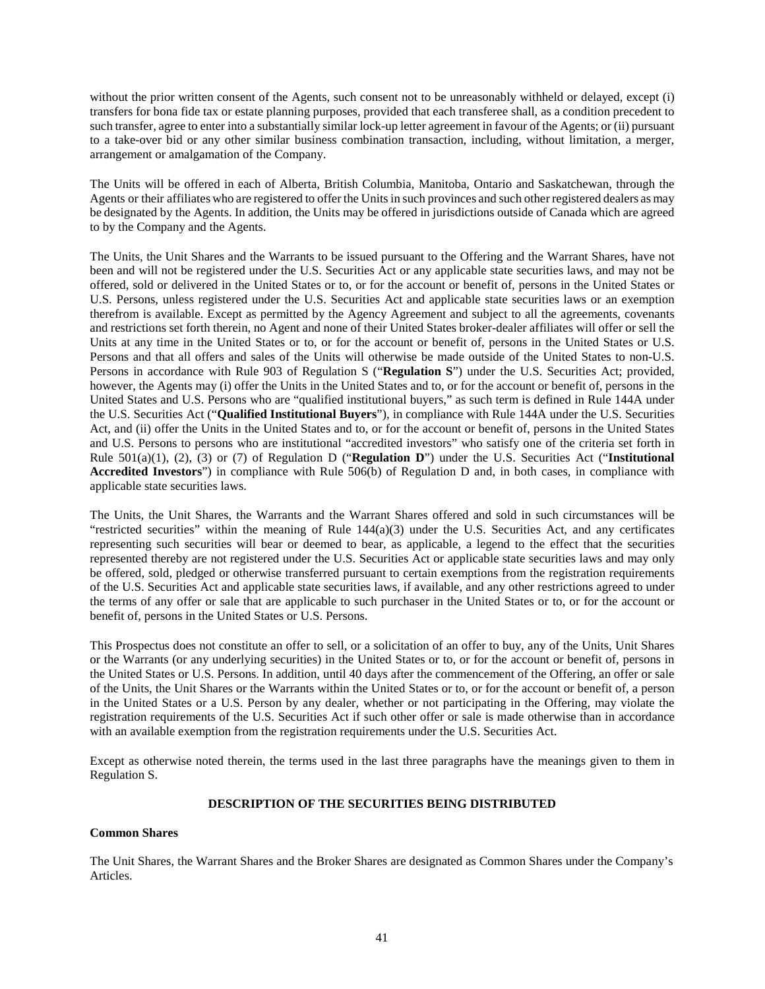without the prior written consent of the Agents, such consent not to be unreasonably withheld or delayed, except (i) transfers for bona fide tax or estate planning purposes, provided that each transferee shall, as a condition precedent to such transfer, agree to enter into a substantially similar lock-up letter agreement in favour of the Agents; or (ii) pursuant to a take-over bid or any other similar business combination transaction, including, without limitation, a merger, arrangement or amalgamation of the Company.

The Units will be offered in each of Alberta, British Columbia, Manitoba, Ontario and Saskatchewan, through the Agents or their affiliates who are registered to offer the Units in such provinces and such other registered dealers as may be designated by the Agents. In addition, the Units may be offered in jurisdictions outside of Canada which are agreed to by the Company and the Agents.

The Units, the Unit Shares and the Warrants to be issued pursuant to the Offering and the Warrant Shares, have not been and will not be registered under the U.S. Securities Act or any applicable state securities laws, and may not be offered, sold or delivered in the United States or to, or for the account or benefit of, persons in the United States or U.S. Persons, unless registered under the U.S. Securities Act and applicable state securities laws or an exemption therefrom is available. Except as permitted by the Agency Agreement and subject to all the agreements, covenants and restrictions set forth therein, no Agent and none of their United States broker-dealer affiliates will offer or sell the Units at any time in the United States or to, or for the account or benefit of, persons in the United States or U.S. Persons and that all offers and sales of the Units will otherwise be made outside of the United States to non-U.S. Persons in accordance with Rule 903 of Regulation S ("**Regulation S**") under the U.S. Securities Act; provided, however, the Agents may (i) offer the Units in the United States and to, or for the account or benefit of, persons in the United States and U.S. Persons who are "qualified institutional buyers," as such term is defined in Rule 144A under the U.S. Securities Act ("**Qualified Institutional Buyers**"), in compliance with Rule 144A under the U.S. Securities Act, and (ii) offer the Units in the United States and to, or for the account or benefit of, persons in the United States and U.S. Persons to persons who are institutional "accredited investors" who satisfy one of the criteria set forth in Rule 501(a)(1), (2), (3) or (7) of Regulation D ("**Regulation D**") under the U.S. Securities Act ("**Institutional Accredited Investors**") in compliance with Rule 506(b) of Regulation D and, in both cases, in compliance with applicable state securities laws.

The Units, the Unit Shares, the Warrants and the Warrant Shares offered and sold in such circumstances will be "restricted securities" within the meaning of Rule 144(a)(3) under the U.S. Securities Act, and any certificates representing such securities will bear or deemed to bear, as applicable, a legend to the effect that the securities represented thereby are not registered under the U.S. Securities Act or applicable state securities laws and may only be offered, sold, pledged or otherwise transferred pursuant to certain exemptions from the registration requirements of the U.S. Securities Act and applicable state securities laws, if available, and any other restrictions agreed to under the terms of any offer or sale that are applicable to such purchaser in the United States or to, or for the account or benefit of, persons in the United States or U.S. Persons.

This Prospectus does not constitute an offer to sell, or a solicitation of an offer to buy, any of the Units, Unit Shares or the Warrants (or any underlying securities) in the United States or to, or for the account or benefit of, persons in the United States or U.S. Persons. In addition, until 40 days after the commencement of the Offering, an offer or sale of the Units, the Unit Shares or the Warrants within the United States or to, or for the account or benefit of, a person in the United States or a U.S. Person by any dealer, whether or not participating in the Offering, may violate the registration requirements of the U.S. Securities Act if such other offer or sale is made otherwise than in accordance with an available exemption from the registration requirements under the U.S. Securities Act.

Except as otherwise noted therein, the terms used in the last three paragraphs have the meanings given to them in Regulation S.

# **DESCRIPTION OF THE SECURITIES BEING DISTRIBUTED**

### **Common Shares**

The Unit Shares, the Warrant Shares and the Broker Shares are designated as Common Shares under the Company's Articles.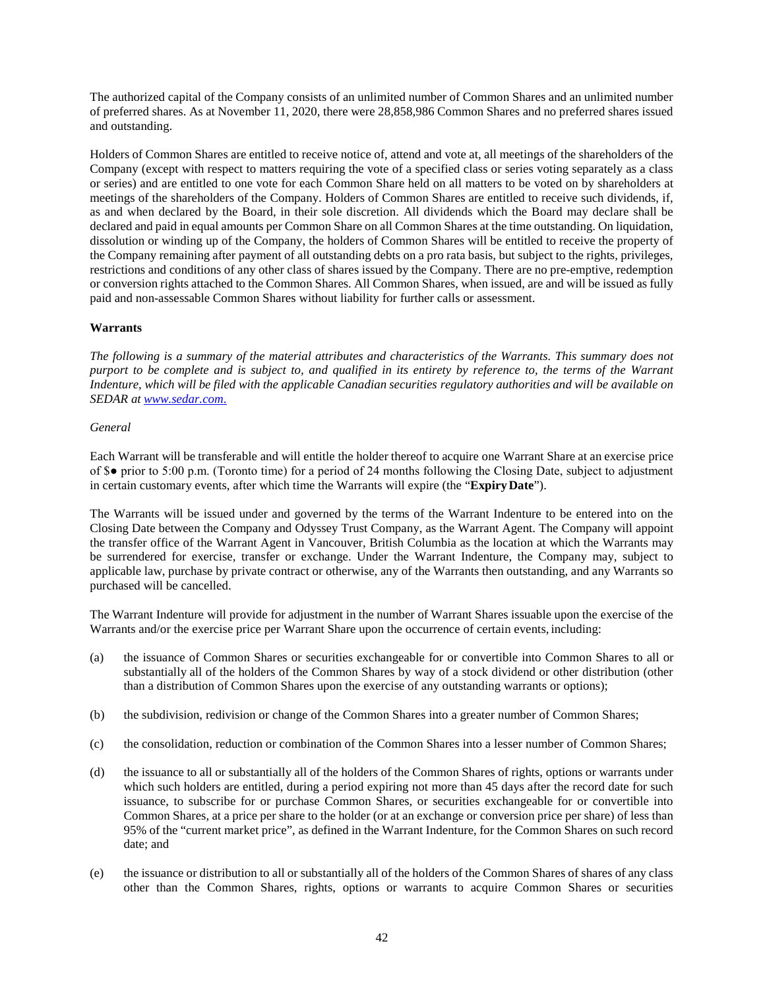The authorized capital of the Company consists of an unlimited number of Common Shares and an unlimited number of preferred shares. As at November 11, 2020, there were 28,858,986 Common Shares and no preferred shares issued and outstanding.

Holders of Common Shares are entitled to receive notice of, attend and vote at, all meetings of the shareholders of the Company (except with respect to matters requiring the vote of a specified class or series voting separately as a class or series) and are entitled to one vote for each Common Share held on all matters to be voted on by shareholders at meetings of the shareholders of the Company. Holders of Common Shares are entitled to receive such dividends, if, as and when declared by the Board, in their sole discretion. All dividends which the Board may declare shall be declared and paid in equal amounts per Common Share on all Common Shares at the time outstanding. On liquidation, dissolution or winding up of the Company, the holders of Common Shares will be entitled to receive the property of the Company remaining after payment of all outstanding debts on a pro rata basis, but subject to the rights, privileges, restrictions and conditions of any other class of shares issued by the Company. There are no pre-emptive, redemption or conversion rights attached to the Common Shares. All Common Shares, when issued, are and will be issued as fully paid and non-assessable Common Shares without liability for further calls or assessment.

# **Warrants**

*The following is a summary of the material attributes and characteristics of the Warrants. This summary does not purport to be complete and is subject to, and qualified in its entirety by reference to, the terms of the Warrant Indenture, which will be filed with the applicable Canadian securities regulatory authorities and will be available on SEDAR at www.sedar.com*.

### *General*

Each Warrant will be transferable and will entitle the holder thereof to acquire one Warrant Share at an exercise price of \$● prior to 5:00 p.m. (Toronto time) for a period of 24 months following the Closing Date, subject to adjustment in certain customary events, after which time the Warrants will expire (the "**Expiry Date**").

The Warrants will be issued under and governed by the terms of the Warrant Indenture to be entered into on the Closing Date between the Company and Odyssey Trust Company, as the Warrant Agent. The Company will appoint the transfer office of the Warrant Agent in Vancouver, British Columbia as the location at which the Warrants may be surrendered for exercise, transfer or exchange. Under the Warrant Indenture, the Company may, subject to applicable law, purchase by private contract or otherwise, any of the Warrants then outstanding, and any Warrants so purchased will be cancelled.

The Warrant Indenture will provide for adjustment in the number of Warrant Shares issuable upon the exercise of the Warrants and/or the exercise price per Warrant Share upon the occurrence of certain events, including:

- (a) the issuance of Common Shares or securities exchangeable for or convertible into Common Shares to all or substantially all of the holders of the Common Shares by way of a stock dividend or other distribution (other than a distribution of Common Shares upon the exercise of any outstanding warrants or options);
- (b) the subdivision, redivision or change of the Common Shares into a greater number of Common Shares;
- (c) the consolidation, reduction or combination of the Common Shares into a lesser number of Common Shares;
- (d) the issuance to all or substantially all of the holders of the Common Shares of rights, options or warrants under which such holders are entitled, during a period expiring not more than 45 days after the record date for such issuance, to subscribe for or purchase Common Shares, or securities exchangeable for or convertible into Common Shares, at a price per share to the holder (or at an exchange or conversion price per share) of less than 95% of the "current market price", as defined in the Warrant Indenture, for the Common Shares on such record date; and
- (e) the issuance or distribution to all or substantially all of the holders of the Common Shares of shares of any class other than the Common Shares, rights, options or warrants to acquire Common Shares or securities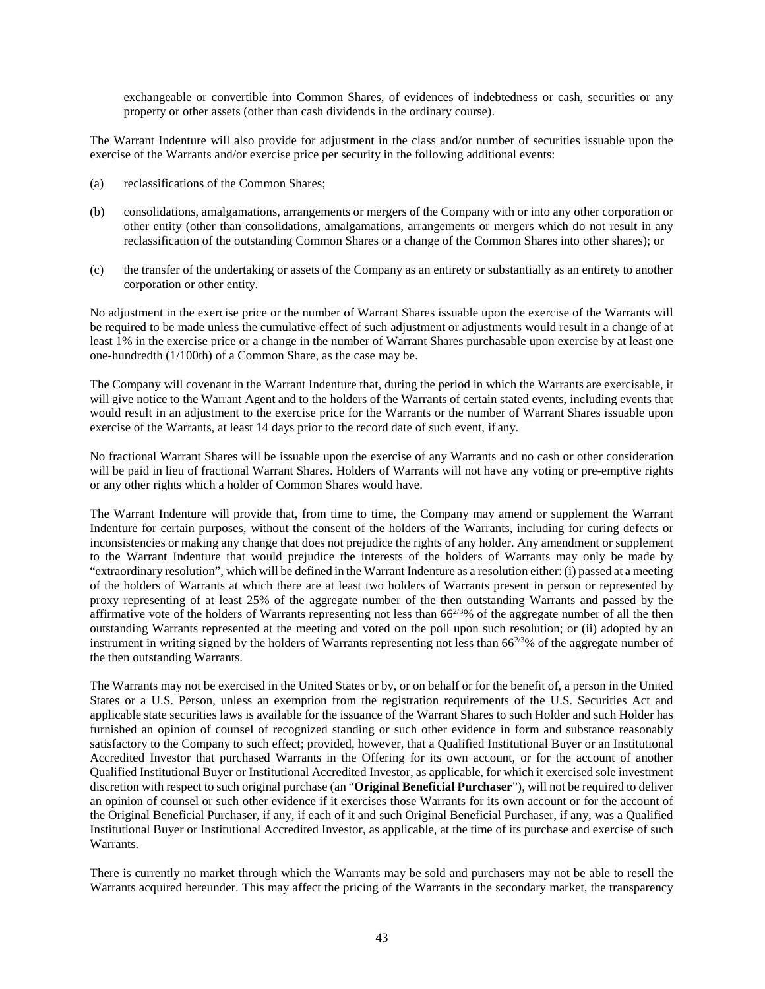exchangeable or convertible into Common Shares, of evidences of indebtedness or cash, securities or any property or other assets (other than cash dividends in the ordinary course).

The Warrant Indenture will also provide for adjustment in the class and/or number of securities issuable upon the exercise of the Warrants and/or exercise price per security in the following additional events:

- (a) reclassifications of the Common Shares;
- (b) consolidations, amalgamations, arrangements or mergers of the Company with or into any other corporation or other entity (other than consolidations, amalgamations, arrangements or mergers which do not result in any reclassification of the outstanding Common Shares or a change of the Common Shares into other shares); or
- (c) the transfer of the undertaking or assets of the Company as an entirety or substantially as an entirety to another corporation or other entity.

No adjustment in the exercise price or the number of Warrant Shares issuable upon the exercise of the Warrants will be required to be made unless the cumulative effect of such adjustment or adjustments would result in a change of at least 1% in the exercise price or a change in the number of Warrant Shares purchasable upon exercise by at least one one-hundredth (1/100th) of a Common Share, as the case may be.

The Company will covenant in the Warrant Indenture that, during the period in which the Warrants are exercisable, it will give notice to the Warrant Agent and to the holders of the Warrants of certain stated events, including events that would result in an adjustment to the exercise price for the Warrants or the number of Warrant Shares issuable upon exercise of the Warrants, at least 14 days prior to the record date of such event, if any.

No fractional Warrant Shares will be issuable upon the exercise of any Warrants and no cash or other consideration will be paid in lieu of fractional Warrant Shares. Holders of Warrants will not have any voting or pre-emptive rights or any other rights which a holder of Common Shares would have.

The Warrant Indenture will provide that, from time to time, the Company may amend or supplement the Warrant Indenture for certain purposes, without the consent of the holders of the Warrants, including for curing defects or inconsistencies or making any change that does not prejudice the rights of any holder. Any amendment or supplement to the Warrant Indenture that would prejudice the interests of the holders of Warrants may only be made by "extraordinary resolution", which will be defined in the Warrant Indenture as a resolution either: (i) passed at a meeting of the holders of Warrants at which there are at least two holders of Warrants present in person or represented by proxy representing of at least 25% of the aggregate number of the then outstanding Warrants and passed by the affirmative vote of the holders of Warrants representing not less than  $66^{2/3}\%$  of the aggregate number of all the then outstanding Warrants represented at the meeting and voted on the poll upon such resolution; or (ii) adopted by an instrument in writing signed by the holders of Warrants representing not less than  $66^{2/3}\%$  of the aggregate number of the then outstanding Warrants.

The Warrants may not be exercised in the United States or by, or on behalf or for the benefit of, a person in the United States or a U.S. Person, unless an exemption from the registration requirements of the U.S. Securities Act and applicable state securities laws is available for the issuance of the Warrant Shares to such Holder and such Holder has furnished an opinion of counsel of recognized standing or such other evidence in form and substance reasonably satisfactory to the Company to such effect; provided, however, that a Qualified Institutional Buyer or an Institutional Accredited Investor that purchased Warrants in the Offering for its own account, or for the account of another Qualified Institutional Buyer or Institutional Accredited Investor, as applicable, for which it exercised sole investment discretion with respect to such original purchase (an "**Original Beneficial Purchaser**"), will not be required to deliver an opinion of counsel or such other evidence if it exercises those Warrants for its own account or for the account of the Original Beneficial Purchaser, if any, if each of it and such Original Beneficial Purchaser, if any, was a Qualified Institutional Buyer or Institutional Accredited Investor, as applicable, at the time of its purchase and exercise of such Warrants.

There is currently no market through which the Warrants may be sold and purchasers may not be able to resell the Warrants acquired hereunder. This may affect the pricing of the Warrants in the secondary market, the transparency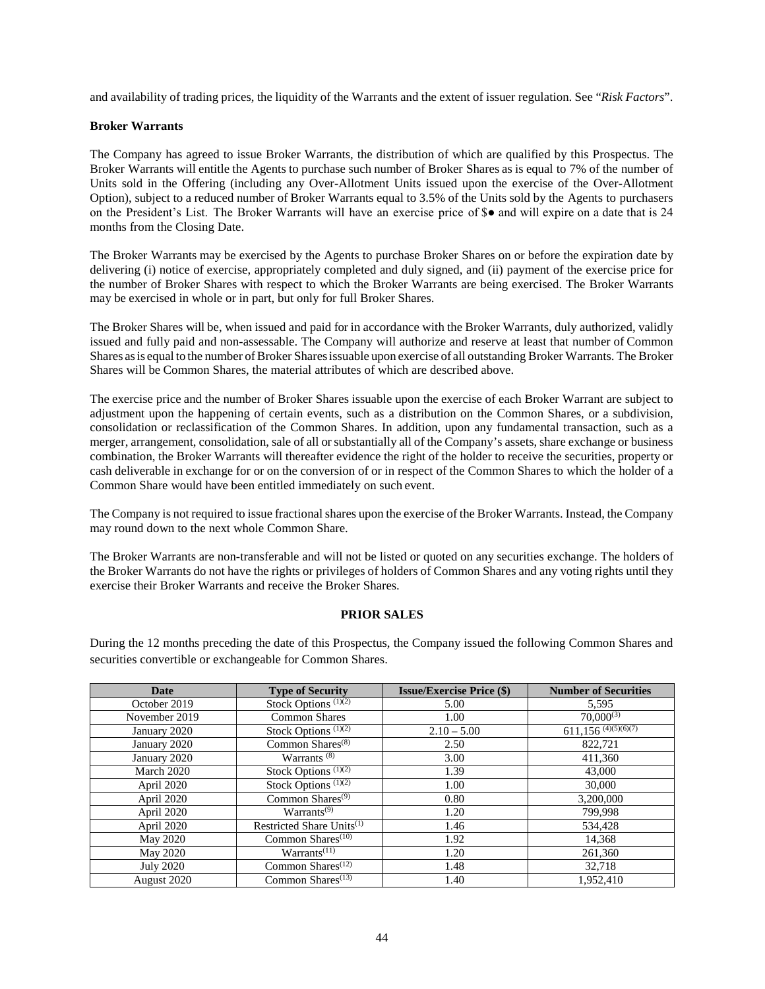and availability of trading prices, the liquidity of the Warrants and the extent of issuer regulation. See "*Risk Factors*".

## **Broker Warrants**

The Company has agreed to issue Broker Warrants, the distribution of which are qualified by this Prospectus. The Broker Warrants will entitle the Agents to purchase such number of Broker Shares as is equal to 7% of the number of Units sold in the Offering (including any Over-Allotment Units issued upon the exercise of the Over-Allotment Option), subject to a reduced number of Broker Warrants equal to 3.5% of the Units sold by the Agents to purchasers on the President's List. The Broker Warrants will have an exercise price of \$● and will expire on a date that is 24 months from the Closing Date.

The Broker Warrants may be exercised by the Agents to purchase Broker Shares on or before the expiration date by delivering (i) notice of exercise, appropriately completed and duly signed, and (ii) payment of the exercise price for the number of Broker Shares with respect to which the Broker Warrants are being exercised. The Broker Warrants may be exercised in whole or in part, but only for full Broker Shares.

The Broker Shares will be, when issued and paid for in accordance with the Broker Warrants, duly authorized, validly issued and fully paid and non-assessable. The Company will authorize and reserve at least that number of Common Shares as is equal to the number of Broker Shares issuable upon exercise of all outstanding Broker Warrants. The Broker Shares will be Common Shares, the material attributes of which are described above.

The exercise price and the number of Broker Shares issuable upon the exercise of each Broker Warrant are subject to adjustment upon the happening of certain events, such as a distribution on the Common Shares, or a subdivision, consolidation or reclassification of the Common Shares. In addition, upon any fundamental transaction, such as a merger, arrangement, consolidation, sale of all or substantially all of the Company's assets, share exchange or business combination, the Broker Warrants will thereafter evidence the right of the holder to receive the securities, property or cash deliverable in exchange for or on the conversion of or in respect of the Common Shares to which the holder of a Common Share would have been entitled immediately on such event.

The Company is not required to issue fractional shares upon the exercise of the Broker Warrants. Instead, the Company may round down to the next whole Common Share.

The Broker Warrants are non-transferable and will not be listed or quoted on any securities exchange. The holders of the Broker Warrants do not have the rights or privileges of holders of Common Shares and any voting rights until they exercise their Broker Warrants and receive the Broker Shares.

# **PRIOR SALES**

During the 12 months preceding the date of this Prospectus, the Company issued the following Common Shares and securities convertible or exchangeable for Common Shares.

| <b>Date</b>      | <b>Type of Security</b>               | <b>Issue/Exercise Price (\$)</b> | <b>Number of Securities</b>       |
|------------------|---------------------------------------|----------------------------------|-----------------------------------|
| October 2019     | Stock Options $(1)(2)$                | 5.00                             | 5,595                             |
| November 2019    | <b>Common Shares</b>                  | 1.00                             | $70,000^{(3)}$                    |
| January 2020     | Stock Options $(1)(2)$                | $2.10 - 5.00$                    | $611,156$ <sup>(4)(5)(6)(7)</sup> |
| January 2020     | Common Shares $(8)$                   | 2.50                             | 822,721                           |
| January 2020     | Warrants $(8)$                        | 3.00                             | 411,360                           |
| March 2020       | Stock Options $(1)(2)$                | 1.39                             | 43,000                            |
| April 2020       | Stock Options <sup>(1)(2)</sup>       | 1.00                             | 30,000                            |
| April 2020       | Common Shares $(9)$                   | 0.80                             | 3,200,000                         |
| April 2020       | Warrants <sup>(9)</sup>               | 1.20                             | 799,998                           |
| April 2020       | Restricted Share Units <sup>(1)</sup> | 1.46                             | 534,428                           |
| May 2020         | Common Shares <sup>(10)</sup>         | 1.92                             | 14,368                            |
| May 2020         | Warrants <sup>(11)</sup>              | 1.20                             | 261,360                           |
| <b>July 2020</b> | Common Shares <sup>(12)</sup>         | 1.48                             | 32,718                            |
| August 2020      | Common Shares $(13)$                  | 1.40                             | 1.952.410                         |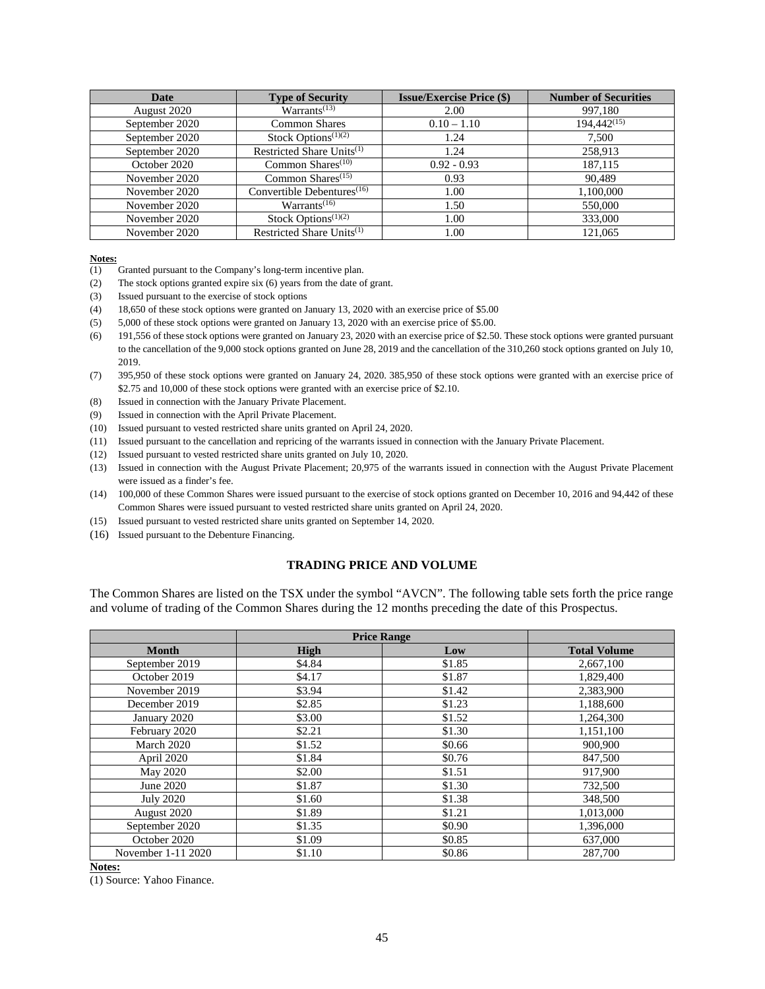| Date           | <b>Type of Security</b>                | <b>Issue/Exercise Price (\$)</b> | <b>Number of Securities</b> |
|----------------|----------------------------------------|----------------------------------|-----------------------------|
| August 2020    | Warrants <sup>(13)</sup>               | 2.00                             | 997,180                     |
| September 2020 | <b>Common Shares</b>                   | $0.10 - 1.10$                    | $194.442^{(15)}$            |
| September 2020 | Stock Options <sup>(1)(2)</sup>        | 1.24                             | 7,500                       |
| September 2020 | Restricted Share Units <sup>(1)</sup>  | 1.24                             | 258,913                     |
| October 2020   | Common Shares $(10)$                   | $0.92 - 0.93$                    | 187,115                     |
| November 2020  | Common Shares $(15)$                   | 0.93                             | 90.489                      |
| November 2020  | Convertible Debentures <sup>(16)</sup> | 1.00                             | 1,100,000                   |
| November 2020  | Warrants <sup>(16)</sup>               | 1.50                             | 550,000                     |
| November 2020  | Stock Options <sup>(1)(2)</sup>        | 1.00                             | 333,000                     |
| November 2020  | Restricted Share Units <sup>(1)</sup>  | 1.00                             | 121,065                     |

#### **Notes:**

- (1) Granted pursuant to the Company's long-term incentive plan.
- (2) The stock options granted expire six (6) years from the date of grant.
- (3) Issued pursuant to the exercise of stock options
- (4) 18,650 of these stock options were granted on January 13, 2020 with an exercise price of \$5.00
- (5) 5,000 of these stock options were granted on January 13, 2020 with an exercise price of \$5.00.
- (6) 191,556 of these stock options were granted on January 23, 2020 with an exercise price of \$2.50. These stock options were granted pursuant to the cancellation of the 9,000 stock options granted on June 28, 2019 and the cancellation of the 310,260 stock options granted on July 10, 2019.
- (7) 395,950 of these stock options were granted on January 24, 2020. 385,950 of these stock options were granted with an exercise price of \$2.75 and 10,000 of these stock options were granted with an exercise price of \$2.10.
- (8) Issued in connection with the January Private Placement.
- (9) Issued in connection with the April Private Placement.
- (10) Issued pursuant to vested restricted share units granted on April 24, 2020.
- (11) Issued pursuant to the cancellation and repricing of the warrants issued in connection with the January Private Placement.
- (12) Issued pursuant to vested restricted share units granted on July 10, 2020.
- (13) Issued in connection with the August Private Placement; 20,975 of the warrants issued in connection with the August Private Placement were issued as a finder's fee.
- (14) 100,000 of these Common Shares were issued pursuant to the exercise of stock options granted on December 10, 2016 and 94,442 of these Common Shares were issued pursuant to vested restricted share units granted on April 24, 2020.
- (15) Issued pursuant to vested restricted share units granted on September 14, 2020.
- (16) Issued pursuant to the Debenture Financing.

### **TRADING PRICE AND VOLUME**

The Common Shares are listed on the TSX under the symbol "AVCN". The following table sets forth the price range and volume of trading of the Common Shares during the 12 months preceding the date of this Prospectus.

|                    | <b>Price Range</b> |        |                     |
|--------------------|--------------------|--------|---------------------|
| <b>Month</b>       | <b>High</b>        | Low    | <b>Total Volume</b> |
| September 2019     | \$4.84             | \$1.85 | 2,667,100           |
| October 2019       | \$4.17             | \$1.87 | 1,829,400           |
| November 2019      | \$3.94             | \$1.42 | 2,383,900           |
| December 2019      | \$2.85             | \$1.23 | 1,188,600           |
| January 2020       | \$3.00             | \$1.52 | 1,264,300           |
| February 2020      | \$2.21             | \$1.30 | 1,151,100           |
| March 2020         | \$1.52             | \$0.66 | 900,900             |
| April 2020         | \$1.84             | \$0.76 | 847,500             |
| May 2020           | \$2.00             | \$1.51 | 917,900             |
| June 2020          | \$1.87             | \$1.30 | 732,500             |
| <b>July 2020</b>   | \$1.60             | \$1.38 | 348,500             |
| August 2020        | \$1.89             | \$1.21 | 1,013,000           |
| September 2020     | \$1.35             | \$0.90 | 1,396,000           |
| October 2020       | \$1.09             | \$0.85 | 637,000             |
| November 1-11 2020 | \$1.10             | \$0.86 | 287,700             |

#### **Notes:**

(1) Source: Yahoo Finance.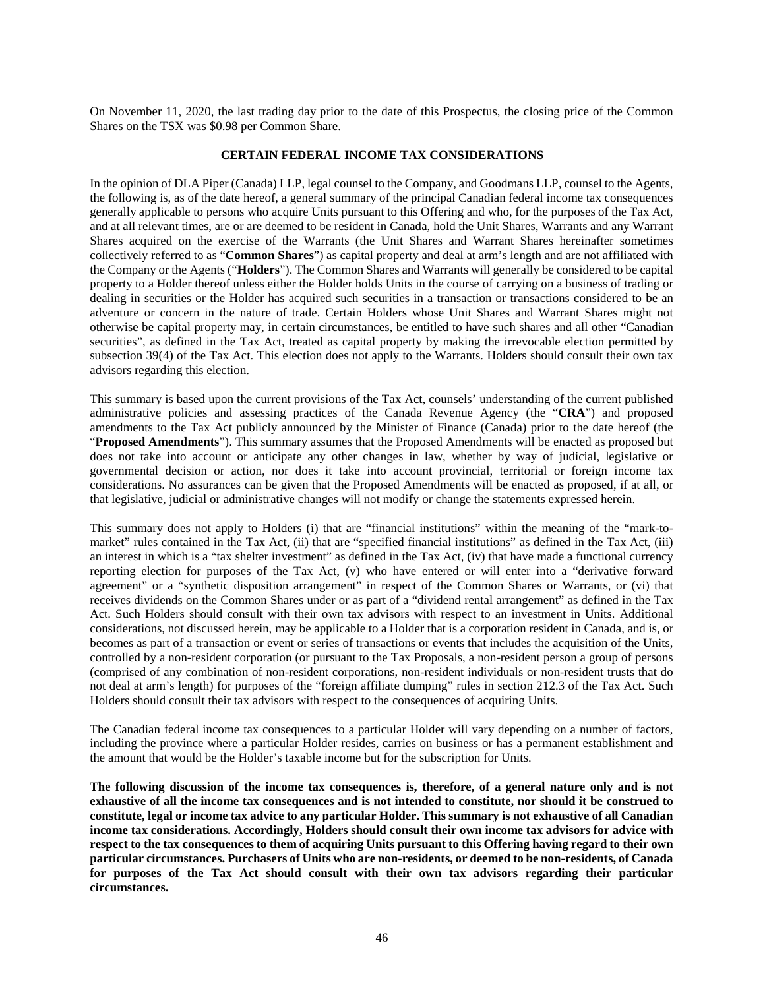On November 11, 2020, the last trading day prior to the date of this Prospectus, the closing price of the Common Shares on the TSX was \$0.98 per Common Share.

### **CERTAIN FEDERAL INCOME TAX CONSIDERATIONS**

In the opinion of DLA Piper (Canada) LLP, legal counsel to the Company, and Goodmans LLP, counsel to the Agents, the following is, as of the date hereof, a general summary of the principal Canadian federal income tax consequences generally applicable to persons who acquire Units pursuant to this Offering and who, for the purposes of the Tax Act, and at all relevant times, are or are deemed to be resident in Canada, hold the Unit Shares, Warrants and any Warrant Shares acquired on the exercise of the Warrants (the Unit Shares and Warrant Shares hereinafter sometimes collectively referred to as "**Common Shares**") as capital property and deal at arm's length and are not affiliated with the Company or the Agents ("**Holders**"). The Common Shares and Warrants will generally be considered to be capital property to a Holder thereof unless either the Holder holds Units in the course of carrying on a business of trading or dealing in securities or the Holder has acquired such securities in a transaction or transactions considered to be an adventure or concern in the nature of trade. Certain Holders whose Unit Shares and Warrant Shares might not otherwise be capital property may, in certain circumstances, be entitled to have such shares and all other "Canadian securities", as defined in the Tax Act, treated as capital property by making the irrevocable election permitted by subsection 39(4) of the Tax Act. This election does not apply to the Warrants. Holders should consult their own tax advisors regarding this election.

This summary is based upon the current provisions of the Tax Act, counsels' understanding of the current published administrative policies and assessing practices of the Canada Revenue Agency (the "**CRA**") and proposed amendments to the Tax Act publicly announced by the Minister of Finance (Canada) prior to the date hereof (the "**Proposed Amendments**"). This summary assumes that the Proposed Amendments will be enacted as proposed but does not take into account or anticipate any other changes in law, whether by way of judicial, legislative or governmental decision or action, nor does it take into account provincial, territorial or foreign income tax considerations. No assurances can be given that the Proposed Amendments will be enacted as proposed, if at all, or that legislative, judicial or administrative changes will not modify or change the statements expressed herein.

This summary does not apply to Holders (i) that are "financial institutions" within the meaning of the "mark-tomarket" rules contained in the Tax Act, (ii) that are "specified financial institutions" as defined in the Tax Act, (iii) an interest in which is a "tax shelter investment" as defined in the Tax Act, (iv) that have made a functional currency reporting election for purposes of the Tax Act, (v) who have entered or will enter into a "derivative forward agreement" or a "synthetic disposition arrangement" in respect of the Common Shares or Warrants, or (vi) that receives dividends on the Common Shares under or as part of a "dividend rental arrangement" as defined in the Tax Act. Such Holders should consult with their own tax advisors with respect to an investment in Units. Additional considerations, not discussed herein, may be applicable to a Holder that is a corporation resident in Canada, and is, or becomes as part of a transaction or event or series of transactions or events that includes the acquisition of the Units, controlled by a non-resident corporation (or pursuant to the Tax Proposals, a non-resident person a group of persons (comprised of any combination of non-resident corporations, non-resident individuals or non-resident trusts that do not deal at arm's length) for purposes of the "foreign affiliate dumping" rules in section 212.3 of the Tax Act. Such Holders should consult their tax advisors with respect to the consequences of acquiring Units.

The Canadian federal income tax consequences to a particular Holder will vary depending on a number of factors, including the province where a particular Holder resides, carries on business or has a permanent establishment and the amount that would be the Holder's taxable income but for the subscription for Units.

**The following discussion of the income tax consequences is, therefore, of a general nature only and is not exhaustive of all the income tax consequences and is not intended to constitute, nor should it be construed to constitute, legal or income tax advice to any particular Holder. This summary is not exhaustive of all Canadian income tax considerations. Accordingly, Holders should consult their own income tax advisors for advice with respect to the tax consequences to them of acquiring Units pursuant to this Offering having regard to their own particular circumstances. Purchasers of Units who are non-residents, or deemed to be non-residents, of Canada for purposes of the Tax Act should consult with their own tax advisors regarding their particular circumstances.**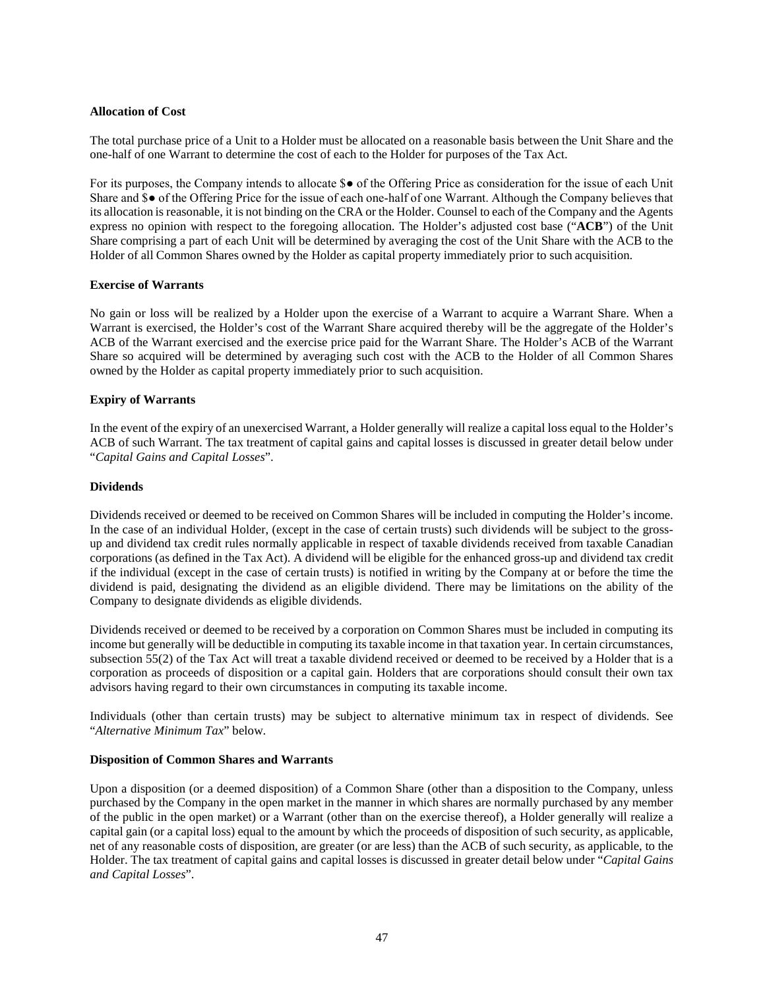## **Allocation of Cost**

The total purchase price of a Unit to a Holder must be allocated on a reasonable basis between the Unit Share and the one-half of one Warrant to determine the cost of each to the Holder for purposes of the Tax Act.

For its purposes, the Company intends to allocate \$● of the Offering Price as consideration for the issue of each Unit Share and \$● of the Offering Price for the issue of each one-half of one Warrant. Although the Company believes that its allocation is reasonable, it is not binding on the CRA or the Holder. Counsel to each of the Company and the Agents express no opinion with respect to the foregoing allocation. The Holder's adjusted cost base ("**ACB**") of the Unit Share comprising a part of each Unit will be determined by averaging the cost of the Unit Share with the ACB to the Holder of all Common Shares owned by the Holder as capital property immediately prior to such acquisition.

## **Exercise of Warrants**

No gain or loss will be realized by a Holder upon the exercise of a Warrant to acquire a Warrant Share. When a Warrant is exercised, the Holder's cost of the Warrant Share acquired thereby will be the aggregate of the Holder's ACB of the Warrant exercised and the exercise price paid for the Warrant Share. The Holder's ACB of the Warrant Share so acquired will be determined by averaging such cost with the ACB to the Holder of all Common Shares owned by the Holder as capital property immediately prior to such acquisition.

## **Expiry of Warrants**

In the event of the expiry of an unexercised Warrant, a Holder generally will realize a capital loss equal to the Holder's ACB of such Warrant. The tax treatment of capital gains and capital losses is discussed in greater detail below under "*Capital Gains and Capital Losses*".

### **Dividends**

Dividends received or deemed to be received on Common Shares will be included in computing the Holder's income. In the case of an individual Holder, (except in the case of certain trusts) such dividends will be subject to the grossup and dividend tax credit rules normally applicable in respect of taxable dividends received from taxable Canadian corporations (as defined in the Tax Act). A dividend will be eligible for the enhanced gross-up and dividend tax credit if the individual (except in the case of certain trusts) is notified in writing by the Company at or before the time the dividend is paid, designating the dividend as an eligible dividend. There may be limitations on the ability of the Company to designate dividends as eligible dividends.

Dividends received or deemed to be received by a corporation on Common Shares must be included in computing its income but generally will be deductible in computing its taxable income in that taxation year. In certain circumstances, subsection 55(2) of the Tax Act will treat a taxable dividend received or deemed to be received by a Holder that is a corporation as proceeds of disposition or a capital gain. Holders that are corporations should consult their own tax advisors having regard to their own circumstances in computing its taxable income.

Individuals (other than certain trusts) may be subject to alternative minimum tax in respect of dividends. See "*Alternative Minimum Tax*" below.

### **Disposition of Common Shares and Warrants**

Upon a disposition (or a deemed disposition) of a Common Share (other than a disposition to the Company, unless purchased by the Company in the open market in the manner in which shares are normally purchased by any member of the public in the open market) or a Warrant (other than on the exercise thereof), a Holder generally will realize a capital gain (or a capital loss) equal to the amount by which the proceeds of disposition of such security, as applicable, net of any reasonable costs of disposition, are greater (or are less) than the ACB of such security, as applicable, to the Holder. The tax treatment of capital gains and capital losses is discussed in greater detail below under "*Capital Gains and Capital Losses*".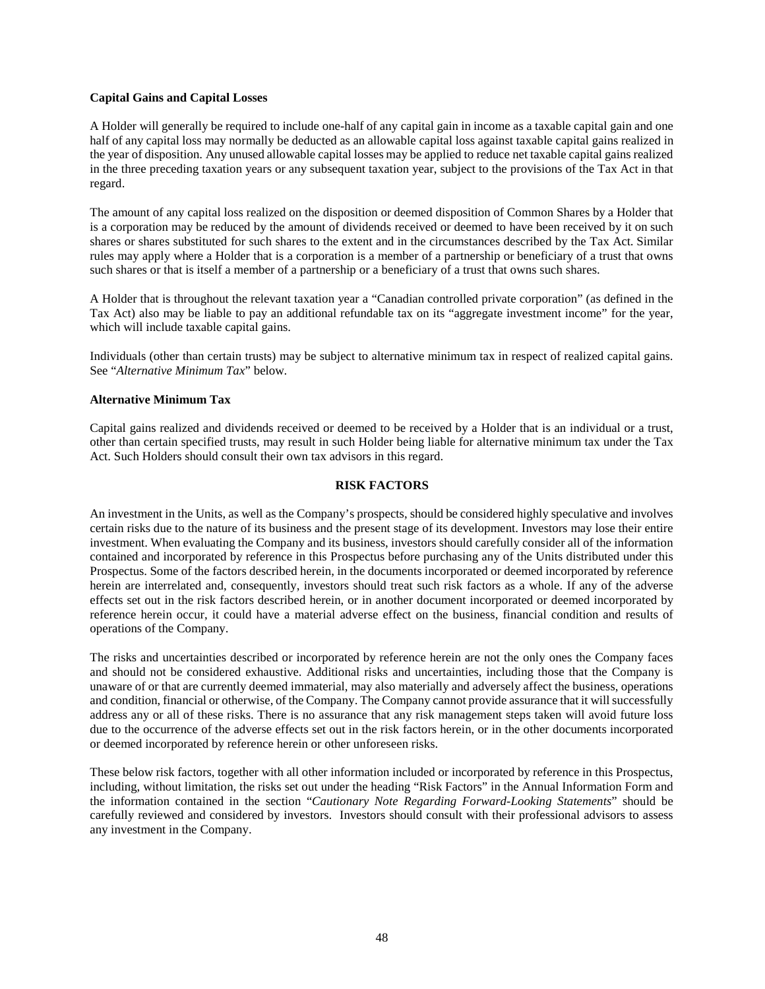### **Capital Gains and Capital Losses**

A Holder will generally be required to include one-half of any capital gain in income as a taxable capital gain and one half of any capital loss may normally be deducted as an allowable capital loss against taxable capital gains realized in the year of disposition. Any unused allowable capital losses may be applied to reduce net taxable capital gains realized in the three preceding taxation years or any subsequent taxation year, subject to the provisions of the Tax Act in that regard.

The amount of any capital loss realized on the disposition or deemed disposition of Common Shares by a Holder that is a corporation may be reduced by the amount of dividends received or deemed to have been received by it on such shares or shares substituted for such shares to the extent and in the circumstances described by the Tax Act. Similar rules may apply where a Holder that is a corporation is a member of a partnership or beneficiary of a trust that owns such shares or that is itself a member of a partnership or a beneficiary of a trust that owns such shares.

A Holder that is throughout the relevant taxation year a "Canadian controlled private corporation" (as defined in the Tax Act) also may be liable to pay an additional refundable tax on its "aggregate investment income" for the year, which will include taxable capital gains.

Individuals (other than certain trusts) may be subject to alternative minimum tax in respect of realized capital gains. See "*Alternative Minimum Tax*" below.

## **Alternative Minimum Tax**

Capital gains realized and dividends received or deemed to be received by a Holder that is an individual or a trust, other than certain specified trusts, may result in such Holder being liable for alternative minimum tax under the Tax Act. Such Holders should consult their own tax advisors in this regard.

### **RISK FACTORS**

An investment in the Units, as well as the Company's prospects, should be considered highly speculative and involves certain risks due to the nature of its business and the present stage of its development. Investors may lose their entire investment. When evaluating the Company and its business, investors should carefully consider all of the information contained and incorporated by reference in this Prospectus before purchasing any of the Units distributed under this Prospectus. Some of the factors described herein, in the documents incorporated or deemed incorporated by reference herein are interrelated and, consequently, investors should treat such risk factors as a whole. If any of the adverse effects set out in the risk factors described herein, or in another document incorporated or deemed incorporated by reference herein occur, it could have a material adverse effect on the business, financial condition and results of operations of the Company.

The risks and uncertainties described or incorporated by reference herein are not the only ones the Company faces and should not be considered exhaustive. Additional risks and uncertainties, including those that the Company is unaware of or that are currently deemed immaterial, may also materially and adversely affect the business, operations and condition, financial or otherwise, of the Company. The Company cannot provide assurance that it will successfully address any or all of these risks. There is no assurance that any risk management steps taken will avoid future loss due to the occurrence of the adverse effects set out in the risk factors herein, or in the other documents incorporated or deemed incorporated by reference herein or other unforeseen risks.

These below risk factors, together with all other information included or incorporated by reference in this Prospectus, including, without limitation, the risks set out under the heading "Risk Factors" in the Annual Information Form and the information contained in the section "*Cautionary Note Regarding Forward-Looking Statements*" should be carefully reviewed and considered by investors. Investors should consult with their professional advisors to assess any investment in the Company.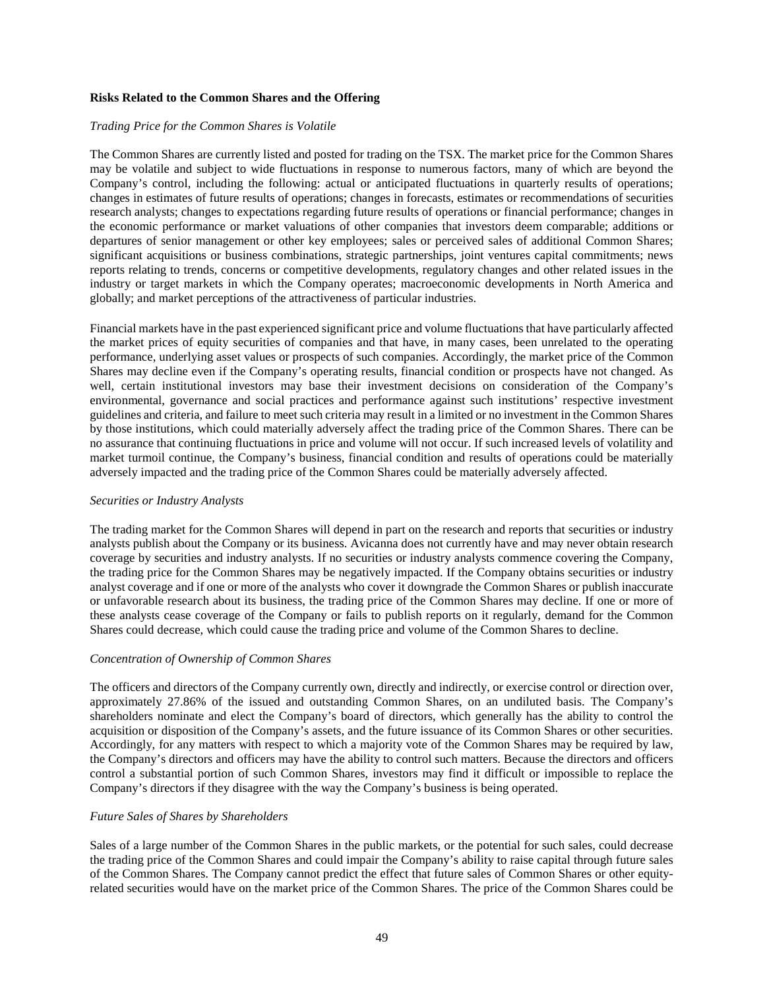### **Risks Related to the Common Shares and the Offering**

### *Trading Price for the Common Shares is Volatile*

The Common Shares are currently listed and posted for trading on the TSX. The market price for the Common Shares may be volatile and subject to wide fluctuations in response to numerous factors, many of which are beyond the Company's control, including the following: actual or anticipated fluctuations in quarterly results of operations; changes in estimates of future results of operations; changes in forecasts, estimates or recommendations of securities research analysts; changes to expectations regarding future results of operations or financial performance; changes in the economic performance or market valuations of other companies that investors deem comparable; additions or departures of senior management or other key employees; sales or perceived sales of additional Common Shares; significant acquisitions or business combinations, strategic partnerships, joint ventures capital commitments; news reports relating to trends, concerns or competitive developments, regulatory changes and other related issues in the industry or target markets in which the Company operates; macroeconomic developments in North America and globally; and market perceptions of the attractiveness of particular industries.

Financial markets have in the past experienced significant price and volume fluctuations that have particularly affected the market prices of equity securities of companies and that have, in many cases, been unrelated to the operating performance, underlying asset values or prospects of such companies. Accordingly, the market price of the Common Shares may decline even if the Company's operating results, financial condition or prospects have not changed. As well, certain institutional investors may base their investment decisions on consideration of the Company's environmental, governance and social practices and performance against such institutions' respective investment guidelines and criteria, and failure to meet such criteria may result in a limited or no investment in the Common Shares by those institutions, which could materially adversely affect the trading price of the Common Shares. There can be no assurance that continuing fluctuations in price and volume will not occur. If such increased levels of volatility and market turmoil continue, the Company's business, financial condition and results of operations could be materially adversely impacted and the trading price of the Common Shares could be materially adversely affected.

### *Securities or Industry Analysts*

The trading market for the Common Shares will depend in part on the research and reports that securities or industry analysts publish about the Company or its business. Avicanna does not currently have and may never obtain research coverage by securities and industry analysts. If no securities or industry analysts commence covering the Company, the trading price for the Common Shares may be negatively impacted. If the Company obtains securities or industry analyst coverage and if one or more of the analysts who cover it downgrade the Common Shares or publish inaccurate or unfavorable research about its business, the trading price of the Common Shares may decline. If one or more of these analysts cease coverage of the Company or fails to publish reports on it regularly, demand for the Common Shares could decrease, which could cause the trading price and volume of the Common Shares to decline.

### *Concentration of Ownership of Common Shares*

The officers and directors of the Company currently own, directly and indirectly, or exercise control or direction over, approximately 27.86% of the issued and outstanding Common Shares, on an undiluted basis. The Company's shareholders nominate and elect the Company's board of directors, which generally has the ability to control the acquisition or disposition of the Company's assets, and the future issuance of its Common Shares or other securities. Accordingly, for any matters with respect to which a majority vote of the Common Shares may be required by law, the Company's directors and officers may have the ability to control such matters. Because the directors and officers control a substantial portion of such Common Shares, investors may find it difficult or impossible to replace the Company's directors if they disagree with the way the Company's business is being operated.

### *Future Sales of Shares by Shareholders*

Sales of a large number of the Common Shares in the public markets, or the potential for such sales, could decrease the trading price of the Common Shares and could impair the Company's ability to raise capital through future sales of the Common Shares. The Company cannot predict the effect that future sales of Common Shares or other equityrelated securities would have on the market price of the Common Shares. The price of the Common Shares could be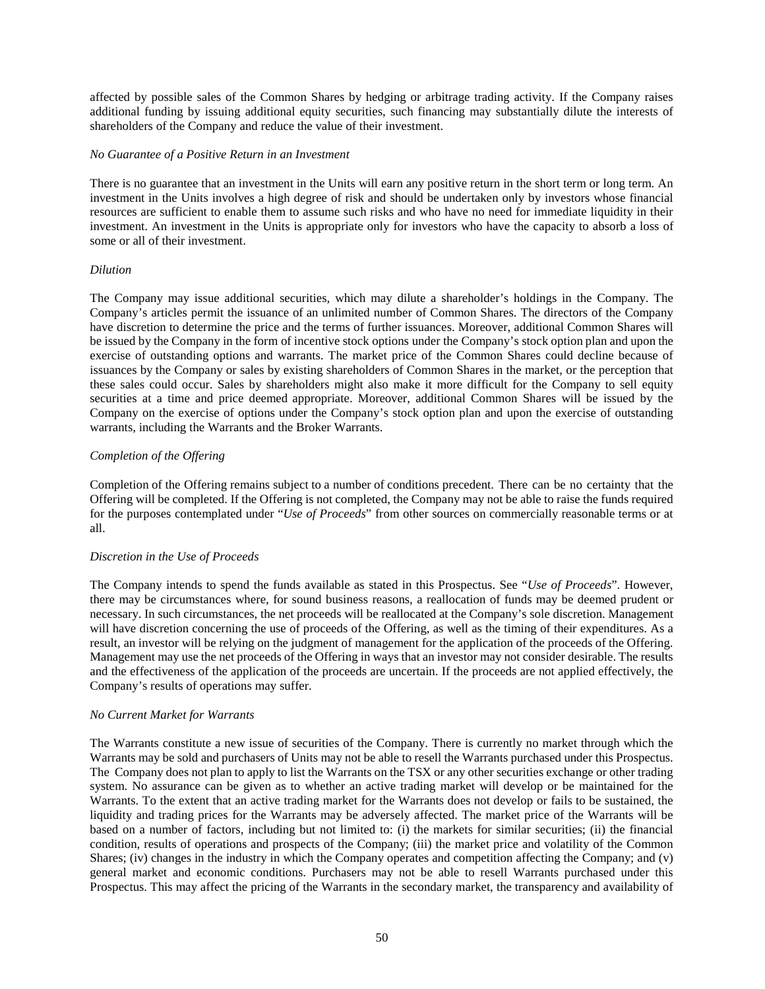affected by possible sales of the Common Shares by hedging or arbitrage trading activity. If the Company raises additional funding by issuing additional equity securities, such financing may substantially dilute the interests of shareholders of the Company and reduce the value of their investment.

### *No Guarantee of a Positive Return in an Investment*

There is no guarantee that an investment in the Units will earn any positive return in the short term or long term. An investment in the Units involves a high degree of risk and should be undertaken only by investors whose financial resources are sufficient to enable them to assume such risks and who have no need for immediate liquidity in their investment. An investment in the Units is appropriate only for investors who have the capacity to absorb a loss of some or all of their investment.

## *Dilution*

The Company may issue additional securities, which may dilute a shareholder's holdings in the Company. The Company's articles permit the issuance of an unlimited number of Common Shares. The directors of the Company have discretion to determine the price and the terms of further issuances. Moreover, additional Common Shares will be issued by the Company in the form of incentive stock options under the Company's stock option plan and upon the exercise of outstanding options and warrants. The market price of the Common Shares could decline because of issuances by the Company or sales by existing shareholders of Common Shares in the market, or the perception that these sales could occur. Sales by shareholders might also make it more difficult for the Company to sell equity securities at a time and price deemed appropriate. Moreover, additional Common Shares will be issued by the Company on the exercise of options under the Company's stock option plan and upon the exercise of outstanding warrants, including the Warrants and the Broker Warrants.

## *Completion of the Offering*

Completion of the Offering remains subject to a number of conditions precedent. There can be no certainty that the Offering will be completed. If the Offering is not completed, the Company may not be able to raise the funds required for the purposes contemplated under "*Use of Proceeds*" from other sources on commercially reasonable terms or at all.

# *Discretion in the Use of Proceeds*

The Company intends to spend the funds available as stated in this Prospectus. See "*Use of Proceeds*". However, there may be circumstances where, for sound business reasons, a reallocation of funds may be deemed prudent or necessary. In such circumstances, the net proceeds will be reallocated at the Company's sole discretion. Management will have discretion concerning the use of proceeds of the Offering, as well as the timing of their expenditures. As a result, an investor will be relying on the judgment of management for the application of the proceeds of the Offering. Management may use the net proceeds of the Offering in ways that an investor may not consider desirable. The results and the effectiveness of the application of the proceeds are uncertain. If the proceeds are not applied effectively, the Company's results of operations may suffer.

# *No Current Market for Warrants*

The Warrants constitute a new issue of securities of the Company. There is currently no market through which the Warrants may be sold and purchasers of Units may not be able to resell the Warrants purchased under this Prospectus. The Company does not plan to apply to list the Warrants on the TSX or any other securities exchange or other trading system. No assurance can be given as to whether an active trading market will develop or be maintained for the Warrants. To the extent that an active trading market for the Warrants does not develop or fails to be sustained, the liquidity and trading prices for the Warrants may be adversely affected. The market price of the Warrants will be based on a number of factors, including but not limited to: (i) the markets for similar securities; (ii) the financial condition, results of operations and prospects of the Company; (iii) the market price and volatility of the Common Shares; (iv) changes in the industry in which the Company operates and competition affecting the Company; and (v) general market and economic conditions. Purchasers may not be able to resell Warrants purchased under this Prospectus. This may affect the pricing of the Warrants in the secondary market, the transparency and availability of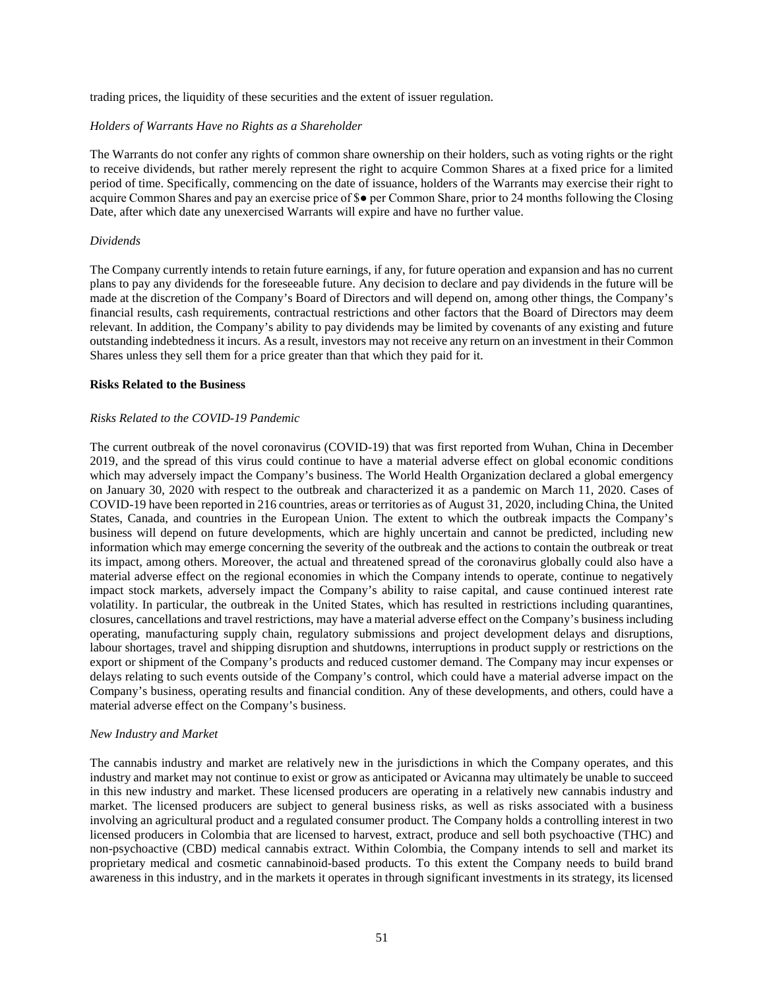trading prices, the liquidity of these securities and the extent of issuer regulation.

#### *Holders of Warrants Have no Rights as a Shareholder*

The Warrants do not confer any rights of common share ownership on their holders, such as voting rights or the right to receive dividends, but rather merely represent the right to acquire Common Shares at a fixed price for a limited period of time. Specifically, commencing on the date of issuance, holders of the Warrants may exercise their right to acquire Common Shares and pay an exercise price of \$● per Common Share, prior to 24 months following the Closing Date, after which date any unexercised Warrants will expire and have no further value.

#### *Dividends*

The Company currently intends to retain future earnings, if any, for future operation and expansion and has no current plans to pay any dividends for the foreseeable future. Any decision to declare and pay dividends in the future will be made at the discretion of the Company's Board of Directors and will depend on, among other things, the Company's financial results, cash requirements, contractual restrictions and other factors that the Board of Directors may deem relevant. In addition, the Company's ability to pay dividends may be limited by covenants of any existing and future outstanding indebtedness it incurs. As a result, investors may not receive any return on an investment in their Common Shares unless they sell them for a price greater than that which they paid for it.

#### **Risks Related to the Business**

### *Risks Related to the COVID-19 Pandemic*

The current outbreak of the novel coronavirus (COVID-19) that was first reported from Wuhan, China in December 2019, and the spread of this virus could continue to have a material adverse effect on global economic conditions which may adversely impact the Company's business. The World Health Organization declared a global emergency on January 30, 2020 with respect to the outbreak and characterized it as a pandemic on March 11, 2020. Cases of COVID-19 have been reported in 216 countries, areas or territories as of August 31, 2020, including China, the United States, Canada, and countries in the European Union. The extent to which the outbreak impacts the Company's business will depend on future developments, which are highly uncertain and cannot be predicted, including new information which may emerge concerning the severity of the outbreak and the actions to contain the outbreak or treat its impact, among others. Moreover, the actual and threatened spread of the coronavirus globally could also have a material adverse effect on the regional economies in which the Company intends to operate, continue to negatively impact stock markets, adversely impact the Company's ability to raise capital, and cause continued interest rate volatility. In particular, the outbreak in the United States, which has resulted in restrictions including quarantines, closures, cancellations and travel restrictions, may have a material adverse effect on the Company's business including operating, manufacturing supply chain, regulatory submissions and project development delays and disruptions, labour shortages, travel and shipping disruption and shutdowns, interruptions in product supply or restrictions on the export or shipment of the Company's products and reduced customer demand. The Company may incur expenses or delays relating to such events outside of the Company's control, which could have a material adverse impact on the Company's business, operating results and financial condition. Any of these developments, and others, could have a material adverse effect on the Company's business.

#### *New Industry and Market*

The cannabis industry and market are relatively new in the jurisdictions in which the Company operates, and this industry and market may not continue to exist or grow as anticipated or Avicanna may ultimately be unable to succeed in this new industry and market. These licensed producers are operating in a relatively new cannabis industry and market. The licensed producers are subject to general business risks, as well as risks associated with a business involving an agricultural product and a regulated consumer product. The Company holds a controlling interest in two licensed producers in Colombia that are licensed to harvest, extract, produce and sell both psychoactive (THC) and non-psychoactive (CBD) medical cannabis extract. Within Colombia, the Company intends to sell and market its proprietary medical and cosmetic cannabinoid-based products. To this extent the Company needs to build brand awareness in this industry, and in the markets it operates in through significant investments in its strategy, its licensed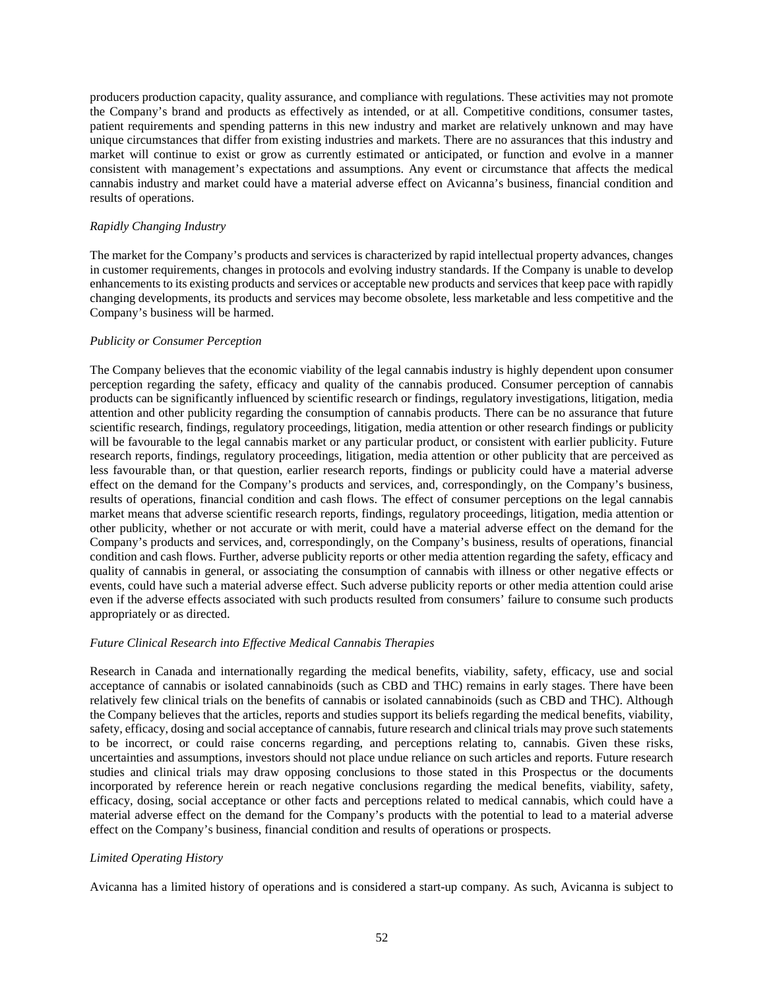producers production capacity, quality assurance, and compliance with regulations. These activities may not promote the Company's brand and products as effectively as intended, or at all. Competitive conditions, consumer tastes, patient requirements and spending patterns in this new industry and market are relatively unknown and may have unique circumstances that differ from existing industries and markets. There are no assurances that this industry and market will continue to exist or grow as currently estimated or anticipated, or function and evolve in a manner consistent with management's expectations and assumptions. Any event or circumstance that affects the medical cannabis industry and market could have a material adverse effect on Avicanna's business, financial condition and results of operations.

## *Rapidly Changing Industry*

The market for the Company's products and services is characterized by rapid intellectual property advances, changes in customer requirements, changes in protocols and evolving industry standards. If the Company is unable to develop enhancements to its existing products and services or acceptable new products and services that keep pace with rapidly changing developments, its products and services may become obsolete, less marketable and less competitive and the Company's business will be harmed.

## *Publicity or Consumer Perception*

The Company believes that the economic viability of the legal cannabis industry is highly dependent upon consumer perception regarding the safety, efficacy and quality of the cannabis produced. Consumer perception of cannabis products can be significantly influenced by scientific research or findings, regulatory investigations, litigation, media attention and other publicity regarding the consumption of cannabis products. There can be no assurance that future scientific research, findings, regulatory proceedings, litigation, media attention or other research findings or publicity will be favourable to the legal cannabis market or any particular product, or consistent with earlier publicity. Future research reports, findings, regulatory proceedings, litigation, media attention or other publicity that are perceived as less favourable than, or that question, earlier research reports, findings or publicity could have a material adverse effect on the demand for the Company's products and services, and, correspondingly, on the Company's business, results of operations, financial condition and cash flows. The effect of consumer perceptions on the legal cannabis market means that adverse scientific research reports, findings, regulatory proceedings, litigation, media attention or other publicity, whether or not accurate or with merit, could have a material adverse effect on the demand for the Company's products and services, and, correspondingly, on the Company's business, results of operations, financial condition and cash flows. Further, adverse publicity reports or other media attention regarding the safety, efficacy and quality of cannabis in general, or associating the consumption of cannabis with illness or other negative effects or events, could have such a material adverse effect. Such adverse publicity reports or other media attention could arise even if the adverse effects associated with such products resulted from consumers' failure to consume such products appropriately or as directed.

# *Future Clinical Research into Effective Medical Cannabis Therapies*

Research in Canada and internationally regarding the medical benefits, viability, safety, efficacy, use and social acceptance of cannabis or isolated cannabinoids (such as CBD and THC) remains in early stages. There have been relatively few clinical trials on the benefits of cannabis or isolated cannabinoids (such as CBD and THC). Although the Company believes that the articles, reports and studies support its beliefs regarding the medical benefits, viability, safety, efficacy, dosing and social acceptance of cannabis, future research and clinical trials may prove such statements to be incorrect, or could raise concerns regarding, and perceptions relating to, cannabis. Given these risks, uncertainties and assumptions, investors should not place undue reliance on such articles and reports. Future research studies and clinical trials may draw opposing conclusions to those stated in this Prospectus or the documents incorporated by reference herein or reach negative conclusions regarding the medical benefits, viability, safety, efficacy, dosing, social acceptance or other facts and perceptions related to medical cannabis, which could have a material adverse effect on the demand for the Company's products with the potential to lead to a material adverse effect on the Company's business, financial condition and results of operations or prospects.

# *Limited Operating History*

Avicanna has a limited history of operations and is considered a start-up company. As such, Avicanna is subject to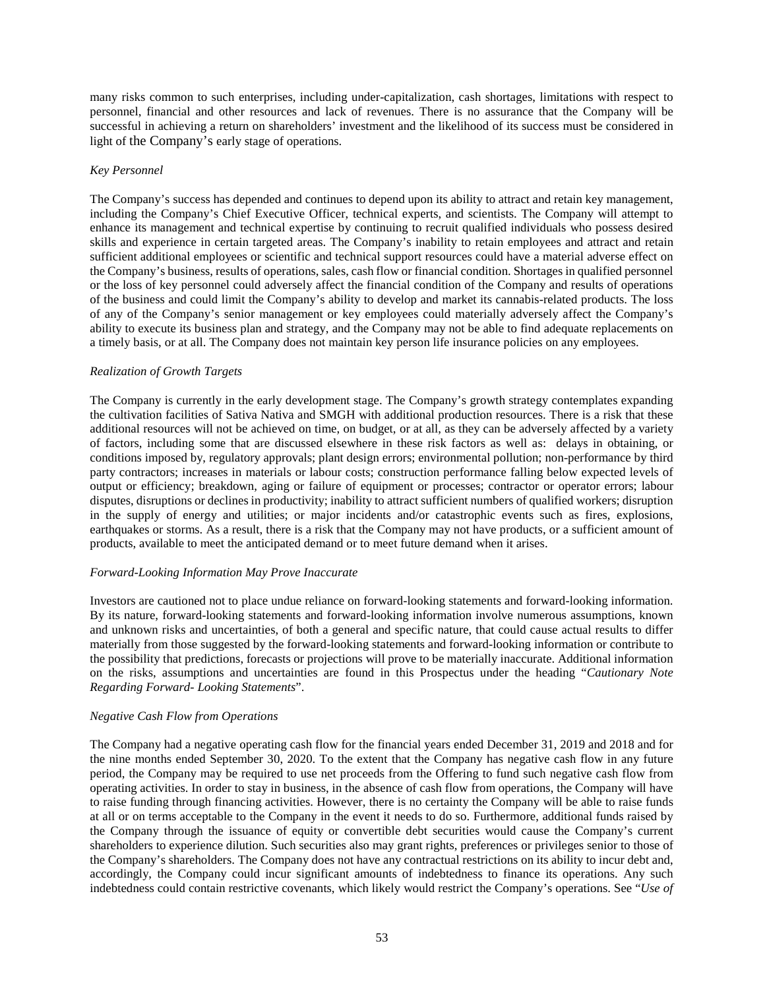many risks common to such enterprises, including under-capitalization, cash shortages, limitations with respect to personnel, financial and other resources and lack of revenues. There is no assurance that the Company will be successful in achieving a return on shareholders' investment and the likelihood of its success must be considered in light of the Company's early stage of operations.

## *Key Personnel*

The Company's success has depended and continues to depend upon its ability to attract and retain key management, including the Company's Chief Executive Officer, technical experts, and scientists. The Company will attempt to enhance its management and technical expertise by continuing to recruit qualified individuals who possess desired skills and experience in certain targeted areas. The Company's inability to retain employees and attract and retain sufficient additional employees or scientific and technical support resources could have a material adverse effect on the Company's business, results of operations, sales, cash flow or financial condition. Shortages in qualified personnel or the loss of key personnel could adversely affect the financial condition of the Company and results of operations of the business and could limit the Company's ability to develop and market its cannabis-related products. The loss of any of the Company's senior management or key employees could materially adversely affect the Company's ability to execute its business plan and strategy, and the Company may not be able to find adequate replacements on a timely basis, or at all. The Company does not maintain key person life insurance policies on any employees.

## *Realization of Growth Targets*

The Company is currently in the early development stage. The Company's growth strategy contemplates expanding the cultivation facilities of Sativa Nativa and SMGH with additional production resources. There is a risk that these additional resources will not be achieved on time, on budget, or at all, as they can be adversely affected by a variety of factors, including some that are discussed elsewhere in these risk factors as well as: delays in obtaining, or conditions imposed by, regulatory approvals; plant design errors; environmental pollution; non-performance by third party contractors; increases in materials or labour costs; construction performance falling below expected levels of output or efficiency; breakdown, aging or failure of equipment or processes; contractor or operator errors; labour disputes, disruptions or declines in productivity; inability to attract sufficient numbers of qualified workers; disruption in the supply of energy and utilities; or major incidents and/or catastrophic events such as fires, explosions, earthquakes or storms. As a result, there is a risk that the Company may not have products, or a sufficient amount of products, available to meet the anticipated demand or to meet future demand when it arises.

### *Forward-Looking Information May Prove Inaccurate*

Investors are cautioned not to place undue reliance on forward-looking statements and forward-looking information. By its nature, forward-looking statements and forward-looking information involve numerous assumptions, known and unknown risks and uncertainties, of both a general and specific nature, that could cause actual results to differ materially from those suggested by the forward-looking statements and forward-looking information or contribute to the possibility that predictions, forecasts or projections will prove to be materially inaccurate. Additional information on the risks, assumptions and uncertainties are found in this Prospectus under the heading "*Cautionary Note Regarding Forward- Looking Statements*".

### *Negative Cash Flow from Operations*

The Company had a negative operating cash flow for the financial years ended December 31, 2019 and 2018 and for the nine months ended September 30, 2020. To the extent that the Company has negative cash flow in any future period, the Company may be required to use net proceeds from the Offering to fund such negative cash flow from operating activities. In order to stay in business, in the absence of cash flow from operations, the Company will have to raise funding through financing activities. However, there is no certainty the Company will be able to raise funds at all or on terms acceptable to the Company in the event it needs to do so. Furthermore, additional funds raised by the Company through the issuance of equity or convertible debt securities would cause the Company's current shareholders to experience dilution. Such securities also may grant rights, preferences or privileges senior to those of the Company's shareholders. The Company does not have any contractual restrictions on its ability to incur debt and, accordingly, the Company could incur significant amounts of indebtedness to finance its operations. Any such indebtedness could contain restrictive covenants, which likely would restrict the Company's operations. See "*Use of*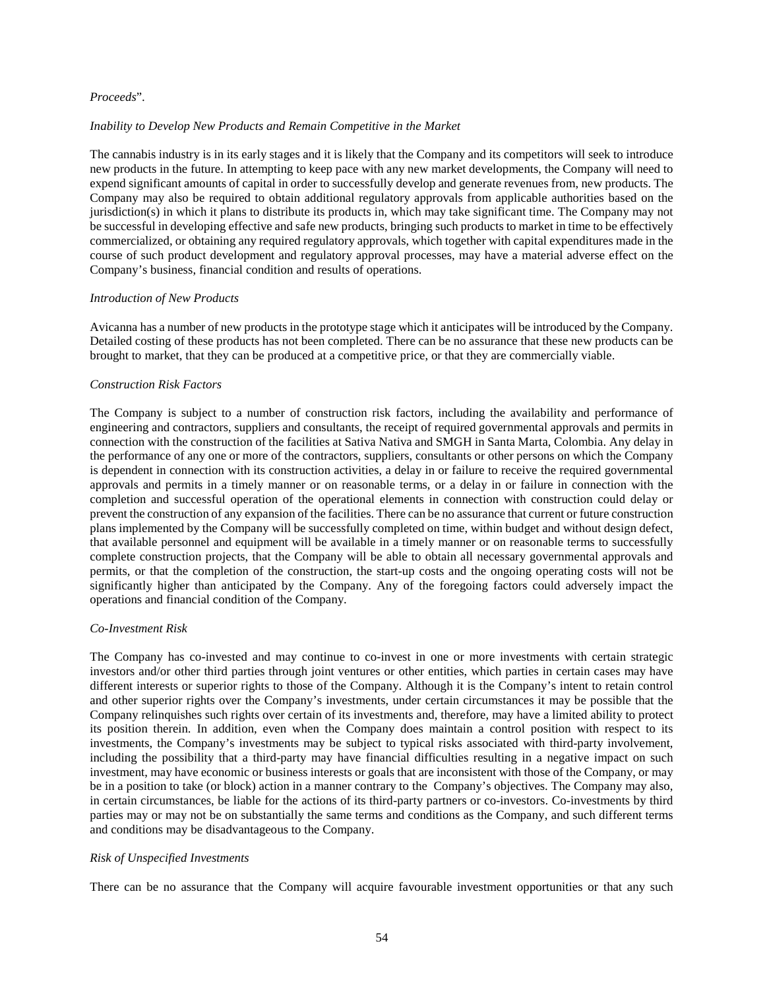## *Proceeds*".

### *Inability to Develop New Products and Remain Competitive in the Market*

The cannabis industry is in its early stages and it is likely that the Company and its competitors will seek to introduce new products in the future. In attempting to keep pace with any new market developments, the Company will need to expend significant amounts of capital in order to successfully develop and generate revenues from, new products. The Company may also be required to obtain additional regulatory approvals from applicable authorities based on the jurisdiction(s) in which it plans to distribute its products in, which may take significant time. The Company may not be successful in developing effective and safe new products, bringing such products to market in time to be effectively commercialized, or obtaining any required regulatory approvals, which together with capital expenditures made in the course of such product development and regulatory approval processes, may have a material adverse effect on the Company's business, financial condition and results of operations.

### *Introduction of New Products*

Avicanna has a number of new products in the prototype stage which it anticipates will be introduced by the Company. Detailed costing of these products has not been completed. There can be no assurance that these new products can be brought to market, that they can be produced at a competitive price, or that they are commercially viable.

### *Construction Risk Factors*

The Company is subject to a number of construction risk factors, including the availability and performance of engineering and contractors, suppliers and consultants, the receipt of required governmental approvals and permits in connection with the construction of the facilities at Sativa Nativa and SMGH in Santa Marta, Colombia. Any delay in the performance of any one or more of the contractors, suppliers, consultants or other persons on which the Company is dependent in connection with its construction activities, a delay in or failure to receive the required governmental approvals and permits in a timely manner or on reasonable terms, or a delay in or failure in connection with the completion and successful operation of the operational elements in connection with construction could delay or prevent the construction of any expansion of the facilities. There can be no assurance that current or future construction plans implemented by the Company will be successfully completed on time, within budget and without design defect, that available personnel and equipment will be available in a timely manner or on reasonable terms to successfully complete construction projects, that the Company will be able to obtain all necessary governmental approvals and permits, or that the completion of the construction, the start-up costs and the ongoing operating costs will not be significantly higher than anticipated by the Company. Any of the foregoing factors could adversely impact the operations and financial condition of the Company.

### *Co-Investment Risk*

The Company has co-invested and may continue to co-invest in one or more investments with certain strategic investors and/or other third parties through joint ventures or other entities, which parties in certain cases may have different interests or superior rights to those of the Company. Although it is the Company's intent to retain control and other superior rights over the Company's investments, under certain circumstances it may be possible that the Company relinquishes such rights over certain of its investments and, therefore, may have a limited ability to protect its position therein. In addition, even when the Company does maintain a control position with respect to its investments, the Company's investments may be subject to typical risks associated with third-party involvement, including the possibility that a third-party may have financial difficulties resulting in a negative impact on such investment, may have economic or business interests or goals that are inconsistent with those of the Company, or may be in a position to take (or block) action in a manner contrary to the Company's objectives. The Company may also, in certain circumstances, be liable for the actions of its third-party partners or co-investors. Co-investments by third parties may or may not be on substantially the same terms and conditions as the Company, and such different terms and conditions may be disadvantageous to the Company.

## *Risk of Unspecified Investments*

There can be no assurance that the Company will acquire favourable investment opportunities or that any such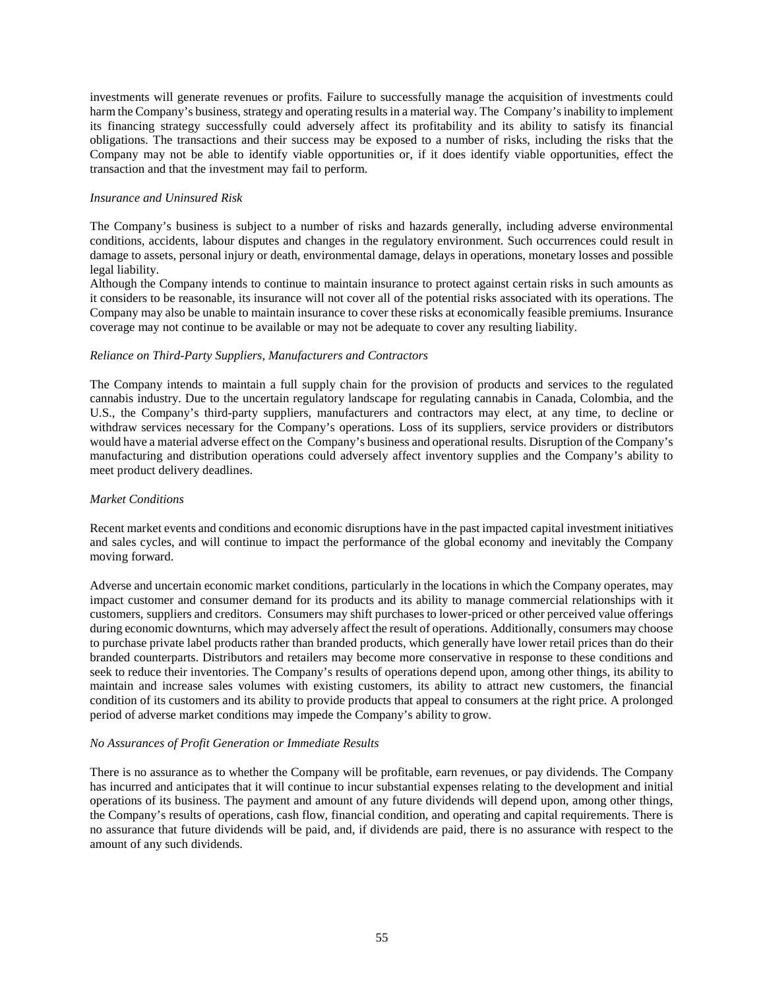investments will generate revenues or profits. Failure to successfully manage the acquisition of investments could harm the Company's business, strategy and operating results in a material way. The Company's inability to implement its financing strategy successfully could adversely affect its profitability and its ability to satisfy its financial obligations. The transactions and their success may be exposed to a number of risks, including the risks that the Company may not be able to identify viable opportunities or, if it does identify viable opportunities, effect the transaction and that the investment may fail to perform.

## *Insurance and Uninsured Risk*

The Company's business is subject to a number of risks and hazards generally, including adverse environmental conditions, accidents, labour disputes and changes in the regulatory environment. Such occurrences could result in damage to assets, personal injury or death, environmental damage, delays in operations, monetary losses and possible legal liability.

Although the Company intends to continue to maintain insurance to protect against certain risks in such amounts as it considers to be reasonable, its insurance will not cover all of the potential risks associated with its operations. The Company may also be unable to maintain insurance to cover these risks at economically feasible premiums. Insurance coverage may not continue to be available or may not be adequate to cover any resulting liability.

## *Reliance on Third-Party Suppliers, Manufacturers and Contractors*

The Company intends to maintain a full supply chain for the provision of products and services to the regulated cannabis industry. Due to the uncertain regulatory landscape for regulating cannabis in Canada, Colombia, and the U.S., the Company's third-party suppliers, manufacturers and contractors may elect, at any time, to decline or withdraw services necessary for the Company's operations. Loss of its suppliers, service providers or distributors would have a material adverse effect on the Company's business and operational results. Disruption of the Company's manufacturing and distribution operations could adversely affect inventory supplies and the Company's ability to meet product delivery deadlines.

### *Market Conditions*

Recent market events and conditions and economic disruptions have in the past impacted capital investment initiatives and sales cycles, and will continue to impact the performance of the global economy and inevitably the Company moving forward.

Adverse and uncertain economic market conditions, particularly in the locations in which the Company operates, may impact customer and consumer demand for its products and its ability to manage commercial relationships with it customers, suppliers and creditors. Consumers may shift purchases to lower-priced or other perceived value offerings during economic downturns, which may adversely affect the result of operations. Additionally, consumers may choose to purchase private label products rather than branded products, which generally have lower retail prices than do their branded counterparts. Distributors and retailers may become more conservative in response to these conditions and seek to reduce their inventories. The Company's results of operations depend upon, among other things, its ability to maintain and increase sales volumes with existing customers, its ability to attract new customers, the financial condition of its customers and its ability to provide products that appeal to consumers at the right price. A prolonged period of adverse market conditions may impede the Company's ability to grow.

### *No Assurances of Profit Generation or Immediate Results*

There is no assurance as to whether the Company will be profitable, earn revenues, or pay dividends. The Company has incurred and anticipates that it will continue to incur substantial expenses relating to the development and initial operations of its business. The payment and amount of any future dividends will depend upon, among other things, the Company's results of operations, cash flow, financial condition, and operating and capital requirements. There is no assurance that future dividends will be paid, and, if dividends are paid, there is no assurance with respect to the amount of any such dividends.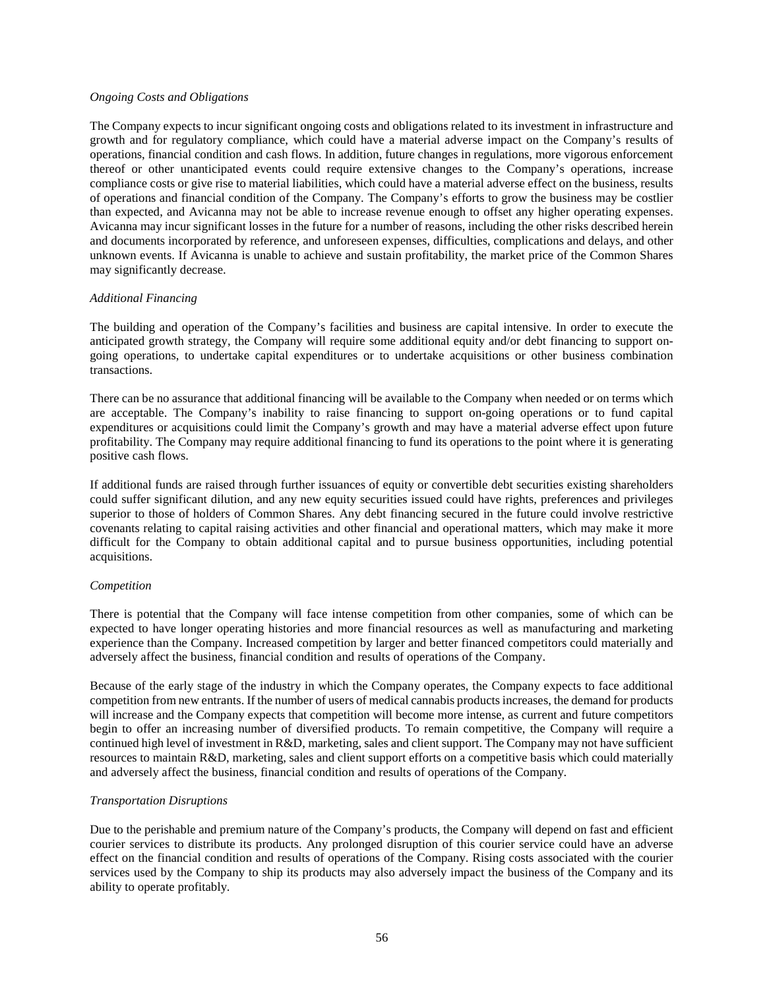#### *Ongoing Costs and Obligations*

The Company expects to incur significant ongoing costs and obligations related to its investment in infrastructure and growth and for regulatory compliance, which could have a material adverse impact on the Company's results of operations, financial condition and cash flows. In addition, future changes in regulations, more vigorous enforcement thereof or other unanticipated events could require extensive changes to the Company's operations, increase compliance costs or give rise to material liabilities, which could have a material adverse effect on the business, results of operations and financial condition of the Company. The Company's efforts to grow the business may be costlier than expected, and Avicanna may not be able to increase revenue enough to offset any higher operating expenses. Avicanna may incur significant losses in the future for a number of reasons, including the other risks described herein and documents incorporated by reference, and unforeseen expenses, difficulties, complications and delays, and other unknown events. If Avicanna is unable to achieve and sustain profitability, the market price of the Common Shares may significantly decrease.

### *Additional Financing*

The building and operation of the Company's facilities and business are capital intensive. In order to execute the anticipated growth strategy, the Company will require some additional equity and/or debt financing to support ongoing operations, to undertake capital expenditures or to undertake acquisitions or other business combination transactions.

There can be no assurance that additional financing will be available to the Company when needed or on terms which are acceptable. The Company's inability to raise financing to support on-going operations or to fund capital expenditures or acquisitions could limit the Company's growth and may have a material adverse effect upon future profitability. The Company may require additional financing to fund its operations to the point where it is generating positive cash flows.

If additional funds are raised through further issuances of equity or convertible debt securities existing shareholders could suffer significant dilution, and any new equity securities issued could have rights, preferences and privileges superior to those of holders of Common Shares. Any debt financing secured in the future could involve restrictive covenants relating to capital raising activities and other financial and operational matters, which may make it more difficult for the Company to obtain additional capital and to pursue business opportunities, including potential acquisitions.

### *Competition*

There is potential that the Company will face intense competition from other companies, some of which can be expected to have longer operating histories and more financial resources as well as manufacturing and marketing experience than the Company. Increased competition by larger and better financed competitors could materially and adversely affect the business, financial condition and results of operations of the Company.

Because of the early stage of the industry in which the Company operates, the Company expects to face additional competition from new entrants. If the number of users of medical cannabis products increases, the demand for products will increase and the Company expects that competition will become more intense, as current and future competitors begin to offer an increasing number of diversified products. To remain competitive, the Company will require a continued high level of investment in R&D, marketing, sales and client support. The Company may not have sufficient resources to maintain R&D, marketing, sales and client support efforts on a competitive basis which could materially and adversely affect the business, financial condition and results of operations of the Company.

# *Transportation Disruptions*

Due to the perishable and premium nature of the Company's products, the Company will depend on fast and efficient courier services to distribute its products. Any prolonged disruption of this courier service could have an adverse effect on the financial condition and results of operations of the Company. Rising costs associated with the courier services used by the Company to ship its products may also adversely impact the business of the Company and its ability to operate profitably.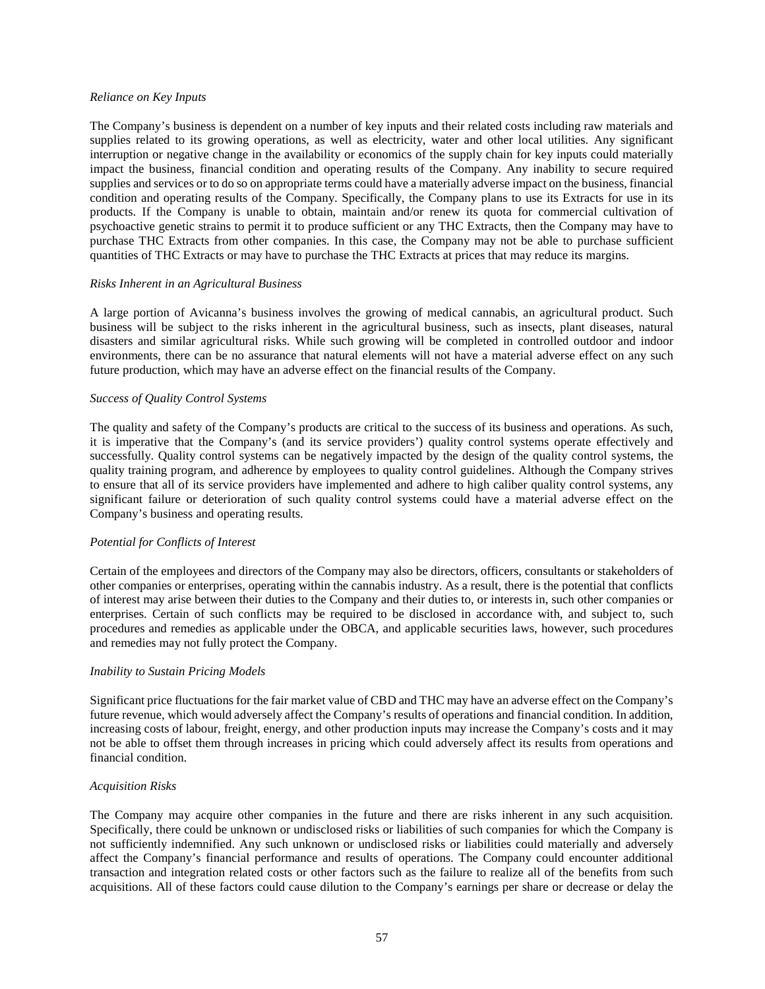#### *Reliance on Key Inputs*

The Company's business is dependent on a number of key inputs and their related costs including raw materials and supplies related to its growing operations, as well as electricity, water and other local utilities. Any significant interruption or negative change in the availability or economics of the supply chain for key inputs could materially impact the business, financial condition and operating results of the Company. Any inability to secure required supplies and services or to do so on appropriate terms could have a materially adverse impact on the business, financial condition and operating results of the Company. Specifically, the Company plans to use its Extracts for use in its products. If the Company is unable to obtain, maintain and/or renew its quota for commercial cultivation of psychoactive genetic strains to permit it to produce sufficient or any THC Extracts, then the Company may have to purchase THC Extracts from other companies. In this case, the Company may not be able to purchase sufficient quantities of THC Extracts or may have to purchase the THC Extracts at prices that may reduce its margins.

#### *Risks Inherent in an Agricultural Business*

A large portion of Avicanna's business involves the growing of medical cannabis, an agricultural product. Such business will be subject to the risks inherent in the agricultural business, such as insects, plant diseases, natural disasters and similar agricultural risks. While such growing will be completed in controlled outdoor and indoor environments, there can be no assurance that natural elements will not have a material adverse effect on any such future production, which may have an adverse effect on the financial results of the Company.

### *Success of Quality Control Systems*

The quality and safety of the Company's products are critical to the success of its business and operations. As such, it is imperative that the Company's (and its service providers') quality control systems operate effectively and successfully. Quality control systems can be negatively impacted by the design of the quality control systems, the quality training program, and adherence by employees to quality control guidelines. Although the Company strives to ensure that all of its service providers have implemented and adhere to high caliber quality control systems, any significant failure or deterioration of such quality control systems could have a material adverse effect on the Company's business and operating results.

#### *Potential for Conflicts of Interest*

Certain of the employees and directors of the Company may also be directors, officers, consultants or stakeholders of other companies or enterprises, operating within the cannabis industry. As a result, there is the potential that conflicts of interest may arise between their duties to the Company and their duties to, or interests in, such other companies or enterprises. Certain of such conflicts may be required to be disclosed in accordance with, and subject to, such procedures and remedies as applicable under the OBCA, and applicable securities laws, however, such procedures and remedies may not fully protect the Company.

#### *Inability to Sustain Pricing Models*

Significant price fluctuations for the fair market value of CBD and THC may have an adverse effect on the Company's future revenue, which would adversely affect the Company's results of operations and financial condition. In addition, increasing costs of labour, freight, energy, and other production inputs may increase the Company's costs and it may not be able to offset them through increases in pricing which could adversely affect its results from operations and financial condition.

#### *Acquisition Risks*

The Company may acquire other companies in the future and there are risks inherent in any such acquisition. Specifically, there could be unknown or undisclosed risks or liabilities of such companies for which the Company is not sufficiently indemnified. Any such unknown or undisclosed risks or liabilities could materially and adversely affect the Company's financial performance and results of operations. The Company could encounter additional transaction and integration related costs or other factors such as the failure to realize all of the benefits from such acquisitions. All of these factors could cause dilution to the Company's earnings per share or decrease or delay the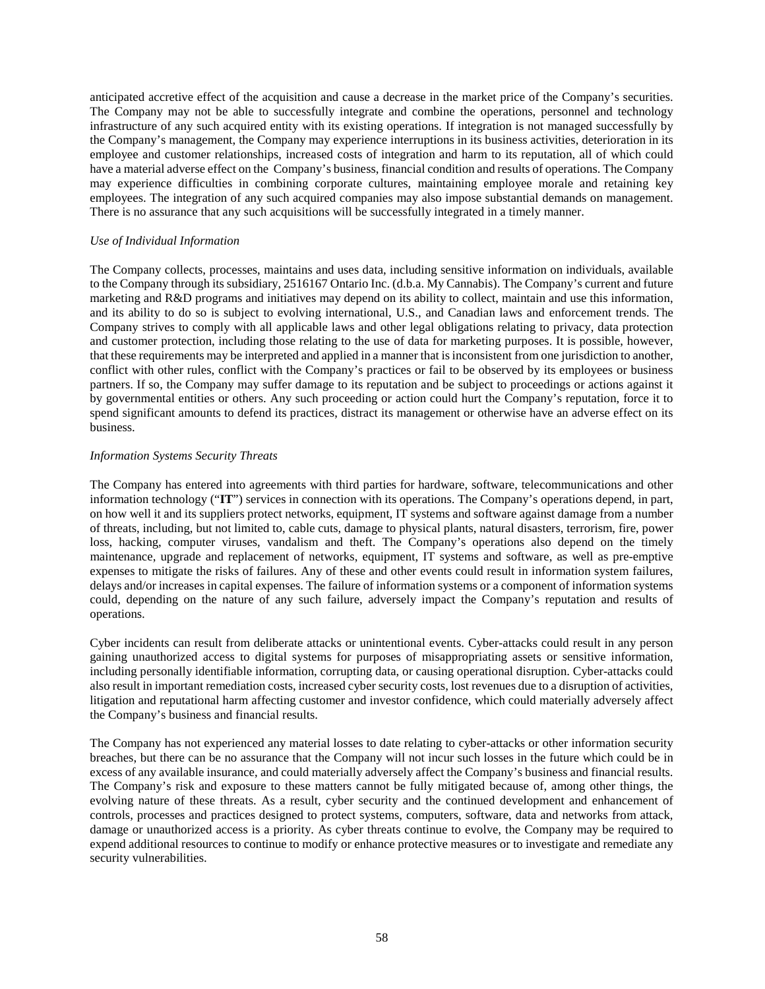anticipated accretive effect of the acquisition and cause a decrease in the market price of the Company's securities. The Company may not be able to successfully integrate and combine the operations, personnel and technology infrastructure of any such acquired entity with its existing operations. If integration is not managed successfully by the Company's management, the Company may experience interruptions in its business activities, deterioration in its employee and customer relationships, increased costs of integration and harm to its reputation, all of which could have a material adverse effect on the Company's business, financial condition and results of operations. The Company may experience difficulties in combining corporate cultures, maintaining employee morale and retaining key employees. The integration of any such acquired companies may also impose substantial demands on management. There is no assurance that any such acquisitions will be successfully integrated in a timely manner.

## *Use of Individual Information*

The Company collects, processes, maintains and uses data, including sensitive information on individuals, available to the Company through its subsidiary, 2516167 Ontario Inc. (d.b.a. My Cannabis). The Company's current and future marketing and R&D programs and initiatives may depend on its ability to collect, maintain and use this information, and its ability to do so is subject to evolving international, U.S., and Canadian laws and enforcement trends. The Company strives to comply with all applicable laws and other legal obligations relating to privacy, data protection and customer protection, including those relating to the use of data for marketing purposes. It is possible, however, that these requirements may be interpreted and applied in a manner that is inconsistent from one jurisdiction to another, conflict with other rules, conflict with the Company's practices or fail to be observed by its employees or business partners. If so, the Company may suffer damage to its reputation and be subject to proceedings or actions against it by governmental entities or others. Any such proceeding or action could hurt the Company's reputation, force it to spend significant amounts to defend its practices, distract its management or otherwise have an adverse effect on its business.

### *Information Systems Security Threats*

The Company has entered into agreements with third parties for hardware, software, telecommunications and other information technology ("**IT**") services in connection with its operations. The Company's operations depend, in part, on how well it and its suppliers protect networks, equipment, IT systems and software against damage from a number of threats, including, but not limited to, cable cuts, damage to physical plants, natural disasters, terrorism, fire, power loss, hacking, computer viruses, vandalism and theft. The Company's operations also depend on the timely maintenance, upgrade and replacement of networks, equipment, IT systems and software, as well as pre-emptive expenses to mitigate the risks of failures. Any of these and other events could result in information system failures, delays and/or increases in capital expenses. The failure of information systems or a component of information systems could, depending on the nature of any such failure, adversely impact the Company's reputation and results of operations.

Cyber incidents can result from deliberate attacks or unintentional events. Cyber-attacks could result in any person gaining unauthorized access to digital systems for purposes of misappropriating assets or sensitive information, including personally identifiable information, corrupting data, or causing operational disruption. Cyber-attacks could also result in important remediation costs, increased cyber security costs, lost revenues due to a disruption of activities, litigation and reputational harm affecting customer and investor confidence, which could materially adversely affect the Company's business and financial results.

The Company has not experienced any material losses to date relating to cyber-attacks or other information security breaches, but there can be no assurance that the Company will not incur such losses in the future which could be in excess of any available insurance, and could materially adversely affect the Company's business and financial results. The Company's risk and exposure to these matters cannot be fully mitigated because of, among other things, the evolving nature of these threats. As a result, cyber security and the continued development and enhancement of controls, processes and practices designed to protect systems, computers, software, data and networks from attack, damage or unauthorized access is a priority. As cyber threats continue to evolve, the Company may be required to expend additional resources to continue to modify or enhance protective measures or to investigate and remediate any security vulnerabilities.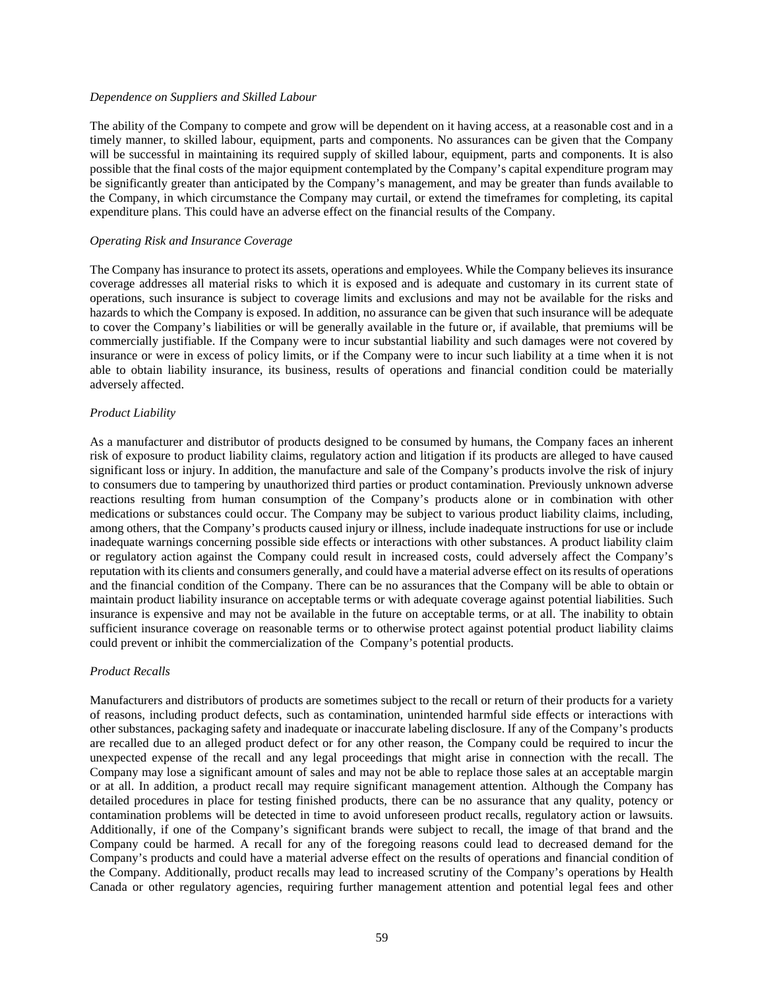### *Dependence on Suppliers and Skilled Labour*

The ability of the Company to compete and grow will be dependent on it having access, at a reasonable cost and in a timely manner, to skilled labour, equipment, parts and components. No assurances can be given that the Company will be successful in maintaining its required supply of skilled labour, equipment, parts and components. It is also possible that the final costs of the major equipment contemplated by the Company's capital expenditure program may be significantly greater than anticipated by the Company's management, and may be greater than funds available to the Company, in which circumstance the Company may curtail, or extend the timeframes for completing, its capital expenditure plans. This could have an adverse effect on the financial results of the Company.

### *Operating Risk and Insurance Coverage*

The Company has insurance to protect its assets, operations and employees. While the Company believes its insurance coverage addresses all material risks to which it is exposed and is adequate and customary in its current state of operations, such insurance is subject to coverage limits and exclusions and may not be available for the risks and hazards to which the Company is exposed. In addition, no assurance can be given that such insurance will be adequate to cover the Company's liabilities or will be generally available in the future or, if available, that premiums will be commercially justifiable. If the Company were to incur substantial liability and such damages were not covered by insurance or were in excess of policy limits, or if the Company were to incur such liability at a time when it is not able to obtain liability insurance, its business, results of operations and financial condition could be materially adversely affected.

## *Product Liability*

As a manufacturer and distributor of products designed to be consumed by humans, the Company faces an inherent risk of exposure to product liability claims, regulatory action and litigation if its products are alleged to have caused significant loss or injury. In addition, the manufacture and sale of the Company's products involve the risk of injury to consumers due to tampering by unauthorized third parties or product contamination. Previously unknown adverse reactions resulting from human consumption of the Company's products alone or in combination with other medications or substances could occur. The Company may be subject to various product liability claims, including, among others, that the Company's products caused injury or illness, include inadequate instructions for use or include inadequate warnings concerning possible side effects or interactions with other substances. A product liability claim or regulatory action against the Company could result in increased costs, could adversely affect the Company's reputation with its clients and consumers generally, and could have a material adverse effect on its results of operations and the financial condition of the Company. There can be no assurances that the Company will be able to obtain or maintain product liability insurance on acceptable terms or with adequate coverage against potential liabilities. Such insurance is expensive and may not be available in the future on acceptable terms, or at all. The inability to obtain sufficient insurance coverage on reasonable terms or to otherwise protect against potential product liability claims could prevent or inhibit the commercialization of the Company's potential products.

### *Product Recalls*

Manufacturers and distributors of products are sometimes subject to the recall or return of their products for a variety of reasons, including product defects, such as contamination, unintended harmful side effects or interactions with other substances, packaging safety and inadequate or inaccurate labeling disclosure. If any of the Company's products are recalled due to an alleged product defect or for any other reason, the Company could be required to incur the unexpected expense of the recall and any legal proceedings that might arise in connection with the recall. The Company may lose a significant amount of sales and may not be able to replace those sales at an acceptable margin or at all. In addition, a product recall may require significant management attention. Although the Company has detailed procedures in place for testing finished products, there can be no assurance that any quality, potency or contamination problems will be detected in time to avoid unforeseen product recalls, regulatory action or lawsuits. Additionally, if one of the Company's significant brands were subject to recall, the image of that brand and the Company could be harmed. A recall for any of the foregoing reasons could lead to decreased demand for the Company's products and could have a material adverse effect on the results of operations and financial condition of the Company. Additionally, product recalls may lead to increased scrutiny of the Company's operations by Health Canada or other regulatory agencies, requiring further management attention and potential legal fees and other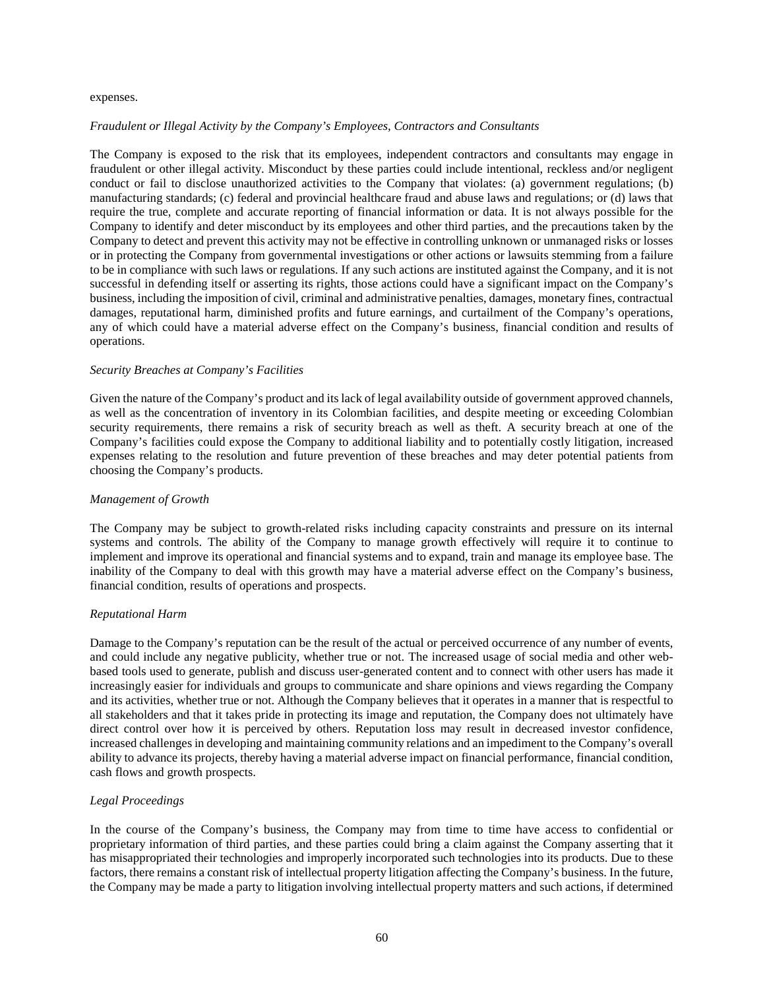#### expenses.

### *Fraudulent or Illegal Activity by the Company's Employees, Contractors and Consultants*

The Company is exposed to the risk that its employees, independent contractors and consultants may engage in fraudulent or other illegal activity. Misconduct by these parties could include intentional, reckless and/or negligent conduct or fail to disclose unauthorized activities to the Company that violates: (a) government regulations; (b) manufacturing standards; (c) federal and provincial healthcare fraud and abuse laws and regulations; or (d) laws that require the true, complete and accurate reporting of financial information or data. It is not always possible for the Company to identify and deter misconduct by its employees and other third parties, and the precautions taken by the Company to detect and prevent this activity may not be effective in controlling unknown or unmanaged risks or losses or in protecting the Company from governmental investigations or other actions or lawsuits stemming from a failure to be in compliance with such laws or regulations. If any such actions are instituted against the Company, and it is not successful in defending itself or asserting its rights, those actions could have a significant impact on the Company's business, including the imposition of civil, criminal and administrative penalties, damages, monetary fines, contractual damages, reputational harm, diminished profits and future earnings, and curtailment of the Company's operations, any of which could have a material adverse effect on the Company's business, financial condition and results of operations.

### *Security Breaches at Company's Facilities*

Given the nature of the Company's product and its lack of legal availability outside of government approved channels, as well as the concentration of inventory in its Colombian facilities, and despite meeting or exceeding Colombian security requirements, there remains a risk of security breach as well as theft. A security breach at one of the Company's facilities could expose the Company to additional liability and to potentially costly litigation, increased expenses relating to the resolution and future prevention of these breaches and may deter potential patients from choosing the Company's products.

#### *Management of Growth*

The Company may be subject to growth-related risks including capacity constraints and pressure on its internal systems and controls. The ability of the Company to manage growth effectively will require it to continue to implement and improve its operational and financial systems and to expand, train and manage its employee base. The inability of the Company to deal with this growth may have a material adverse effect on the Company's business, financial condition, results of operations and prospects.

### *Reputational Harm*

Damage to the Company's reputation can be the result of the actual or perceived occurrence of any number of events, and could include any negative publicity, whether true or not. The increased usage of social media and other webbased tools used to generate, publish and discuss user-generated content and to connect with other users has made it increasingly easier for individuals and groups to communicate and share opinions and views regarding the Company and its activities, whether true or not. Although the Company believes that it operates in a manner that is respectful to all stakeholders and that it takes pride in protecting its image and reputation, the Company does not ultimately have direct control over how it is perceived by others. Reputation loss may result in decreased investor confidence, increased challenges in developing and maintaining community relations and an impediment to the Company's overall ability to advance its projects, thereby having a material adverse impact on financial performance, financial condition, cash flows and growth prospects.

### *Legal Proceedings*

In the course of the Company's business, the Company may from time to time have access to confidential or proprietary information of third parties, and these parties could bring a claim against the Company asserting that it has misappropriated their technologies and improperly incorporated such technologies into its products. Due to these factors, there remains a constant risk of intellectual property litigation affecting the Company's business. In the future, the Company may be made a party to litigation involving intellectual property matters and such actions, if determined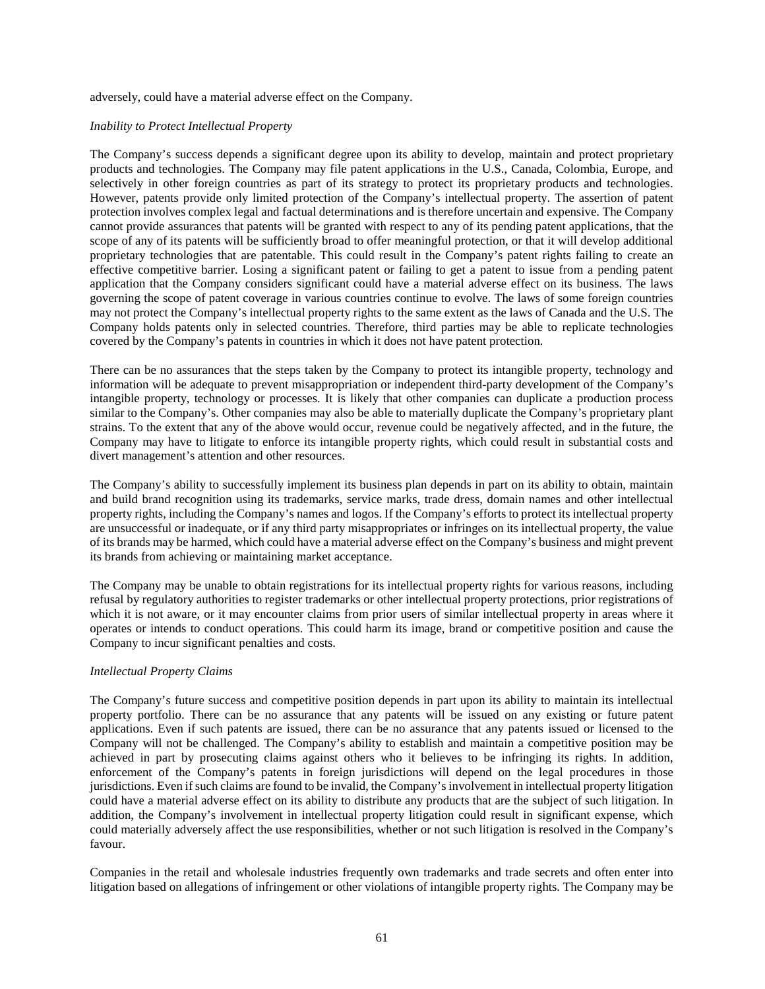adversely, could have a material adverse effect on the Company.

### *Inability to Protect Intellectual Property*

The Company's success depends a significant degree upon its ability to develop, maintain and protect proprietary products and technologies. The Company may file patent applications in the U.S., Canada, Colombia, Europe, and selectively in other foreign countries as part of its strategy to protect its proprietary products and technologies. However, patents provide only limited protection of the Company's intellectual property. The assertion of patent protection involves complex legal and factual determinations and is therefore uncertain and expensive. The Company cannot provide assurances that patents will be granted with respect to any of its pending patent applications, that the scope of any of its patents will be sufficiently broad to offer meaningful protection, or that it will develop additional proprietary technologies that are patentable. This could result in the Company's patent rights failing to create an effective competitive barrier. Losing a significant patent or failing to get a patent to issue from a pending patent application that the Company considers significant could have a material adverse effect on its business. The laws governing the scope of patent coverage in various countries continue to evolve. The laws of some foreign countries may not protect the Company's intellectual property rights to the same extent as the laws of Canada and the U.S. The Company holds patents only in selected countries. Therefore, third parties may be able to replicate technologies covered by the Company's patents in countries in which it does not have patent protection.

There can be no assurances that the steps taken by the Company to protect its intangible property, technology and information will be adequate to prevent misappropriation or independent third-party development of the Company's intangible property, technology or processes. It is likely that other companies can duplicate a production process similar to the Company's. Other companies may also be able to materially duplicate the Company's proprietary plant strains. To the extent that any of the above would occur, revenue could be negatively affected, and in the future, the Company may have to litigate to enforce its intangible property rights, which could result in substantial costs and divert management's attention and other resources.

The Company's ability to successfully implement its business plan depends in part on its ability to obtain, maintain and build brand recognition using its trademarks, service marks, trade dress, domain names and other intellectual property rights, including the Company's names and logos. If the Company's efforts to protect its intellectual property are unsuccessful or inadequate, or if any third party misappropriates or infringes on its intellectual property, the value of its brands may be harmed, which could have a material adverse effect on the Company's business and might prevent its brands from achieving or maintaining market acceptance.

The Company may be unable to obtain registrations for its intellectual property rights for various reasons, including refusal by regulatory authorities to register trademarks or other intellectual property protections, prior registrations of which it is not aware, or it may encounter claims from prior users of similar intellectual property in areas where it operates or intends to conduct operations. This could harm its image, brand or competitive position and cause the Company to incur significant penalties and costs.

### *Intellectual Property Claims*

The Company's future success and competitive position depends in part upon its ability to maintain its intellectual property portfolio. There can be no assurance that any patents will be issued on any existing or future patent applications. Even if such patents are issued, there can be no assurance that any patents issued or licensed to the Company will not be challenged. The Company's ability to establish and maintain a competitive position may be achieved in part by prosecuting claims against others who it believes to be infringing its rights. In addition, enforcement of the Company's patents in foreign jurisdictions will depend on the legal procedures in those jurisdictions. Even if such claims are found to be invalid, the Company's involvement in intellectual property litigation could have a material adverse effect on its ability to distribute any products that are the subject of such litigation. In addition, the Company's involvement in intellectual property litigation could result in significant expense, which could materially adversely affect the use responsibilities, whether or not such litigation is resolved in the Company's favour.

Companies in the retail and wholesale industries frequently own trademarks and trade secrets and often enter into litigation based on allegations of infringement or other violations of intangible property rights. The Company may be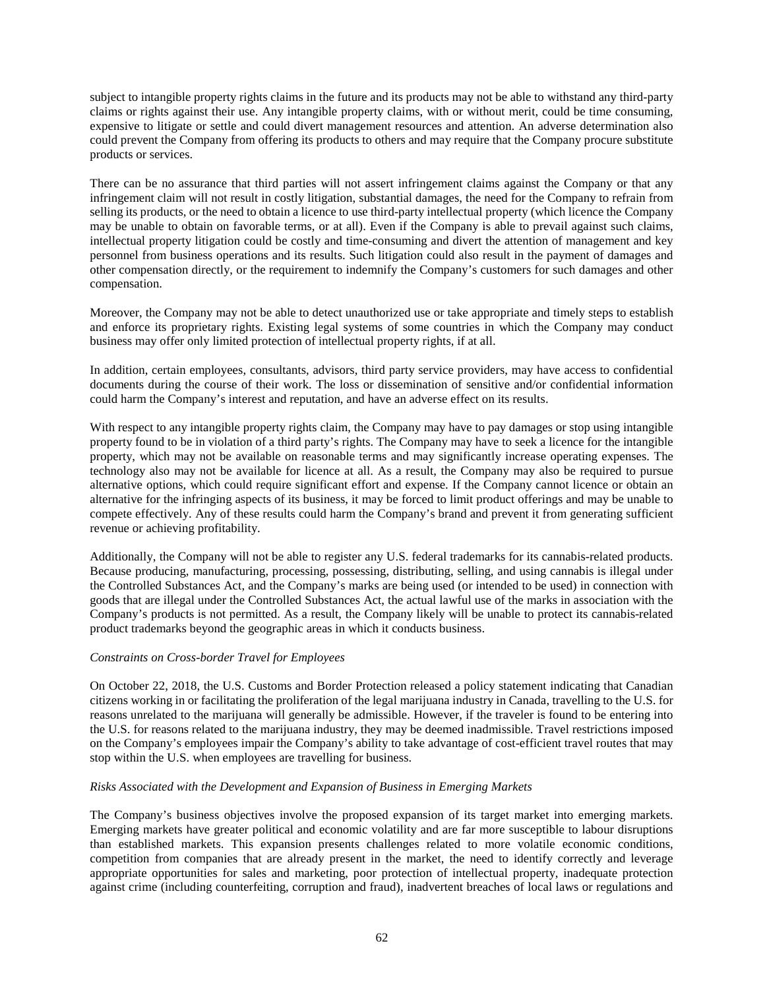subject to intangible property rights claims in the future and its products may not be able to withstand any third-party claims or rights against their use. Any intangible property claims, with or without merit, could be time consuming, expensive to litigate or settle and could divert management resources and attention. An adverse determination also could prevent the Company from offering its products to others and may require that the Company procure substitute products or services.

There can be no assurance that third parties will not assert infringement claims against the Company or that any infringement claim will not result in costly litigation, substantial damages, the need for the Company to refrain from selling its products, or the need to obtain a licence to use third-party intellectual property (which licence the Company may be unable to obtain on favorable terms, or at all). Even if the Company is able to prevail against such claims, intellectual property litigation could be costly and time-consuming and divert the attention of management and key personnel from business operations and its results. Such litigation could also result in the payment of damages and other compensation directly, or the requirement to indemnify the Company's customers for such damages and other compensation.

Moreover, the Company may not be able to detect unauthorized use or take appropriate and timely steps to establish and enforce its proprietary rights. Existing legal systems of some countries in which the Company may conduct business may offer only limited protection of intellectual property rights, if at all.

In addition, certain employees, consultants, advisors, third party service providers, may have access to confidential documents during the course of their work. The loss or dissemination of sensitive and/or confidential information could harm the Company's interest and reputation, and have an adverse effect on its results.

With respect to any intangible property rights claim, the Company may have to pay damages or stop using intangible property found to be in violation of a third party's rights. The Company may have to seek a licence for the intangible property, which may not be available on reasonable terms and may significantly increase operating expenses. The technology also may not be available for licence at all. As a result, the Company may also be required to pursue alternative options, which could require significant effort and expense. If the Company cannot licence or obtain an alternative for the infringing aspects of its business, it may be forced to limit product offerings and may be unable to compete effectively. Any of these results could harm the Company's brand and prevent it from generating sufficient revenue or achieving profitability.

Additionally, the Company will not be able to register any U.S. federal trademarks for its cannabis-related products. Because producing, manufacturing, processing, possessing, distributing, selling, and using cannabis is illegal under the Controlled Substances Act, and the Company's marks are being used (or intended to be used) in connection with goods that are illegal under the Controlled Substances Act, the actual lawful use of the marks in association with the Company's products is not permitted. As a result, the Company likely will be unable to protect its cannabis-related product trademarks beyond the geographic areas in which it conducts business.

### *Constraints on Cross-border Travel for Employees*

On October 22, 2018, the U.S. Customs and Border Protection released a policy statement indicating that Canadian citizens working in or facilitating the proliferation of the legal marijuana industry in Canada, travelling to the U.S. for reasons unrelated to the marijuana will generally be admissible. However, if the traveler is found to be entering into the U.S. for reasons related to the marijuana industry, they may be deemed inadmissible. Travel restrictions imposed on the Company's employees impair the Company's ability to take advantage of cost-efficient travel routes that may stop within the U.S. when employees are travelling for business.

### *Risks Associated with the Development and Expansion of Business in Emerging Markets*

The Company's business objectives involve the proposed expansion of its target market into emerging markets. Emerging markets have greater political and economic volatility and are far more susceptible to labour disruptions than established markets. This expansion presents challenges related to more volatile economic conditions, competition from companies that are already present in the market, the need to identify correctly and leverage appropriate opportunities for sales and marketing, poor protection of intellectual property, inadequate protection against crime (including counterfeiting, corruption and fraud), inadvertent breaches of local laws or regulations and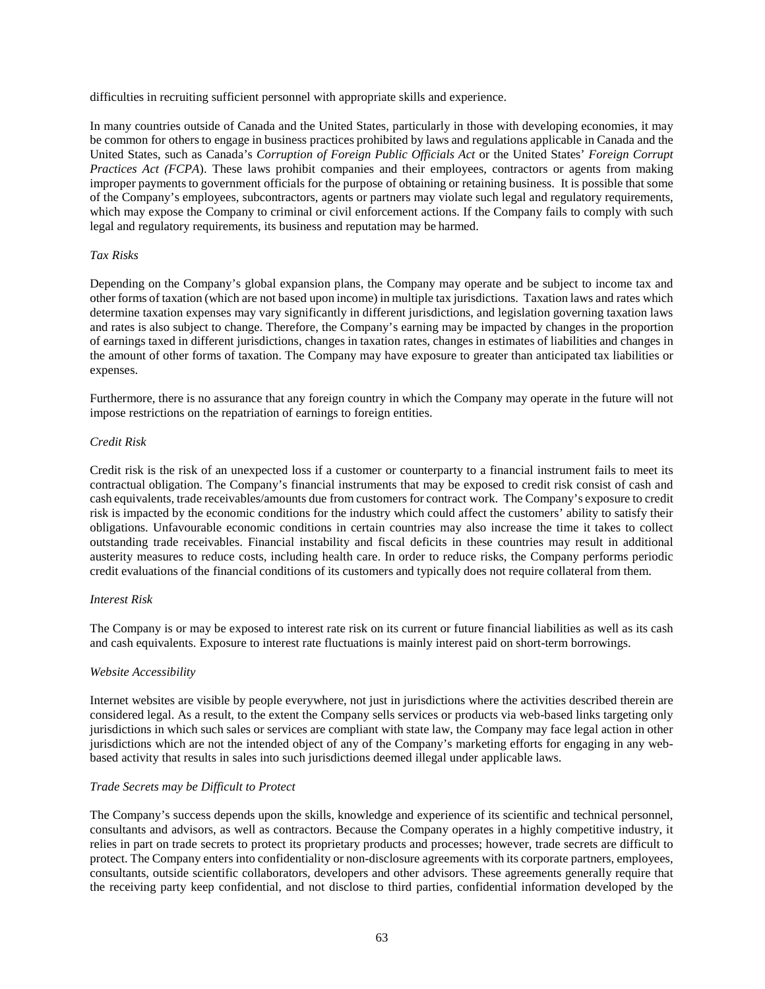difficulties in recruiting sufficient personnel with appropriate skills and experience.

In many countries outside of Canada and the United States, particularly in those with developing economies, it may be common for others to engage in business practices prohibited by laws and regulations applicable in Canada and the United States, such as Canada's *Corruption of Foreign Public Officials Act* or the United States' *Foreign Corrupt Practices Act (FCPA*). These laws prohibit companies and their employees, contractors or agents from making improper payments to government officials for the purpose of obtaining or retaining business. It is possible that some of the Company's employees, subcontractors, agents or partners may violate such legal and regulatory requirements, which may expose the Company to criminal or civil enforcement actions. If the Company fails to comply with such legal and regulatory requirements, its business and reputation may be harmed.

## *Tax Risks*

Depending on the Company's global expansion plans, the Company may operate and be subject to income tax and other forms of taxation (which are not based upon income) in multiple tax jurisdictions. Taxation laws and rates which determine taxation expenses may vary significantly in different jurisdictions, and legislation governing taxation laws and rates is also subject to change. Therefore, the Company's earning may be impacted by changes in the proportion of earnings taxed in different jurisdictions, changes in taxation rates, changes in estimates of liabilities and changes in the amount of other forms of taxation. The Company may have exposure to greater than anticipated tax liabilities or expenses.

Furthermore, there is no assurance that any foreign country in which the Company may operate in the future will not impose restrictions on the repatriation of earnings to foreign entities.

## *Credit Risk*

Credit risk is the risk of an unexpected loss if a customer or counterparty to a financial instrument fails to meet its contractual obligation. The Company's financial instruments that may be exposed to credit risk consist of cash and cash equivalents, trade receivables/amounts due from customers for contract work. The Company's exposure to credit risk is impacted by the economic conditions for the industry which could affect the customers' ability to satisfy their obligations. Unfavourable economic conditions in certain countries may also increase the time it takes to collect outstanding trade receivables. Financial instability and fiscal deficits in these countries may result in additional austerity measures to reduce costs, including health care. In order to reduce risks, the Company performs periodic credit evaluations of the financial conditions of its customers and typically does not require collateral from them.

### *Interest Risk*

The Company is or may be exposed to interest rate risk on its current or future financial liabilities as well as its cash and cash equivalents. Exposure to interest rate fluctuations is mainly interest paid on short-term borrowings.

### *Website Accessibility*

Internet websites are visible by people everywhere, not just in jurisdictions where the activities described therein are considered legal. As a result, to the extent the Company sells services or products via web-based links targeting only jurisdictions in which such sales or services are compliant with state law, the Company may face legal action in other jurisdictions which are not the intended object of any of the Company's marketing efforts for engaging in any webbased activity that results in sales into such jurisdictions deemed illegal under applicable laws.

### *Trade Secrets may be Difficult to Protect*

The Company's success depends upon the skills, knowledge and experience of its scientific and technical personnel, consultants and advisors, as well as contractors. Because the Company operates in a highly competitive industry, it relies in part on trade secrets to protect its proprietary products and processes; however, trade secrets are difficult to protect. The Company enters into confidentiality or non-disclosure agreements with its corporate partners, employees, consultants, outside scientific collaborators, developers and other advisors. These agreements generally require that the receiving party keep confidential, and not disclose to third parties, confidential information developed by the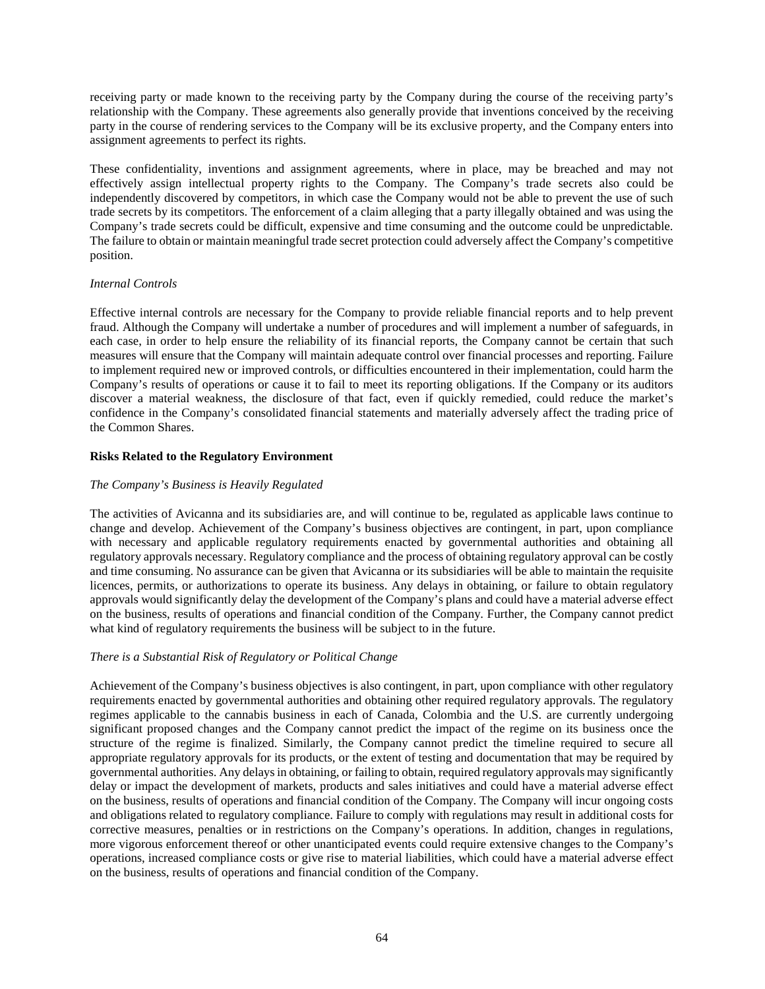receiving party or made known to the receiving party by the Company during the course of the receiving party's relationship with the Company. These agreements also generally provide that inventions conceived by the receiving party in the course of rendering services to the Company will be its exclusive property, and the Company enters into assignment agreements to perfect its rights.

These confidentiality, inventions and assignment agreements, where in place, may be breached and may not effectively assign intellectual property rights to the Company. The Company's trade secrets also could be independently discovered by competitors, in which case the Company would not be able to prevent the use of such trade secrets by its competitors. The enforcement of a claim alleging that a party illegally obtained and was using the Company's trade secrets could be difficult, expensive and time consuming and the outcome could be unpredictable. The failure to obtain or maintain meaningful trade secret protection could adversely affect the Company's competitive position.

# *Internal Controls*

Effective internal controls are necessary for the Company to provide reliable financial reports and to help prevent fraud. Although the Company will undertake a number of procedures and will implement a number of safeguards, in each case, in order to help ensure the reliability of its financial reports, the Company cannot be certain that such measures will ensure that the Company will maintain adequate control over financial processes and reporting. Failure to implement required new or improved controls, or difficulties encountered in their implementation, could harm the Company's results of operations or cause it to fail to meet its reporting obligations. If the Company or its auditors discover a material weakness, the disclosure of that fact, even if quickly remedied, could reduce the market's confidence in the Company's consolidated financial statements and materially adversely affect the trading price of the Common Shares.

## **Risks Related to the Regulatory Environment**

## *The Company's Business is Heavily Regulated*

The activities of Avicanna and its subsidiaries are, and will continue to be, regulated as applicable laws continue to change and develop. Achievement of the Company's business objectives are contingent, in part, upon compliance with necessary and applicable regulatory requirements enacted by governmental authorities and obtaining all regulatory approvals necessary. Regulatory compliance and the process of obtaining regulatory approval can be costly and time consuming. No assurance can be given that Avicanna or its subsidiaries will be able to maintain the requisite licences, permits, or authorizations to operate its business. Any delays in obtaining, or failure to obtain regulatory approvals would significantly delay the development of the Company's plans and could have a material adverse effect on the business, results of operations and financial condition of the Company. Further, the Company cannot predict what kind of regulatory requirements the business will be subject to in the future.

# *There is a Substantial Risk of Regulatory or Political Change*

Achievement of the Company's business objectives is also contingent, in part, upon compliance with other regulatory requirements enacted by governmental authorities and obtaining other required regulatory approvals. The regulatory regimes applicable to the cannabis business in each of Canada, Colombia and the U.S. are currently undergoing significant proposed changes and the Company cannot predict the impact of the regime on its business once the structure of the regime is finalized. Similarly, the Company cannot predict the timeline required to secure all appropriate regulatory approvals for its products, or the extent of testing and documentation that may be required by governmental authorities. Any delays in obtaining, or failing to obtain, required regulatory approvals may significantly delay or impact the development of markets, products and sales initiatives and could have a material adverse effect on the business, results of operations and financial condition of the Company. The Company will incur ongoing costs and obligations related to regulatory compliance. Failure to comply with regulations may result in additional costs for corrective measures, penalties or in restrictions on the Company's operations. In addition, changes in regulations, more vigorous enforcement thereof or other unanticipated events could require extensive changes to the Company's operations, increased compliance costs or give rise to material liabilities, which could have a material adverse effect on the business, results of operations and financial condition of the Company.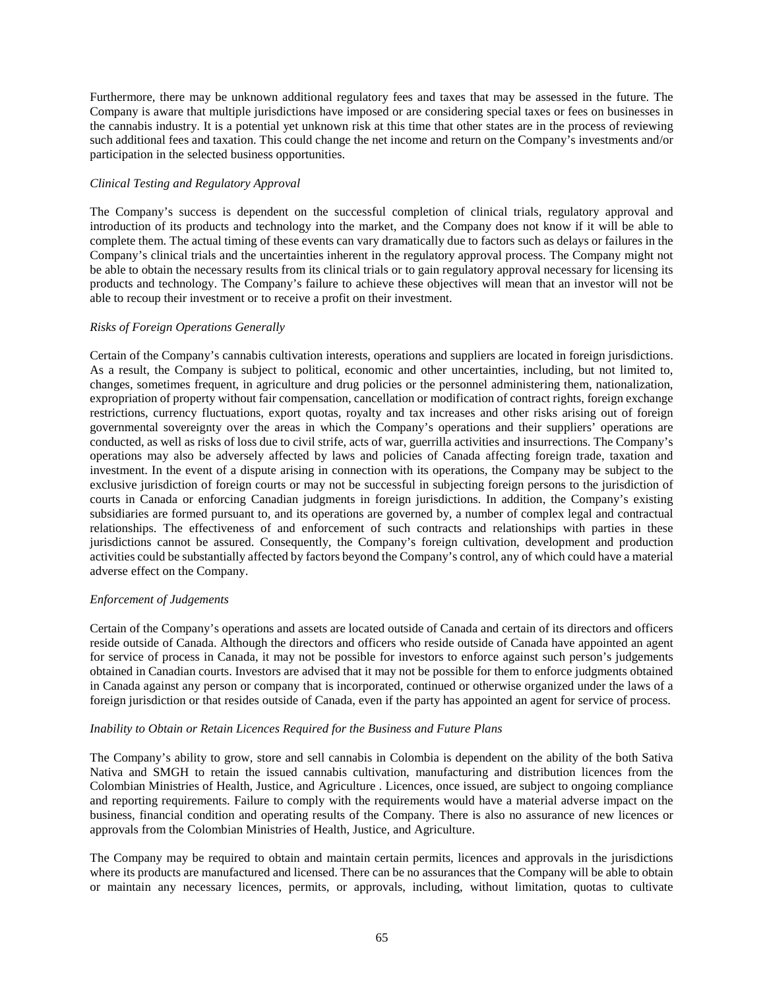Furthermore, there may be unknown additional regulatory fees and taxes that may be assessed in the future. The Company is aware that multiple jurisdictions have imposed or are considering special taxes or fees on businesses in the cannabis industry. It is a potential yet unknown risk at this time that other states are in the process of reviewing such additional fees and taxation. This could change the net income and return on the Company's investments and/or participation in the selected business opportunities.

## *Clinical Testing and Regulatory Approval*

The Company's success is dependent on the successful completion of clinical trials, regulatory approval and introduction of its products and technology into the market, and the Company does not know if it will be able to complete them. The actual timing of these events can vary dramatically due to factors such as delays or failures in the Company's clinical trials and the uncertainties inherent in the regulatory approval process. The Company might not be able to obtain the necessary results from its clinical trials or to gain regulatory approval necessary for licensing its products and technology. The Company's failure to achieve these objectives will mean that an investor will not be able to recoup their investment or to receive a profit on their investment.

### *Risks of Foreign Operations Generally*

Certain of the Company's cannabis cultivation interests, operations and suppliers are located in foreign jurisdictions. As a result, the Company is subject to political, economic and other uncertainties, including, but not limited to, changes, sometimes frequent, in agriculture and drug policies or the personnel administering them, nationalization, expropriation of property without fair compensation, cancellation or modification of contract rights, foreign exchange restrictions, currency fluctuations, export quotas, royalty and tax increases and other risks arising out of foreign governmental sovereignty over the areas in which the Company's operations and their suppliers' operations are conducted, as well as risks of loss due to civil strife, acts of war, guerrilla activities and insurrections. The Company's operations may also be adversely affected by laws and policies of Canada affecting foreign trade, taxation and investment. In the event of a dispute arising in connection with its operations, the Company may be subject to the exclusive jurisdiction of foreign courts or may not be successful in subjecting foreign persons to the jurisdiction of courts in Canada or enforcing Canadian judgments in foreign jurisdictions. In addition, the Company's existing subsidiaries are formed pursuant to, and its operations are governed by, a number of complex legal and contractual relationships. The effectiveness of and enforcement of such contracts and relationships with parties in these jurisdictions cannot be assured. Consequently, the Company's foreign cultivation, development and production activities could be substantially affected by factors beyond the Company's control, any of which could have a material adverse effect on the Company.

### *Enforcement of Judgements*

Certain of the Company's operations and assets are located outside of Canada and certain of its directors and officers reside outside of Canada. Although the directors and officers who reside outside of Canada have appointed an agent for service of process in Canada, it may not be possible for investors to enforce against such person's judgements obtained in Canadian courts. Investors are advised that it may not be possible for them to enforce judgments obtained in Canada against any person or company that is incorporated, continued or otherwise organized under the laws of a foreign jurisdiction or that resides outside of Canada, even if the party has appointed an agent for service of process.

### *Inability to Obtain or Retain Licences Required for the Business and Future Plans*

The Company's ability to grow, store and sell cannabis in Colombia is dependent on the ability of the both Sativa Nativa and SMGH to retain the issued cannabis cultivation, manufacturing and distribution licences from the Colombian Ministries of Health, Justice, and Agriculture . Licences, once issued, are subject to ongoing compliance and reporting requirements. Failure to comply with the requirements would have a material adverse impact on the business, financial condition and operating results of the Company. There is also no assurance of new licences or approvals from the Colombian Ministries of Health, Justice, and Agriculture.

The Company may be required to obtain and maintain certain permits, licences and approvals in the jurisdictions where its products are manufactured and licensed. There can be no assurances that the Company will be able to obtain or maintain any necessary licences, permits, or approvals, including, without limitation, quotas to cultivate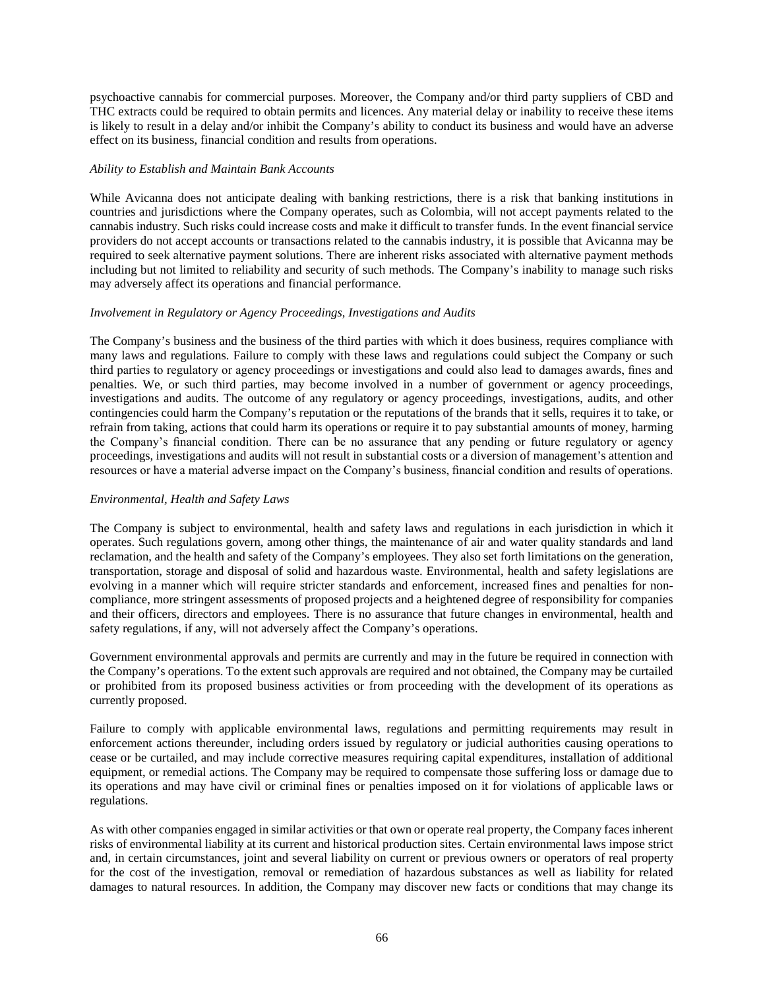psychoactive cannabis for commercial purposes. Moreover, the Company and/or third party suppliers of CBD and THC extracts could be required to obtain permits and licences. Any material delay or inability to receive these items is likely to result in a delay and/or inhibit the Company's ability to conduct its business and would have an adverse effect on its business, financial condition and results from operations.

### *Ability to Establish and Maintain Bank Accounts*

While Avicanna does not anticipate dealing with banking restrictions, there is a risk that banking institutions in countries and jurisdictions where the Company operates, such as Colombia, will not accept payments related to the cannabis industry. Such risks could increase costs and make it difficult to transfer funds. In the event financial service providers do not accept accounts or transactions related to the cannabis industry, it is possible that Avicanna may be required to seek alternative payment solutions. There are inherent risks associated with alternative payment methods including but not limited to reliability and security of such methods. The Company's inability to manage such risks may adversely affect its operations and financial performance.

### *Involvement in Regulatory or Agency Proceedings, Investigations and Audits*

The Company's business and the business of the third parties with which it does business, requires compliance with many laws and regulations. Failure to comply with these laws and regulations could subject the Company or such third parties to regulatory or agency proceedings or investigations and could also lead to damages awards, fines and penalties. We, or such third parties, may become involved in a number of government or agency proceedings, investigations and audits. The outcome of any regulatory or agency proceedings, investigations, audits, and other contingencies could harm the Company's reputation or the reputations of the brands that it sells, requires it to take, or refrain from taking, actions that could harm its operations or require it to pay substantial amounts of money, harming the Company's financial condition. There can be no assurance that any pending or future regulatory or agency proceedings, investigations and audits will not result in substantial costs or a diversion of management's attention and resources or have a material adverse impact on the Company's business, financial condition and results of operations.

### *Environmental, Health and Safety Laws*

The Company is subject to environmental, health and safety laws and regulations in each jurisdiction in which it operates. Such regulations govern, among other things, the maintenance of air and water quality standards and land reclamation, and the health and safety of the Company's employees. They also set forth limitations on the generation, transportation, storage and disposal of solid and hazardous waste. Environmental, health and safety legislations are evolving in a manner which will require stricter standards and enforcement, increased fines and penalties for noncompliance, more stringent assessments of proposed projects and a heightened degree of responsibility for companies and their officers, directors and employees. There is no assurance that future changes in environmental, health and safety regulations, if any, will not adversely affect the Company's operations.

Government environmental approvals and permits are currently and may in the future be required in connection with the Company's operations. To the extent such approvals are required and not obtained, the Company may be curtailed or prohibited from its proposed business activities or from proceeding with the development of its operations as currently proposed.

Failure to comply with applicable environmental laws, regulations and permitting requirements may result in enforcement actions thereunder, including orders issued by regulatory or judicial authorities causing operations to cease or be curtailed, and may include corrective measures requiring capital expenditures, installation of additional equipment, or remedial actions. The Company may be required to compensate those suffering loss or damage due to its operations and may have civil or criminal fines or penalties imposed on it for violations of applicable laws or regulations.

As with other companies engaged in similar activities or that own or operate real property, the Company faces inherent risks of environmental liability at its current and historical production sites. Certain environmental laws impose strict and, in certain circumstances, joint and several liability on current or previous owners or operators of real property for the cost of the investigation, removal or remediation of hazardous substances as well as liability for related damages to natural resources. In addition, the Company may discover new facts or conditions that may change its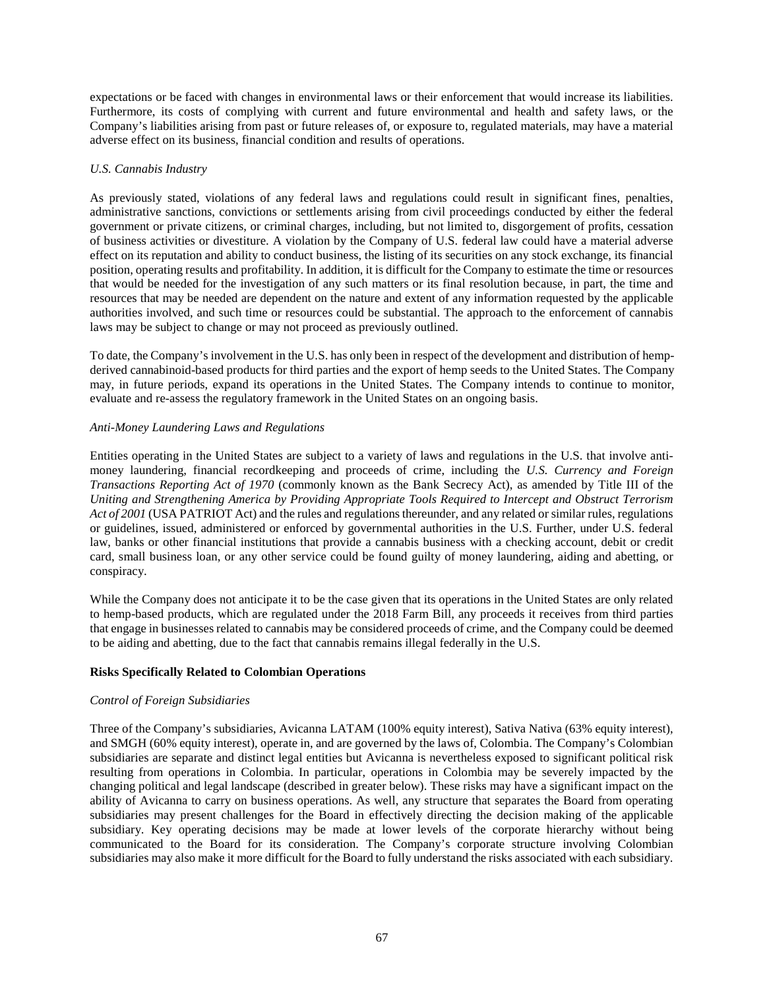expectations or be faced with changes in environmental laws or their enforcement that would increase its liabilities. Furthermore, its costs of complying with current and future environmental and health and safety laws, or the Company's liabilities arising from past or future releases of, or exposure to, regulated materials, may have a material adverse effect on its business, financial condition and results of operations.

## *U.S. Cannabis Industry*

As previously stated, violations of any federal laws and regulations could result in significant fines, penalties, administrative sanctions, convictions or settlements arising from civil proceedings conducted by either the federal government or private citizens, or criminal charges, including, but not limited to, disgorgement of profits, cessation of business activities or divestiture. A violation by the Company of U.S. federal law could have a material adverse effect on its reputation and ability to conduct business, the listing of its securities on any stock exchange, its financial position, operating results and profitability. In addition, it is difficult for the Company to estimate the time or resources that would be needed for the investigation of any such matters or its final resolution because, in part, the time and resources that may be needed are dependent on the nature and extent of any information requested by the applicable authorities involved, and such time or resources could be substantial. The approach to the enforcement of cannabis laws may be subject to change or may not proceed as previously outlined.

To date, the Company's involvement in the U.S. has only been in respect of the development and distribution of hempderived cannabinoid-based products for third parties and the export of hemp seeds to the United States. The Company may, in future periods, expand its operations in the United States. The Company intends to continue to monitor, evaluate and re-assess the regulatory framework in the United States on an ongoing basis.

### *Anti-Money Laundering Laws and Regulations*

Entities operating in the United States are subject to a variety of laws and regulations in the U.S. that involve antimoney laundering, financial recordkeeping and proceeds of crime, including the *U.S. Currency and Foreign Transactions Reporting Act of 1970* (commonly known as the Bank Secrecy Act), as amended by Title III of the *Uniting and Strengthening America by Providing Appropriate Tools Required to Intercept and Obstruct Terrorism Act of 2001* (USA PATRIOT Act) and the rules and regulations thereunder, and any related or similar rules, regulations or guidelines, issued, administered or enforced by governmental authorities in the U.S. Further, under U.S. federal law, banks or other financial institutions that provide a cannabis business with a checking account, debit or credit card, small business loan, or any other service could be found guilty of money laundering, aiding and abetting, or conspiracy.

While the Company does not anticipate it to be the case given that its operations in the United States are only related to hemp-based products, which are regulated under the 2018 Farm Bill, any proceeds it receives from third parties that engage in businesses related to cannabis may be considered proceeds of crime, and the Company could be deemed to be aiding and abetting, due to the fact that cannabis remains illegal federally in the U.S.

# **Risks Specifically Related to Colombian Operations**

# *Control of Foreign Subsidiaries*

Three of the Company's subsidiaries, Avicanna LATAM (100% equity interest), Sativa Nativa (63% equity interest), and SMGH (60% equity interest), operate in, and are governed by the laws of, Colombia. The Company's Colombian subsidiaries are separate and distinct legal entities but Avicanna is nevertheless exposed to significant political risk resulting from operations in Colombia. In particular, operations in Colombia may be severely impacted by the changing political and legal landscape (described in greater below). These risks may have a significant impact on the ability of Avicanna to carry on business operations. As well, any structure that separates the Board from operating subsidiaries may present challenges for the Board in effectively directing the decision making of the applicable subsidiary. Key operating decisions may be made at lower levels of the corporate hierarchy without being communicated to the Board for its consideration. The Company's corporate structure involving Colombian subsidiaries may also make it more difficult for the Board to fully understand the risks associated with each subsidiary.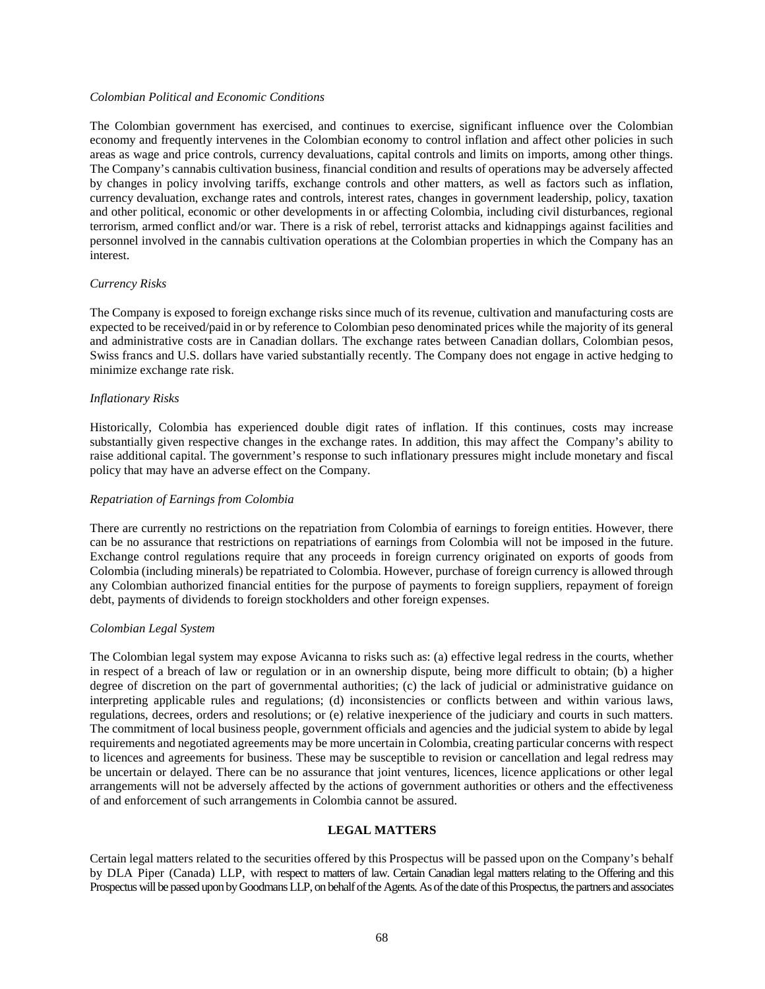### *Colombian Political and Economic Conditions*

The Colombian government has exercised, and continues to exercise, significant influence over the Colombian economy and frequently intervenes in the Colombian economy to control inflation and affect other policies in such areas as wage and price controls, currency devaluations, capital controls and limits on imports, among other things. The Company's cannabis cultivation business, financial condition and results of operations may be adversely affected by changes in policy involving tariffs, exchange controls and other matters, as well as factors such as inflation, currency devaluation, exchange rates and controls, interest rates, changes in government leadership, policy, taxation and other political, economic or other developments in or affecting Colombia, including civil disturbances, regional terrorism, armed conflict and/or war. There is a risk of rebel, terrorist attacks and kidnappings against facilities and personnel involved in the cannabis cultivation operations at the Colombian properties in which the Company has an interest.

### *Currency Risks*

The Company is exposed to foreign exchange risks since much of its revenue, cultivation and manufacturing costs are expected to be received/paid in or by reference to Colombian peso denominated prices while the majority of its general and administrative costs are in Canadian dollars. The exchange rates between Canadian dollars, Colombian pesos, Swiss francs and U.S. dollars have varied substantially recently. The Company does not engage in active hedging to minimize exchange rate risk.

### *Inflationary Risks*

Historically, Colombia has experienced double digit rates of inflation. If this continues, costs may increase substantially given respective changes in the exchange rates. In addition, this may affect the Company's ability to raise additional capital. The government's response to such inflationary pressures might include monetary and fiscal policy that may have an adverse effect on the Company.

#### *Repatriation of Earnings from Colombia*

There are currently no restrictions on the repatriation from Colombia of earnings to foreign entities. However, there can be no assurance that restrictions on repatriations of earnings from Colombia will not be imposed in the future. Exchange control regulations require that any proceeds in foreign currency originated on exports of goods from Colombia (including minerals) be repatriated to Colombia. However, purchase of foreign currency is allowed through any Colombian authorized financial entities for the purpose of payments to foreign suppliers, repayment of foreign debt, payments of dividends to foreign stockholders and other foreign expenses.

#### *Colombian Legal System*

The Colombian legal system may expose Avicanna to risks such as: (a) effective legal redress in the courts, whether in respect of a breach of law or regulation or in an ownership dispute, being more difficult to obtain; (b) a higher degree of discretion on the part of governmental authorities; (c) the lack of judicial or administrative guidance on interpreting applicable rules and regulations; (d) inconsistencies or conflicts between and within various laws, regulations, decrees, orders and resolutions; or (e) relative inexperience of the judiciary and courts in such matters. The commitment of local business people, government officials and agencies and the judicial system to abide by legal requirements and negotiated agreements may be more uncertain in Colombia, creating particular concerns with respect to licences and agreements for business. These may be susceptible to revision or cancellation and legal redress may be uncertain or delayed. There can be no assurance that joint ventures, licences, licence applications or other legal arrangements will not be adversely affected by the actions of government authorities or others and the effectiveness of and enforcement of such arrangements in Colombia cannot be assured.

### **LEGAL MATTERS**

Certain legal matters related to the securities offered by this Prospectus will be passed upon on the Company's behalf by DLA Piper (Canada) LLP, with respect to matters of law. Certain Canadian legal matters relating to the Offering and this Prospectus will be passed upon by Goodmans LLP, on behalf of the Agents. As of the date of this Prospectus, the partners and associates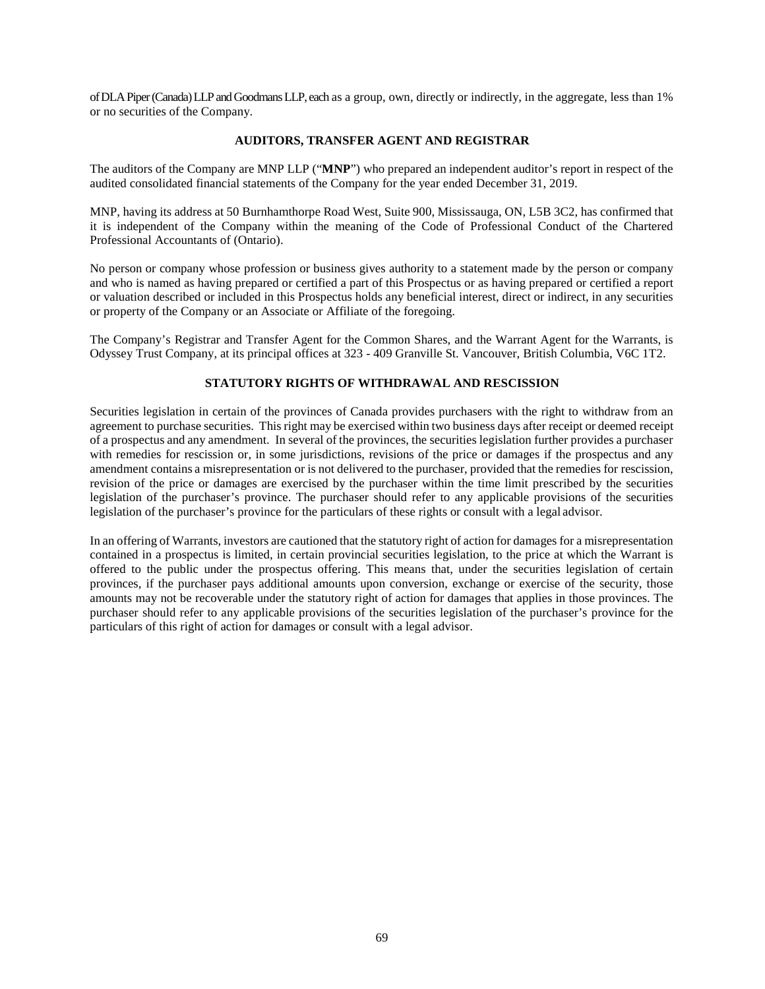of DLA Piper (Canada) LLP and Goodmans LLP, each as a group, own, directly or indirectly, in the aggregate, less than 1% or no securities of the Company.

### **AUDITORS, TRANSFER AGENT AND REGISTRAR**

The auditors of the Company are MNP LLP ("**MNP**") who prepared an independent auditor's report in respect of the audited consolidated financial statements of the Company for the year ended December 31, 2019.

MNP, having its address at 50 Burnhamthorpe Road West, Suite 900, Mississauga, ON, L5B 3C2, has confirmed that it is independent of the Company within the meaning of the Code of Professional Conduct of the Chartered Professional Accountants of (Ontario).

No person or company whose profession or business gives authority to a statement made by the person or company and who is named as having prepared or certified a part of this Prospectus or as having prepared or certified a report or valuation described or included in this Prospectus holds any beneficial interest, direct or indirect, in any securities or property of the Company or an Associate or Affiliate of the foregoing.

The Company's Registrar and Transfer Agent for the Common Shares, and the Warrant Agent for the Warrants, is Odyssey Trust Company, at its principal offices at 323 - 409 Granville St. Vancouver, British Columbia, V6C 1T2.

### **STATUTORY RIGHTS OF WITHDRAWAL AND RESCISSION**

Securities legislation in certain of the provinces of Canada provides purchasers with the right to withdraw from an agreement to purchase securities. This right may be exercised within two business days after receipt or deemed receipt of a prospectus and any amendment. In several of the provinces, the securities legislation further provides a purchaser with remedies for rescission or, in some jurisdictions, revisions of the price or damages if the prospectus and any amendment contains a misrepresentation or is not delivered to the purchaser, provided that the remedies for rescission, revision of the price or damages are exercised by the purchaser within the time limit prescribed by the securities legislation of the purchaser's province. The purchaser should refer to any applicable provisions of the securities legislation of the purchaser's province for the particulars of these rights or consult with a legal advisor.

In an offering of Warrants, investors are cautioned that the statutory right of action for damages for a misrepresentation contained in a prospectus is limited, in certain provincial securities legislation, to the price at which the Warrant is offered to the public under the prospectus offering. This means that, under the securities legislation of certain provinces, if the purchaser pays additional amounts upon conversion, exchange or exercise of the security, those amounts may not be recoverable under the statutory right of action for damages that applies in those provinces. The purchaser should refer to any applicable provisions of the securities legislation of the purchaser's province for the particulars of this right of action for damages or consult with a legal advisor.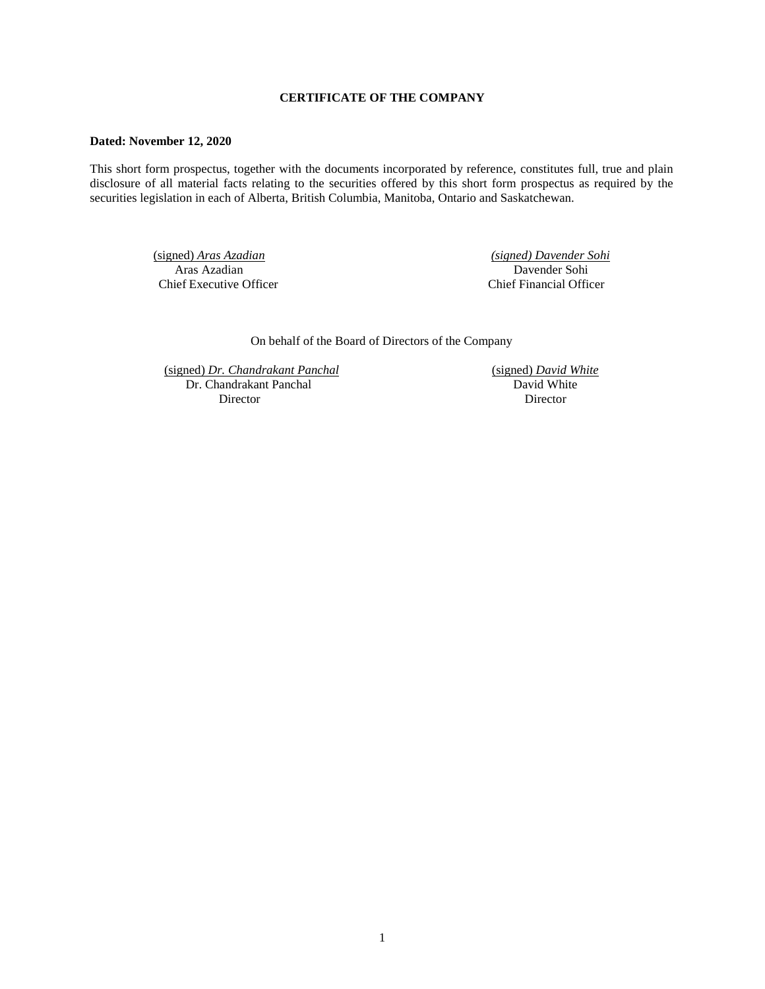# **CERTIFICATE OF THE COMPANY**

### **Dated: November 12, 2020**

This short form prospectus, together with the documents incorporated by reference, constitutes full, true and plain disclosure of all material facts relating to the securities offered by this short form prospectus as required by the securities legislation in each of Alberta, British Columbia, Manitoba, Ontario and Saskatchewan.

> (signed) *Aras Azadian (signed) Davender Sohi*  Aras Azadian Davender Sohi<br>Chief Executive Officer Chief Financial Office

Chief Financial Officer

On behalf of the Board of Directors of the Company

(signed) *Dr. Chandrakant Panchal* (signed) *David White*  Dr. Chandrakant Panchal Director Director